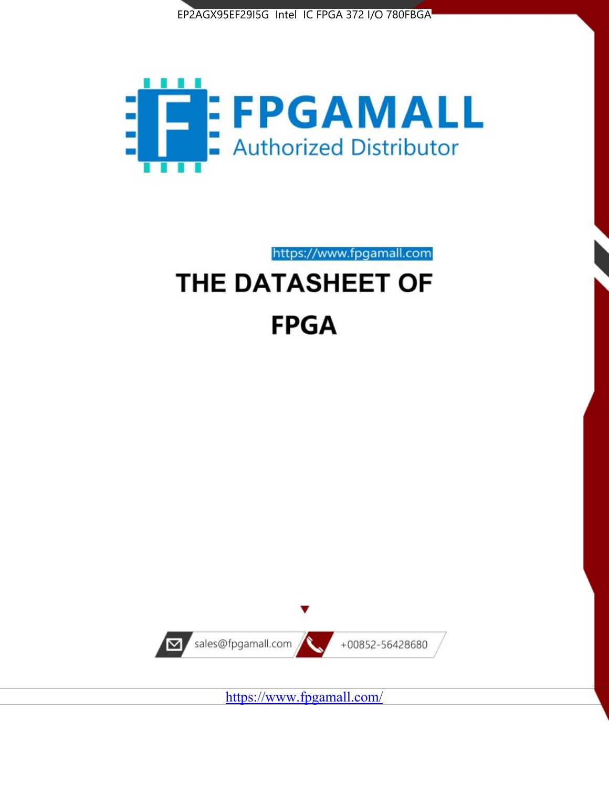



https://www.fpgamall.com

# THE DATASHEET OF **FPGA**



<https://www.fpgamall.com/>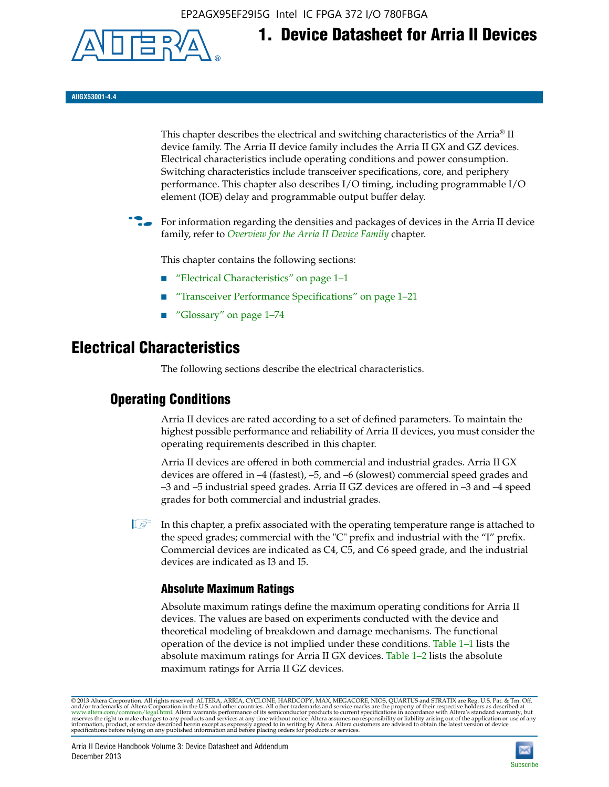EP2AGX95EF29I5G Intel IC FPGA 372 I/O 780FBGA



**AIIGX53001-4.4**

This chapter describes the electrical and switching characteristics of the Arria® II device family. The Arria II device family includes the Arria II GX and GZ devices. Electrical characteristics include operating conditions and power consumption. Switching characteristics include transceiver specifications, core, and periphery performance. This chapter also describes I/O timing, including programmable I/O element (IOE) delay and programmable output buffer delay.

**1. Device Datasheet for Arria II Devices**

For information regarding the densities and packages of devices in the Arria II device family, refer to *[Overview for the Arria II Device Family](http://www.altera.com/literature/hb/arria-ii-gx/aiigx_51001.pdf)* chapter.

This chapter contains the following sections:

- *"Electrical Characteristics"* on page 1–1
- "Transceiver Performance Specifications" on page 1–21
- "Glossary" on page 1–74

# **Electrical Characteristics**

The following sections describe the electrical characteristics.

# **Operating Conditions**

Arria II devices are rated according to a set of defined parameters. To maintain the highest possible performance and reliability of Arria II devices, you must consider the operating requirements described in this chapter.

Arria II devices are offered in both commercial and industrial grades. Arria II GX devices are offered in –4 (fastest), –5, and –6 (slowest) commercial speed grades and –3 and –5 industrial speed grades. Arria II GZ devices are offered in –3 and –4 speed grades for both commercial and industrial grades.

 $\Box$  In this chapter, a prefix associated with the operating temperature range is attached to the speed grades; commercial with the "C" prefix and industrial with the "I" prefix. Commercial devices are indicated as C4, C5, and C6 speed grade, and the industrial devices are indicated as I3 and I5.

# **Absolute Maximum Ratings**

Absolute maximum ratings define the maximum operating conditions for Arria II devices. The values are based on experiments conducted with the device and theoretical modeling of breakdown and damage mechanisms. The functional operation of the device is not implied under these conditions. Table 1–1 lists the absolute maximum ratings for Arria II GX devices. Table 1–2 lists the absolute maximum ratings for Arria II GZ devices.

© 2013 Altera Corporation. All rights reserved. ALTERA, ARRIA, CYCLONE, HARDCOPY, MAX, MEGACORE, NIOS, QUARTUS and STRATIX are Reg. U.S. Pat. & Tm. Off. [and/or trademarks of Altera Corporat](http://www.altera.com/common/legal.html)ion in the U.S. and other countri

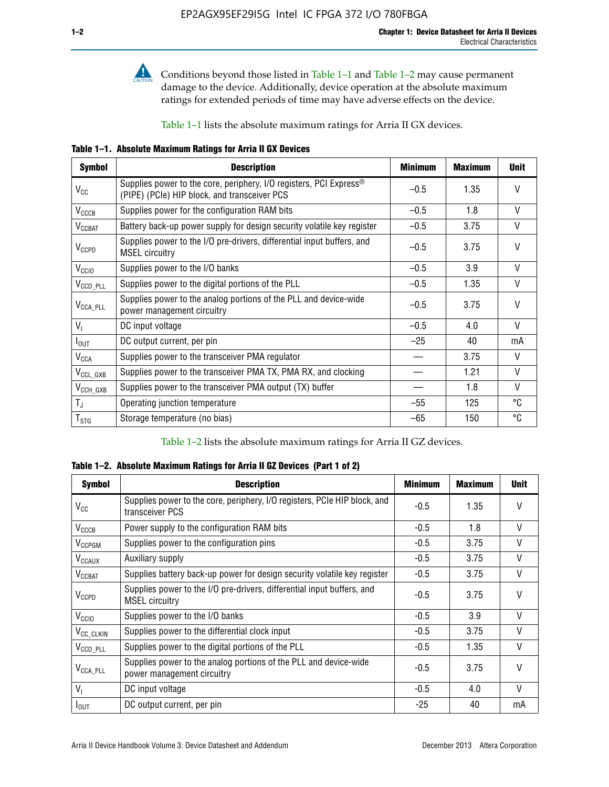

**Conditions beyond those listed in Table 1–1 and Table 1–2 may cause permanent** damage to the device. Additionally, device operation at the absolute maximum ratings for extended periods of time may have adverse effects on the device.

Table 1–1 lists the absolute maximum ratings for Arria II GX devices.

**Table 1–1. Absolute Maximum Ratings for Arria II GX Devices** 

| <b>Symbol</b>         | <b>Description</b>                                                                                                 | <b>Minimum</b> | <b>Maximum</b> | <b>Unit</b>  |
|-----------------------|--------------------------------------------------------------------------------------------------------------------|----------------|----------------|--------------|
| $V_{CC}$              | Supplies power to the core, periphery, I/O registers, PCI Express®<br>(PIPE) (PCIe) HIP block, and transceiver PCS | $-0.5$         | 1.35           | $\vee$       |
| $V_{CCCB}$            | Supplies power for the configuration RAM bits                                                                      | $-0.5$         | 1.8            | V            |
| $V_{\text{CCBAT}}$    | Battery back-up power supply for design security volatile key register                                             | $-0.5$         | 3.75           | V            |
| $V_{CCPD}$            | Supplies power to the I/O pre-drivers, differential input buffers, and<br><b>MSEL circuitry</b>                    | $-0.5$         | 3.75           | $\vee$       |
| V <sub>CCIO</sub>     | Supplies power to the I/O banks                                                                                    | $-0.5$         | 3.9            | $\mathsf{V}$ |
| $V_{\text{CCD\_PLL}}$ | Supplies power to the digital portions of the PLL                                                                  | $-0.5$         | 1.35           | V            |
| $V_{\text{CCA\_PLL}}$ | Supplies power to the analog portions of the PLL and device-wide<br>power management circuitry                     | $-0.5$         | 3.75           | $\mathsf{V}$ |
| $V_{1}$               | DC input voltage                                                                                                   | $-0.5$         | 4.0            | V            |
| $I_{\text{OUT}}$      | DC output current, per pin                                                                                         | $-25$          | 40             | mA           |
| $V_{\text{CCA}}$      | Supplies power to the transceiver PMA regulator                                                                    |                | 3.75           | V            |
| $V_{CCL_GXB}$         | Supplies power to the transceiver PMA TX, PMA RX, and clocking                                                     |                | 1.21           | $\vee$       |
| $V_{\text{CCH_GXB}}$  | Supplies power to the transceiver PMA output (TX) buffer                                                           |                | 1.8            | V            |
| $T_{\rm J}$           | Operating junction temperature                                                                                     | $-55$          | 125            | °C           |
| $T_{\tt STG}$         | Storage temperature (no bias)                                                                                      | -65            | 150            | ℃            |

Table 1–2 lists the absolute maximum ratings for Arria II GZ devices.

**Table 1–2. Absolute Maximum Ratings for Arria II GZ Devices (Part 1 of 2)**

| <b>Symbol</b>            | <b>Description</b>                                                                              | <b>Minimum</b> | <b>Maximum</b> | <b>Unit</b>  |
|--------------------------|-------------------------------------------------------------------------------------------------|----------------|----------------|--------------|
| $V_{CC}$                 | Supplies power to the core, periphery, I/O registers, PCIe HIP block, and<br>transceiver PCS    | -0.5           | 1.35           | $\mathsf{V}$ |
| $V_{CCCB}$               | Power supply to the configuration RAM bits                                                      | $-0.5$         | 1.8            | $\vee$       |
| V <sub>CCPGM</sub>       | Supplies power to the configuration pins                                                        | $-0.5$         | 3.75           | $\vee$       |
| <b>V<sub>CCAUX</sub></b> | Auxiliary supply                                                                                | $-0.5$         | 3.75           | $\vee$       |
| $V_{\text{CGBAT}}$       | Supplies battery back-up power for design security volatile key register                        | -0.5           | 3.75           | V            |
| $V_{CCPD}$               | Supplies power to the I/O pre-drivers, differential input buffers, and<br><b>MSEL circuitry</b> | -0.5           | 3.75           | $\mathsf{V}$ |
| V <sub>CCIO</sub>        | Supplies power to the I/O banks                                                                 | $-0.5$         | 3.9            | $\mathsf{V}$ |
| $V_{\rm CC\_CLKIN}$      | Supplies power to the differential clock input                                                  | $-0.5$         | 3.75           | $\vee$       |
| $V_{\text{CCD\_PLL}}$    | Supplies power to the digital portions of the PLL                                               | $-0.5$         | 1.35           | V            |
| $V_{\text{CCA\_PLL}}$    | Supplies power to the analog portions of the PLL and device-wide<br>power management circuitry  | $-0.5$         | 3.75           | $\mathsf{V}$ |
| V <sub>1</sub>           | DC input voltage                                                                                | $-0.5$         | 4.0            | $\vee$       |
| $I_{\text{OUT}}$         | DC output current, per pin                                                                      | $-25$          | 40             | mA           |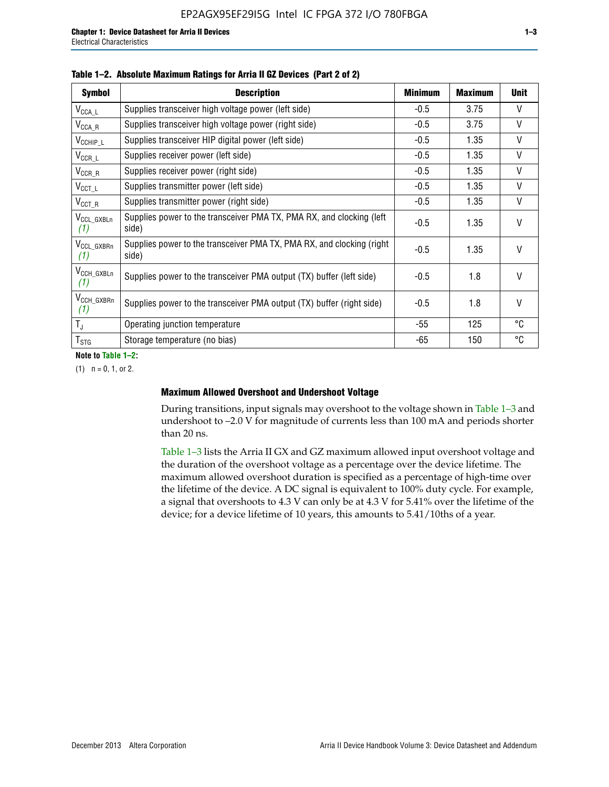| <b>Symbol</b>                 | <b>Description</b>                                                              | <b>Minimum</b> | <b>Maximum</b> | <b>Unit</b>  |
|-------------------------------|---------------------------------------------------------------------------------|----------------|----------------|--------------|
| $V_{\text{CCA}\_\text{L}}$    | Supplies transceiver high voltage power (left side)                             | $-0.5$         | 3.75           | V            |
| $V_{\text{CCA\_R}}$           | Supplies transceiver high voltage power (right side)                            | $-0.5$         | 3.75           | V            |
| $V_{CCHIP\_L}$                | Supplies transceiver HIP digital power (left side)                              | $-0.5$         | 1.35           | $\vee$       |
| $V_{CCR\_L}$                  | Supplies receiver power (left side)                                             | $-0.5$         | 1.35           | $\vee$       |
| $V_{CCR\_R}$                  | Supplies receiver power (right side)                                            | $-0.5$         | 1.35           | $\mathsf{V}$ |
| $V_{CCT\_L}$                  | Supplies transmitter power (left side)                                          | $-0.5$         | 1.35           | $\vee$       |
| $V_{CCT_R}$                   | Supplies transmitter power (right side)                                         | $-0.5$         | 1.35           | V            |
| V <sub>CCL</sub> GXBLn<br>(1) | Supplies power to the transceiver PMA TX, PMA RX, and clocking (left<br>side)   | $-0.5$         | 1.35           | $\vee$       |
| V <sub>CCL_GXBRn</sub><br>(1) | Supplies power to the transceiver PMA TX, PMA RX, and clocking (right)<br>side) | $-0.5$         | 1.35           | $\vee$       |
| V <sub>CCH_GXBLn</sub><br>(1) | Supplies power to the transceiver PMA output (TX) buffer (left side)            | -0.5           | 1.8            | $\mathsf{V}$ |
| V <sub>CCH_GXBRn</sub><br>(1) | Supplies power to the transceiver PMA output (TX) buffer (right side)           | -0.5           | 1.8            | $\mathsf{V}$ |
| $T_{\rm J}$                   | Operating junction temperature                                                  | -55            | 125            | °C           |
| $T_{\text{STG}}$              | Storage temperature (no bias)                                                   | -65            | 150            | ℃            |

**Note to Table 1–2:**

 $(1)$   $n = 0, 1,$  or 2.

#### **Maximum Allowed Overshoot and Undershoot Voltage**

During transitions, input signals may overshoot to the voltage shown in Table 1–3 and undershoot to –2.0 V for magnitude of currents less than 100 mA and periods shorter than 20 ns.

Table 1–3 lists the Arria II GX and GZ maximum allowed input overshoot voltage and the duration of the overshoot voltage as a percentage over the device lifetime. The maximum allowed overshoot duration is specified as a percentage of high-time over the lifetime of the device. A DC signal is equivalent to 100% duty cycle. For example, a signal that overshoots to 4.3 V can only be at 4.3 V for 5.41% over the lifetime of the device; for a device lifetime of 10 years, this amounts to 5.41/10ths of a year.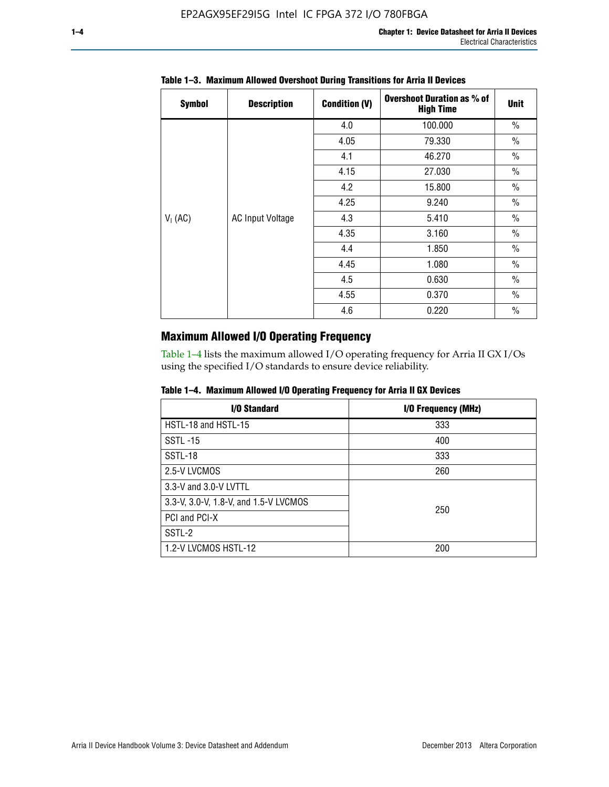| <b>Symbol</b> | <b>Description</b>      | <b>Condition (V)</b> | <b>Overshoot Duration as % of</b><br><b>High Time</b> | <b>Unit</b>   |
|---------------|-------------------------|----------------------|-------------------------------------------------------|---------------|
|               |                         | 4.0                  | 100.000                                               | $\frac{0}{0}$ |
|               |                         | 4.05                 | 79.330                                                | $\frac{0}{0}$ |
|               |                         | 4.1                  | 46.270                                                | $\frac{0}{0}$ |
|               |                         | 4.15                 | 27.030                                                | $\frac{0}{0}$ |
|               | <b>AC Input Voltage</b> | 4.2                  | 15.800                                                | $\frac{0}{0}$ |
|               |                         | 4.25                 | 9.240                                                 | $\frac{0}{0}$ |
| $V_1$ (AC)    |                         | 4.3                  | 5.410                                                 | $\frac{0}{0}$ |
|               |                         | 4.35                 | 3.160                                                 | $\frac{0}{0}$ |
|               |                         | 4.4                  | 1.850                                                 | $\frac{0}{0}$ |
|               |                         | 4.45                 | 1.080                                                 | $\frac{0}{0}$ |
|               |                         | 4.5                  | 0.630                                                 | $\frac{0}{0}$ |
|               |                         | 4.55                 | 0.370                                                 | $\frac{0}{0}$ |
|               |                         | 4.6                  | 0.220                                                 | $\frac{0}{0}$ |

# **Table 1–3. Maximum Allowed Overshoot During Transitions for Arria II Devices**

# **Maximum Allowed I/O Operating Frequency**

Table 1–4 lists the maximum allowed I/O operating frequency for Arria II GX I/Os using the specified I/O standards to ensure device reliability.

|  |  |  |  |  |  | Table 1–4. Maximum Allowed I/O Operating Frequency for Arria II GX Devices |
|--|--|--|--|--|--|----------------------------------------------------------------------------|
|--|--|--|--|--|--|----------------------------------------------------------------------------|

| I/O Standard                          | I/O Frequency (MHz) |
|---------------------------------------|---------------------|
| HSTL-18 and HSTL-15                   | 333                 |
| <b>SSTL-15</b>                        | 400                 |
| SSTL-18                               | 333                 |
| 2.5-V LVCMOS                          | 260                 |
| 3.3-V and 3.0-V LVTTL                 |                     |
| 3.3-V, 3.0-V, 1.8-V, and 1.5-V LVCMOS | 250                 |
| PCI and PCI-X                         |                     |
| SSTL-2                                |                     |
| 1.2-V LVCMOS HSTL-12                  | 200                 |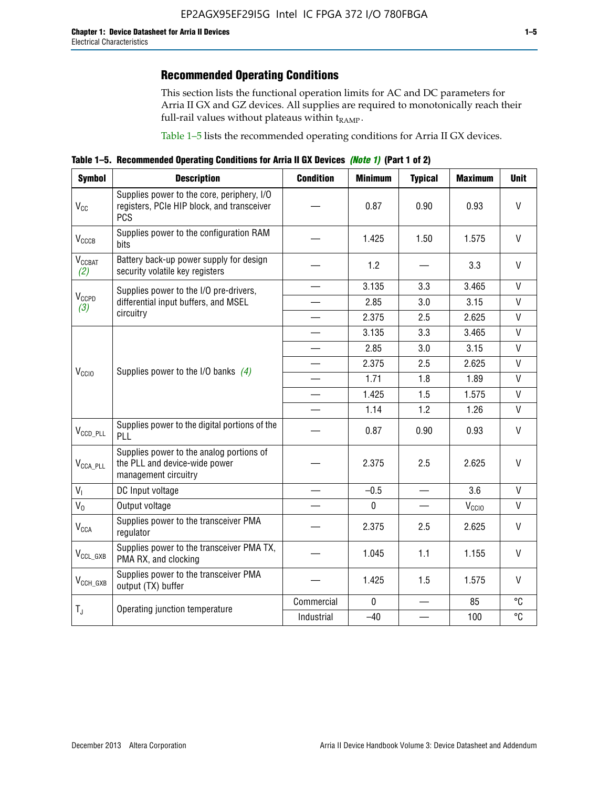# **Recommended Operating Conditions**

This section lists the functional operation limits for AC and DC parameters for Arria II GX and GZ devices. All supplies are required to monotonically reach their full-rail values without plateaus within  $t_{RAMP}$ .

Table 1–5 lists the recommended operating conditions for Arria II GX devices.

**Table 1–5. Recommended Operating Conditions for Arria II GX Devices** *(Note 1)* **(Part 1 of 2)**

| <b>Symbol</b>             | <b>Description</b>                                                                                     | <b>Condition</b>         | <b>Minimum</b> | <b>Typical</b> | <b>Maximum</b>    | <b>Unit</b>  |
|---------------------------|--------------------------------------------------------------------------------------------------------|--------------------------|----------------|----------------|-------------------|--------------|
| $V_{CC}$                  | Supplies power to the core, periphery, I/O<br>registers, PCIe HIP block, and transceiver<br><b>PCS</b> |                          | 0.87           | 0.90           | 0.93              | V            |
| V <sub>CCCB</sub>         | Supplies power to the configuration RAM<br>bits                                                        |                          | 1.425          | 1.50           | 1.575             | $\mathsf{V}$ |
| $V_{\text{CGBAT}}$<br>(2) | Battery back-up power supply for design<br>security volatile key registers                             |                          | 1.2            |                | 3.3               | V            |
|                           | Supplies power to the I/O pre-drivers,                                                                 |                          | 3.135          | 3.3            | 3.465             | $\mathsf{V}$ |
| $V_{CCPD}$<br>(3)         | differential input buffers, and MSEL                                                                   |                          | 2.85           | 3.0            | 3.15              | V            |
|                           | circuitry                                                                                              | $\overline{\phantom{a}}$ | 2.375          | 2.5            | 2.625             | $\mathsf{V}$ |
|                           |                                                                                                        |                          | 3.135          | 3.3            | 3.465             | $\vee$       |
|                           | Supplies power to the I/O banks $(4)$                                                                  |                          | 2.85           | 3.0            | 3.15              | $\vee$       |
|                           |                                                                                                        |                          | 2.375          | 2.5            | 2.625             | $\mathsf{V}$ |
| V <sub>CCIO</sub>         |                                                                                                        |                          | 1.71           | 1.8            | 1.89              | $\mathsf{V}$ |
|                           |                                                                                                        |                          | 1.425          | 1.5            | 1.575             | $\mathsf{V}$ |
|                           |                                                                                                        |                          | 1.14           | 1.2            | 1.26              | $\mathsf{V}$ |
| $V_{CCD\_PLL}$            | Supplies power to the digital portions of the<br>PLL                                                   |                          | 0.87           | 0.90           | 0.93              | V            |
| $V_{\text{CCA\_PLL}}$     | Supplies power to the analog portions of<br>the PLL and device-wide power<br>management circuitry      |                          | 2.375          | 2.5            | 2.625             | $\mathsf{V}$ |
| $V_{1}$                   | DC Input voltage                                                                                       |                          | $-0.5$         | $\equiv$       | 3.6               | V            |
| $V_0$                     | Output voltage                                                                                         |                          | 0              |                | V <sub>CCIO</sub> | V            |
| <b>V<sub>CCA</sub></b>    | Supplies power to the transceiver PMA<br>regulator                                                     |                          | 2.375          | 2.5            | 2.625             | $\mathsf{V}$ |
| $V_{CCL_GXB}$             | Supplies power to the transceiver PMA TX,<br>PMA RX, and clocking                                      |                          | 1.045          | 1.1            | 1.155             | V            |
| $V_{CCH_GXB}$             | Supplies power to the transceiver PMA<br>output (TX) buffer                                            |                          | 1.425          | 1.5            | 1.575             | V            |
| $T_{J}$                   | Operating junction temperature                                                                         | Commercial               | $\mathbf 0$    |                | 85                | °C           |
|                           |                                                                                                        | Industrial               | $-40$          |                | 100               | °C           |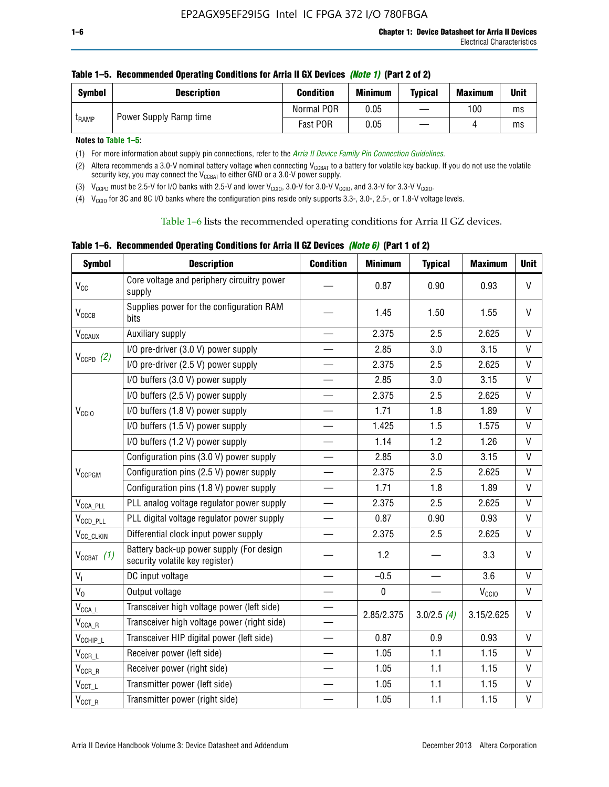| <b>Symbol</b> | <b>Description</b>     | <b>Condition</b> | <b>Minimum</b> | <b>Typical</b> | <b>Maximum</b> | <b>Unit</b> |
|---------------|------------------------|------------------|----------------|----------------|----------------|-------------|
| <b>LRAMP</b>  | Power Supply Ramp time | Normal POR       | 0.05           |                | 100            | ms          |
|               |                        | Fast POR         | 0.05           |                |                | ms          |

| Table 1–5. Recommended Operating Conditions for Arria II GX Devices (Note 1) (Part 2 of 2) |  |  |  |
|--------------------------------------------------------------------------------------------|--|--|--|
|                                                                                            |  |  |  |

**Notes to Table 1–5:** 

(1) For more information about supply pin connections, refer to the *[Arria II Device Family Pin Connection Guidelines](http://www.altera.com/literature/dp/arria-ii-gx/PCG-01007.pdf)*.

(2) Altera recommends a 3.0-V nominal battery voltage when connecting V<sub>CCBAT</sub> to a battery for volatile key backup. If you do not use the volatile security key, you may connect the V<sub>CCBAT</sub> to either GND or a 3.0-V power supply.

(3)  $V_{CCPD}$  must be 2.5-V for I/O banks with 2.5-V and lower  $V_{CCIO}$ , 3.0-V for 3.0-V  $V_{CCIO}$ , and 3.3-V for 3.3-V  $V_{CCIO}$ .

(4)  $V_{\text{CCIO}}$  for 3C and 8C I/O banks where the configuration pins reside only supports 3.3-, 3.0-, 2.5-, or 1.8-V voltage levels.

Table 1–6 lists the recommended operating conditions for Arria II GZ devices.

**Table 1–6. Recommended Operating Conditions for Arria II GZ Devices** *(Note 6)* **(Part 1 of 2)**

| <b>Symbol</b>                           | <b>Description</b>                                                          | <b>Condition</b>         | <b>Minimum</b> | <b>Typical</b> | <b>Maximum</b> | <b>Unit</b>  |
|-----------------------------------------|-----------------------------------------------------------------------------|--------------------------|----------------|----------------|----------------|--------------|
| $V_{CC}$                                | Core voltage and periphery circuitry power<br>supply                        |                          | 0.87           | 0.90           | 0.93           | $\mathsf{V}$ |
| $V_{CCCB}$                              | Supplies power for the configuration RAM<br>bits                            |                          | 1.45           | 1.50           | 1.55           | $\mathsf{V}$ |
| $V_{\text{CCAUX}}$                      | Auxiliary supply                                                            |                          | 2.375          | 2.5            | 2.625          | $\vee$       |
|                                         | I/O pre-driver (3.0 V) power supply                                         |                          | 2.85           | 3.0            | 3.15           | V            |
| $V_{CCPD}$ (2)                          | I/O pre-driver (2.5 V) power supply                                         |                          | 2.375          | 2.5            | 2.625          | V            |
|                                         | I/O buffers (3.0 V) power supply                                            |                          | 2.85           | 3.0            | 3.15           | $\mathsf{V}$ |
|                                         | I/O buffers (2.5 V) power supply                                            |                          | 2.375          | 2.5            | 2.625          | $\vee$       |
| V <sub>CCIO</sub>                       | I/O buffers (1.8 V) power supply                                            |                          | 1.71           | 1.8            | 1.89           | V            |
|                                         | I/O buffers (1.5 V) power supply                                            |                          | 1.425          | 1.5            | 1.575          | V            |
|                                         | I/O buffers (1.2 V) power supply                                            |                          | 1.14           | 1.2            | 1.26           | $\mathsf{V}$ |
|                                         | Configuration pins (3.0 V) power supply                                     |                          | 2.85           | 3.0            | 3.15           | $\vee$       |
| $V_{CCPGM}$                             | Configuration pins (2.5 V) power supply                                     |                          | 2.375          | 2.5            | 2.625          | $\vee$       |
|                                         | Configuration pins (1.8 V) power supply                                     |                          | 1.71           | 1.8            | 1.89           | $\mathsf{V}$ |
| $V_{\text{CCA\_PLL}}$                   | PLL analog voltage regulator power supply                                   | $\overline{\phantom{0}}$ | 2.375          | 2.5            | 2.625          | $\vee$       |
| $V_{CCD\_PLL}$                          | PLL digital voltage regulator power supply                                  |                          | 0.87           | 0.90           | 0.93           | V            |
| V <sub>CC_CLKIN</sub>                   | Differential clock input power supply                                       | $\equiv$                 | 2.375          | 2.5            | 2.625          | V            |
| $V_{CCBAT}$ (1)                         | Battery back-up power supply (For design<br>security volatile key register) |                          | 1.2            |                | 3.3            | $\mathsf{V}$ |
| $V_{I}$                                 | DC input voltage                                                            |                          | $-0.5$         |                | 3.6            | $\mathsf{V}$ |
| $V_0$                                   | Output voltage                                                              | $\overline{\phantom{0}}$ | $\pmb{0}$      |                | $\rm V_{CGI0}$ | $\mathsf{V}$ |
| $\mathsf{V}_{\mathsf{CCA}\_\mathsf{L}}$ | Transceiver high voltage power (left side)                                  |                          |                |                |                | V            |
| $\mathsf{V}_{\mathsf{CCA\_R}}$          | Transceiver high voltage power (right side)                                 |                          | 2.85/2.375     | 3.0/2.5(4)     | 3.15/2.625     |              |
| $V_{CCHIP\_L}$                          | Transceiver HIP digital power (left side)                                   | $\overline{\phantom{0}}$ | 0.87           | 0.9            | 0.93           | $\mathsf{V}$ |
| $V_{CCR\_L}$                            | Receiver power (left side)                                                  |                          | 1.05           | 1.1            | 1.15           | V            |
| $V_{CCR\_R}$                            | Receiver power (right side)                                                 |                          | 1.05           | 1.1            | 1.15           | $\mathsf{V}$ |
| $V_{CCT_L}$                             | Transmitter power (left side)                                               |                          | 1.05           | 1.1            | 1.15           | $\mathsf{V}$ |
| $\mathsf{V}_{\mathsf{CCT\_R}}$          | Transmitter power (right side)                                              |                          | 1.05           | 1.1            | 1.15           | $\mathsf{V}$ |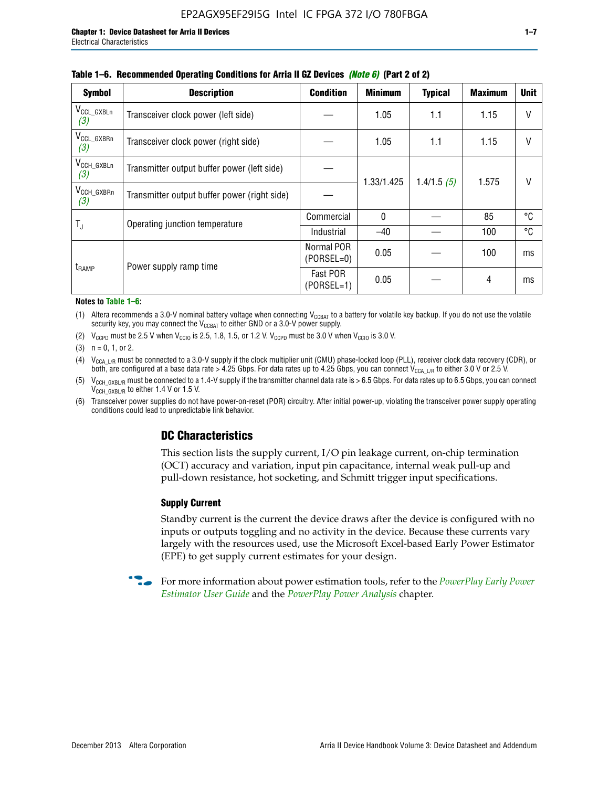| <b>Symbol</b>                 | <b>Description</b>                           | <b>Condition</b>           | <b>Minimum</b> | <b>Typical</b> | <b>Maximum</b> | <b>Unit</b> |
|-------------------------------|----------------------------------------------|----------------------------|----------------|----------------|----------------|-------------|
| $V_{CCL_GXBLn}$<br>(3)        | Transceiver clock power (left side)          |                            | 1.05           | 1.1            | 1.15           | $\vee$      |
| V <sub>CCL_GXBRn</sub><br>(3) | Transceiver clock power (right side)         |                            | 1.05           | 1.1            | 1.15           | $\vee$      |
| $V_{\text{CCH_GXBLn}}$<br>(3) | Transmitter output buffer power (left side)  |                            | 1.33/1.425     | 1.4/1.5(5)     | 1.575          | V           |
| V <sub>CCH_GXBRn</sub><br>(3) | Transmitter output buffer power (right side) |                            |                |                |                |             |
| T,                            | Operating junction temperature               | Commercial                 | $\mathbf{0}$   |                | 85             | °C          |
|                               |                                              | Industrial                 | $-40$          |                | 100            | °C          |
| t <sub>RAMP</sub>             | Power supply ramp time                       | Normal POR<br>$(PORSEL=0)$ | 0.05           |                | 100            | ms          |
|                               |                                              | Fast POR<br>(PORSEL=1)     | 0.05           |                | 4              | ms          |

#### **Table 1–6. Recommended Operating Conditions for Arria II GZ Devices** *(Note 6)* **(Part 2 of 2)**

#### **Notes to Table 1–6:**

(1) Altera recommends a 3.0-V nominal battery voltage when connecting  $V_{CCBAT}$  to a battery for volatile key backup. If you do not use the volatile security key, you may connect the  $V_{CCBAT}$  to either GND or a 3.0-V power supply.

(2)  $V_{CCPD}$  must be 2.5 V when  $V_{CCIO}$  is 2.5, 1.8, 1.5, or 1.2 V.  $V_{CCPD}$  must be 3.0 V when  $V_{CCIO}$  is 3.0 V.

(3)  $n = 0, 1, or 2$ .

(4)  $V_{CCA~LR}$  must be connected to a 3.0-V supply if the clock multiplier unit (CMU) phase-locked loop (PLL), receiver clock data recovery (CDR), or both, are configured at a base data rate > 4.25 Gbps. For data rates up to 4.25 Gbps, you can connect V<sub>CCA L/R</sub> to either 3.0 V or 2.5 V.

- (5)  $V_{\text{CCH\_GXBL/R}}$  must be connected to a 1.4-V supply if the transmitter channel data rate is > 6.5 Gbps. For data rates up to 6.5 Gbps, you can connect V<sub>CCH\_GXBL/R</sub> to either 1.4 V or 1.5 V.
- (6) Transceiver power supplies do not have power-on-reset (POR) circuitry. After initial power-up, violating the transceiver power supply operating conditions could lead to unpredictable link behavior.

# **DC Characteristics**

This section lists the supply current, I/O pin leakage current, on-chip termination (OCT) accuracy and variation, input pin capacitance, internal weak pull-up and pull-down resistance, hot socketing, and Schmitt trigger input specifications.

## **Supply Current**

Standby current is the current the device draws after the device is configured with no inputs or outputs toggling and no activity in the device. Because these currents vary largely with the resources used, use the Microsoft Excel-based Early Power Estimator (EPE) to get supply current estimates for your design.

**For more information about power estimation tools, refer to the** *PowerPlay Early Power* **<b>Formation** *[Estimator User Guide](http://www.altera.com/literature/ug/ug_epe.pdf
)* and the *[PowerPlay Power Analysis](http://www.altera.com/literature/hb/qts/qts_qii53013.pdf)* chapter.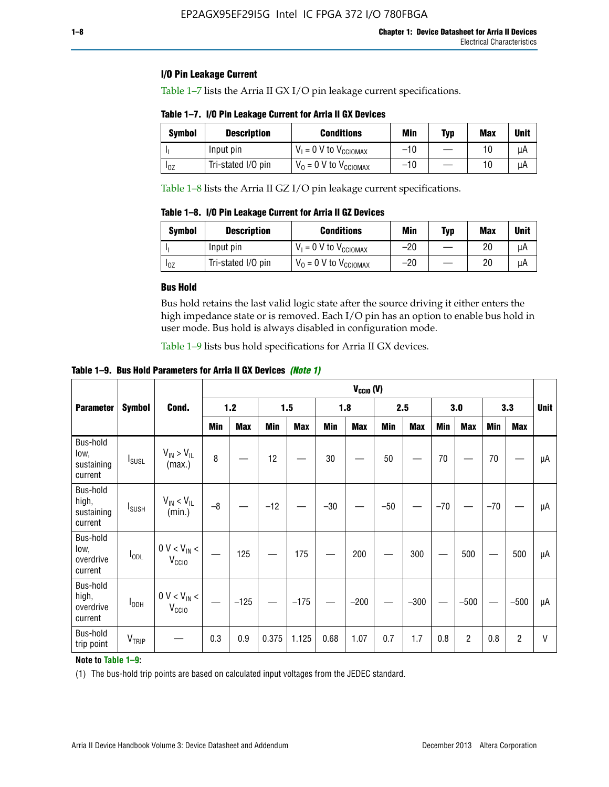# **I/O Pin Leakage Current**

Table 1–7 lists the Arria II GX I/O pin leakage current specifications.

# **Table 1–7. I/O Pin Leakage Current for Arria II GX Devices**

| Symbol   | <b>Description</b> | <b>Conditions</b>                   | <b>Min</b> | <b>Typ</b> | <b>Max</b> | <b>Unit</b> |
|----------|--------------------|-------------------------------------|------------|------------|------------|-------------|
|          | Input pin          | $V_1 = 0$ V to $V_{\text{CCIOMAX}}$ | $-10$      |            |            | uА          |
| $I_{0Z}$ | Tri-stated I/O pin | $V_0 = 0$ V to $V_{\text{CCIOMAX}}$ | $-10$      |            | 10         | uА          |

Table 1–8 lists the Arria II GZ I/O pin leakage current specifications.

**Table 1–8. I/O Pin Leakage Current for Arria II GZ Devices**

| Symbol | <b>Description</b> | <b>Conditions</b>                   | Min   | <b>Typ</b> | Max | <b>Unit</b> |
|--------|--------------------|-------------------------------------|-------|------------|-----|-------------|
|        | Input pin          | $V_1 = 0$ V to $V_{\text{CCIOMAX}}$ | $-20$ |            | 20  | uА          |
| 10Z    | Tri-stated I/O pin | $V_0 = 0$ V to $V_{\text{CCIOMAX}}$ | $-20$ |            | 20  | uА          |

## **Bus Hold**

Bus hold retains the last valid logic state after the source driving it either enters the high impedance state or is removed. Each I/O pin has an option to enable bus hold in user mode. Bus hold is always disabled in configuration mode.

Table 1–9 lists bus hold specifications for Arria II GX devices.

**Table 1–9. Bus Hold Parameters for Arria II GX Devices** *(Note 1)*

|                                            |                          |                                       | $V_{CClO}$ (V) |            |       |            |       |            |       |            |       |                |       |                |              |
|--------------------------------------------|--------------------------|---------------------------------------|----------------|------------|-------|------------|-------|------------|-------|------------|-------|----------------|-------|----------------|--------------|
| <b>Parameter</b>                           | <b>Symbol</b>            | Cond.                                 | $1.2$          |            |       | 1.5<br>1.8 |       | 2.5        |       | 3.0        |       | 3.3            |       | <b>Unit</b>    |              |
|                                            |                          |                                       | Min            | <b>Max</b> | Min   | <b>Max</b> | Min   | <b>Max</b> | Min   | <b>Max</b> | Min   | <b>Max</b>     | Min   | <b>Max</b>     |              |
| Bus-hold<br>low,<br>sustaining<br>current  | <b>I</b> <sub>SUSL</sub> | $V_{IN}$ > $V_{IL}$<br>(max.)         | 8              |            | 12    |            | 30    |            | 50    |            | 70    |                | 70    |                | μA           |
| Bus-hold<br>high,<br>sustaining<br>current | <b>I</b> <sub>SUSH</sub> | $V_{IN}$ < $V_{IL}$<br>(min.)         | $-8$           |            | $-12$ |            | $-30$ |            | $-50$ |            | $-70$ |                | $-70$ |                | μA           |
| Bus-hold<br>low,<br>overdrive<br>current   | $I_{ODL}$                | $0 V < V_{IN} <$<br>V <sub>CCIO</sub> |                | 125        |       | 175        |       | 200        |       | 300        |       | 500            |       | 500            | μA           |
| Bus-hold<br>high,<br>overdrive<br>current  | $I_{ODH}$                | $0 V < V_{IN}$ <<br>V <sub>CCIO</sub> |                | $-125$     |       | $-175$     |       | $-200$     |       | $-300$     |       | $-500$         |       | $-500$         | μA           |
| Bus-hold<br>trip point                     | VTRIP                    |                                       | 0.3            | 0.9        | 0.375 | 1.125      | 0.68  | 1.07       | 0.7   | 1.7        | 0.8   | $\overline{c}$ | 0.8   | $\overline{c}$ | $\mathsf{V}$ |

# **Note to Table 1–9:**

(1) The bus-hold trip points are based on calculated input voltages from the JEDEC standard.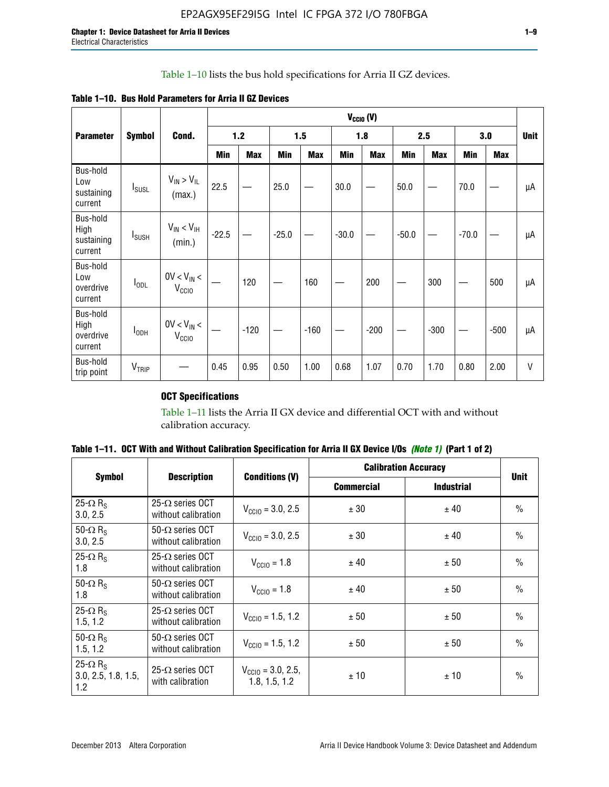# Table 1–10 lists the bus hold specifications for Arria II GZ devices.

|  |  | Table 1–10. Bus Hold Parameters for Arria II GZ Devices |
|--|--|---------------------------------------------------------|
|--|--|---------------------------------------------------------|

|                                           |                   |                                      | $V_{CGIO} (V)$ |            |         |            |         |            |         |            |         |        |             |
|-------------------------------------------|-------------------|--------------------------------------|----------------|------------|---------|------------|---------|------------|---------|------------|---------|--------|-------------|
| <b>Parameter</b>                          | <b>Symbol</b>     | Cond.                                |                | 1.2        |         | 1.5        |         | 1.8        |         | 2.5        |         | 3.0    | <b>Unit</b> |
|                                           |                   |                                      | Min            | <b>Max</b> | Min     | <b>Max</b> | Min     | <b>Max</b> | Min     | <b>Max</b> | Min     | Max    |             |
| Bus-hold<br>Low<br>sustaining<br>current  | $I_{SUSL}$        | $V_{IN}$ > $V_{IL}$<br>(max.)        | 22.5           |            | 25.0    |            | 30.0    |            | 50.0    |            | 70.0    |        | μA          |
| Bus-hold<br>High<br>sustaining<br>current | $I_{SUSH}$        | $V_{IN} < V_{IH}$<br>(min.)          | $-22.5$        |            | $-25.0$ |            | $-30.0$ |            | $-50.0$ |            | $-70.0$ |        | μA          |
| Bus-hold<br>Low<br>overdrive<br>current   | $I_{ODL}$         | $0V < V_{IN} <$<br>V <sub>CCIO</sub> |                | 120        |         | 160        |         | 200        |         | 300        |         | 500    | μA          |
| Bus-hold<br>High<br>overdrive<br>current  | $I_{ODH}$         | $0V < V_{IN}$<br>V <sub>CCIO</sub>   |                | $-120$     |         | $-160$     |         | $-200$     |         | $-300$     |         | $-500$ | μA          |
| Bus-hold<br>trip point                    | V <sub>TRIP</sub> |                                      | 0.45           | 0.95       | 0.50    | 1.00       | 0.68    | 1.07       | 0.70    | 1.70       | 0.80    | 2.00   | $\vee$      |

# **OCT Specifications**

Table 1–11 lists the Arria II GX device and differential OCT with and without calibration accuracy.

|                                                           |                                                |                                                | <b>Calibration Accuracy</b> |                   |               |
|-----------------------------------------------------------|------------------------------------------------|------------------------------------------------|-----------------------------|-------------------|---------------|
| <b>Symbol</b>                                             | <b>Description</b>                             | <b>Conditions (V)</b>                          | <b>Commercial</b>           | <b>Industrial</b> | <b>Unit</b>   |
| 25- $\Omega$ R <sub>s</sub><br>3.0, 2.5                   | $25-\Omega$ series OCT<br>without calibration  | $V_{\text{CC10}} = 3.0, 2.5$                   | ± 30                        | ± 40              | $\frac{0}{0}$ |
| 50- $\Omega$ R <sub>S</sub><br>3.0, 2.5                   | $50-\Omega$ series OCT<br>without calibration  | $V_{\text{CC10}} = 3.0, 2.5$                   | ± 30                        | ± 40              | $\frac{0}{0}$ |
| 25- $\Omega$ R <sub>S</sub><br>1.8                        | 25- $\Omega$ series OCT<br>without calibration | $V_{\text{CCI0}} = 1.8$                        | ± 40                        | ± 50              | $\frac{0}{0}$ |
| 50- $\Omega$ R <sub>s</sub><br>1.8                        | $50-\Omega$ series OCT<br>without calibration  | $V_{\text{CC10}} = 1.8$                        | ± 40                        | ± 50              | $\frac{0}{0}$ |
| 25- $\Omega$ R <sub>S</sub><br>1.5, 1.2                   | $25-\Omega$ series OCT<br>without calibration  | $V_{\text{CC10}} = 1.5, 1.2$                   | ± 50                        | ± 50              | $\frac{0}{0}$ |
| 50- $\Omega$ R <sub>s</sub><br>1.5, 1.2                   | $50-\Omega$ series OCT<br>without calibration  | $V_{\text{CC10}} = 1.5, 1.2$                   | ± 50                        | ± 50              | $\frac{0}{0}$ |
| 25- $\Omega$ R <sub>s</sub><br>3.0, 2.5, 1.8, 1.5,<br>1.2 | 25- $\Omega$ series OCT<br>with calibration    | $V_{\text{CC10}} = 3.0, 2.5,$<br>1.8, 1.5, 1.2 | ±10                         | ± 10              | $\frac{0}{0}$ |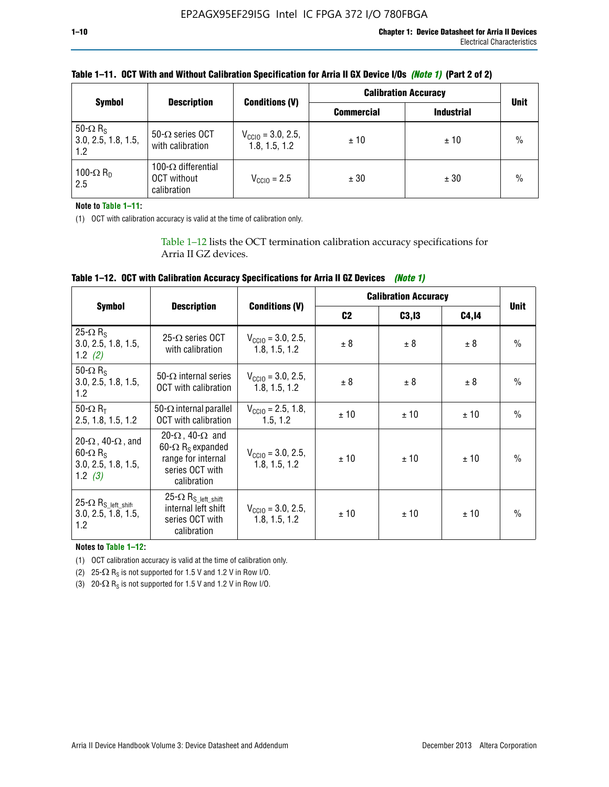| <b>Symbol</b>                                             |                                                                 |                                                | <b>Calibration Accuracy</b> |                   |               |
|-----------------------------------------------------------|-----------------------------------------------------------------|------------------------------------------------|-----------------------------|-------------------|---------------|
|                                                           | <b>Description</b>                                              | <b>Conditions (V)</b>                          | <b>Commercial</b>           | <b>Industrial</b> | <b>Unit</b>   |
| 50- $\Omega$ R <sub>S</sub><br>3.0, 2.5, 1.8, 1.5,<br>1.2 | $50-\Omega$ series OCT<br>with calibration                      | $V_{\text{CC10}} = 3.0, 2.5,$<br>1.8, 1.5, 1.2 | ±10                         | ± 10              | $\frac{0}{0}$ |
| 100- $\Omega$ R <sub>D</sub><br>2.5                       | 100- $\Omega$ differential<br><b>OCT</b> without<br>calibration | $V_{\text{CCIO}} = 2.5$                        | ± 30                        | ± 30              | $\frac{0}{0}$ |

# **Table 1–11. OCT With and Without Calibration Specification for Arria II GX Device I/Os** *(Note 1)* **(Part 2 of 2)**

**Note to Table 1–11:**

(1) OCT with calibration accuracy is valid at the time of calibration only.

Table 1–12 lists the OCT termination calibration accuracy specifications for Arria II GZ devices.

| Table 1–12. OCT with Calibration Accuracy Specifications for Arria II GZ Devices (Note 1) |  |  |  |  |
|-------------------------------------------------------------------------------------------|--|--|--|--|
|-------------------------------------------------------------------------------------------|--|--|--|--|

|                                                                                                       |                                                                                                                                 |                                                | <b>Calibration Accuracy</b> |        |       |               |
|-------------------------------------------------------------------------------------------------------|---------------------------------------------------------------------------------------------------------------------------------|------------------------------------------------|-----------------------------|--------|-------|---------------|
| <b>Symbol</b>                                                                                         | <b>Description</b>                                                                                                              | <b>Conditions (V)</b>                          | C <sub>2</sub>              | C3, I3 | C4,14 | <b>Unit</b>   |
| 25- $\Omega$ R <sub>s</sub><br>3.0, 2.5, 1.8, 1.5,<br>1.2 $(2)$                                       | $25-\Omega$ series OCT<br>with calibration                                                                                      | $V_{CGI0} = 3.0, 2.5,$<br>1.8, 1.5, 1.2        | ± 8                         | ± 8    | ± 8   | $\frac{0}{0}$ |
| 50- $\Omega$ R <sub>s</sub><br>3.0, 2.5, 1.8, 1.5,<br>1.2                                             | 50- $\Omega$ internal series<br>OCT with calibration                                                                            | $V_{\text{CC10}} = 3.0, 2.5,$<br>1.8, 1.5, 1.2 | ± 8                         | ± 8    | ± 8   | $\frac{0}{0}$ |
| 50- $\Omega$ R <sub>T</sub><br>2.5, 1.8, 1.5, 1.2                                                     | 50- $\Omega$ internal parallel<br><b>OCT</b> with calibration                                                                   | $V_{\text{CC10}} = 2.5, 1.8,$<br>1.5.1.2       | ± 10                        | ± 10   | ± 10  | $\frac{0}{0}$ |
| 20- $\Omega$ , 40- $\Omega$ , and<br>$60 - \Omega$ R <sub>S</sub><br>3.0, 2.5, 1.8, 1.5,<br>1.2 $(3)$ | 20- $\Omega$ , 40- $\Omega$ and<br>60- $\Omega$ R <sub>s</sub> expanded<br>range for internal<br>series OCT with<br>calibration | $V_{\text{CC10}} = 3.0, 2.5,$<br>1.8, 1.5, 1.2 | ± 10                        | ± 10   | ± 10  | $\frac{0}{0}$ |
| 25- $\Omega$ R <sub>S</sub> left_shift<br>3.0, 2.5, 1.8, 1.5,<br>1.2                                  | $25-\Omega R_{S\_left\_shift}$<br>internal left shift<br>series OCT with<br>calibration                                         | $V_{\text{CC10}} = 3.0, 2.5,$<br>1.8, 1.5, 1.2 | ± 10                        | ± 10   | ± 10  | $\frac{0}{0}$ |

**Notes to Table 1–12:**

(1) OCT calibration accuracy is valid at the time of calibration only.

(2) 25- $\Omega$  R<sub>S</sub> is not supported for 1.5 V and 1.2 V in Row I/O.

(3)  $20-\Omega$  R<sub>S</sub> is not supported for 1.5 V and 1.2 V in Row I/O.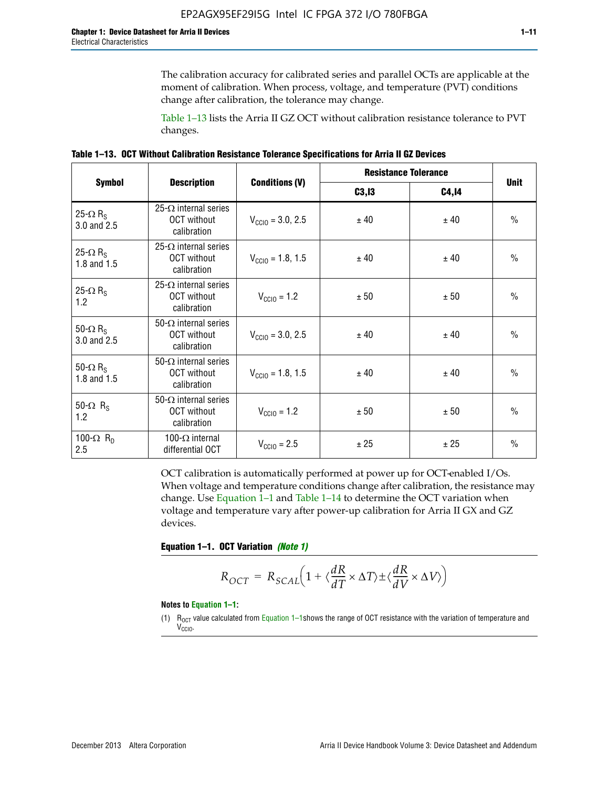The calibration accuracy for calibrated series and parallel OCTs are applicable at the moment of calibration. When process, voltage, and temperature (PVT) conditions change after calibration, the tolerance may change.

Table 1–13 lists the Arria II GZ OCT without calibration resistance tolerance to PVT changes.

|  | Table 1–13. OCT Without Calibration Resistance Tolerance Specifications for Arria II GZ Devices |  |  |  |
|--|-------------------------------------------------------------------------------------------------|--|--|--|
|--|-------------------------------------------------------------------------------------------------|--|--|--|

|                                            |                                                                   |                              | <b>Resistance Tolerance</b> | <b>Unit</b>  |               |
|--------------------------------------------|-------------------------------------------------------------------|------------------------------|-----------------------------|--------------|---------------|
| <b>Symbol</b>                              | <b>Description</b>                                                | <b>Conditions (V)</b>        | C3, I3                      | <b>C4,14</b> |               |
| 25- $\Omega$ R <sub>S</sub><br>3.0 and 2.5 | $25-\Omega$ internal series<br><b>OCT</b> without<br>calibration  | $V_{\text{CGI0}} = 3.0, 2.5$ | ± 40                        | ± 40         | $\frac{0}{0}$ |
| 25- $\Omega$ R <sub>S</sub><br>1.8 and 1.5 | 25- $\Omega$ internal series<br><b>OCT</b> without<br>calibration | $V_{\text{CC10}} = 1.8, 1.5$ | ± 40                        | ± 40         | $\frac{0}{0}$ |
| 25- $\Omega$ R <sub>S</sub><br>1.2         | 25- $\Omega$ internal series<br><b>OCT</b> without<br>calibration | $V_{\text{CC10}} = 1.2$      | ± 50                        | ± 50         | $\frac{0}{0}$ |
| 50- $\Omega$ R <sub>s</sub><br>3.0 and 2.5 | $50-\Omega$ internal series<br><b>OCT</b> without<br>calibration  | $V_{\text{CC10}} = 3.0, 2.5$ | ± 40                        | ± 40         | $\frac{0}{0}$ |
| 50- $\Omega$ R <sub>S</sub><br>1.8 and 1.5 | 50- $\Omega$ internal series<br><b>OCT</b> without<br>calibration | $V_{\text{CC10}} = 1.8, 1.5$ | ± 40                        | ± 40         | $\frac{0}{0}$ |
| 50- $\Omega$ R <sub>s</sub><br>1.2         | 50- $\Omega$ internal series<br><b>OCT</b> without<br>calibration | $V_{\text{CC10}} = 1.2$      | ± 50                        | ± 50         | $\frac{0}{0}$ |
| 100- $\Omega$ R <sub>n</sub><br>2.5        | 100- $\Omega$ internal<br>differential OCT                        | $V_{\text{CC10}} = 2.5$      | ± 25                        | ± 25         | $\frac{0}{0}$ |

OCT calibration is automatically performed at power up for OCT-enabled I/Os. When voltage and temperature conditions change after calibration, the resistance may change. Use Equation 1–1 and Table 1–14 to determine the OCT variation when voltage and temperature vary after power-up calibration for Arria II GX and GZ devices.

**Equation 1–1. OCT Variation** *(Note 1)*

$$
R_{OCT} = R_{SCAL} \Big( 1 + \langle \frac{dR}{dT} \times \Delta T \rangle \pm \langle \frac{dR}{dV} \times \Delta V \rangle \Big)
$$

#### **Notes to Equation 1–1:**

(1)  $R_{OCT}$  value calculated from Equation 1–1shows the range of OCT resistance with the variation of temperature and V<sub>CCIO</sub>.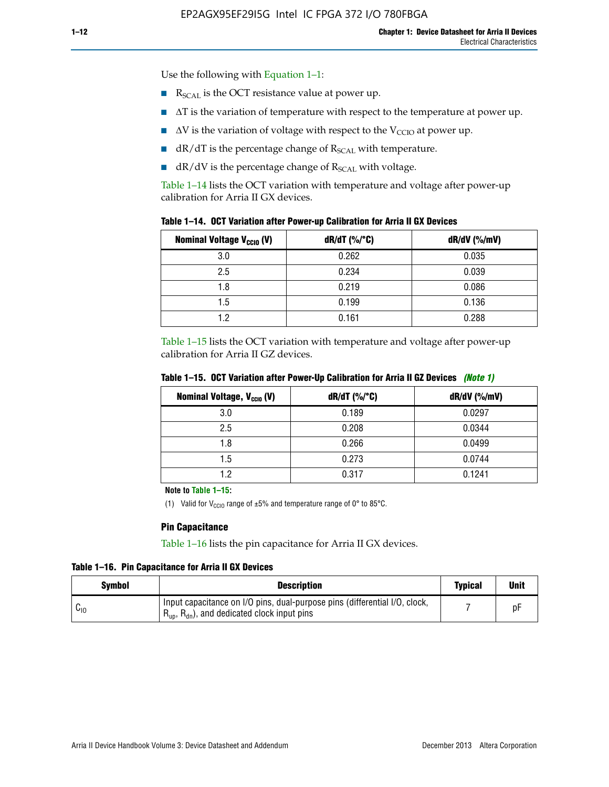Use the following with Equation 1–1:

- $\blacksquare$  R<sub>SCAL</sub> is the OCT resistance value at power up.
- $\blacksquare$   $\Delta T$  is the variation of temperature with respect to the temperature at power up.
- $\blacksquare$   $\Delta V$  is the variation of voltage with respect to the V<sub>CCIO</sub> at power up.
- $\blacksquare$  dR/dT is the percentage change of  $R_{\text{SCAL}}$  with temperature.
- $\blacksquare$  dR/dV is the percentage change of R<sub>SCAL</sub> with voltage.

Table 1–14 lists the OCT variation with temperature and voltage after power-up calibration for Arria II GX devices.

|  |  |  |  |  |  |  |  | Table 1–14. OCT Variation after Power-up Calibration for Arria II GX Devices |  |
|--|--|--|--|--|--|--|--|------------------------------------------------------------------------------|--|
|--|--|--|--|--|--|--|--|------------------------------------------------------------------------------|--|

| <b>Nominal Voltage V<sub>CCIO</sub> (V)</b> | $dR/dT$ (%/°C) | $dR/dV$ (%/mV) |
|---------------------------------------------|----------------|----------------|
| 3.0                                         | 0.262          | 0.035          |
| 2.5                                         | 0.234          | 0.039          |
| 1.8                                         | 0.219          | 0.086          |
| 1.5                                         | 0.199          | 0.136          |
| 1.2                                         | 0.161          | 0.288          |

Table 1–15 lists the OCT variation with temperature and voltage after power-up calibration for Arria II GZ devices.

| <b>Nominal Voltage, V<sub>ccio</sub> (V)</b> | $dR/dT$ (%/°C) | dR/dV (%/mV) |
|----------------------------------------------|----------------|--------------|
| 3.0                                          | 0.189          | 0.0297       |
| 2.5                                          | 0.208          | 0.0344       |
| 1.8                                          | 0.266          | 0.0499       |
| 1.5                                          | 0.273          | 0.0744       |
| 19                                           | 0.317          | 0.1241       |

**Table 1–15. OCT Variation after Power-Up Calibration for Arria II GZ Devices** *(Note 1)*

**Note to Table 1–15:**

(1) Valid for V<sub>CCIO</sub> range of  $\pm 5\%$  and temperature range of 0° to 85°C.

#### **Pin Capacitance**

Table 1–16 lists the pin capacitance for Arria II GX devices.

**Table 1–16. Pin Capacitance for Arria II GX Devices**

| <b>Symbol</b> | <b>Description</b>                                                                                                                               | <b>Typical</b> | <b>Unit</b> |
|---------------|--------------------------------------------------------------------------------------------------------------------------------------------------|----------------|-------------|
| ⊍∪            | Input capacitance on I/O pins, dual-purpose pins (differential I/O, clock,<br>$R_{\text{up}}$ , $R_{\text{dn}}$ , and dedicated clock input pins |                |             |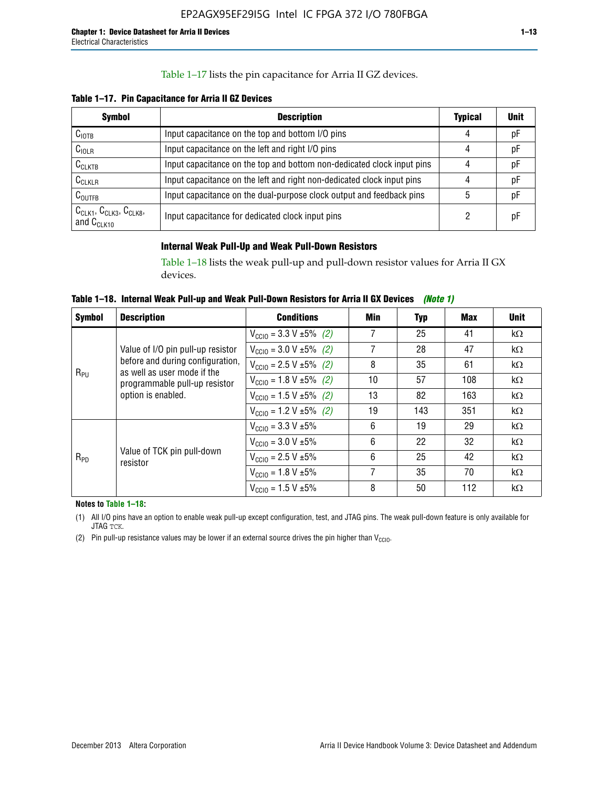# Table 1–17 lists the pin capacitance for Arria II GZ devices.

**Table 1–17. Pin Capacitance for Arria II GZ Devices** 

| <b>Symbol</b>                                    | <b>Description</b>                                                     | <b>Typical</b> | <b>Unit</b> |
|--------------------------------------------------|------------------------------------------------------------------------|----------------|-------------|
| $C_{\text{IOTB}}$                                | Input capacitance on the top and bottom I/O pins                       | 4              | pF          |
| C <sub>IOLR</sub>                                | Input capacitance on the left and right I/O pins                       | 4              | pF          |
| $C_{CLKTB}$                                      | Input capacitance on the top and bottom non-dedicated clock input pins |                | рF          |
| $C_{CLKLR}$                                      | Input capacitance on the left and right non-dedicated clock input pins |                | pF          |
| $C_{\text{OUTFB}}$                               | Input capacitance on the dual-purpose clock output and feedback pins   | 5              | pF          |
| $CCLK1$ , $CCLK3$ , $CCLK8$ ,<br>and $C_{CLK10}$ | Input capacitance for dedicated clock input pins                       |                | рF          |

## **Internal Weak Pull-Up and Weak Pull-Down Resistors**

Table 1–18 lists the weak pull-up and pull-down resistor values for Arria II GX devices.

**Table 1–18. Internal Weak Pull-up and Weak Pull-Down Resistors for Arria II GX Devices** *(Note 1)* 

| <b>Symbol</b>                           | <b>Description</b>                            | <b>Conditions</b>                             | Min | Typ                                                                                                                                                                                                       | Max | <b>Unit</b> |
|-----------------------------------------|-----------------------------------------------|-----------------------------------------------|-----|-----------------------------------------------------------------------------------------------------------------------------------------------------------------------------------------------------------|-----|-------------|
|                                         |                                               | $V_{\text{CC10}} = 3.3 \text{ V} \pm 5\%$ (2) | 7   | 25                                                                                                                                                                                                        | 41  | $k\Omega$   |
| as well as user mode if the<br>$R_{PU}$ | Value of I/O pin pull-up resistor             | $V_{\text{CC10}} = 3.0 \text{ V} \pm 5\%$ (2) | 7   | 28                                                                                                                                                                                                        | 47  | $k\Omega$   |
|                                         | before and during configuration,              | $V_{\text{CC10}} = 2.5 V \pm 5\%$ (2)         | 8   | 35                                                                                                                                                                                                        | 61  | $k\Omega$   |
|                                         | programmable pull-up resistor                 | $V_{\text{CC10}} = 1.8 \text{ V} \pm 5\%$ (2) | 10  | 57<br>108<br>$k\Omega$<br>82<br>163<br>$k\Omega$<br>143<br>351<br>$k\Omega$<br>19<br>29<br>$k\Omega$<br>22<br>32<br>$k\Omega$<br>25<br>42<br>$k\Omega$<br>35<br>70<br>$k\Omega$<br>50<br>112<br>$k\Omega$ |     |             |
| option is enabled.                      | $V_{\text{CC10}} = 1.5 \text{ V} \pm 5\%$ (2) | 13                                            |     |                                                                                                                                                                                                           |     |             |
|                                         |                                               | $V_{\text{CC10}} = 1.2 V \pm 5\%$ (2)         | 19  |                                                                                                                                                                                                           |     |             |
|                                         |                                               | $V_{\text{CC10}} = 3.3 \text{ V} \pm 5\%$     | 6   |                                                                                                                                                                                                           |     |             |
| $R_{PD}$                                |                                               | $V_{\text{CC10}} = 3.0 V \pm 5\%$             | 6   |                                                                                                                                                                                                           |     |             |
|                                         | Value of TCK pin pull-down<br>resistor        | $V_{\text{CC10}} = 2.5 V \pm 5\%$             | 6   |                                                                                                                                                                                                           |     |             |
|                                         |                                               | $V_{\text{CC10}} = 1.8 V \pm 5\%$             | 7   |                                                                                                                                                                                                           |     |             |
|                                         |                                               | $V_{\text{CC10}} = 1.5 V \pm 5\%$             | 8   |                                                                                                                                                                                                           |     |             |

**Notes to Table 1–18:**

(1) All I/O pins have an option to enable weak pull-up except configuration, test, and JTAG pins. The weak pull-down feature is only available for JTAG TCK.

(2) Pin pull-up resistance values may be lower if an external source drives the pin higher than  $V_{\text{CCIO}}$ .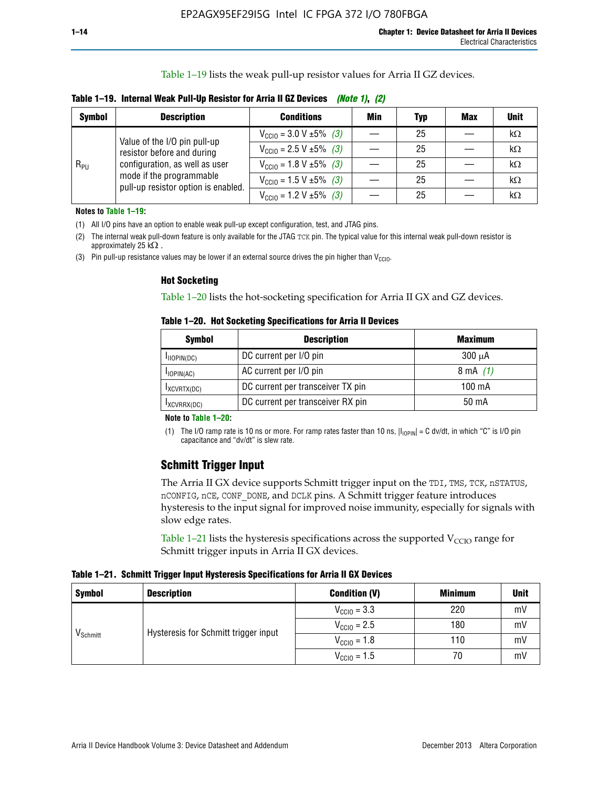Table 1–19 lists the weak pull-up resistor values for Arria II GZ devices.

**Table 1–19. Internal Weak Pull-Up Resistor for Arria II GZ Devices** *(Note 1)***,** *(2)*

| <b>Symbol</b> | <b>Description</b>                                                                                                              | <b>Conditions</b>                                    | Min | Typ | <b>Max</b> | <b>Unit</b> |
|---------------|---------------------------------------------------------------------------------------------------------------------------------|------------------------------------------------------|-----|-----|------------|-------------|
|               | Value of the I/O pin pull-up                                                                                                    | $V_{\text{CC10}} = 3.0 \text{ V} \pm 5\%$ (3)        |     | 25  |            | kΩ          |
| $R_{PU}$      | resistor before and during<br>configuration, as well as user<br>mode if the programmable<br>pull-up resistor option is enabled. | $V_{\text{CC10}} = 2.5 V \pm 5\%$ (3)                |     | 25  |            | kΩ          |
|               |                                                                                                                                 | $V_{\text{CC10}} = 1.8 \text{ V } \pm 5\% \quad (3)$ |     | 25  |            | kΩ          |
|               |                                                                                                                                 | $V_{\text{CC10}} = 1.5 \text{ V} \pm 5\%$ (3)        |     | 25  |            | kΩ          |
|               |                                                                                                                                 | $V_{\text{CC10}} = 1.2 V \pm 5\%$ (3)                |     | 25  |            | kΩ          |

**Notes to Table 1–19:**

(1) All I/O pins have an option to enable weak pull-up except configuration, test, and JTAG pins.

(2) The internal weak pull-down feature is only available for the JTAG TCK pin. The typical value for this internal weak pull-down resistor is approximately 25 k $\Omega$ .

(3) Pin pull-up resistance values may be lower if an external source drives the pin higher than  $V_{\text{CCIO}}$ .

#### **Hot Socketing**

Table 1–20 lists the hot-socketing specification for Arria II GX and GZ devices.

**Table 1–20. Hot Socketing Specifications for Arria II Devices** 

| <b>Symbol</b> | <b>Description</b>                | <b>Maximum</b>     |
|---------------|-----------------------------------|--------------------|
| IIOPIN(DC)    | DC current per I/O pin            | $300 \mu A$        |
| $I$ IOPIN(AC) | AC current per I/O pin            | $8 \text{ mA}$ (1) |
| IXCVRTX(DC)   | DC current per transceiver TX pin | 100 mA             |
| IXCVRRX(DC)   | DC current per transceiver RX pin | 50 mA              |

#### **Note to Table 1–20:**

(1) The I/O ramp rate is 10 ns or more. For ramp rates faster than 10 ns,  $|I_{10\text{PIN}}| = C$  dv/dt, in which "C" is I/O pin capacitance and "dv/dt" is slew rate.

# **Schmitt Trigger Input**

The Arria II GX device supports Schmitt trigger input on the TDI, TMS, TCK, nSTATUS, nCONFIG, nCE, CONF\_DONE, and DCLK pins. A Schmitt trigger feature introduces hysteresis to the input signal for improved noise immunity, especially for signals with slow edge rates.

Table 1–21 lists the hysteresis specifications across the supported  $V<sub>CCIO</sub>$  range for Schmitt trigger inputs in Arria II GX devices.

**Table 1–21. Schmitt Trigger Input Hysteresis Specifications for Arria II GX Devices**

| <b>Symbol</b>        | <b>Description</b>                   | <b>Condition (V)</b>    | <b>Minimum</b> | <b>Unit</b> |
|----------------------|--------------------------------------|-------------------------|----------------|-------------|
|                      |                                      | $V_{\text{CGI0}} = 3.3$ | 220            | mV          |
|                      | Hysteresis for Schmitt trigger input | $V_{\text{CCIO}} = 2.5$ | 180            | mV          |
| V <sub>Schmitt</sub> |                                      | $V_{\text{CCIO}} = 1.8$ | 110            | mV          |
|                      |                                      | $V_{\text{CCIO}} = 1.5$ | 70             | mV          |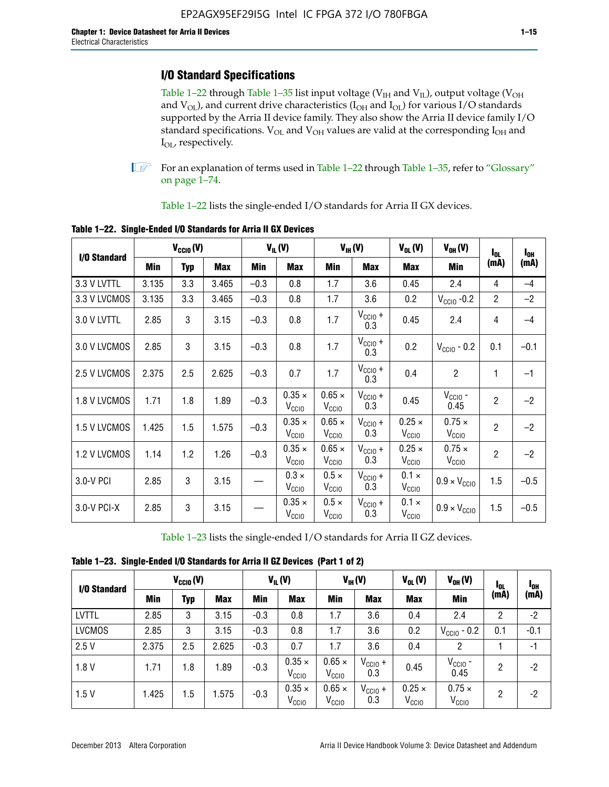# **I/O Standard Specifications**

Table 1–22 through Table 1–35 list input voltage ( $V_{IH}$  and  $V_{IL}$ ), output voltage ( $V_{OH}$ and  $V_{OL}$ ), and current drive characteristics ( $I_{OH}$  and  $I_{OL}$ ) for various I/O standards supported by the Arria II device family. They also show the Arria II device family I/O standard specifications.  $V_{OL}$  and  $V_{OH}$  values are valid at the corresponding  $I_{OH}$  and I<sub>OL</sub>, respectively.

**1.** For an explanation of terms used in Table 1–22 through Table 1–35, refer to "Glossary" on page 1–74.

Table 1–22 lists the single-ended I/O standards for Arria II GX devices.

| I/O Standard |       | $V_{CClO}(V)$ |            |        | $V_{IL}(V)$                        |                                    | $V_{IH}(V)$             | $V_{OL}(V)$                        | $V_{OH} (V)$                       | $I_{0L}$       | $I_{0H}$ |
|--------------|-------|---------------|------------|--------|------------------------------------|------------------------------------|-------------------------|------------------------------------|------------------------------------|----------------|----------|
|              | Min   | <b>Typ</b>    | <b>Max</b> | Min    | <b>Max</b>                         | Min                                | <b>Max</b>              | <b>Max</b>                         | Min                                | (mA)           | (mA)     |
| 3.3 V LVTTL  | 3.135 | 3.3           | 3.465      | $-0.3$ | 0.8                                | 1.7                                | 3.6                     | 0.45                               | 2.4                                | 4              | $-4$     |
| 3.3 V LVCMOS | 3.135 | 3.3           | 3.465      | $-0.3$ | 0.8                                | 1.7                                | 3.6                     | 0.2                                | $V_{\text{CCIO}}$ -0.2             | $\overline{2}$ | $-2$     |
| 3.0 V LVTTL  | 2.85  | 3             | 3.15       | $-0.3$ | 0.8                                | 1.7                                | $V_{CC10} +$<br>0.3     | 0.45                               | 2.4                                | 4              | $-4$     |
| 3.0 V LVCMOS | 2.85  | 3             | 3.15       | $-0.3$ | 0.8                                | 1.7                                | $V_{CC10} +$<br>0.3     | 0.2                                | $V_{\text{CC10}}$ - 0.2            | 0.1            | $-0.1$   |
| 2.5 V LVCMOS | 2.375 | 2.5           | 2.625      | $-0.3$ | 0.7                                | 1.7                                | $V_{\rm CClO}$ +<br>0.3 | 0.4                                | $\overline{c}$                     | 1              | $-1$     |
| 1.8 V LVCMOS | 1.71  | 1.8           | 1.89       | $-0.3$ | $0.35 \times$<br>V <sub>CCIO</sub> | $0.65 \times$<br>V <sub>CCIO</sub> | $V_{CCIO} +$<br>0.3     | 0.45                               | $V_{CGIO}$ -<br>0.45               | $\overline{2}$ | $-2$     |
| 1.5 V LVCMOS | 1.425 | 1.5           | 1.575      | $-0.3$ | $0.35 \times$<br>V <sub>CCIO</sub> | $0.65 \times$<br>V <sub>CCIO</sub> | $V_{CC10} +$<br>0.3     | $0.25 \times$<br>V <sub>CCIO</sub> | $0.75 \times$<br>V <sub>CCIO</sub> | $\overline{2}$ | $-2$     |
| 1.2 V LVCMOS | 1.14  | 1.2           | 1.26       | $-0.3$ | $0.35 \times$<br>V <sub>CCIO</sub> | $0.65 \times$<br>V <sub>CClO</sub> | $V_{CC10} +$<br>0.3     | $0.25 \times$<br>V <sub>CCIO</sub> | $0.75 \times$<br>V <sub>CCIO</sub> | $\overline{2}$ | $-2$     |
| 3.0-V PCI    | 2.85  | 3             | 3.15       |        | $0.3 \times$<br>$V_{\rm CClO}$     | $0.5 \times$<br>$V_{\rm CClO}$     | $V_{CC10} +$<br>0.3     | $0.1 \times$<br>V <sub>CCIO</sub>  | $0.9 \times V_{\text{CC10}}$       | 1.5            | $-0.5$   |
| 3.0-V PCI-X  | 2.85  | 3             | 3.15       |        | $0.35 \times$<br>V <sub>CCIO</sub> | $0.5 \times$<br>V <sub>CClO</sub>  | $V_{CC10} +$<br>0.3     | $0.1 \times$<br>V <sub>CCIO</sub>  | $0.9 \times V_{\text{CC10}}$       | 1.5            | $-0.5$   |

**Table 1–22. Single-Ended I/O Standards for Arria II GX Devices**

Table 1–23 lists the single-ended I/O standards for Arria II GZ devices.

|  |  | Table 1-23. Single-Ended I/O Standards for Arria II GZ Devices (Part 1 of 2) |  |
|--|--|------------------------------------------------------------------------------|--|
|--|--|------------------------------------------------------------------------------|--|

|               | $V_{CCl0}(V)$ |     |            | $V_{IL}(V)$ |                                    | $V_{IH} (V)$                       |                            | $V_{OL}(V)$                        | $V_{OH} (V)$                       | <b>I</b> OL | <sup>1</sup> OH |
|---------------|---------------|-----|------------|-------------|------------------------------------|------------------------------------|----------------------------|------------------------------------|------------------------------------|-------------|-----------------|
| I/O Standard  | Min           | Typ | <b>Max</b> | <b>Min</b>  | <b>Max</b>                         | Min                                | <b>Max</b>                 | <b>Max</b>                         | Min                                | (mA)        | (mA)            |
| <b>LVTTL</b>  | 2.85          | 3   | 3.15       | $-0.3$      | 0.8                                | 1.7                                | 3.6                        | 0.4                                | 2.4                                | 2           | $-2$            |
| <b>LVCMOS</b> | 2.85          | 3   | 3.15       | $-0.3$      | 0.8                                | 1.7                                | 3.6                        | 0.2                                | $V_{\text{CCIO}}$ - 0.2            | 0.1         | $-0.1$          |
| 2.5V          | 2.375         | 2.5 | 2.625      | $-0.3$      | 0.7                                | 1.7                                | 3.6                        | 0.4                                | 2                                  |             | $-1$            |
| 1.8V          | 1.71          | 1.8 | 1.89       | $-0.3$      | $0.35 \times$<br>V <sub>CCIO</sub> | $0.65 \times$<br>$V_{\rm CClO}$    | $V_{\text{CC1O}} +$<br>0.3 | 0.45                               | $V_{CGIO}$ -<br>0.45               | 2           | -2              |
| 1.5V          | 1.425         | 1.5 | .575       | $-0.3$      | $0.35 \times$<br>V <sub>CCIO</sub> | $0.65 \times$<br>V <sub>CCIO</sub> | $V_{\text{CC1O}} +$<br>0.3 | $0.25 \times$<br>V <sub>CCIO</sub> | $0.75 \times$<br>V <sub>CCIO</sub> | 2           | -2              |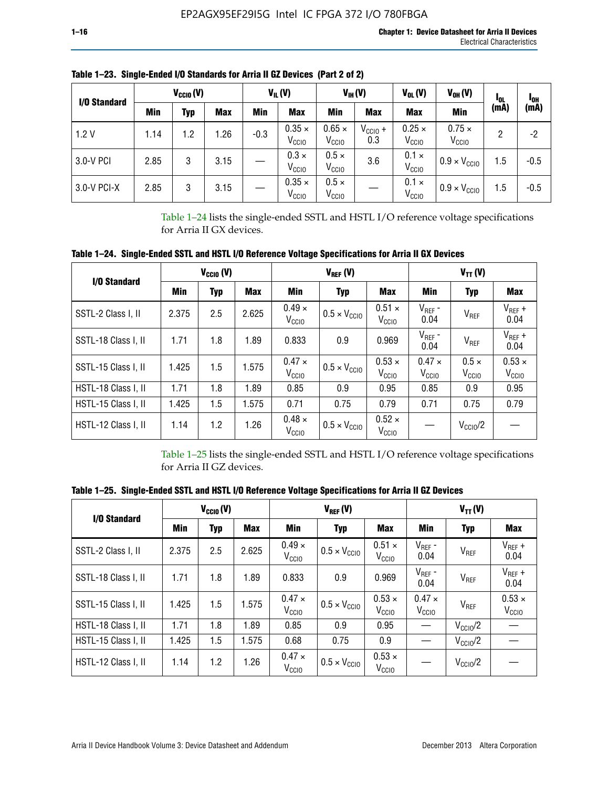| I/O Standard |      | $V_{\text{CCIO}}(V)$ |            |        | $V_{IL}(V)$                        |                                    | $V_{IH} (V)$        | $V_{OL}(V)$                        | $V_{OH} (V)$                       | <b>I</b> OL | <sup>1</sup> OH |
|--------------|------|----------------------|------------|--------|------------------------------------|------------------------------------|---------------------|------------------------------------|------------------------------------|-------------|-----------------|
|              | Min  | Typ                  | <b>Max</b> | Min    | <b>Max</b>                         | Min                                | <b>Max</b>          | <b>Max</b>                         | Min                                | (mA)        | (mA)            |
| 1.2V         | 1.14 | 1.2                  | 1.26       | $-0.3$ | $0.35 \times$<br>V <sub>CCIO</sub> | $0.65 \times$<br>V <sub>CCIO</sub> | $V_{CC10}$ +<br>0.3 | $0.25 \times$<br>V <sub>CCIO</sub> | $0.75 \times$<br>V <sub>CCIO</sub> | 2           | -2              |
| 3.0-V PCI    | 2.85 | 3                    | 3.15       |        | $0.3 \times$<br>V <sub>CCIO</sub>  | $0.5 \times$<br>V <sub>CCIO</sub>  | 3.6                 | $0.1 \times$<br>V <sub>CCIO</sub>  | $0.9 \times V_{\text{CC10}}$       | 1.5         | $-0.5$          |
| 3.0-V PCI-X  | 2.85 | 3                    | 3.15       |        | $0.35 \times$<br>V <sub>CCIO</sub> | $0.5 \times$<br>V <sub>CCIO</sub>  |                     | $0.1 \times$<br>V <sub>CCIO</sub>  | $0.9 \times V_{\text{CC10}}$       | 1.5         | $-0.5$          |

**Table 1–23. Single-Ended I/O Standards for Arria II GZ Devices (Part 2 of 2)**

Table 1–24 lists the single-ended SSTL and HSTL I/O reference voltage specifications for Arria II GX devices.

**Table 1–24. Single-Ended SSTL and HSTL I/O Reference Voltage Specifications for Arria II GX Devices**

| I/O Standard        |       | $V_{\text{CCIO}}(V)$ |            |                                    | $V_{REF}(V)$                 |                                    | $V_{TT} (V)$                       |                                   |                                    |  |
|---------------------|-------|----------------------|------------|------------------------------------|------------------------------|------------------------------------|------------------------------------|-----------------------------------|------------------------------------|--|
|                     | Min   | <b>Typ</b>           | <b>Max</b> | Min                                | <b>Typ</b>                   | <b>Max</b>                         | Min                                | Typ                               | Max                                |  |
| SSTL-2 Class I, II  | 2.375 | 2.5                  | 2.625      | $0.49 \times$<br>V <sub>CCD</sub>  | $0.5 \times V_{\text{CCIO}}$ | $0.51 \times$<br>V <sub>CClO</sub> | $V_{REF}$ -<br>0.04                | $V_{REF}$                         | $V_{REF}$ +<br>0.04                |  |
| SSTL-18 Class I, II | 1.71  | 1.8                  | 1.89       | 0.833                              | 0.9                          | 0.969                              | $V_{REF}$ -<br>0.04                | $V_{REF}$                         | $V_{REF}$ +<br>0.04                |  |
| SSTL-15 Class I, II | 1.425 | 1.5                  | 1.575      | $0.47 \times$<br>V <sub>CCIO</sub> | $0.5 \times V_{\text{CCIO}}$ | $0.53 \times$<br>V <sub>CClO</sub> | $0.47 \times$<br>V <sub>CCIO</sub> | $0.5 \times$<br>V <sub>CCIO</sub> | $0.53 \times$<br>V <sub>CCIO</sub> |  |
| HSTL-18 Class I, II | 1.71  | 1.8                  | 1.89       | 0.85                               | 0.9                          | 0.95                               | 0.85                               | 0.9                               | 0.95                               |  |
| HSTL-15 Class I, II | 1.425 | 1.5                  | 1.575      | 0.71                               | 0.75                         | 0.79                               | 0.71                               | 0.75                              | 0.79                               |  |
| HSTL-12 Class I, II | 1.14  | 1.2                  | 1.26       | $0.48 \times$<br>V <sub>CCIO</sub> | $0.5 \times V_{\text{CCIO}}$ | $0.52 \times$<br>V <sub>CCIO</sub> |                                    | $V_{\text{CCIO}}/2$               |                                    |  |

Table 1–25 lists the single-ended SSTL and HSTL I/O reference voltage specifications for Arria II GZ devices.

**Table 1–25. Single-Ended SSTL and HSTL I/O Reference Voltage Specifications for Arria II GZ Devices** 

| I/O Standard        |       | $V_{\text{CCIO}}(V)$ |            |                                    | $V_{REF}(V)$                 |                                    | $V_{TT}(V)$                       |                     |                                    |  |
|---------------------|-------|----------------------|------------|------------------------------------|------------------------------|------------------------------------|-----------------------------------|---------------------|------------------------------------|--|
|                     | Min   | <b>Typ</b>           | <b>Max</b> | Min                                | Typ                          | <b>Max</b>                         | Min                               | Typ                 | Max                                |  |
| SSTL-2 Class I, II  | 2.375 | 2.5                  | 2.625      | $0.49 \times$<br>V <sub>CCIO</sub> | $0.5 \times V_{\text{CC10}}$ | $0.51 \times$<br>V <sub>CCIO</sub> | $V_{REF}$ -<br>0.04               | V <sub>REF</sub>    | $V_{REF}$ +<br>0.04                |  |
| SSTL-18 Class I, II | 1.71  | 1.8                  | 1.89       | 0.833                              | 0.9                          | 0.969                              | $V_{REF}$ -<br>0.04               | V <sub>REF</sub>    | $V_{REF}$ +<br>0.04                |  |
| SSTL-15 Class I, II | 1.425 | 1.5                  | 1.575      | $0.47 \times$<br>V <sub>CCIO</sub> | $0.5 \times V_{\text{CC10}}$ | $0.53 \times$<br>V <sub>CCIO</sub> | $0.47 \times$<br>V <sub>CCD</sub> | V <sub>REF</sub>    | $0.53 \times$<br>V <sub>CCIO</sub> |  |
| HSTL-18 Class I, II | 1.71  | 1.8                  | 1.89       | 0.85                               | 0.9                          | 0.95                               |                                   | $V_{\text{CC10}}/2$ |                                    |  |
| HSTL-15 Class I, II | 1.425 | 1.5                  | 1.575      | 0.68                               | 0.75                         | 0.9                                |                                   | $V_{\rm CC10}$ /2   |                                    |  |
| HSTL-12 Class I, II | 1.14  | 1.2                  | 1.26       | $0.47 \times$<br>V <sub>CCIO</sub> | $0.5 \times V_{\text{CC10}}$ | $0.53 \times$<br>V <sub>CCIO</sub> |                                   | $V_{\text{CC10}}/2$ |                                    |  |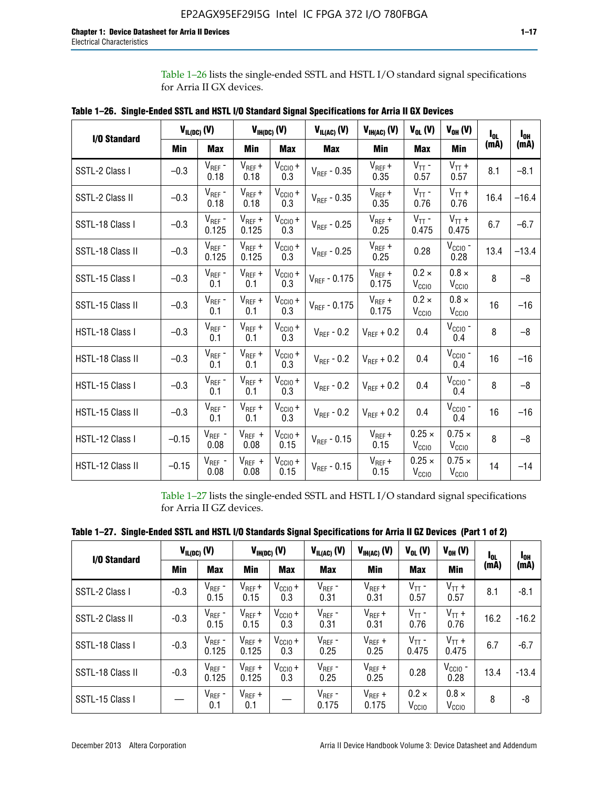Table 1–26 lists the single-ended SSTL and HSTL I/O standard signal specifications for Arria II GX devices.

|                  | $V_{IL(DC)}(V)$ |                      |                      | $V_{IH(DC)}(V)$             | $V_{IL(AC)}$ (V)  | $V_{IH(AC)}$ (V)     | $V_{OL}$ (V)                       | $V_{OH} (V)$                       | l <sub>ol</sub> | $I_{0H}$ |
|------------------|-----------------|----------------------|----------------------|-----------------------------|-------------------|----------------------|------------------------------------|------------------------------------|-----------------|----------|
| I/O Standard     | <b>Min</b>      | <b>Max</b>           | <b>Min</b>           | <b>Max</b>                  | <b>Max</b>        | Min                  | <b>Max</b>                         | <b>Min</b>                         | (mA)            | (mA)     |
| SSTL-2 Class I   | $-0.3$          | $V_{REF}$ -<br>0.18  | $V_{REF} +$<br>0.18  | $V_{\text{CCIO}} +$<br>0.3  | $V_{REF} - 0.35$  | $V_{REF} +$<br>0.35  | $V_{TT}$ -<br>0.57                 | $V_{TT}$ +<br>0.57                 | 8.1             | $-8.1$   |
| SSTL-2 Class II  | $-0.3$          | $V_{REF}$ -<br>0.18  | $V_{REF} +$<br>0.18  | $V_{CCIO} +$<br>0.3         | $V_{REF}$ - 0.35  | $V_{REF} +$<br>0.35  | $V_{TT}$ -<br>0.76                 | $V_{TT}$ +<br>0.76                 | 16.4            | $-16.4$  |
| SSTL-18 Class I  | $-0.3$          | $V_{REF}$ -<br>0.125 | $V_{REF}$ +<br>0.125 | $V_{\text{CC1O}} +$<br>0.3  | $V_{REF}$ - 0.25  | $V_{REF}$ +<br>0.25  | $V_{TT}$ -<br>0.475                | $V_{TT}$ +<br>0.475                | 6.7             | $-6.7$   |
| SSTL-18 Class II | $-0.3$          | $V_{REF}$ -<br>0.125 | $V_{REF}$ +<br>0.125 | $V_{\text{CC1O}} +$<br>0.3  | $V_{REF}$ - 0.25  | $V_{REF}$ +<br>0.25  | 0.28                               | $V_{CGIO}$ -<br>0.28               | 13.4            | $-13.4$  |
| SSTL-15 Class I  | $-0.3$          | $V_{REF}$ -<br>0.1   | $V_{REF}$ +<br>0.1   | $V_{\text{CCIO}} +$<br>0.3  | $V_{REF} - 0.175$ | $V_{REF}$ +<br>0.175 | $0.2 \times$<br>V <sub>CCIO</sub>  | $0.8 \times$<br>V <sub>CCIO</sub>  | 8               | $-8$     |
| SSTL-15 Class II | $-0.3$          | $V_{REF}$ -<br>0.1   | $V_{REF}$ +<br>0.1   | $V_{CCIO} +$<br>0.3         | $V_{REF}$ - 0.175 | $V_{REF}$ +<br>0.175 | $0.2 \times$<br>V <sub>CCIO</sub>  | $0.8 \times$<br>V <sub>CCIO</sub>  | 16              | $-16$    |
| HSTL-18 Class I  | $-0.3$          | $V_{REF}$ -<br>0.1   | $V_{REF}$ +<br>0.1   | $V_{\text{CCIO}} +$<br>0.3  | $V_{REF} - 0.2$   | $V_{REF}$ + 0.2      | 0.4                                | $V_{CGIO}$ -<br>0.4                | 8               | $-8$     |
| HSTL-18 Class II | $-0.3$          | $V_{REF}$ -<br>0.1   | $V_{REF}$ +<br>0.1   | $V_{\text{CC1O}} +$<br>0.3  | $V_{REF}$ - 0.2   | $V_{RFF}$ + 0.2      | 0.4                                | $V_{\text{CCIO}}$ -<br>0.4         | 16              | $-16$    |
| HSTL-15 Class I  | $-0.3$          | $V_{REF}$ -<br>0.1   | $V_{REF}$ +<br>0.1   | $V_{\text{CCIO}} +$<br>0.3  | $V_{REF}$ - 0.2   | $V_{REF}$ + 0.2      | 0.4                                | $V_{\text{CCIO}}$ -<br>0.4         | 8               | $-8$     |
| HSTL-15 Class II | $-0.3$          | $V_{REF}$ -<br>0.1   | $V_{REF}$ +<br>0.1   | $V_{\text{CCIO}} +$<br>0.3  | $V_{REF}$ - 0.2   | $V_{REF}$ + 0.2      | 0.4                                | $V_{CCIO}$ -<br>0.4                | 16              | $-16$    |
| HSTL-12 Class I  | $-0.15$         | $V_{REF}$ -<br>0.08  | $V_{REF}$ +<br>0.08  | $V_{\text{CCIO}} +$<br>0.15 | $V_{REF}$ - 0.15  | $V_{REF} +$<br>0.15  | $0.25 \times$<br>V <sub>CCIO</sub> | $0.75 \times$<br>$V_{\text{CCIO}}$ | 8               | $-8$     |
| HSTL-12 Class II | $-0.15$         | $V_{REF}$ -<br>0.08  | $V_{REF}$ +<br>0.08  | $V_{\text{CCIO}} +$<br>0.15 | $V_{REF}$ - 0.15  | $V_{REF} +$<br>0.15  | $0.25 \times$<br>V <sub>CCIO</sub> | $0.75 \times$<br>V <sub>CCIO</sub> | 14              | $-14$    |

**Table 1–26. Single-Ended SSTL and HSTL I/O Standard Signal Specifications for Arria II GX Devices** 

Table 1–27 lists the single-ended SSTL and HSTL I/O standard signal specifications for Arria II GZ devices.

| I/O Standard     |        | $V_{IL(DC)}$ (V)     |                      | $V_{IH(DC)}$ (V)           | $V_{IL(AC)}$ (V)     | $V_{IH(AC)}(V)$      | $V_{OL}$ (V)                      | $V_{OH} (V)$                   | l <sub>OL</sub> | 1 <sub>0H</sub> |
|------------------|--------|----------------------|----------------------|----------------------------|----------------------|----------------------|-----------------------------------|--------------------------------|-----------------|-----------------|
|                  | Min    | <b>Max</b>           | Min                  | <b>Max</b>                 | <b>Max</b>           | Min                  | <b>Max</b>                        | Min                            | (mA)            | (mA)            |
| SSTL-2 Class I   | $-0.3$ | $V_{REF}$ -<br>0.15  | $V_{REF} +$<br>0.15  | $V_{CCIO} +$<br>0.3        | $V_{REF}$ -<br>0.31  | $V_{REF} +$<br>0.31  | $V_{TT}$ -<br>0.57                | $V_{TT}$ +<br>0.57             | 8.1             | $-8.1$          |
| SSTL-2 Class II  | $-0.3$ | $V_{REF}$ -<br>0.15  | $V_{REF} +$<br>0.15  | $V_{\text{CC1O}} +$<br>0.3 | $V_{REF}$ -<br>0.31  | $V_{REF} +$<br>0.31  | $V_{TT}$ -<br>0.76                | $V_{TT}$ +<br>0.76             | 16.2            | $-16.2$         |
| SSTL-18 Class I  | $-0.3$ | $V_{REF}$ -<br>0.125 | $V_{REF}$ +<br>0.125 | $V_{\text{CC1O}} +$<br>0.3 | $V_{REF}$ -<br>0.25  | $V_{REF}$ +<br>0.25  | $V_{TT}$ -<br>0.475               | $V_{TT}$ +<br>0.475            | 6.7             | $-6.7$          |
| SSTL-18 Class II | $-0.3$ | $V_{REF}$ -<br>0.125 | $V_{REF}$ +<br>0.125 | $V_{\text{CC1O}} +$<br>0.3 | $V_{REF}$ -<br>0.25  | $V_{REF}$ +<br>0.25  | 0.28                              | $V_{\rm CCIO}$ -<br>0.28       | 13.4            | $-13.4$         |
| SSTL-15 Class I  |        | $V_{REF}$ -<br>0.1   | $V_{REF}$ +<br>0.1   |                            | $V_{REF}$ -<br>0.175 | $V_{REF}$ +<br>0.175 | $0.2 \times$<br>V <sub>CCIO</sub> | $0.8 \times$<br>$V_{\rm CClO}$ | 8               | -8              |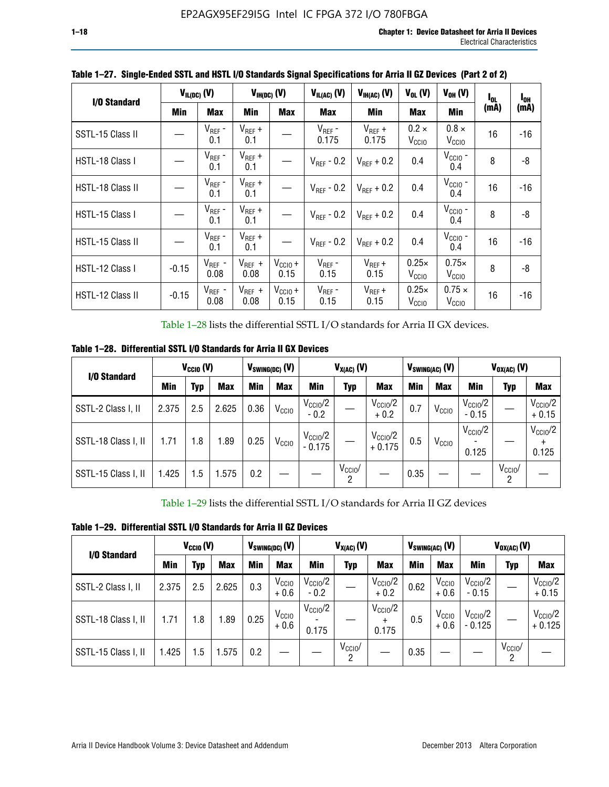| I/O Standard     |            | $V_{IL(DC)}(V)$     |                     | $V_{IH(DC)}$ (V)     | $V_{IL(AC)}(V)$        | $V_{IH(AC)}(V)$        | $V_{OL}$ (V)                      | $V_{OH} (V)$                       | l <sub>ol</sub> | $I_{0H}$ |
|------------------|------------|---------------------|---------------------|----------------------|------------------------|------------------------|-----------------------------------|------------------------------------|-----------------|----------|
|                  | <b>Min</b> | <b>Max</b>          | Min                 | <b>Max</b>           | <b>Max</b>             | <b>Min</b>             | <b>Max</b>                        | Min                                | (mA)            | (mA)     |
| SSTL-15 Class II |            | $V_{REF}$ -<br>0.1  | $V_{REF}$ +<br>0.1  |                      | $V_{REF}$ -<br>0.175   | $V_{REF}$ +<br>0.175   | $0.2 \times$<br>V <sub>CCIO</sub> | $0.8 \times$<br>V <sub>CCIO</sub>  | 16              | -16      |
| HSTL-18 Class I  |            | $V_{REF}$ -<br>0.1  | $V_{REF}$ +<br>0.1  |                      | $V_{RFF} - 0.2$        | $V_{RFF}$ + 0.2        | 0.4                               | $V_{\rm CCIO}$ -<br>0.4            | 8               | -8       |
| HSTL-18 Class II |            | $V_{REF}$ -<br>0.1  | $V_{REF}$ +<br>0.1  |                      | $V_{\text{RFF}}$ - 0.2 | $V_{RFF}$ + 0.2        | 0.4                               | $V_{\text{CCIO}}$ -<br>0.4         | 16              | $-16$    |
| HSTL-15 Class I  |            | $V_{REF}$ -<br>0.1  | $V_{REF}$ +<br>0.1  |                      | $V_{BFF}$ - 0.2        | $V_{\text{RFF}} + 0.2$ | 0.4                               | $V_{CCIO}$ -<br>0.4                | 8               | -8       |
| HSTL-15 Class II |            | $V_{REF}$ -<br>0.1  | $V_{REF}$ +<br>0.1  |                      | $V_{REF}$ - 0.2        | $V_{RFF}$ + 0.2        | 0.4                               | $V_{\text{CCIO}}$ -<br>0.4         | 16              | $-16$    |
| HSTL-12 Class I  | $-0.15$    | $V_{REF}$ -<br>0.08 | $V_{REF}$ +<br>0.08 | $V_{CClO} +$<br>0.15 | $V_{REF}$ -<br>0.15    | $V_{REF} +$<br>0.15    | $0.25\times$<br>V <sub>CCIO</sub> | $0.75\times$<br>V <sub>CCIO</sub>  | 8               | -8       |
| HSTL-12 Class II | $-0.15$    | $V_{REF}$ -<br>0.08 | $V_{REF}$ +<br>0.08 | $V_{CCIO} +$<br>0.15 | $V_{REF}$ -<br>0.15    | $V_{REF}$ +<br>0.15    | $0.25\times$<br>V <sub>CCIO</sub> | $0.75 \times$<br>V <sub>CCIO</sub> | 16              | -16      |

**Table 1–27. Single-Ended SSTL and HSTL I/O Standards Signal Specifications for Arria II GZ Devices (Part 2 of 2)**

Table 1–28 lists the differential SSTL I/O standards for Arria II GX devices.

**Table 1–28. Differential SSTL I/O Standards for Arria II GX Devices**

| I/O Standard        |       | $V_{CClO}$ (V) |            |      | $V_{SWING(DC)}$ (V) | $V_{X(AC)}(V)$               |                 |                                 |      | $V_{SWING(AC)}$ (V) | $V_{OX(AC)}$ (V)             |                         |                                |
|---------------------|-------|----------------|------------|------|---------------------|------------------------------|-----------------|---------------------------------|------|---------------------|------------------------------|-------------------------|--------------------------------|
|                     | Min   | Typ            | <b>Max</b> | Min  | <b>Max</b>          | Min                          | Typ             | <b>Max</b>                      | Min  | <b>Max</b>          | Min                          | Typ                     | <b>Max</b>                     |
| SSTL-2 Class I, II  | 2.375 | 2.5            | 2.625      | 0.36 | V <sub>CCIO</sub>   | $V_{\rm CClO}/2$<br>$-0.2$   |                 | $V_{\rm CClO}/2$<br>$+0.2$      | 0.7  | V <sub>CCIO</sub>   | $V_{\rm CC10}$ /2<br>$-0.15$ |                         | $V_{\text{CCIO}}/2$<br>$+0.15$ |
| SSTL-18 Class I, II | 1.71  | 1.8            | 1.89       | 0.25 | V <sub>CCIO</sub>   | $V_{\rm CClO}/2$<br>$-0.175$ |                 | $V_{\text{CC10}}/2$<br>$+0.175$ | 0.5  | V <sub>CCIO</sub>   | $V_{\rm CC10}$ /2<br>0.125   |                         | $V_{\text{CC10}}/2$<br>0.125   |
| SSTL-15 Class I, II | 1.425 | 1.5            | .575       | 0.2  |                     |                              | $V_{CClO}$<br>2 |                                 | 0.35 |                     |                              | $V_{\text{CCIO}}/$<br>2 |                                |

Table 1–29 lists the differential SSTL I/O standards for Arria II GZ devices

**Table 1–29. Differential SSTL I/O Standards for Arria II GZ Devices**

| I/O Standard        |       | $V_{\text{CCIO}}(V)$ |            |      | $V_{SWING(DC)}(V)$          |                               | $V_{X(AC)}(V)$      |                                   |      | $V_{SWING(AC)}$ (V)         | $V_{OX(AC)}(V)$                |                 |                                 |
|---------------------|-------|----------------------|------------|------|-----------------------------|-------------------------------|---------------------|-----------------------------------|------|-----------------------------|--------------------------------|-----------------|---------------------------------|
|                     | Min   | Typ                  | <b>Max</b> | Min  | <b>Max</b>                  | Min                           | Typ                 | <b>Max</b>                        | Min  | <b>Max</b>                  | Min                            | Typ             | <b>Max</b>                      |
| SSTL-2 Class I, II  | 2.375 | 2.5                  | 2.625      | 0.3  | V <sub>CCIO</sub><br>$+0.6$ | $V_{\text{CC1O}}/2$<br>$-0.2$ |                     | $V_{\text{CCIO}}/2$<br>$+0.2$     | 0.62 | V <sub>CCIO</sub><br>$+0.6$ | $V_{\text{CC10}}/2$<br>$-0.15$ |                 | $V_{\text{CC10}}/2$<br>$+0.15$  |
| SSTL-18 Class I, II | 1.71  | 1.8                  | 1.89       | 0.25 | V <sub>CCIO</sub><br>$+0.6$ | $V_{\text{CCIO}}/2$<br>0.175  |                     | $V_{\text{CCIO}}/2$<br>÷<br>0.175 | 0.5  | V <sub>CCIO</sub><br>$+0.6$ | $V_{\text{CC10}}/2$<br>- 0.125 |                 | $V_{\text{CC10}}/2$<br>$+0.125$ |
| SSTL-15 Class I, II | 1.425 | 1.5                  | .575       | 0.2  |                             |                               | $V_{\rm CCIO}$<br>2 |                                   | 0.35 |                             |                                | $V_{CClO}$<br>2 |                                 |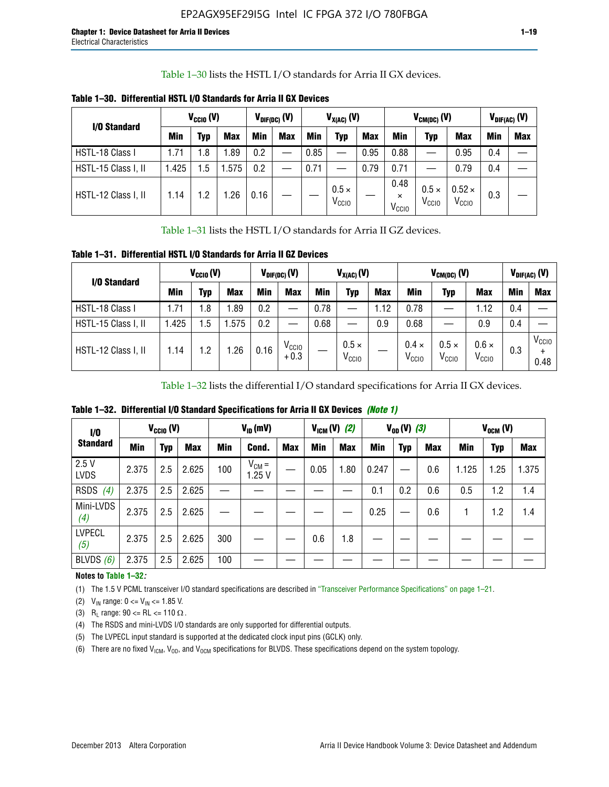Table 1–30 lists the HSTL I/O standards for Arria II GX devices.

| I/O Standard        |            | $V_{CGI0} (V)$ |            | $V_{\text{DIF(DC)}}$ (V) |            | $V_{X(AC)}(V)$ |                                   |            | $V_{CM(DC)}(V)$                       |                                   |                                    | $V_{DIF(AC)}(V)$ |            |
|---------------------|------------|----------------|------------|--------------------------|------------|----------------|-----------------------------------|------------|---------------------------------------|-----------------------------------|------------------------------------|------------------|------------|
|                     | <b>Min</b> | Typ            | <b>Max</b> | Min                      | <b>Max</b> | Min            | Typ                               | <b>Max</b> | Min                                   | Typ                               | <b>Max</b>                         | Min              | <b>Max</b> |
| HSTL-18 Class I     | 1.71       | .8             | .89        | 0.2                      | __         | 0.85           |                                   | 0.95       | 0.88                                  |                                   | 0.95                               | 0.4              |            |
| HSTL-15 Class I, II | 1.425      | .5             | .575       | 0.2                      | --         | 0.71           |                                   | 0.79       | 0.71                                  |                                   | 0.79                               | 0.4              |            |
| HSTL-12 Class I, II | 1.14       | $\cdot$ .2     | .26        | 0.16                     |            |                | $0.5 \times$<br>V <sub>CCIO</sub> |            | 0.48<br>$\times$<br>V <sub>CCIO</sub> | $0.5 \times$<br>V <sub>CCIO</sub> | $0.52 \times$<br>V <sub>CCIO</sub> | 0.3              |            |

**Table 1–30. Differential HSTL I/O Standards for Arria II GX Devices**

Table 1–31 lists the HSTL I/O standards for Arria II GZ devices.

**Table 1–31. Differential HSTL I/O Standards for Arria II GZ Devices**

| I/O Standard        |       | $V_{\text{CCIO}}(V)$ |            |      | $V_{\text{DIF(DC)}}(V)$     | $V_{X(AC)}(V)$ |                                   |            | $V_{CM(DC)}$ (V)                  | $V_{DIF(AC)}$ (V)                 |                                   |     |                           |
|---------------------|-------|----------------------|------------|------|-----------------------------|----------------|-----------------------------------|------------|-----------------------------------|-----------------------------------|-----------------------------------|-----|---------------------------|
|                     | Min   | Typ                  | <b>Max</b> | Min  | <b>Max</b>                  | Min            | Typ                               | <b>Max</b> | <b>Min</b>                        | Typ                               | <b>Max</b>                        | Min | <b>Max</b>                |
| HSTL-18 Class I     | 71، ، | 1.8                  | .89        | 0.2  | —                           | 0.78           |                                   | 1.12       | 0.78                              |                                   | 1.12                              | 0.4 |                           |
| HSTL-15 Class I, II | .425  | $1.5\,$              | .575       | 0.2  | —                           | 0.68           |                                   | 0.9        | 0.68                              |                                   | 0.9                               | 0.4 |                           |
| HSTL-12 Class I, II | l.14  | 1.2                  | .26        | 0.16 | V <sub>CCIO</sub><br>$+0.3$ |                | $0.5 \times$<br>V <sub>CCIO</sub> |            | $0.4 \times$<br>V <sub>CCIO</sub> | $0.5 \times$<br>V <sub>CCIO</sub> | $0.6 \times$<br>V <sub>CCIO</sub> | 0.3 | V <sub>CCIO</sub><br>0.48 |

Table 1–32 lists the differential I/O standard specifications for Arria II GX devices.

**Table 1–32. Differential I/O Standard Specifications for Arria II GX Devices** *(Note 1)*

| $\mathbf{I}/\mathbf{0}$ |       | $V_{CGI0} (V)$ |            |     | $V_{ID}$ (mV)       |            |            | $V_{IGM} (V)$ (2) |       | $V_{OD} (V)$ (3) |            |       | $V_{OCM}$ (V) |            |
|-------------------------|-------|----------------|------------|-----|---------------------|------------|------------|-------------------|-------|------------------|------------|-------|---------------|------------|
| <b>Standard</b>         | Min   | Typ            | <b>Max</b> | Min | Cond.               | <b>Max</b> | <b>Min</b> | <b>Max</b>        | Min   | <b>Typ</b>       | <b>Max</b> | Min   | Typ           | <b>Max</b> |
| 2.5V<br><b>LVDS</b>     | 2.375 | 2.5            | 2.625      | 100 | $V_{CM} =$<br>1.25V |            | 0.05       | 1.80              | 0.247 |                  | 0.6        | 1.125 | 1.25          | 1.375      |
| RSDS<br>(4)             | 2.375 | 2.5            | 2.625      |     |                     |            |            |                   | 0.1   | 0.2              | 0.6        | 0.5   | 1.2           | 1.4        |
| Mini-LVDS<br>(4)        | 2.375 | 2.5            | 2.625      |     |                     |            |            |                   | 0.25  |                  | 0.6        |       | 1.2           | 1.4        |
| <b>LVPECL</b><br>(5)    | 2.375 | 2.5            | 2.625      | 300 |                     |            | 0.6        | 1.8               |       |                  |            |       |               |            |
| BLVDS $(6)$             | 2.375 | 2.5            | 2.625      | 100 |                     |            |            |                   |       |                  |            |       |               |            |

#### **Notes to Table 1–32***:*

(1) The 1.5 V PCML transceiver I/O standard specifications are described in "Transceiver Performance Specifications" on page 1–21.

(2)  $V_{IN}$  range:  $0 \le V_{IN} \le 1.85$  V.

(3) R<sub>L</sub> range:  $90 \leq R$ L  $\leq 110 \Omega$ .

- (4) The RSDS and mini-LVDS I/O standards are only supported for differential outputs.
- (5) The LVPECL input standard is supported at the dedicated clock input pins (GCLK) only.
- (6) There are no fixed  $V_{ICM}$ ,  $V_{OD}$ , and  $V_{OCM}$  specifications for BLVDS. These specifications depend on the system topology.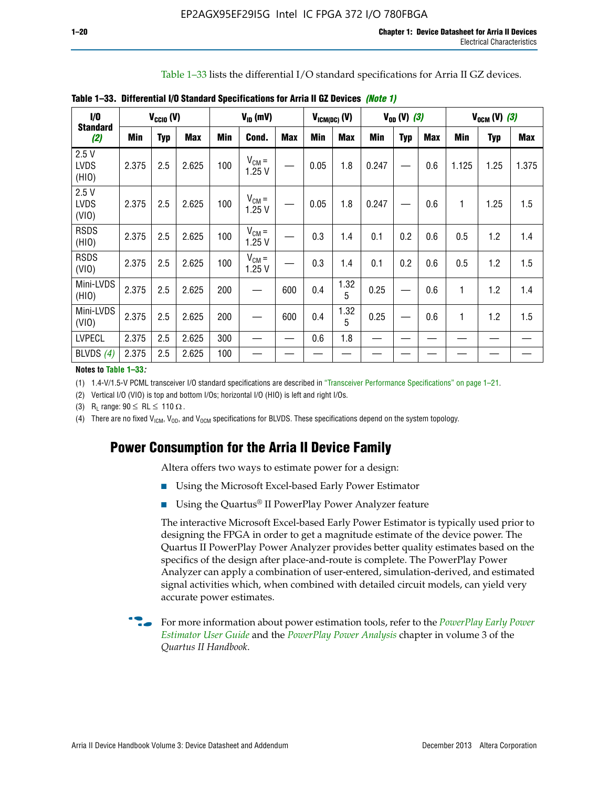Table 1–33 lists the differential I/O standard specifications for Arria II GZ devices.

| 1/0                          |       | $V_{\text{CCIO}}(V)$ |            |            | $V_{ID}$ (mV)       |            |            | $V_{IGM(DC)}$ (V) |            | $V_{OD} (V) (3)$ |            |            | $V_{OCM} (V) (3)$ |            |
|------------------------------|-------|----------------------|------------|------------|---------------------|------------|------------|-------------------|------------|------------------|------------|------------|-------------------|------------|
| <b>Standard</b><br>(2)       | Min   | <b>Typ</b>           | <b>Max</b> | <b>Min</b> | Cond.               | <b>Max</b> | <b>Min</b> | <b>Max</b>        | <b>Min</b> | <b>Typ</b>       | <b>Max</b> | <b>Min</b> | <b>Typ</b>        | <b>Max</b> |
| 2.5V<br><b>LVDS</b><br>(HIO) | 2.375 | 2.5                  | 2.625      | 100        | $V_{CM} =$<br>1.25V |            | 0.05       | 1.8               | 0.247      |                  | 0.6        | 1.125      | 1.25              | 1.375      |
| 2.5V<br><b>LVDS</b><br>(VIO) | 2.375 | 2.5                  | 2.625      | 100        | $V_{CM} =$<br>1.25V |            | 0.05       | 1.8               | 0.247      |                  | 0.6        | 1          | 1.25              | 1.5        |
| <b>RSDS</b><br>(HIO)         | 2.375 | 2.5                  | 2.625      | 100        | $V_{CM} =$<br>1.25V |            | 0.3        | 1.4               | 0.1        | 0.2              | 0.6        | 0.5        | 1.2               | 1.4        |
| <b>RSDS</b><br>(VIO)         | 2.375 | 2.5                  | 2.625      | 100        | $V_{CM} =$<br>1.25V | —          | 0.3        | 1.4               | 0.1        | 0.2              | 0.6        | 0.5        | 1.2               | 1.5        |
| Mini-LVDS<br>(HIO)           | 2.375 | 2.5                  | 2.625      | 200        | —                   | 600        | 0.4        | 1.32<br>5         | 0.25       |                  | 0.6        | 1          | 1.2               | 1.4        |
| Mini-LVDS<br>(VIO)           | 2.375 | 2.5                  | 2.625      | 200        |                     | 600        | 0.4        | 1.32<br>5         | 0.25       |                  | 0.6        | 1          | 1.2               | 1.5        |
| <b>LVPECL</b>                | 2.375 | 2.5                  | 2.625      | 300        |                     |            | 0.6        | 1.8               |            |                  |            |            |                   |            |
| BLVDS $(4)$                  | 2.375 | 2.5                  | 2.625      | 100        |                     |            |            |                   |            |                  |            |            |                   |            |

**Table 1–33. Differential I/O Standard Specifications for Arria II GZ Devices** *(Note 1)*

#### **Notes to Table 1–33***:*

(1) 1.4-V/1.5-V PCML transceiver I/O standard specifications are described in "Transceiver Performance Specifications" on page 1–21.

(2) Vertical I/O (VIO) is top and bottom I/Os; horizontal I/O (HIO) is left and right I/Os.

(3) R<sub>l</sub> range:  $90 \leq R L \leq 110 \Omega$ .

(4) There are no fixed  $V_{IGM}$ ,  $V_{OD}$ , and  $V_{OCM}$  specifications for BLVDS. These specifications depend on the system topology.

# **Power Consumption for the Arria II Device Family**

Altera offers two ways to estimate power for a design:

- Using the Microsoft Excel-based Early Power Estimator
- Using the Quartus<sup>®</sup> II PowerPlay Power Analyzer feature

The interactive Microsoft Excel-based Early Power Estimator is typically used prior to designing the FPGA in order to get a magnitude estimate of the device power. The Quartus II PowerPlay Power Analyzer provides better quality estimates based on the specifics of the design after place-and-route is complete. The PowerPlay Power Analyzer can apply a combination of user-entered, simulation-derived, and estimated signal activities which, when combined with detailed circuit models, can yield very accurate power estimates.

f For more information about power estimation tools, refer to the *[PowerPlay Early Power](http://www.altera.com/literature/ug/ug_epe.pdf?GSA_pos=5&WT.oss_r=1&WT.oss=powerplay early power estimator)  [Estimator User Guide](http://www.altera.com/literature/ug/ug_epe.pdf?GSA_pos=5&WT.oss_r=1&WT.oss=powerplay early power estimator)* and the *[PowerPlay Power Analysis](http://www.altera.com/literature/hb/qts/qts_qii53013.pdf)* chapter in volume 3 of the *Quartus II Handbook*.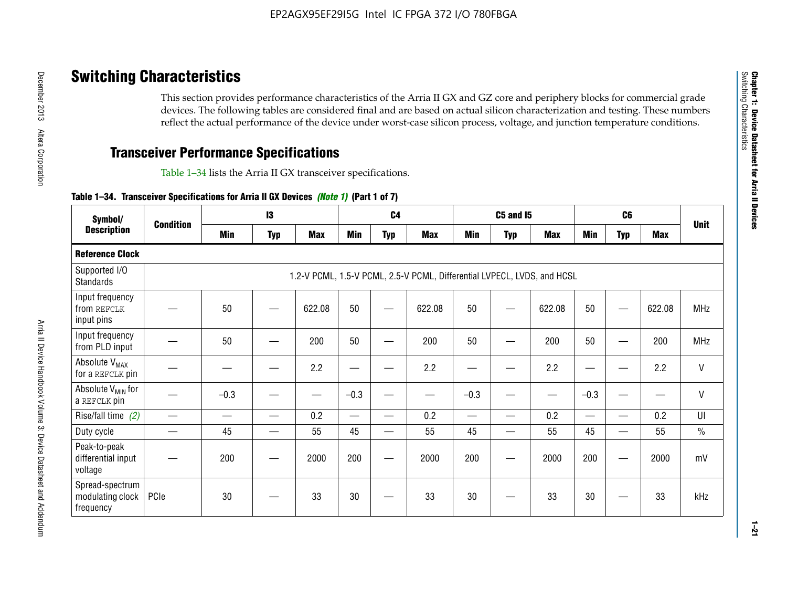# **Switching Characteristics**

This section provides performance characteristics of the Arria II GX and GZ core and periphery blocks for commercial grade devices. The following tables are considered final and are based on actual silicon characterization and testing. These numbers reflect the actual performance of the device under worst-case silicon process, voltage, and junction temperature conditions.

# **Transceiver Performance Specifications**

Table 1–34 lists the Arria II GX transceiver specifications.

## **Table 1–34. Transceiver Specifications for Arria II GX Devices** *(Note 1)* **(Part 1 of 7)**

| Symbol/                                          |                  |            | $\mathbf{13}$ |            |            | C <sub>4</sub>           |                                                                         |                          | <b>C5 and 15</b> |            |            | C <sub>6</sub>           |            |               |
|--------------------------------------------------|------------------|------------|---------------|------------|------------|--------------------------|-------------------------------------------------------------------------|--------------------------|------------------|------------|------------|--------------------------|------------|---------------|
| <b>Description</b>                               | <b>Condition</b> | <b>Min</b> | <b>Typ</b>    | <b>Max</b> | <b>Min</b> | <b>Typ</b>               | <b>Max</b>                                                              | <b>Min</b>               | <b>Typ</b>       | <b>Max</b> | <b>Min</b> | <b>Typ</b>               | <b>Max</b> | <b>Unit</b>   |
| <b>Reference Clock</b>                           |                  |            |               |            |            |                          |                                                                         |                          |                  |            |            |                          |            |               |
| Supported I/O<br><b>Standards</b>                |                  |            |               |            |            |                          | 1.2-V PCML, 1.5-V PCML, 2.5-V PCML, Differential LVPECL, LVDS, and HCSL |                          |                  |            |            |                          |            |               |
| Input frequency<br>from REFCLK<br>input pins     |                  | 50         |               | 622.08     | 50         |                          | 622.08                                                                  | 50                       | —                | 622.08     | 50         |                          | 622.08     | <b>MHz</b>    |
| Input frequency<br>from PLD input                |                  | 50         |               | 200        | 50         |                          | 200                                                                     | 50                       |                  | 200        | 50         |                          | 200        | MHz           |
| Absolute V <sub>MAX</sub><br>for a REFCLK pin    |                  |            |               | 2.2        |            |                          | 2.2                                                                     | —                        |                  | 2.2        |            |                          | 2.2        | $\mathsf{V}$  |
| Absolute V <sub>MIN</sub> for<br>a REFCLK pin    |                  | $-0.3$     |               |            | $-0.3$     |                          |                                                                         | $-0.3$                   | -                |            | $-0.3$     |                          | —          | $\mathsf{V}$  |
| Rise/fall time (2)                               |                  |            | —             | 0.2        | —          | —                        | 0.2                                                                     | $\overline{\phantom{0}}$ | —                | 0.2        | —          | $\overline{\phantom{0}}$ | 0.2        | UI            |
| Duty cycle                                       |                  | 45         |               | 55         | 45         | $\overline{\phantom{0}}$ | 55                                                                      | 45                       | —                | 55         | 45         |                          | 55         | $\frac{0}{0}$ |
| Peak-to-peak<br>differential input<br>voltage    |                  | 200        |               | 2000       | 200        |                          | 2000                                                                    | 200                      | —                | 2000       | 200        |                          | 2000       | mV            |
| Spread-spectrum<br>modulating clock<br>frequency | PCIe             | 30         |               | 33         | 30         |                          | 33                                                                      | 30                       |                  | 33         | 30         |                          | 33         | kHz           |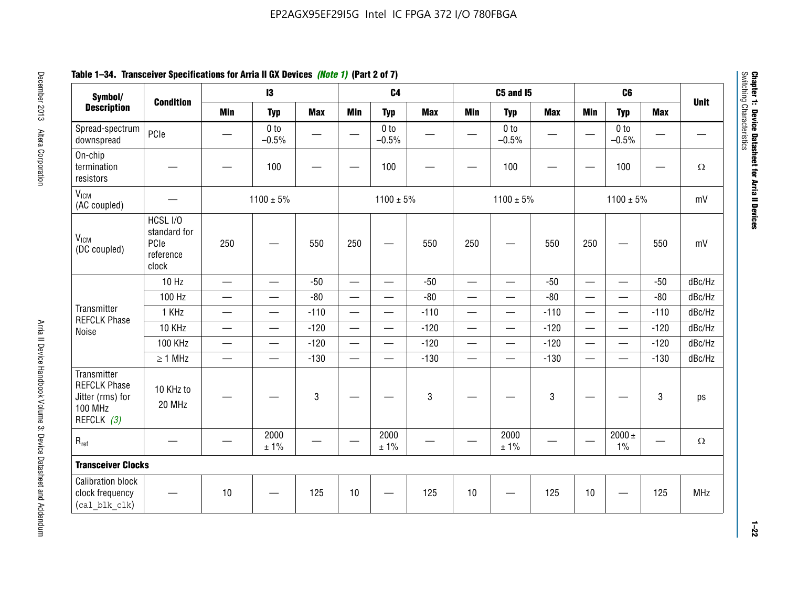# **Table 1–34. Transceiver Specifications for Arria II GX Devices** *(Note 1)* **(Part 2 of 7)**

| Symbol/                                                                                |                                                        |                               | $\mathbf{13}$              |            |                                  | C <sub>4</sub>             |            |                          | <b>C5 and 15</b>           |            |                          | C <sub>6</sub>             |            |             |
|----------------------------------------------------------------------------------------|--------------------------------------------------------|-------------------------------|----------------------------|------------|----------------------------------|----------------------------|------------|--------------------------|----------------------------|------------|--------------------------|----------------------------|------------|-------------|
| <b>Description</b>                                                                     | <b>Condition</b>                                       | <b>Min</b>                    | <b>Typ</b>                 | <b>Max</b> | <b>Min</b>                       | <b>Typ</b>                 | <b>Max</b> | <b>Min</b>               | <b>Typ</b>                 | <b>Max</b> | <b>Min</b>               | <b>Typ</b>                 | <b>Max</b> | <b>Unit</b> |
| Spread-spectrum<br>downspread                                                          | PCle                                                   |                               | 0 <sub>to</sub><br>$-0.5%$ | —          |                                  | 0 <sub>to</sub><br>$-0.5%$ |            |                          | 0 <sub>to</sub><br>$-0.5%$ |            |                          | 0 <sub>to</sub><br>$-0.5%$ |            |             |
| On-chip<br>termination<br>resistors                                                    |                                                        |                               | 100                        | -          |                                  | 100                        |            |                          | 100                        |            |                          | 100                        | —          | $\Omega$    |
| V <sub>ICM</sub><br>(AC coupled)                                                       |                                                        |                               | $1100 \pm 5\%$             |            |                                  | $1100 \pm 5\%$             |            |                          | $1100 \pm 5\%$             |            |                          | $1100 \pm 5\%$             |            | mV          |
| V <sub>ICM</sub><br>(DC coupled)                                                       | HCSL I/O<br>standard for<br>PCIe<br>reference<br>clock | 250                           |                            | 550        | 250                              | $\hspace{0.05cm}$          | 550        | 250                      |                            | 550        | 250                      | —                          | 550        | mV          |
|                                                                                        | $10$ Hz                                                | $\overbrace{\phantom{aaaaa}}$ | $\overline{\phantom{0}}$   | $-50$      |                                  | $\overline{\phantom{0}}$   | $-50$      |                          |                            | $-50$      | $\overline{\phantom{0}}$ | $\overline{\phantom{0}}$   | $-50$      | dBc/Hz      |
|                                                                                        | 100 Hz                                                 | $\qquad \qquad$               | $\overline{\phantom{0}}$   | $-80$      | $\overline{\phantom{0}}$         |                            | $-80$      | $\overline{\phantom{0}}$ | $\qquad \qquad$            | $-80$      | $\overline{\phantom{0}}$ | $\overline{\phantom{0}}$   | $-80$      | dBc/Hz      |
| Transmitter<br><b>REFCLK Phase</b>                                                     | 1 KHz                                                  |                               |                            | $-110$     | $\overline{\phantom{m}}$         | $\overline{\phantom{m}}$   | $-110$     | $\overline{\phantom{0}}$ | $\overline{\phantom{m}}$   | $-110$     |                          | $\overline{\phantom{0}}$   | $-110$     | dBc/Hz      |
| Noise                                                                                  | 10 KHz                                                 | $\overline{\phantom{m}}$      | $\qquad \qquad$            | $-120$     | $\overline{\phantom{m}}$         |                            | $-120$     | $\overline{\phantom{0}}$ | $\overline{\phantom{m}}$   | $-120$     |                          | $\overline{\phantom{0}}$   | $-120$     | dBc/Hz      |
|                                                                                        | <b>100 KHz</b>                                         | $\overline{\phantom{0}}$      | $\equiv$                   | $-120$     | $\equiv$                         |                            | $-120$     | $\overline{\phantom{0}}$ | $\qquad \qquad$            | $-120$     | $\overline{\phantom{0}}$ | $\equiv$                   | $-120$     | dBc/Hz      |
|                                                                                        | $\geq 1$ MHz                                           | $\overline{\phantom{0}}$      | $\qquad \qquad$            | $-130$     | $\overbrace{\phantom{12322111}}$ | $\overline{\phantom{0}}$   | $-130$     | $\overline{\phantom{0}}$ | $\qquad \qquad$            | $-130$     | $\overline{\phantom{0}}$ | $\overline{\phantom{0}}$   | $-130$     | dBc/Hz      |
| Transmitter<br><b>REFCLK Phase</b><br>Jitter (rms) for<br><b>100 MHz</b><br>REFCLK (3) | 10 KHz to<br>20 MHz                                    |                               |                            | $\sqrt{3}$ |                                  |                            | 3          |                          |                            | 3          |                          |                            | 3          | ps          |
| $R_{ref}$                                                                              |                                                        |                               | 2000<br>± 1%               |            |                                  | 2000<br>± 1%               |            |                          | 2000<br>± 1%               |            |                          | 2000 $\pm$<br>$1\%$        |            | $\Omega$    |
| <b>Transceiver Clocks</b>                                                              |                                                        |                               |                            |            |                                  |                            |            |                          |                            |            |                          |                            |            |             |
| <b>Calibration block</b><br>clock frequency<br>(cal blk clk)                           |                                                        | 10                            |                            | 125        | 10                               |                            | 125        | 10                       |                            | 125        | 10                       |                            | 125        | MHz         |

December 2013 Altera Corporation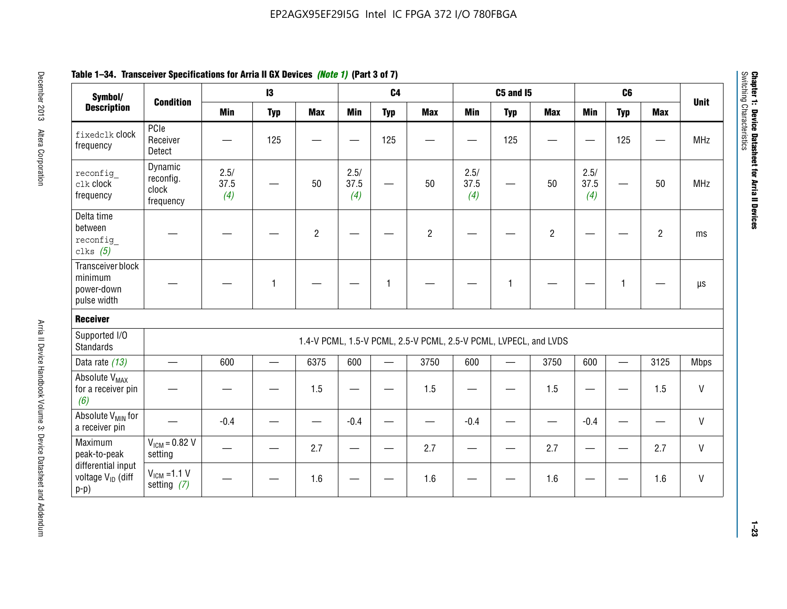| Symbol/                                                       |                                            |                     | $\mathbf{13}$ |                |                     | C <sub>4</sub>    |                                                                  |                     | <b>C5 and 15</b> |                |                     | C <sub>6</sub> |                |              |
|---------------------------------------------------------------|--------------------------------------------|---------------------|---------------|----------------|---------------------|-------------------|------------------------------------------------------------------|---------------------|------------------|----------------|---------------------|----------------|----------------|--------------|
| <b>Description</b>                                            | <b>Condition</b>                           | <b>Min</b>          | <b>Typ</b>    | <b>Max</b>     | <b>Min</b>          | <b>Typ</b>        | <b>Max</b>                                                       | <b>Min</b>          | <b>Typ</b>       | <b>Max</b>     | <b>Min</b>          | <b>Typ</b>     | <b>Max</b>     | <b>Unit</b>  |
| fixedclk Clock<br>frequency                                   | PCIe<br>Receiver<br>Detect                 |                     | 125           |                |                     | 125               |                                                                  |                     | 125              |                |                     | 125            |                | <b>MHz</b>   |
| reconfig<br>clk clock<br>frequency                            | Dynamic<br>reconfig.<br>clock<br>frequency | 2.5/<br>37.5<br>(4) |               | 50             | 2.5/<br>37.5<br>(4) |                   | 50                                                               | 2.5/<br>37.5<br>(4) |                  | 50             | 2.5/<br>37.5<br>(4) |                | 50             | <b>MHz</b>   |
| Delta time<br>between<br>reconfig<br>clks $(5)$               |                                            |                     |               | $\overline{c}$ |                     |                   | $\overline{2}$                                                   |                     |                  | $\overline{2}$ |                     |                | $\overline{2}$ | ms           |
| Transceiver block<br>minimum<br>power-down<br>pulse width     |                                            |                     | 1             |                |                     | 1                 |                                                                  |                     | 1                |                |                     | $\mathbf{1}$   |                | $\mu s$      |
| <b>Receiver</b>                                               |                                            |                     |               |                |                     |                   |                                                                  |                     |                  |                |                     |                |                |              |
| Supported I/O<br><b>Standards</b>                             |                                            |                     |               |                |                     |                   | 1.4-V PCML, 1.5-V PCML, 2.5-V PCML, 2.5-V PCML, LVPECL, and LVDS |                     |                  |                |                     |                |                |              |
| Data rate (13)                                                | $\overline{\phantom{0}}$                   | 600                 | $\equiv$      | 6375           | 600                 | $\qquad \qquad -$ | 3750                                                             | 600                 |                  | 3750           | 600                 | $\equiv$       | 3125           | <b>Mbps</b>  |
| Absolute V <sub>MAX</sub><br>for a receiver pin<br>(6)        |                                            |                     |               | 1.5            |                     |                   | 1.5                                                              | —                   |                  | 1.5            |                     |                | 1.5            | V            |
| Absolute V <sub>MIN</sub> for<br>a receiver pin               |                                            | $-0.4$              |               |                | $-0.4$              |                   |                                                                  | $-0.4$              |                  |                | $-0.4$              |                |                | $\sf V$      |
| Maximum<br>peak-to-peak                                       | $V_{IGM} = 0.82 V$<br>setting              |                     |               | 2.7            |                     |                   | 2.7                                                              |                     |                  | 2.7            |                     |                | 2.7            | $\mathsf{V}$ |
| differential input<br>voltage V <sub>ID</sub> (diff<br>$p-p)$ | $V_{IGM} = 1.1 V$<br>setting $(7)$         |                     |               | 1.6            |                     |                   | 1.6                                                              |                     |                  | 1.6            |                     |                | 1.6            | V            |

**Chapter 1: Device Datasheet for Arria II Devices**

Chapter 1: Device Datasheet for Arria II Devices<br>Switching Characteristics

Switching Characteristics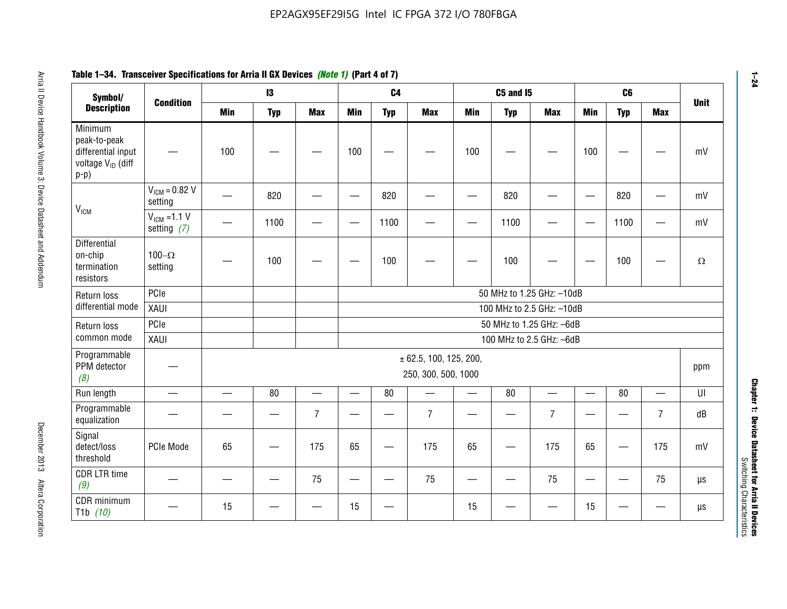#### **Arris 2: Device Handbook Volume 3: Device Datasheet Addents Device Datasheet Addents December 2013 Altera Corporation Minimum peaks-to-peak differential input voltage Video Minimum peaks-to-peak diff particular and the V<sub>ICM</sub>**  $V_{ICM} = 0.82 V$ setting | 一 | 820 | 一 | ― | 820 | 一 | ― | 820 | ― | ― | 820 | ― | mV  $V_{ICM}$  =1.1 V setting *(7)* | - | 1100 | - | - | 1100 | - | - | 1100 | - | - | 1100 | - | mV **Differential** on-chip termination resistors100– $\Omega$ setting | — | 100 | — | — | 100 | — | — | 100 | — | — | 100 | —  $\Omega$ Return loss differential mode PCIee | | | | 50 MHz to 1.25 GHz: –10dB XAUI 100 MHz to 2.5 GHz: –10dB Return loss common modePCIe 50 MHz to 1.25 GHz: –6dBXAUI 100 MHz to 2.5 GHz: –6dB Programmable PPM detector *(8)* ± 62.5, 100, 125, 200, 250, 300, 500, 1000 ppm Run length | ― | ― | 80 | ― | 80 | ― | 80 | ― | UI Programmable -rogrammasic | — | — | — | 7 |— | – | 7 |— | – | 7 |— | – | 7 | dB<br>equalization | — | — | — | 7 |— | 7 | — | 7 | — | 7 | — | 7 | dB Signal detect/loss thresholdPCIe Mode | 65 | — | 175 | 65 | — | 175 | 65 | — | 175 | 65 | — | 175 | mV CDR LTR time *(9)* – | – | – | <sup>75</sup> | – | <sup>75</sup> | – | <sup>75</sup> | – | <sup>75</sup> | – | <sup>75</sup> | – | <sup>75</sup> | <sup>18</sup> CDR minimum T1b *(10)* — <sup>15</sup> — — <sup>15</sup> — <sup>15</sup> — — <sup>15</sup> — — µs **Symbol/ Description Condition I3 C4 C5 and I5 C6UnitMin Typ Max Min Typ Max Min Typ Max Min Typ Max**

# **Table 1–34. Transceiver Specifications for Arria II GX Devices** *(Note 1)* **(Part 4 of 7)**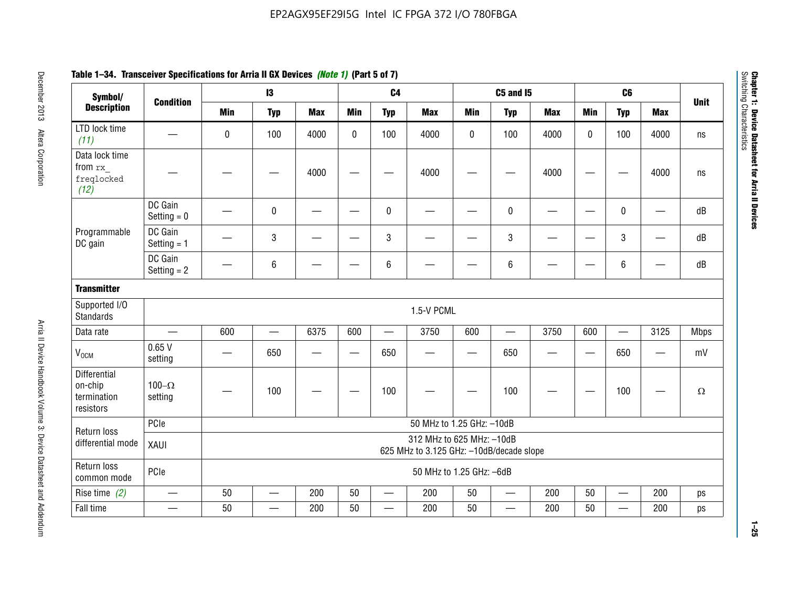| Symbol/                                                    |                          |                                                                       | $\mathbf{13}$            |            |             | C <sub>4</sub>           |                           |              | <b>C5 and 15</b>         |            |            | C <sub>6</sub>           |                               |             |
|------------------------------------------------------------|--------------------------|-----------------------------------------------------------------------|--------------------------|------------|-------------|--------------------------|---------------------------|--------------|--------------------------|------------|------------|--------------------------|-------------------------------|-------------|
| <b>Description</b>                                         | <b>Condition</b>         | <b>Min</b>                                                            | <b>Typ</b>               | <b>Max</b> | <b>Min</b>  | <b>Typ</b>               | <b>Max</b>                | <b>Min</b>   | <b>Typ</b>               | <b>Max</b> | <b>Min</b> | <b>Typ</b>               | <b>Max</b>                    | <b>Unit</b> |
| LTD lock time<br>(11)                                      |                          | 0                                                                     | 100                      | 4000       | $\mathbf 0$ | 100                      | 4000                      | $\mathbf{0}$ | 100                      | 4000       | $\Omega$   | 100                      | 4000                          | ns          |
| Data lock time<br>from rx<br>freqlocked<br>(12)            |                          |                                                                       |                          | 4000       |             |                          | 4000                      |              |                          | 4000       |            |                          | 4000                          | ns          |
|                                                            | DC Gain<br>Setting $= 0$ |                                                                       | $\pmb{0}$                |            |             | $\mathbf{0}$             |                           |              | 0                        |            | -          | 0                        | $\overline{\phantom{a}}$      | dB          |
| Programmable<br>DC gain                                    | DC Gain<br>Setting $= 1$ |                                                                       | 3                        |            |             | 3                        |                           |              | 3                        |            |            | 3                        |                               | dB          |
|                                                            | DC Gain<br>Setting $= 2$ |                                                                       | 6                        |            |             | $\,6\,$                  |                           |              | 6                        |            |            | 6                        |                               | dB          |
| <b>Transmitter</b>                                         |                          |                                                                       |                          |            |             |                          |                           |              |                          |            |            |                          |                               |             |
| Supported I/O<br><b>Standards</b>                          |                          |                                                                       |                          |            |             |                          | 1.5-V PCML                |              |                          |            |            |                          |                               |             |
| Data rate                                                  | $\frac{1}{1}$            | 600                                                                   | $\overline{\phantom{0}}$ | 6375       | 600         | $\overline{\phantom{0}}$ | 3750                      | 600          | $\qquad \qquad$          | 3750       | 600        | $\overline{\phantom{0}}$ | 3125                          | <b>Mbps</b> |
| V <sub>OCM</sub>                                           | 0.65V<br>setting         |                                                                       | 650                      |            | <u>—</u>    | 650                      |                           | —            | 650                      |            |            | 650                      | $\overbrace{\phantom{aaaaa}}$ | mV          |
| <b>Differential</b><br>on-chip<br>termination<br>resistors | 100 $-\Omega$<br>setting |                                                                       | 100                      |            |             | 100                      |                           |              | 100                      |            |            | 100                      |                               | $\Omega$    |
| Return loss                                                | PCIe                     |                                                                       |                          |            |             |                          | 50 MHz to 1.25 GHz: -10dB |              |                          |            |            |                          |                               |             |
| differential mode                                          | XAUI                     | 312 MHz to 625 MHz: -10dB<br>625 MHz to 3.125 GHz: -10dB/decade slope |                          |            |             |                          |                           |              |                          |            |            |                          |                               |             |
| Return loss<br>common mode                                 | PCIe                     | 50 MHz to 1.25 GHz: -6dB                                              |                          |            |             |                          |                           |              |                          |            |            |                          |                               |             |
| Rise time $(2)$                                            |                          | 50                                                                    | $\overline{\phantom{0}}$ | 200        | 50          | $\overline{\phantom{0}}$ | 200                       | 50           | $\overline{\phantom{m}}$ | 200        | 50         | $\overline{\phantom{0}}$ | 200                           | ps          |
| Fall time                                                  |                          | 50                                                                    |                          | 200        | 50          |                          | 200                       | 50           |                          | 200        | 50         | $\overline{\phantom{0}}$ | 200                           | ps          |

# **Table 1–34. Transceiver Specifications for Arria II GX Devices** *(Note 1)* **(Part 5 of 7)**

**1–25**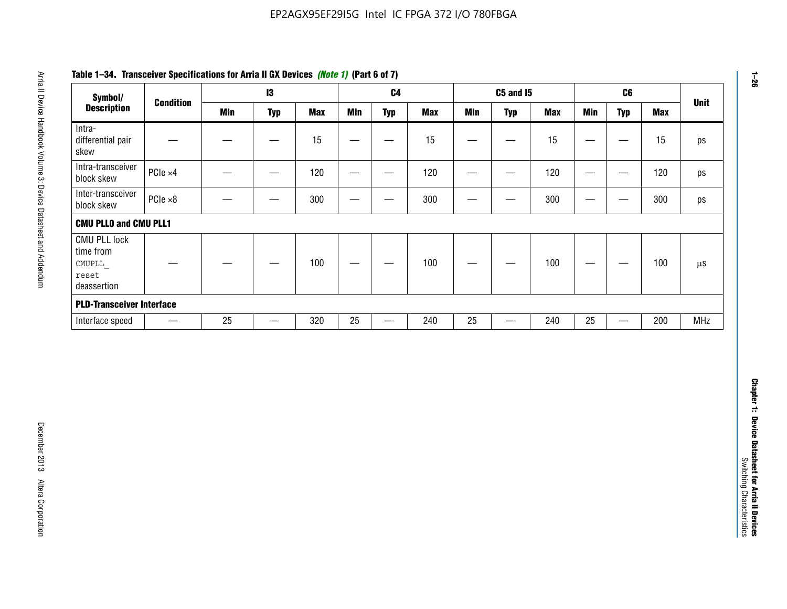| Symbol/                                                            |                  |            | 13                |            |                          | C <sub>4</sub>    |            |                   | <b>C5 and 15</b>                 |            |                                   | C6                               |            | <b>Unit</b>   |
|--------------------------------------------------------------------|------------------|------------|-------------------|------------|--------------------------|-------------------|------------|-------------------|----------------------------------|------------|-----------------------------------|----------------------------------|------------|---------------|
| <b>Description</b>                                                 | <b>Condition</b> | <b>Min</b> | <b>Typ</b>        | <b>Max</b> | <b>Min</b>               | <b>Typ</b>        | <b>Max</b> | <b>Min</b>        | <b>Typ</b>                       | <b>Max</b> | <b>Min</b>                        | <b>Typ</b>                       | <b>Max</b> |               |
| Intra-<br>differential pair<br>skew                                |                  |            |                   | 15         |                          | —                 | 15         | $\qquad \qquad$   | $\qquad \qquad$                  | 15         | $\overbrace{\phantom{123221111}}$ | $\overline{\phantom{m}}$         | 15         |               |
| Intra-transceiver<br>block skew                                    | PCIe ×4          |            | $\hspace{0.05cm}$ | 120        | $\hspace{0.05cm}$        | $\hspace{0.05cm}$ | 120        | $\hspace{0.05cm}$ | $\hspace{0.05cm}$                | 120        |                                   | $\hspace{0.05cm}$                | 120        |               |
| Inter-transceiver<br>block skew                                    | $PCle \times 8$  |            | -                 | 300        |                          | -                 | 300        |                   | -                                | 300        | —                                 | —                                | 300        |               |
| <b>CMU PLLO and CMU PLL1</b>                                       |                  |            |                   |            |                          |                   |            |                   |                                  |            |                                   |                                  |            |               |
| <b>CMU PLL lock</b><br>time from<br>CMUPLL<br>reset<br>deassertion |                  |            |                   | 100        | $\overline{\phantom{m}}$ |                   | 100        |                   |                                  | 100        |                                   | $\overbrace{\phantom{12322111}}$ | 100        | $\mu\text{S}$ |
| <b>PLD-Transceiver Interface</b>                                   |                  |            |                   |            |                          |                   |            |                   |                                  |            |                                   |                                  |            |               |
| Interface speed                                                    |                  | 25         | $\qquad \qquad -$ | 320        | 25                       | $\qquad \qquad$   | 240        | 25                | $\overbrace{\phantom{12322111}}$ | 240        | 25                                | $\overline{\phantom{0}}$         | 200        | <b>MHz</b>    |
|                                                                    |                  |            |                   |            |                          |                   |            |                   |                                  |            |                                   |                                  |            |               |
|                                                                    |                  |            |                   |            |                          |                   |            |                   |                                  |            |                                   |                                  |            |               |
|                                                                    |                  |            |                   |            |                          |                   |            |                   |                                  |            |                                   |                                  |            |               |

# **Table 1–34. Transceiver Specifications for Arria II GX Devices** *(Note 1)* **(Part 6 of 7)**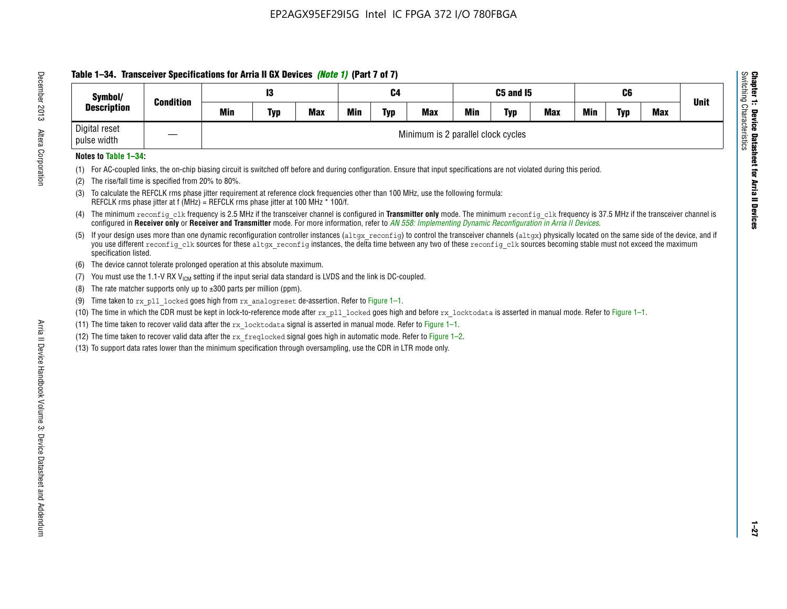# **Table 1–34. Transceiver Specifications for Arria II GX Devices** *(Note 1)* **(Part 7 of 7)**

| Symbol/                      | <b>Condition</b> |     | 13         |            |            | C4         |                                    |            | C5 and I5  |            |     | C <sub>6</sub> |            | <b>Unit</b> |
|------------------------------|------------------|-----|------------|------------|------------|------------|------------------------------------|------------|------------|------------|-----|----------------|------------|-------------|
| <b>Description</b>           |                  | Min | <b>Typ</b> | <b>Max</b> | <b>Min</b> | <b>Typ</b> | <b>Max</b>                         | <b>Min</b> | <b>Typ</b> | <b>Max</b> | Min | <b>Typ</b>     | <b>Max</b> |             |
| Digital reset<br>pulse width |                  |     |            |            |            |            | Minimum is 2 parallel clock cycles |            |            |            |     |                |            |             |

## **Notes to Table 1–34:**

- (1) For AC-coupled links, the on-chip biasing circuit is switched off before and during configuration. Ensure that input specifications are not violated during this period.
- (2) The rise/fall time is specified from 20% to 80%.
- (3) To calculate the REFCLK rms phase jitter requirement at reference clock frequencies other than 100 MHz, use the following formula: REFCLK rms phase jitter at f (MHz) = REFCLK rms phase jitter at 100 MHz \* 100/f.
- (4) The minimum reconfig clk frequency is 2.5 MHz if the transceiver channel is configured in **Transmitter only** mode. The minimum reconfig clk frequency is 37.5 MHz if the transceiver channel is configured in **Receiver only** or **Receiver and Transmitter** mode. For more information, refer to *AN [558: Implementing Dynamic Reconfiguration in Arria II Devices](www.altera.com/literature/hb/arria-ii-gx/an558.pdf)*.
- (5) If your design uses more than one dynamic reconfiguration controller instances (altgx reconfig) to control the transceiver channels (altgx) physically located on the same side of the device, and if you use different reconfig clk sources for these altgx reconfig instances, the delta time between any two of these reconfig clk sources becoming stable must not exceed the maximum specification listed.
- (6) The device cannot tolerate prolonged operation at this absolute maximum.
- (7) You must use the 1.1-V RX  $V_{ICM}$  setting if the input serial data standard is LVDS and the link is DC-coupled.
- (8) The rate matcher supports only up to  $\pm 300$  parts per million (ppm).
- (9) Time taken to rx\_pll\_locked goes high from rx\_analogreset de-assertion. Refer to Figure 1–1.
- (10) The time in which the CDR must be kept in lock-to-reference mode after  $rx$  pll locked goes high and before  $rx$  locktodata is asserted in manual mode. Refer to Figure 1–1.
- (11) The time taken to recover valid data after the  $rx$  locktodata signal is asserted in manual mode. Refer to Figure 1–1.
- (12) The time taken to recover valid data after the  $rx$  freqlocked signal goes high in automatic mode. Refer to Figure 1–2.
- (13) To support data rates lower than the minimum specification through oversampling, use the CDR in LTR mode only.

**Chapter 1: Device Datasheet for Arria II Devices**

**Device Datasheet for Arria II Devices** 

Switching Characteristics

Chapter 1: Device Datas<br>Switching Characteristics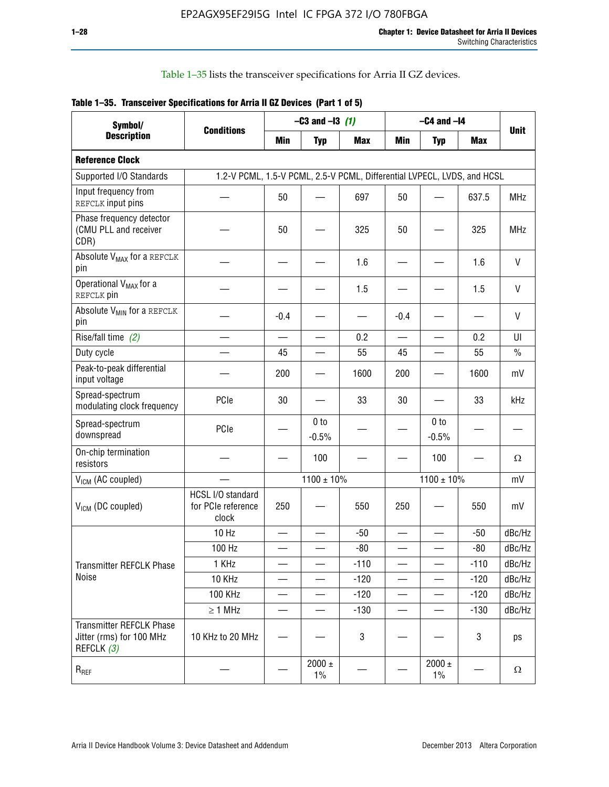Table 1–35 lists the transceiver specifications for Arria II GZ devices.

|  | Table 1-35. Transceiver Specifications for Arria II GZ Devices (Part 1 of 5) |  |
|--|------------------------------------------------------------------------------|--|
|  |                                                                              |  |

| Symbol/                                                                   |                                                                         |                          | $-C3$ and $-13$ (1)        |            |                          | $-C4$ and $-I4$            |            |               |
|---------------------------------------------------------------------------|-------------------------------------------------------------------------|--------------------------|----------------------------|------------|--------------------------|----------------------------|------------|---------------|
| <b>Description</b>                                                        | <b>Conditions</b>                                                       | Min                      | <b>Typ</b>                 | <b>Max</b> | <b>Min</b>               | <b>Typ</b>                 | <b>Max</b> | <b>Unit</b>   |
| <b>Reference Clock</b>                                                    |                                                                         |                          |                            |            |                          |                            |            |               |
| Supported I/O Standards                                                   | 1.2-V PCML, 1.5-V PCML, 2.5-V PCML, Differential LVPECL, LVDS, and HCSL |                          |                            |            |                          |                            |            |               |
| Input frequency from<br>REFCLK input pins                                 |                                                                         | 50                       |                            | 697        | 50                       |                            | 637.5      | <b>MHz</b>    |
| Phase frequency detector<br>(CMU PLL and receiver<br>CDR)                 |                                                                         | 50                       |                            | 325        | 50                       |                            | 325        | <b>MHz</b>    |
| Absolute V <sub>MAX</sub> for a REFCLK<br>pin                             |                                                                         |                          |                            | 1.6        |                          |                            | 1.6        | V             |
| Operational V <sub>MAX</sub> for a<br>REFCLK pin                          |                                                                         |                          |                            | 1.5        |                          |                            | 1.5        | V             |
| Absolute V <sub>MIN</sub> for a REFCLK<br>pin                             |                                                                         | $-0.4$                   |                            |            | $-0.4$                   |                            |            | V             |
| Rise/fall time (2)                                                        |                                                                         | $\equiv$                 | $\overline{\phantom{0}}$   | 0.2        | $\overline{\phantom{0}}$ | $\overline{\phantom{0}}$   | 0.2        | UI            |
| Duty cycle                                                                |                                                                         | 45                       |                            | 55         | 45                       |                            | 55         | $\frac{0}{0}$ |
| Peak-to-peak differential<br>input voltage                                |                                                                         | 200                      |                            | 1600       | 200                      |                            | 1600       | mV            |
| Spread-spectrum<br>modulating clock frequency                             | PCIe                                                                    | 30                       |                            | 33         | 30                       |                            | 33         | kHz           |
| Spread-spectrum<br>downspread                                             | PCIe                                                                    |                          | 0 <sub>to</sub><br>$-0.5%$ |            |                          | 0 <sub>to</sub><br>$-0.5%$ |            |               |
| On-chip termination<br>resistors                                          |                                                                         |                          | 100                        |            |                          | 100                        |            | Ω             |
| $V_{IGM}$ (AC coupled)                                                    |                                                                         |                          | $1100 \pm 10\%$            |            |                          | $1100 \pm 10\%$            |            | mV            |
| V <sub>ICM</sub> (DC coupled)                                             | HCSL I/O standard<br>for PCIe reference<br>clock                        | 250                      |                            | 550        | 250                      |                            | 550        | mV            |
|                                                                           | 10 Hz                                                                   | $\overline{\phantom{0}}$ |                            | $-50$      | $\overline{\phantom{0}}$ |                            | $-50$      | dBc/Hz        |
|                                                                           | 100 Hz                                                                  |                          |                            | $-80$      |                          |                            | $-80$      | dBc/Hz        |
| Transmitter REFCLK Phase                                                  | 1 KHz                                                                   | —                        | —                          | $-110$     | $\overline{\phantom{0}}$ | $\overline{\phantom{0}}$   | $-110$     | dBc/Hz        |
| Noise                                                                     | 10 KHz                                                                  |                          |                            | $-120$     |                          |                            | $-120$     | dBc/Hz        |
|                                                                           | <b>100 KHz</b>                                                          |                          |                            | $-120$     | $\overline{\phantom{0}}$ | —                          | $-120$     | dBc/Hz        |
|                                                                           | $\geq 1$ MHz                                                            |                          | $\overline{\phantom{0}}$   | $-130$     | $\overline{\phantom{0}}$ | —                          | $-130$     | dBc/Hz        |
| <b>Transmitter REFCLK Phase</b><br>Jitter (rms) for 100 MHz<br>REFCLK (3) | 10 KHz to 20 MHz                                                        |                          |                            | 3          |                          |                            | 3          | ps            |
| $\mathsf{R}_{\mathsf{REF}}$                                               |                                                                         |                          | $2000 \pm$<br>$1\%$        |            |                          | 2000 $\pm$<br>$1\%$        |            | $\Omega$      |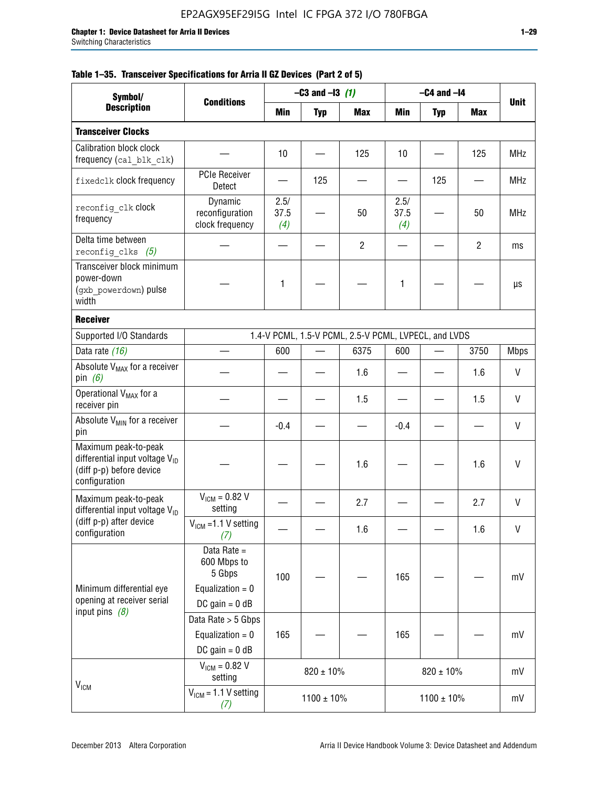|  |  | Table 1–35. Transceiver Specifications for Arria II GZ Devices (Part 2 of 5) |  |  |  |
|--|--|------------------------------------------------------------------------------|--|--|--|
|--|--|------------------------------------------------------------------------------|--|--|--|

| Symbol/                                                                                                         |                                                                                |                     | $-C3$ and $-I3$ (1) |                                                      |                     | $-C4$ and $-I4$ |                |             |
|-----------------------------------------------------------------------------------------------------------------|--------------------------------------------------------------------------------|---------------------|---------------------|------------------------------------------------------|---------------------|-----------------|----------------|-------------|
| <b>Description</b>                                                                                              | <b>Conditions</b>                                                              | Min                 | <b>Typ</b>          | <b>Max</b>                                           | Min                 | <b>Typ</b>      | Max            | <b>Unit</b> |
| <b>Transceiver Clocks</b>                                                                                       |                                                                                |                     |                     |                                                      |                     |                 |                |             |
| <b>Calibration block clock</b><br>frequency (cal_blk_clk)                                                       |                                                                                | 10                  |                     | 125                                                  | 10                  |                 | 125            | <b>MHz</b>  |
| fixedclk clock frequency                                                                                        | <b>PCIe Receiver</b><br>Detect                                                 |                     | 125                 |                                                      |                     | 125             |                | <b>MHz</b>  |
| reconfig clk clock<br>frequency                                                                                 | Dynamic<br>reconfiguration<br>clock frequency                                  | 2.5/<br>37.5<br>(4) |                     | 50                                                   | 2.5/<br>37.5<br>(4) |                 | 50             | <b>MHz</b>  |
| Delta time between<br>reconfig clks $(5)$                                                                       |                                                                                |                     |                     | $\overline{2}$                                       |                     |                 | $\overline{2}$ | ms          |
| Transceiver block minimum<br>power-down<br>(gxb powerdown) pulse<br>width                                       |                                                                                | 1                   |                     |                                                      | 1                   |                 |                | μs          |
| <b>Receiver</b>                                                                                                 |                                                                                |                     |                     |                                                      |                     |                 |                |             |
| Supported I/O Standards                                                                                         |                                                                                |                     |                     | 1.4-V PCML, 1.5-V PCML, 2.5-V PCML, LVPECL, and LVDS |                     |                 |                |             |
| Data rate (16)                                                                                                  |                                                                                | 600                 |                     | 6375                                                 | 600                 |                 | 3750           | <b>Mbps</b> |
| Absolute V <sub>MAX</sub> for a receiver<br>pin $(6)$                                                           |                                                                                |                     |                     | 1.6                                                  |                     |                 | 1.6            | V           |
| Operational V <sub>MAX</sub> for a<br>receiver pin                                                              |                                                                                |                     |                     | 1.5                                                  |                     |                 | 1.5            | V           |
| Absolute V <sub>MIN</sub> for a receiver<br>pin                                                                 |                                                                                | $-0.4$              |                     |                                                      | $-0.4$              |                 |                | V           |
| Maximum peak-to-peak<br>differential input voltage $V_{\text{ID}}$<br>(diff p-p) before device<br>configuration |                                                                                |                     |                     | 1.6                                                  |                     |                 | 1.6            | V           |
| Maximum peak-to-peak<br>differential input voltage $V_{ID}$                                                     | $V_{ICM} = 0.82 V$<br>setting                                                  |                     |                     | 2.7                                                  |                     |                 | 2.7            | V           |
| (diff p-p) after device<br>configuration                                                                        | $V_{ICM}$ =1.1 V setting<br>(7)                                                |                     |                     | 1.6                                                  |                     |                 | 1.6            | V           |
| Minimum differential eye<br>opening at receiver serial<br>input pins $(8)$                                      | Data Rate =<br>600 Mbps to<br>5 Gbps<br>Equalization = $0$<br>DC gain = $0$ dB | 100                 |                     |                                                      | 165                 |                 |                | mV          |
|                                                                                                                 | Data Rate > 5 Gbps<br>Equalization = $0$<br>DC gain = $0$ dB                   | 165                 |                     |                                                      | 165                 |                 |                | mV          |
| $V_{IGM}$                                                                                                       | $V_{ICM} = 0.82 V$<br>setting                                                  |                     | $820 \pm 10\%$      |                                                      |                     | $820 \pm 10\%$  | mV             |             |
|                                                                                                                 | $V_{IGM}$ = 1.1 V setting<br>(7)                                               |                     | $1100 \pm 10\%$     |                                                      |                     | $1100 \pm 10\%$ |                | mV          |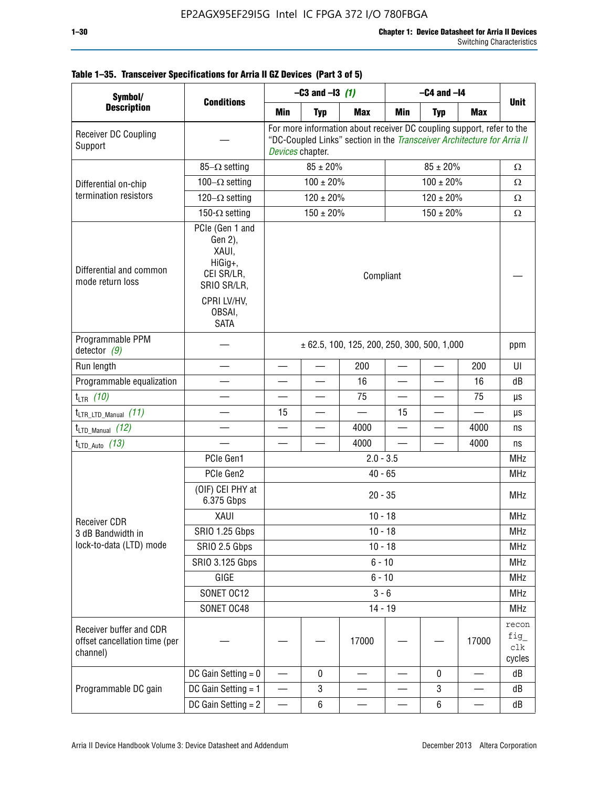| Symbol/                                                              | <b>Conditions</b>                                                                                                   | $-C3$ and $-13$ (1)                                                                                                                                                  |                 |                                                 | $-C4$ and $-I4$          |                |                          |                                  |  |
|----------------------------------------------------------------------|---------------------------------------------------------------------------------------------------------------------|----------------------------------------------------------------------------------------------------------------------------------------------------------------------|-----------------|-------------------------------------------------|--------------------------|----------------|--------------------------|----------------------------------|--|
| <b>Description</b>                                                   |                                                                                                                     | Min                                                                                                                                                                  | <b>Typ</b>      | <b>Max</b>                                      | Min                      | <b>Typ</b>     | <b>Max</b>               | <b>Unit</b>                      |  |
| Receiver DC Coupling<br>Support                                      |                                                                                                                     | For more information about receiver DC coupling support, refer to the<br>"DC-Coupled Links" section in the Transceiver Architecture for Arria II<br>Devices chapter. |                 |                                                 |                          |                |                          |                                  |  |
|                                                                      | $85-\Omega$ setting                                                                                                 | $85 \pm 20\%$<br>$85 \pm 20\%$                                                                                                                                       |                 |                                                 |                          |                |                          | $\Omega$                         |  |
| Differential on-chip                                                 | $100-\Omega$ setting                                                                                                |                                                                                                                                                                      | $100 \pm 20\%$  |                                                 |                          | $100 \pm 20\%$ | $\Omega$                 |                                  |  |
| termination resistors                                                | 120 $-\Omega$ setting                                                                                               |                                                                                                                                                                      | $120 \pm 20 \%$ |                                                 | $120 \pm 20\%$           |                |                          | $\Omega$                         |  |
|                                                                      | 150- $\Omega$ setting                                                                                               | $150 \pm 20\%$<br>$150 \pm 20 \%$                                                                                                                                    |                 |                                                 |                          |                |                          | $\Omega$                         |  |
| Differential and common<br>mode return loss                          | PCIe (Gen 1 and<br>Gen 2),<br>XAUI,<br>HiGig+,<br>CEI SR/LR,<br>SRIO SR/LR,<br>CPRI LV/HV,<br>OBSAI,<br><b>SATA</b> | Compliant                                                                                                                                                            |                 |                                                 |                          |                |                          |                                  |  |
| Programmable PPM<br>detector $(9)$                                   |                                                                                                                     |                                                                                                                                                                      |                 | $\pm$ 62.5, 100, 125, 200, 250, 300, 500, 1,000 |                          |                |                          | ppm                              |  |
| Run length                                                           |                                                                                                                     |                                                                                                                                                                      |                 | 200                                             |                          |                | 200                      | UI                               |  |
| Programmable equalization                                            |                                                                                                                     |                                                                                                                                                                      |                 | 16                                              | $\overline{\phantom{0}}$ |                | 16                       | dB                               |  |
| $t_{LTR}$ (10)                                                       |                                                                                                                     |                                                                                                                                                                      |                 | 75                                              |                          |                | 75                       | μs                               |  |
| $t_{\text{LTR\_LTD\_Manual}}$ (11)                                   |                                                                                                                     | 15                                                                                                                                                                   |                 |                                                 | 15                       |                |                          | μs                               |  |
| $t_{LTD\_Manual}$ (12)                                               |                                                                                                                     | —                                                                                                                                                                    |                 | 4000                                            | $\qquad \qquad$          | —              | 4000                     | ns                               |  |
| $t_{LTD\_Auto}$ (13)                                                 |                                                                                                                     |                                                                                                                                                                      |                 | 4000                                            |                          |                | 4000                     | ns                               |  |
|                                                                      | PCIe Gen1                                                                                                           | $2.0 - 3.5$                                                                                                                                                          |                 |                                                 |                          |                |                          |                                  |  |
|                                                                      | PCIe Gen2                                                                                                           | $40 - 65$                                                                                                                                                            |                 |                                                 |                          |                |                          |                                  |  |
|                                                                      | (OIF) CEI PHY at<br>6.375 Gbps                                                                                      |                                                                                                                                                                      |                 | $20 - 35$                                       |                          |                |                          | <b>MHz</b>                       |  |
| <b>Receiver CDR</b>                                                  | XAUI                                                                                                                |                                                                                                                                                                      |                 | $10 - 18$                                       |                          |                |                          | <b>MHz</b>                       |  |
| 3 dB Bandwidth in                                                    | <b>SRIO 1.25 Gbps</b>                                                                                               |                                                                                                                                                                      |                 | $10 - 18$                                       |                          |                |                          | <b>MHz</b>                       |  |
| lock-to-data (LTD) mode                                              | SRIO 2.5 Gbps                                                                                                       |                                                                                                                                                                      |                 | $10 - 18$                                       |                          |                |                          | MHz                              |  |
|                                                                      | SRIO 3.125 Gbps                                                                                                     |                                                                                                                                                                      |                 | $6 - 10$                                        |                          |                |                          | <b>MHz</b>                       |  |
|                                                                      | GIGE                                                                                                                |                                                                                                                                                                      |                 | $6 - 10$                                        |                          |                |                          | <b>MHz</b>                       |  |
|                                                                      | SONET OC12                                                                                                          |                                                                                                                                                                      |                 | $3 - 6$                                         |                          |                |                          | <b>MHz</b>                       |  |
|                                                                      | SONET OC48                                                                                                          |                                                                                                                                                                      |                 | $14 - 19$                                       |                          |                |                          | <b>MHz</b>                       |  |
| Receiver buffer and CDR<br>offset cancellation time (per<br>channel) |                                                                                                                     |                                                                                                                                                                      |                 | 17000                                           |                          |                | 17000                    | recon<br>fig<br>$c$ lk<br>cycles |  |
|                                                                      | DC Gain Setting $= 0$                                                                                               |                                                                                                                                                                      | 0               |                                                 |                          | 0              | $\overline{\phantom{0}}$ | dB                               |  |
| Programmable DC gain                                                 | DC Gain Setting $= 1$                                                                                               | —                                                                                                                                                                    | 3               |                                                 |                          | 3              |                          | dB                               |  |
|                                                                      | DC Gain Setting $= 2$                                                                                               | —                                                                                                                                                                    | 6               |                                                 |                          | $\,6\,$        |                          | dB                               |  |

# **Table 1–35. Transceiver Specifications for Arria II GZ Devices (Part 3 of 5)**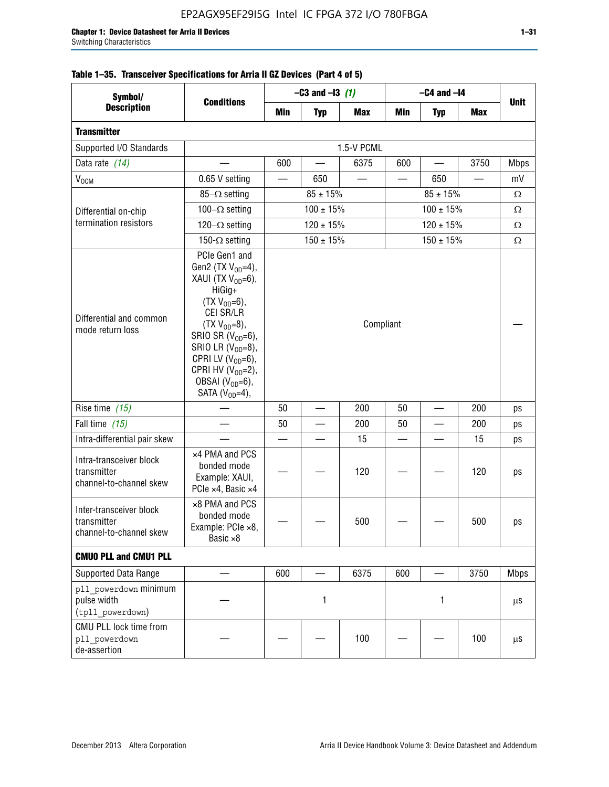| Symbol/                                                           | <b>Conditions</b>                                                                                                                                                                                                                                                                            | $-C3$ and $-13$ (1)            |                |            | $-C4$ and $-I4$          |                |            | <b>Unit</b> |
|-------------------------------------------------------------------|----------------------------------------------------------------------------------------------------------------------------------------------------------------------------------------------------------------------------------------------------------------------------------------------|--------------------------------|----------------|------------|--------------------------|----------------|------------|-------------|
| <b>Description</b>                                                |                                                                                                                                                                                                                                                                                              | Min                            | <b>Typ</b>     | <b>Max</b> | Min                      | <b>Typ</b>     | <b>Max</b> |             |
| <b>Transmitter</b>                                                |                                                                                                                                                                                                                                                                                              |                                |                |            |                          |                |            |             |
| Supported I/O Standards                                           |                                                                                                                                                                                                                                                                                              | 1.5-V PCML                     |                |            |                          |                |            |             |
| Data rate (14)                                                    |                                                                                                                                                                                                                                                                                              | 600                            |                | 6375       | 600                      |                | 3750       | <b>Mbps</b> |
| $\mathsf{V}_{\mathsf{OCM}}$                                       | 0.65 V setting                                                                                                                                                                                                                                                                               |                                | 650            |            | $\overline{\phantom{0}}$ | 650            |            | mV          |
|                                                                   | $85-\Omega$ setting                                                                                                                                                                                                                                                                          | $85 \pm 15\%$<br>$85 \pm 15\%$ |                |            |                          |                |            | Ω           |
| Differential on-chip                                              | 100 $-\Omega$ setting                                                                                                                                                                                                                                                                        |                                | $100 \pm 15%$  |            | $100 \pm 15%$            |                |            | Ω           |
| termination resistors                                             | 120 $-\Omega$ setting                                                                                                                                                                                                                                                                        |                                | $120 \pm 15\%$ |            | $120 \pm 15\%$           |                |            | Ω           |
|                                                                   | 150- $\Omega$ setting                                                                                                                                                                                                                                                                        |                                | $150 \pm 15\%$ |            |                          | $150 \pm 15\%$ |            | Ω           |
| Differential and common<br>mode return loss                       | PCIe Gen1 and<br>Gen2 (TX $V_{OD} = 4$ ),<br>XAUI (TX $V_{OD} = 6$ ),<br>HiGig+<br>$(TX V_{OD} = 6)$ ,<br>CEI SR/LR<br>$(TX V_{OD} = 8),$<br>SRIO SR $(V_{OD}=6)$ ,<br>SRIO LR $(V_{OD} = 8)$ ,<br>CPRI LV $(V_{OD}=6)$ ,<br>CPRI HV $(V_{OD}=2)$ ,<br>OBSAI $(VOD=6)$ ,<br>SATA $(VOD=4)$ , | Compliant                      |                |            |                          |                |            |             |
| Rise time $(15)$                                                  |                                                                                                                                                                                                                                                                                              | 50                             |                | 200        | 50                       |                | 200        | ps          |
| Fall time $(15)$                                                  |                                                                                                                                                                                                                                                                                              | 50                             |                | 200        | 50                       |                | 200        | ps          |
| Intra-differential pair skew                                      |                                                                                                                                                                                                                                                                                              |                                |                | 15         |                          |                | 15         | ps          |
| Intra-transceiver block<br>transmitter<br>channel-to-channel skew | x4 PMA and PCS<br>bonded mode<br>Example: XAUI,<br>PCIe ×4, Basic ×4                                                                                                                                                                                                                         |                                |                | 120        |                          |                | 120        | ps          |
| Inter-transceiver block<br>transmitter<br>channel-to-channel skew | ×8 PMA and PCS<br>bonded mode<br>Example: PCIe ×8,<br>Basic ×8                                                                                                                                                                                                                               |                                |                | 500        |                          |                | 500        | ps          |
| <b>CMUO PLL and CMU1 PLL</b>                                      |                                                                                                                                                                                                                                                                                              |                                |                |            |                          |                |            |             |
| Supported Data Range                                              |                                                                                                                                                                                                                                                                                              | 600                            |                | 6375       | 600                      |                | 3750       | <b>Mbps</b> |
| pll powerdown minimum<br>pulse width<br>(tpll powerdown)          |                                                                                                                                                                                                                                                                                              | 1                              |                |            | 1                        |                | μS         |             |
| CMU PLL lock time from<br>pll powerdown<br>de-assertion           |                                                                                                                                                                                                                                                                                              |                                |                | 100        |                          |                | 100        | μS          |

# **Table 1–35. Transceiver Specifications for Arria II GZ Devices (Part 4 of 5)**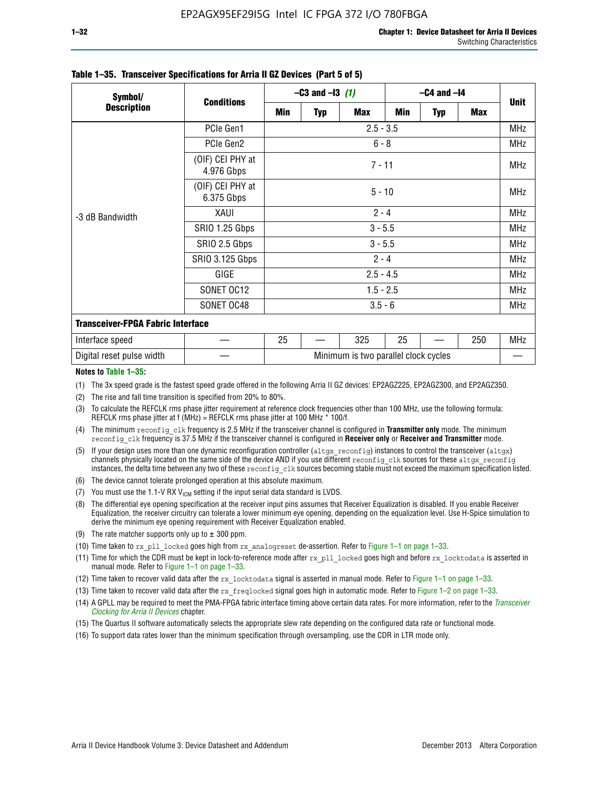| Symbol/                                  | <b>Conditions</b>              | $-C3$ and $-13$ (1)                  |          |            | $-C4$ and $-I4$ |            |            |            |  |  |
|------------------------------------------|--------------------------------|--------------------------------------|----------|------------|-----------------|------------|------------|------------|--|--|
| <b>Description</b>                       |                                | Min                                  | Typ      | <b>Max</b> | Min             | <b>Typ</b> | <b>Max</b> | Unit       |  |  |
| -3 dB Bandwidth                          | PCIe Gen1                      | $2.5 - 3.5$                          |          |            |                 |            |            |            |  |  |
|                                          | PCIe Gen2                      | $6 - 8$                              |          |            |                 |            |            |            |  |  |
|                                          | (OIF) CEI PHY at<br>4.976 Gbps | $7 - 11$                             |          |            |                 |            |            |            |  |  |
|                                          | (OIF) CEI PHY at<br>6.375 Gbps |                                      | $5 - 10$ |            |                 |            |            |            |  |  |
|                                          | XAUI                           | $2 - 4$                              |          |            |                 |            |            |            |  |  |
|                                          | SRIO 1.25 Gbps                 | $3 - 5.5$                            |          |            |                 |            |            |            |  |  |
|                                          | SRIO 2.5 Gbps                  | $3 - 5.5$                            |          |            |                 |            |            |            |  |  |
|                                          | <b>SRIO 3.125 Gbps</b>         | $2 - 4$                              |          |            |                 |            |            |            |  |  |
|                                          | GIGE                           | $2.5 - 4.5$                          |          |            |                 |            |            |            |  |  |
|                                          | SONET OC12                     | $1.5 - 2.5$                          |          |            |                 |            |            |            |  |  |
|                                          | SONET OC48                     | $3.5 - 6$                            |          |            |                 |            |            |            |  |  |
| <b>Transceiver-FPGA Fabric Interface</b> |                                |                                      |          |            |                 |            |            |            |  |  |
| Interface speed                          |                                | 25                                   |          | 325        | 25              |            | 250        | <b>MHz</b> |  |  |
| Digital reset pulse width                |                                | Minimum is two parallel clock cycles |          |            |                 |            |            |            |  |  |

#### **Table 1–35. Transceiver Specifications for Arria II GZ Devices (Part 5 of 5)**

#### **Notes to Table 1–35:**

(1) The 3x speed grade is the fastest speed grade offered in the following Arria II GZ devices: EP2AGZ225, EP2AGZ300, and EP2AGZ350.

- (2) The rise and fall time transition is specified from 20% to 80%.
- (3) To calculate the REFCLK rms phase jitter requirement at reference clock frequencies other than 100 MHz, use the following formula: REFCLK rms phase jitter at f (MHz) = REFCLK rms phase jitter at 100 MHz  $*$  100/f.
- (4) The minimum reconfig clk frequency is 2.5 MHz if the transceiver channel is configured in **Transmitter only** mode. The minimum reconfig clk frequency is 37.5 MHz if the transceiver channel is configured in **Receiver only** or **Receiver and Transmitter** mode.
- (5) If your design uses more than one dynamic reconfiguration controller ( $\text{altgx\_reconfig}$ ) instances to control the transceiver ( $\text{altgx}$ ) channels physically located on the same side of the device AND if you use different reconfig clk sources for these altgx reconfig instances, the delta time between any two of these reconfig clk sources becoming stable must not exceed the maximum specification listed.
- (6) The device cannot tolerate prolonged operation at this absolute maximum.
- (7) You must use the 1.1-V RX  $V_{ICM}$  setting if the input serial data standard is LVDS.
- (8) The differential eye opening specification at the receiver input pins assumes that Receiver Equalization is disabled. If you enable Receiver Equalization, the receiver circuitry can tolerate a lower minimum eye opening, depending on the equalization level. Use H-Spice simulation to derive the minimum eye opening requirement with Receiver Equalization enabled.
- (9) The rate matcher supports only up to  $\pm$  300 ppm.
- (10) Time taken to rx\_pll\_locked goes high from rx\_analogreset de-assertion. Refer to Figure 1–1 on page 1–33.
- (11) Time for which the CDR must be kept in lock-to-reference mode after rx pll\_locked goes high and before rx\_locktodata is asserted in manual mode. Refer to Figure 1–1 on page 1–33.
- (12) Time taken to recover valid data after the rx locktodata signal is asserted in manual mode. Refer to Figure 1–1 on page 1–33.
- (13) Time taken to recover valid data after the rx\_freqlocked signal goes high in automatic mode. Refer to Figure 1–2 on page 1–33.
- (14) A GPLL may be required to meet the PMA-FPGA fabric interface timing above certain data rates. For more information, refer to the *[Transceiver](http://www.altera.com/literature/hb/arria-ii-gx/aiigx_52002.pdf)  [Clocking for Arria II Devices](http://www.altera.com/literature/hb/arria-ii-gx/aiigx_52002.pdf)* chapter.
- (15) The Quartus II software automatically selects the appropriate slew rate depending on the configured data rate or functional mode.
- (16) To support data rates lower than the minimum specification through oversampling, use the CDR in LTR mode only.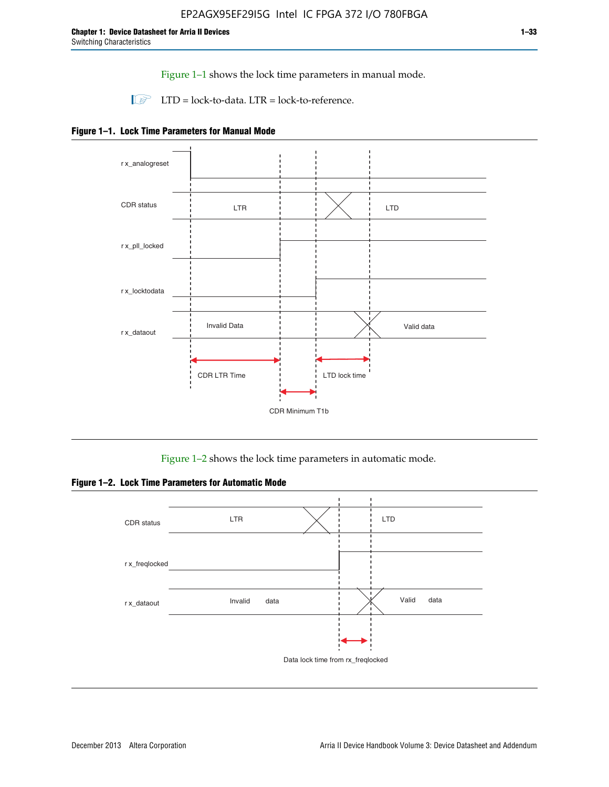Figure 1–1 shows the lock time parameters in manual mode.

 $\Box$  LTD = lock-to-data. LTR = lock-to-reference.





Figure 1–2 shows the lock time parameters in automatic mode.

**Figure 1–2. Lock Time Parameters for Automatic Mode**

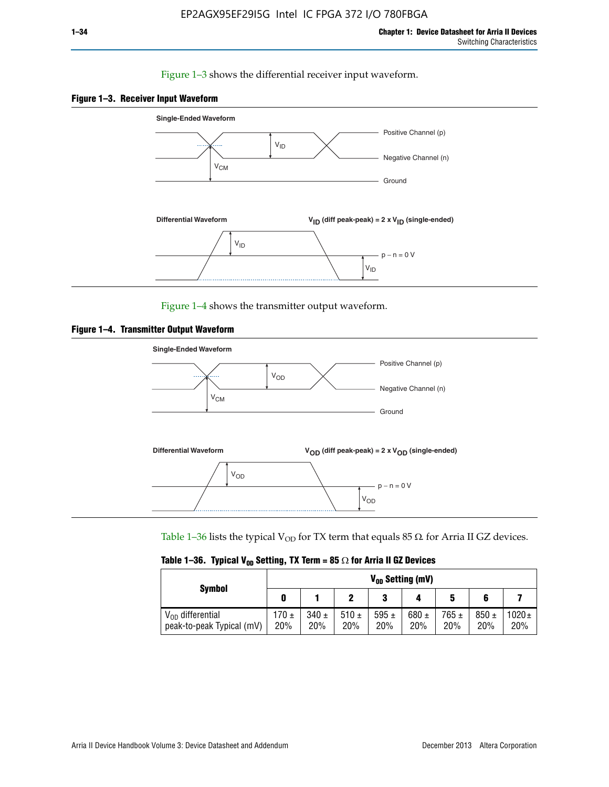#### Figure 1–3 shows the differential receiver input waveform.





Figure 1–4 shows the transmitter output waveform.





Table 1–36 lists the typical V<sub>OD</sub> for TX term that equals 85  $\Omega$  for Arria II GZ devices.

|  |  |  | Table 1–36. Typical V <sub>op</sub> Setting, TX Term = 85 $\Omega$ for Arria II GZ Devices |
|--|--|--|--------------------------------------------------------------------------------------------|
|--|--|--|--------------------------------------------------------------------------------------------|

|                                                    | $V_{0D}$ Setting (mV) |                  |             |                  |                  |                  |                  |                   |  |  |
|----------------------------------------------------|-----------------------|------------------|-------------|------------------|------------------|------------------|------------------|-------------------|--|--|
| <b>Symbol</b>                                      |                       |                  |             | 2<br>J           |                  | 5                |                  |                   |  |  |
| $V_{OD}$ differential<br>peak-to-peak Typical (mV) | $170 \pm$<br>20%      | $340 \pm$<br>20% | 510±<br>20% | 595 $\pm$<br>20% | 680 $\pm$<br>20% | $765 \pm$<br>20% | $850 \pm$<br>20% | $1020 \pm$<br>20% |  |  |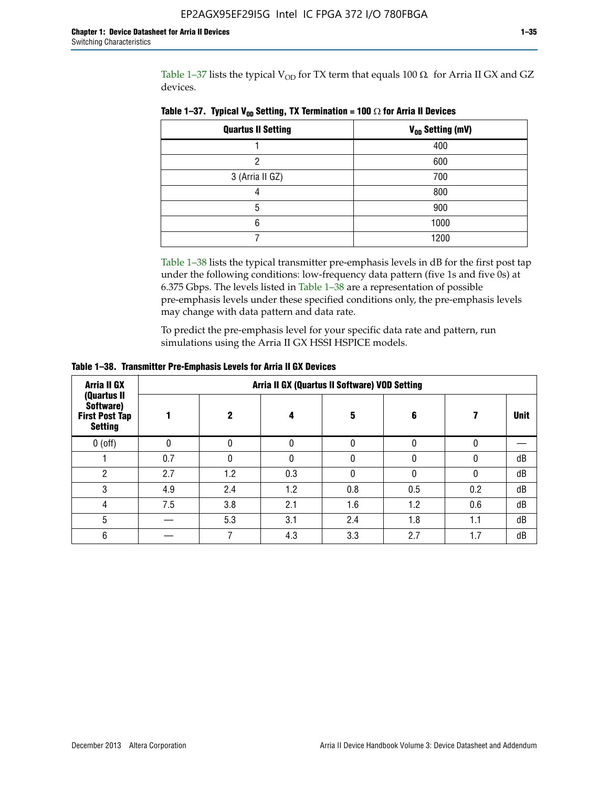Table 1-37 lists the typical  $V_{OD}$  for TX term that equals 100  $\Omega$  for Arria II GX and GZ devices.

| <b>Quartus II Setting</b> | V <sub>OD</sub> Setting (mV) |
|---------------------------|------------------------------|
|                           | 400                          |
| ŋ                         | 600                          |
| 3 (Arria II GZ)           | 700                          |
|                           | 800                          |
| 5                         | 900                          |
| 6                         | 1000                         |
|                           | 1200                         |

**Table 1–37. Typical V<sub>OD</sub> Setting, TX Termination = 100**  $\Omega$  for Arria II Devices

Table 1–38 lists the typical transmitter pre-emphasis levels in dB for the first post tap under the following conditions: low-frequency data pattern (five 1s and five 0s) at 6.375 Gbps. The levels listed in Table 1–38 are a representation of possible pre-emphasis levels under these specified conditions only, the pre-emphasis levels may change with data pattern and data rate.

To predict the pre-emphasis level for your specific data rate and pattern, run simulations using the Arria II GX HSSI HSPICE models.

| <b>Arria II GX</b><br>(Quartus II                    | Arria II GX (Quartus II Software) VOD Setting |     |     |     |     |     |             |  |  |  |  |
|------------------------------------------------------|-----------------------------------------------|-----|-----|-----|-----|-----|-------------|--|--|--|--|
| Software)<br><b>First Post Tap</b><br><b>Setting</b> |                                               | 2   | 4   | 5   | 6   |     | <b>Unit</b> |  |  |  |  |
| $0$ (off)                                            | 0                                             |     | U   |     |     |     |             |  |  |  |  |
|                                                      | 0.7                                           |     | U   |     |     |     | dB          |  |  |  |  |
| ŋ                                                    | 2.7                                           | 1.2 | 0.3 |     |     |     | dB          |  |  |  |  |
| 3                                                    | 4.9                                           | 2.4 | 1.2 | 0.8 | 0.5 | 0.2 | dB          |  |  |  |  |
| 4                                                    | 7.5                                           | 3.8 | 2.1 | 1.6 | 1.2 | 0.6 | dB          |  |  |  |  |
| 5                                                    |                                               | 5.3 | 3.1 | 2.4 | 1.8 | 1.1 | dB          |  |  |  |  |
| 6                                                    |                                               |     | 4.3 | 3.3 | 2.7 | 1.7 | dB          |  |  |  |  |

**Table 1–38. Transmitter Pre-Emphasis Levels for Arria II GX Devices**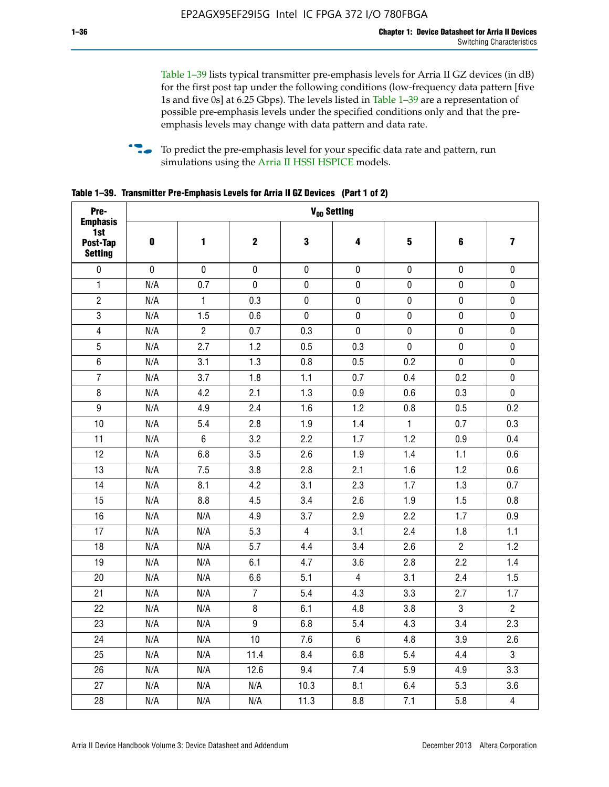Table 1–39 lists typical transmitter pre-emphasis levels for Arria II GZ devices (in dB) for the first post tap under the following conditions (low-frequency data pattern [five 1s and five 0s] at 6.25 Gbps). The levels listed in Table 1–39 are a representation of possible pre-emphasis levels under the specified conditions only and that the preemphasis levels may change with data pattern and data rate.

**follow** To predict the pre-emphasis level for your specific data rate and pattern, run simulations using the [Arria II HSSI HSPICE](http://www.altera.com/support/software/download/hspice/hsp-index.html) models.

| Pre-                                                 |           |                |                  | V <sub>OD</sub> Setting |                |                         |                |                         |
|------------------------------------------------------|-----------|----------------|------------------|-------------------------|----------------|-------------------------|----------------|-------------------------|
| <b>Emphasis</b><br>1st<br>Post-Tap<br><b>Setting</b> | $\pmb{0}$ | 1              | $\mathbf 2$      | $\mathbf 3$             | 4              | $\overline{\mathbf{5}}$ | 6              | $\overline{\mathbf{z}}$ |
| $\pmb{0}$                                            | $\pmb{0}$ | $\pmb{0}$      | $\pmb{0}$        | $\pmb{0}$               | $\pmb{0}$      | $\pmb{0}$               | $\pmb{0}$      | $\pmb{0}$               |
| $\mathbf{1}$                                         | N/A       | 0.7            | $\pmb{0}$        | $\pmb{0}$               | $\pmb{0}$      | $\pmb{0}$               | $\pmb{0}$      | $\pmb{0}$               |
| $\overline{2}$                                       | N/A       | $\mathbf{1}$   | 0.3              | $\pmb{0}$               | $\mathbf 0$    | $\mathbf 0$             | $\mathbf 0$    | $\pmb{0}$               |
| $\mathbf 3$                                          | N/A       | 1.5            | 0.6              | $\mathbf 0$             | $\pmb{0}$      | $\pmb{0}$               | $\pmb{0}$      | $\pmb{0}$               |
| $\overline{\mathbf{4}}$                              | N/A       | $\overline{2}$ | 0.7              | 0.3                     | $\pmb{0}$      | $\pmb{0}$               | $\pmb{0}$      | $\pmb{0}$               |
| $\overline{5}$                                       | N/A       | 2.7            | 1.2              | 0.5                     | 0.3            | $\pmb{0}$               | 0              | $\pmb{0}$               |
| $\,6\,$                                              | N/A       | 3.1            | 1.3              | 0.8                     | 0.5            | 0.2                     | $\mathbf 0$    | $\pmb{0}$               |
| $\overline{7}$                                       | N/A       | 3.7            | 1.8              | 1.1                     | 0.7            | 0.4                     | 0.2            | $\pmb{0}$               |
| $\bf 8$                                              | N/A       | 4.2            | 2.1              | 1.3                     | 0.9            | 0.6                     | 0.3            | $\pmb{0}$               |
| $\boldsymbol{9}$                                     | N/A       | 4.9            | 2.4              | 1.6                     | 1.2            | 0.8                     | 0.5            | 0.2                     |
| 10                                                   | N/A       | 5.4            | 2.8              | 1.9                     | 1.4            | $\mathbf{1}$            | 0.7            | 0.3                     |
| 11                                                   | N/A       | $\,6\,$        | 3.2              | 2.2                     | 1.7            | 1.2                     | 0.9            | 0.4                     |
| 12                                                   | N/A       | 6.8            | 3.5              | 2.6                     | 1.9            | 1.4                     | 1.1            | 0.6                     |
| 13                                                   | N/A       | 7.5            | 3.8              | 2.8                     | 2.1            | 1.6                     | 1.2            | 0.6                     |
| 14                                                   | N/A       | 8.1            | 4.2              | 3.1                     | 2.3            | 1.7                     | 1.3            | 0.7                     |
| 15                                                   | N/A       | 8.8            | 4.5              | 3.4                     | 2.6            | 1.9                     | 1.5            | 0.8                     |
| 16                                                   | N/A       | N/A            | 4.9              | 3.7                     | 2.9            | 2.2                     | 1.7            | 0.9                     |
| 17                                                   | N/A       | N/A            | 5.3              | $\overline{4}$          | 3.1            | 2.4                     | 1.8            | 1.1                     |
| 18                                                   | N/A       | N/A            | 5.7              | 4.4                     | 3.4            | 2.6                     | $\overline{c}$ | 1.2                     |
| 19                                                   | N/A       | N/A            | 6.1              | 4.7                     | 3.6            | 2.8                     | 2.2            | 1.4                     |
| 20                                                   | N/A       | N/A            | 6.6              | 5.1                     | 4              | 3.1                     | 2.4            | 1.5                     |
| 21                                                   | N/A       | N/A            | $\overline{7}$   | 5.4                     | 4.3            | 3.3                     | 2.7            | 1.7                     |
| 22                                                   | N/A       | N/A            | 8                | 6.1                     | 4.8            | 3.8                     | 3              | $\overline{2}$          |
| 23                                                   | N/A       | N/A            | $\boldsymbol{9}$ | 6.8                     | 5.4            | 4.3                     | 3.4            | 2.3                     |
| 24                                                   | N/A       | N/A            | 10               | 7.6                     | $6\phantom{.}$ | 4.8                     | 3.9            | 2.6                     |
| 25                                                   | N/A       | N/A            | 11.4             | 8.4                     | 6.8            | 5.4                     | 4.4            | 3                       |
| 26                                                   | N/A       | N/A            | 12.6             | 9.4                     | 7.4            | 5.9                     | 4.9            | 3.3                     |
| 27                                                   | N/A       | N/A            | N/A              | 10.3                    | 8.1            | 6.4                     | 5.3            | 3.6                     |
| 28                                                   | N/A       | N/A            | N/A              | 11.3                    | 8.8            | 7.1                     | 5.8            | $\overline{4}$          |

**Table 1–39. Transmitter Pre-Emphasis Levels for Arria II GZ Devices (Part 1 of 2)**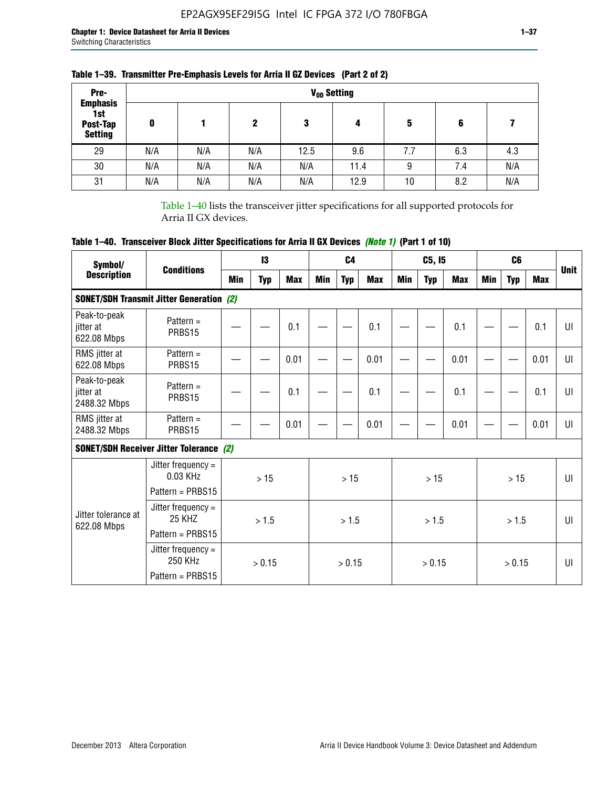| Pre-<br><b>Emphasis</b>           |     |     |     |      | V <sub>op</sub> Setting |     |     |     |
|-----------------------------------|-----|-----|-----|------|-------------------------|-----|-----|-----|
| 1st<br>Post-Tap<br><b>Setting</b> | 0   |     | 2   | 3    | 4                       | 5   | 6   |     |
| 29                                | N/A | N/A | N/A | 12.5 | 9.6                     | 7.7 | 6.3 | 4.3 |
| 30                                | N/A | N/A | N/A | N/A  | 11.4                    | 9   | 7.4 | N/A |
| 31                                | N/A | N/A | N/A | N/A  | 12.9                    | 10  | 8.2 | N/A |

## **Table 1–39. Transmitter Pre-Emphasis Levels for Arria II GZ Devices (Part 2 of 2)**

Table 1–40 lists the transceiver jitter specifications for all supported protocols for Arria II GX devices.

# **Table 1–40. Transceiver Block Jitter Specifications for Arria II GX Devices** *(Note 1)* **(Part 1 of 10)**

| Symbol/                                   |                                                                |      | 13         |            |     | C <sub>4</sub> |            |     | C5, I5     |            |     | C <sub>6</sub> |            |              |
|-------------------------------------------|----------------------------------------------------------------|------|------------|------------|-----|----------------|------------|-----|------------|------------|-----|----------------|------------|--------------|
| <b>Description</b>                        | <b>Conditions</b>                                              | Min  | <b>Typ</b> | <b>Max</b> | Min | <b>Typ</b>     | <b>Max</b> | Min | <b>Typ</b> | <b>Max</b> | Min | <b>Typ</b>     | <b>Max</b> | <b>Unit</b>  |
|                                           | <b>SONET/SDH Transmit Jitter Generation (2)</b>                |      |            |            |     |                |            |     |            |            |     |                |            |              |
| Peak-to-peak<br>jitter at<br>622.08 Mbps  | Pattern $=$<br>PRBS15                                          |      |            | 0.1        |     |                | 0.1        |     |            | 0.1        |     |                | 0.1        | UI           |
| RMS jitter at<br>622.08 Mbps              | Pattern $=$<br>PRBS15                                          |      |            | 0.01       |     |                | 0.01       |     |            | 0.01       |     |                | 0.01       | UI           |
| Peak-to-peak<br>jitter at<br>2488.32 Mbps | Pattern $=$<br>PRBS15                                          |      |            | 0.1        |     |                | 0.1        |     |            | 0.1        |     |                | 0.1        | UI           |
| RMS jitter at<br>2488.32 Mbps             | Pattern $=$<br>PRBS15                                          | 0.01 |            |            |     | 0.01           |            |     | 0.01       |            |     | 0.01           | UI         |              |
|                                           | <b>SONET/SDH Receiver Jitter Tolerance (2)</b>                 |      |            |            |     |                |            |     |            |            |     |                |            |              |
|                                           | Jitter frequency $=$<br>$0.03$ KHz<br>Pattern = PRBS15         |      | >15        |            |     | >15            |            |     | >15        |            |     | >15            |            | $\mathbf{U}$ |
| Jitter tolerance at<br>622.08 Mbps        | Jitter frequency $=$<br>25 KH <sub>7</sub><br>Pattern = PRBS15 |      | > 1.5      |            |     | > 1.5          |            |     | > 1.5      |            |     | > 1.5          |            | $\mathbf{U}$ |
|                                           | Jitter frequency $=$<br>250 KHz<br>Pattern = PRBS15            |      | > 0.15     |            |     | > 0.15         |            |     | > 0.15     |            |     | > 0.15         |            | $\mathbf{U}$ |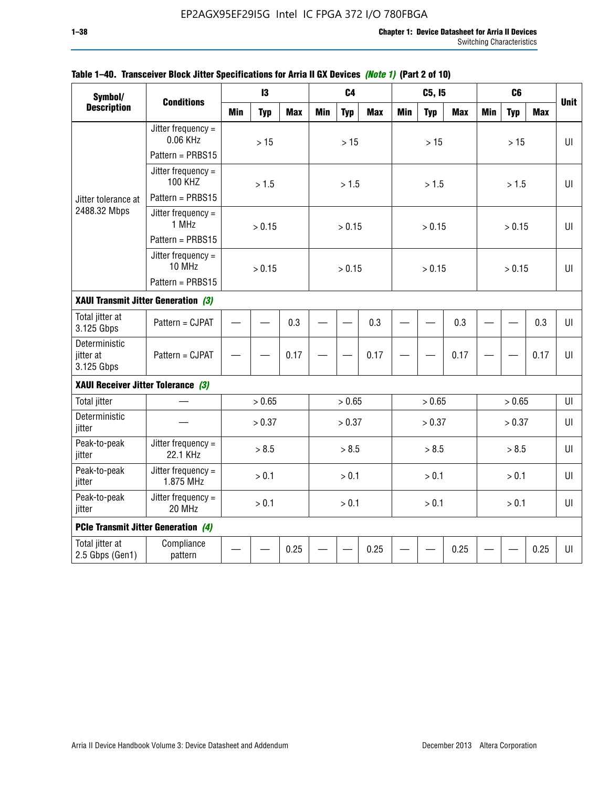| Symbol/                                  |                                            |            | 13         |            |            | C <sub>4</sub> |            |            | C5, I5     |            |            | C <sub>6</sub> |            |             |
|------------------------------------------|--------------------------------------------|------------|------------|------------|------------|----------------|------------|------------|------------|------------|------------|----------------|------------|-------------|
| <b>Description</b>                       | <b>Conditions</b>                          | <b>Min</b> | <b>Typ</b> | <b>Max</b> | <b>Min</b> | <b>Typ</b>     | <b>Max</b> | <b>Min</b> | <b>Typ</b> | <b>Max</b> | <b>Min</b> | <b>Typ</b>     | <b>Max</b> | <b>Unit</b> |
|                                          | Jitter frequency $=$<br>0.06 KHz           |            | $>15$      |            |            | $>15$          |            |            | $>15$      |            |            | $>15$          |            | $U\Gamma$   |
|                                          | Pattern = PRBS15                           |            |            |            |            |                |            |            |            |            |            |                |            |             |
|                                          | Jitter frequency $=$<br><b>100 KHZ</b>     |            | > 1.5      |            |            | > 1.5          |            |            | > 1.5      |            |            | > 1.5          |            | UI          |
| Jitter tolerance at                      | Pattern = PRBS15                           |            |            |            |            |                |            |            |            |            |            |                |            |             |
| 2488.32 Mbps                             | Jitter frequency $=$<br>1 MHz              |            | > 0.15     |            |            | > 0.15         |            |            | > 0.15     |            |            | > 0.15         |            | UI          |
|                                          | Pattern = PRBS15                           |            |            |            |            |                |            |            |            |            |            |                |            |             |
|                                          | Jitter frequency $=$<br>10 MHz             |            | > 0.15     |            |            | > 0.15         |            |            | > 0.15     |            |            | > 0.15         |            | $U\Gamma$   |
|                                          | Pattern = PRBS15                           |            |            |            |            |                |            |            |            |            |            |                |            |             |
| XAUI Transmit Jitter Generation (3)      |                                            |            |            |            |            |                |            |            |            |            |            |                |            |             |
| Total jitter at<br>3.125 Gbps            | Pattern = CJPAT                            | 0.3        |            |            |            |                | 0.3        |            |            | 0.3        |            |                | 0.3        | UI          |
| Deterministic<br>jitter at<br>3.125 Gbps | Pattern = CJPAT                            |            |            | 0.17       |            |                | 0.17       |            |            | 0.17       |            |                | 0.17       | U           |
| XAUI Receiver Jitter Tolerance (3)       |                                            |            |            |            |            |                |            |            |            |            |            |                |            |             |
| <b>Total jitter</b>                      |                                            |            | > 0.65     |            |            | > 0.65         |            |            | > 0.65     |            |            | > 0.65         |            | UI          |
| Deterministic<br>jitter                  |                                            |            | > 0.37     |            |            | > 0.37         |            |            | > 0.37     |            |            | > 0.37         |            | $U\Gamma$   |
| Peak-to-peak<br>jitter                   | Jitter frequency =<br>22.1 KHz             |            | > 8.5      |            |            | > 8.5          |            |            | > 8.5      |            |            | > 8.5          |            | UI          |
| Peak-to-peak<br>jitter                   | Jitter frequency =<br>1.875 MHz            |            | > 0.1      |            |            | > 0.1          |            |            | > 0.1      |            |            | > 0.1          |            | UI          |
| Peak-to-peak<br>jitter                   | Jitter frequency $=$<br>20 MHz             |            | > 0.1      |            |            | > 0.1          |            |            | > 0.1      |            |            | > 0.1          |            | $U\Gamma$   |
|                                          | <b>PCIe Transmit Jitter Generation (4)</b> |            |            |            |            |                |            |            |            |            |            |                |            |             |
| Total jitter at<br>2.5 Gbps (Gen1)       | Compliance<br>pattern                      |            |            | 0.25       |            |                | 0.25       |            |            | 0.25       |            |                | 0.25       | UI          |

### **Table 1–40. Transceiver Block Jitter Specifications for Arria II GX Devices** *(Note 1)* **(Part 2 of 10)**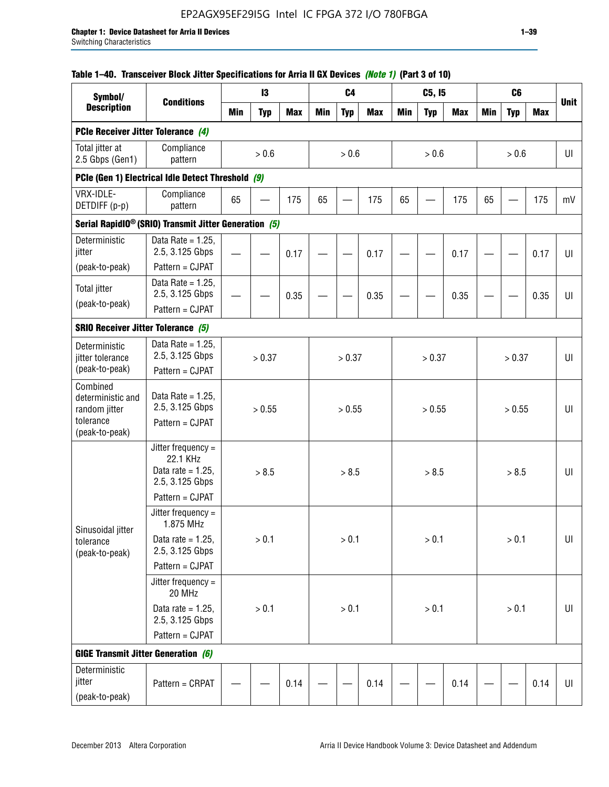## **Table 1–40. Transceiver Block Jitter Specifications for Arria II GX Devices** *(Note 1)* **(Part 3 of 10)**

| Symbol/                                             |                                                                           |            | 13         |            |     | C <sub>4</sub> |            |            | C5, I5     |            |            | C <sub>6</sub> |            |             |
|-----------------------------------------------------|---------------------------------------------------------------------------|------------|------------|------------|-----|----------------|------------|------------|------------|------------|------------|----------------|------------|-------------|
| <b>Description</b>                                  | <b>Conditions</b>                                                         | <b>Min</b> | <b>Typ</b> | <b>Max</b> | Min | <b>Typ</b>     | <b>Max</b> | <b>Min</b> | <b>Typ</b> | <b>Max</b> | <b>Min</b> | <b>Typ</b>     | <b>Max</b> | <b>Unit</b> |
| PCIe Receiver Jitter Tolerance (4)                  |                                                                           |            |            |            |     |                |            |            |            |            |            |                |            |             |
| Total jitter at<br>2.5 Gbps (Gen1)                  | Compliance<br>pattern                                                     |            | $> 0.6$    |            |     | > 0.6          |            |            | > 0.6      |            |            | > 0.6          |            | UI          |
|                                                     | PCIe (Gen 1) Electrical Idle Detect Threshold (9)                         |            |            |            |     |                |            |            |            |            |            |                |            |             |
| VRX-IDLE-<br>DETDIFF (p-p)                          | Compliance<br>pattern                                                     | 65         |            | 175        | 65  |                | 175        | 65         |            | 175        | 65         |                | 175        | mV          |
|                                                     | Serial RapidIO <sup>®</sup> (SRIO) Transmit Jitter Generation (5)         |            |            |            |     |                |            |            |            |            |            |                |            |             |
| Deterministic<br>jitter                             | Data Rate = $1.25$ ,<br>2.5, 3.125 Gbps<br>Pattern = CJPAT                |            |            | 0.17       |     |                | 0.17       |            |            | 0.17       |            |                | 0.17       | UI          |
| (peak-to-peak)                                      | Data Rate = $1.25$ ,                                                      |            |            |            |     |                |            |            |            |            |            |                |            |             |
| <b>Total jitter</b>                                 | 2.5, 3.125 Gbps                                                           |            |            | 0.35       |     |                | 0.35       |            |            | 0.35       |            |                | 0.35       | UI          |
| (peak-to-peak)                                      | Pattern = CJPAT                                                           |            |            |            |     |                |            |            |            |            |            |                |            |             |
| <b>SRIO Receiver Jitter Tolerance (5)</b>           |                                                                           |            |            |            |     |                |            |            |            |            |            |                |            |             |
| Deterministic<br>jitter tolerance<br>(peak-to-peak) | Data Rate = $1.25$ ,<br>2.5, 3.125 Gbps<br>Pattern = CJPAT                |            | > 0.37     |            |     | > 0.37         |            |            | > 0.37     |            |            | > 0.37         |            | UI          |
| Combined<br>deterministic and<br>random jitter      | Data Rate = $1.25$ ,<br>2.5, 3.125 Gbps                                   |            | > 0.55     |            |     | > 0.55         |            |            | > 0.55     |            |            | > 0.55         |            | U           |
| tolerance<br>(peak-to-peak)                         | Pattern = CJPAT                                                           |            |            |            |     |                |            |            |            |            |            |                |            |             |
|                                                     | Jitter frequency =<br>22.1 KHz<br>Data rate = $1.25$ .<br>2.5, 3.125 Gbps |            | > 8.5      |            |     | > 8.5          |            |            | > 8.5      |            |            | > 8.5          |            | UI          |
|                                                     | Pattern = CJPAT                                                           |            |            |            |     |                |            |            |            |            |            |                |            |             |
| Sinusoidal jitter                                   | Jitter frequency $=$<br>1.875 MHz                                         |            |            |            |     |                |            |            |            |            |            |                |            |             |
| tolerance<br>(peak-to-peak)                         | Data rate = $1.25$ ,<br>2.5, 3.125 Gbps                                   |            | > 0.1      |            |     | > 0.1          |            |            | > 0.1      |            |            | $> 0.1$        |            | UI          |
|                                                     | Pattern = CJPAT                                                           |            |            |            |     |                |            |            |            |            |            |                |            |             |
|                                                     | Jitter frequency =<br>20 MHz                                              |            |            |            |     |                |            |            |            |            |            |                |            |             |
|                                                     | Data rate = $1.25$ ,<br>2.5, 3.125 Gbps                                   |            | $> 0.1$    |            |     | $> 0.1$        |            |            | > 0.1      |            |            | $> 0.1$        |            | UI          |
|                                                     | Pattern = CJPAT                                                           |            |            |            |     |                |            |            |            |            |            |                |            |             |
| <b>GIGE Transmit Jitter Generation (6)</b>          |                                                                           |            |            |            |     |                |            |            |            |            |            |                |            |             |
| Deterministic<br>jitter<br>(peak-to-peak)           | Pattern = CRPAT                                                           |            |            | 0.14       |     |                | 0.14       |            |            | 0.14       |            |                | 0.14       | UI          |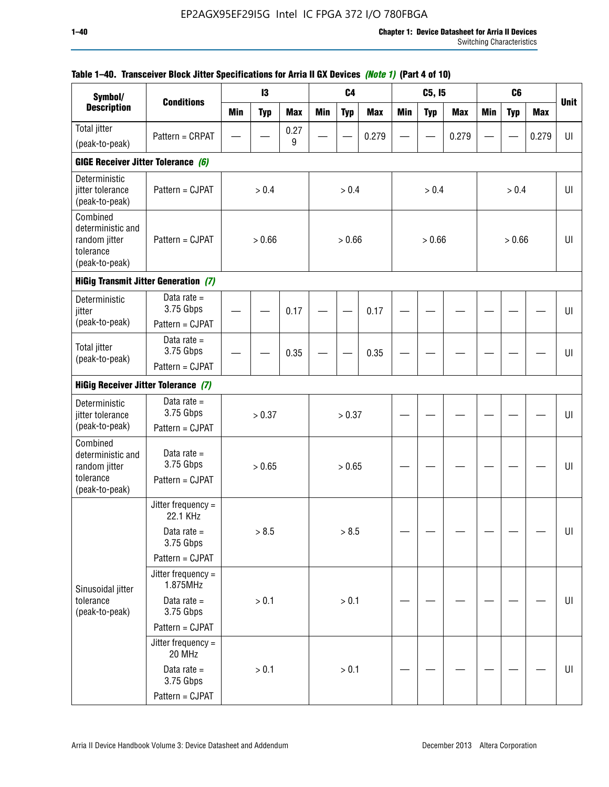| Symbol/                                                                       |                                                               |            | 13         |            |            | C <sub>4</sub> |            |            | C5, I5     |            |            | C <sub>6</sub> |            |             |
|-------------------------------------------------------------------------------|---------------------------------------------------------------|------------|------------|------------|------------|----------------|------------|------------|------------|------------|------------|----------------|------------|-------------|
| <b>Description</b>                                                            | <b>Conditions</b>                                             | <b>Min</b> | <b>Typ</b> | <b>Max</b> | <b>Min</b> | <b>Typ</b>     | <b>Max</b> | <b>Min</b> | <b>Typ</b> | <b>Max</b> | <b>Min</b> | <b>Typ</b>     | <b>Max</b> | <b>Unit</b> |
| <b>Total jitter</b>                                                           | Pattern = CRPAT                                               |            |            | 0.27       |            |                | 0.279      |            |            | 0.279      |            |                | 0.279      | UI          |
| (peak-to-peak)                                                                |                                                               |            |            | 9          |            |                |            |            |            |            |            |                |            |             |
| GIGE Receiver Jitter Tolerance (6)                                            |                                                               |            |            |            |            |                |            |            |            |            |            |                |            |             |
| Deterministic<br>jitter tolerance<br>(peak-to-peak)                           | Pattern = CJPAT                                               |            | > 0.4      |            |            | > 0.4          |            |            | > 0.4      |            |            | > 0.4          |            | UI          |
| Combined<br>deterministic and<br>random jitter<br>tolerance<br>(peak-to-peak) | Pattern = CJPAT                                               |            | > 0.66     |            |            | > 0.66         |            |            | > 0.66     |            |            | > 0.66         |            | UI          |
|                                                                               | <b>HiGig Transmit Jitter Generation (7)</b>                   |            |            |            |            |                |            |            |            |            |            |                |            |             |
| Deterministic<br>jitter                                                       | Data rate $=$<br>3.75 Gbps                                    |            |            | 0.17       |            |                | 0.17       |            |            |            |            |                |            | UI          |
| (peak-to-peak)                                                                | Pattern = CJPAT                                               |            |            |            |            |                |            |            |            |            |            |                |            |             |
| <b>Total jitter</b><br>(peak-to-peak)                                         | Data rate $=$<br>3.75 Gbps                                    |            |            | 0.35       |            |                | 0.35       |            |            |            |            |                |            | UI          |
|                                                                               | Pattern = CJPAT<br><b>HiGig Receiver Jitter Tolerance (7)</b> |            |            |            |            |                |            |            |            |            |            |                |            |             |
|                                                                               |                                                               |            |            |            |            |                |            |            |            |            |            |                |            |             |
| Deterministic<br>jitter tolerance                                             | Data rate $=$<br>3.75 Gbps                                    |            | > 0.37     |            |            | > 0.37         |            |            |            |            |            |                |            | U           |
| (peak-to-peak)                                                                | Pattern = CJPAT                                               |            |            |            |            |                |            |            |            |            |            |                |            |             |
| Combined<br>deterministic and<br>random jitter<br>tolerance                   | Data rate $=$<br>3.75 Gbps<br>Pattern = CJPAT                 |            | > 0.65     |            |            | > 0.65         |            |            |            |            |            |                |            | UI          |
| (peak-to-peak)                                                                |                                                               |            |            |            |            |                |            |            |            |            |            |                |            |             |
|                                                                               | Jitter frequency =<br>22.1 KHz                                |            |            |            |            |                |            |            |            |            |            |                |            |             |
|                                                                               | Data rate $=$<br>3.75 Gbps                                    |            | > 8.5      |            |            | > 8.5          |            |            |            |            |            |                |            | $U\vert$    |
|                                                                               | Pattern = CJPAT                                               |            |            |            |            |                |            |            |            |            |            |                |            |             |
| Sinusoidal jitter                                                             | Jitter frequency =<br>1.875MHz                                |            |            |            |            |                |            |            |            |            |            |                |            |             |
| tolerance<br>(peak-to-peak)                                                   | Data rate $=$<br>3.75 Gbps                                    |            | > 0.1      |            |            | > 0.1          |            |            |            |            |            |                |            | UI          |
|                                                                               | Pattern = CJPAT                                               |            |            |            |            |                |            |            |            |            |            |                |            |             |
|                                                                               | Jitter frequency =<br>20 MHz                                  |            |            |            |            |                |            |            |            |            |            |                |            |             |
|                                                                               | Data rate $=$<br>3.75 Gbps                                    |            | > 0.1      |            |            | $> 0.1$        |            |            |            |            |            |                |            | UI          |
|                                                                               | Pattern = CJPAT                                               |            |            |            |            |                |            |            |            |            |            |                |            |             |

## **Table 1–40. Transceiver Block Jitter Specifications for Arria II GX Devices** *(Note 1)* **(Part 4 of 10)**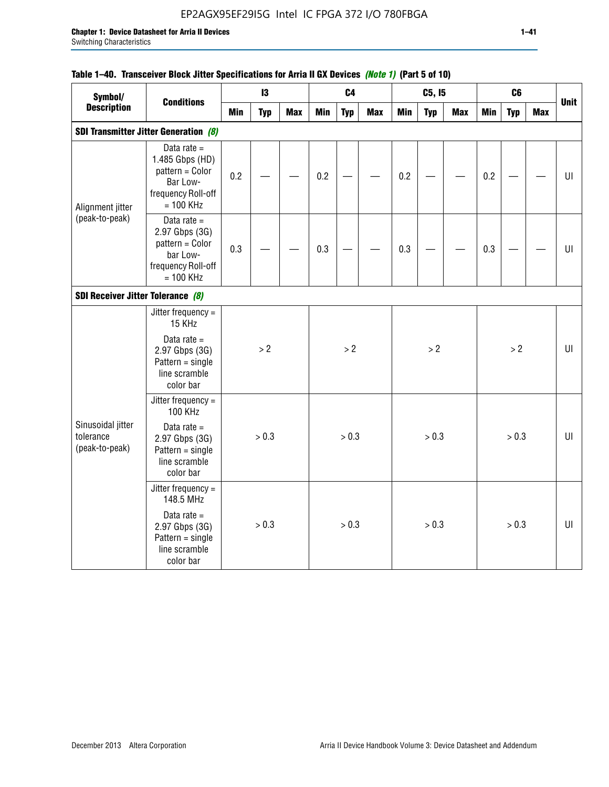## EP2AGX95EF29I5G Intel IC FPGA 372 I/O 780FBGA

| Symbol/                                          | <b>Conditions</b>                                                                                                           |            | 13         |            |            | C <sub>4</sub> |            |            | C5, I5     |            |            | C6         |            |             |
|--------------------------------------------------|-----------------------------------------------------------------------------------------------------------------------------|------------|------------|------------|------------|----------------|------------|------------|------------|------------|------------|------------|------------|-------------|
| <b>Description</b>                               |                                                                                                                             | <b>Min</b> | <b>Typ</b> | <b>Max</b> | <b>Min</b> | <b>Typ</b>     | <b>Max</b> | <b>Min</b> | <b>Typ</b> | <b>Max</b> | <b>Min</b> | <b>Typ</b> | <b>Max</b> | <b>Unit</b> |
|                                                  | <b>SDI Transmitter Jitter Generation (8)</b>                                                                                |            |            |            |            |                |            |            |            |            |            |            |            |             |
| Alignment jitter                                 | Data rate $=$<br>1.485 Gbps (HD)<br>pattern = Color<br>Bar Low-<br>frequency Roll-off<br>$= 100$ KHz                        | 0.2        |            |            | 0.2        |                |            | 0.2        |            |            | 0.2        |            |            | U           |
| (peak-to-peak)                                   | Data rate $=$<br>2.97 Gbps (3G)<br>pattern = Color<br>bar Low-<br>frequency Roll-off<br>$= 100$ KHz                         | 0.3        |            |            | 0.3        |                |            | 0.3        |            |            | 0.3        |            |            | $U\vert$    |
| SDI Receiver Jitter Tolerance (8)                |                                                                                                                             |            |            |            |            |                |            |            |            |            |            |            |            |             |
| Sinusoidal jitter<br>tolerance<br>(peak-to-peak) | Jitter frequency =<br>15 KHz<br>Data rate $=$<br>2.97 Gbps (3G)<br>$Pattern = single$<br>line scramble<br>color bar         |            | >2         |            |            | > 2            |            |            | >2         |            |            | > 2        |            | UI          |
|                                                  | Jitter frequency =<br><b>100 KHz</b><br>Data rate $=$<br>2.97 Gbps (3G)<br>$Pattern = single$<br>line scramble<br>color bar |            | > 0.3      |            |            | > 0.3          |            |            | > 0.3      |            |            | > 0.3      |            | UI          |
|                                                  | Jitter frequency =<br>148.5 MHz<br>Data rate $=$<br>2.97 Gbps (3G)<br>$Pattern = single$<br>line scramble<br>color bar      |            | > 0.3      |            |            | > 0.3          |            |            | > 0.3      |            |            | > 0.3      |            | UI          |

## **Table 1–40. Transceiver Block Jitter Specifications for Arria II GX Devices** *(Note 1)* **(Part 5 of 10)**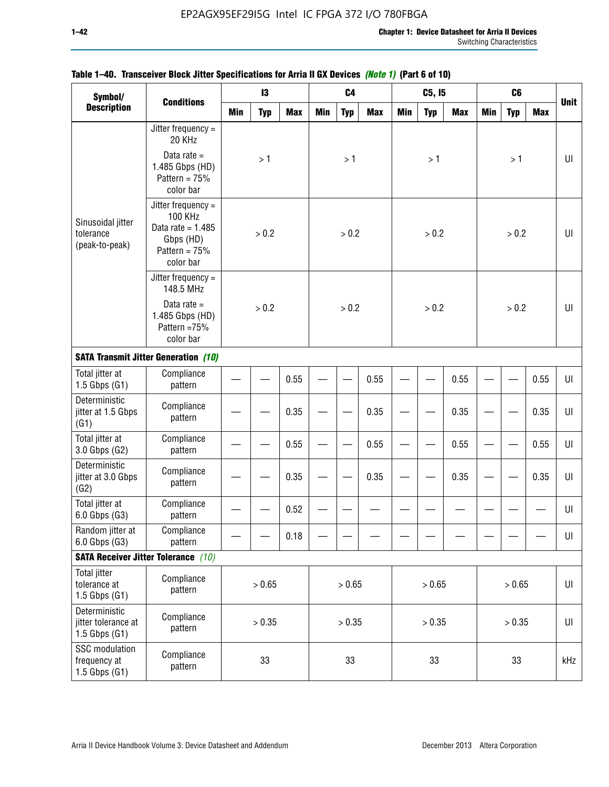| Symbol/<br><b>Conditions</b><br><b>Description</b>         |                                                                                                          |            | 13         |            |     | C <sub>4</sub> |            |            | C5, 15     |            |            | C <sub>6</sub> |            |                |
|------------------------------------------------------------|----------------------------------------------------------------------------------------------------------|------------|------------|------------|-----|----------------|------------|------------|------------|------------|------------|----------------|------------|----------------|
|                                                            |                                                                                                          | <b>Min</b> | <b>Typ</b> | <b>Max</b> | Min | <b>Typ</b>     | <b>Max</b> | <b>Min</b> | <b>Typ</b> | <b>Max</b> | <b>Min</b> | <b>Typ</b>     | <b>Max</b> | <b>Unit</b>    |
|                                                            | Jitter frequency =<br>20 KHz                                                                             |            |            |            |     |                |            |            |            |            |            |                |            |                |
|                                                            | Data rate $=$<br>1.485 Gbps (HD)<br>Pattern = $75%$<br>color bar                                         |            | >1         |            |     | >1             |            |            | >1         |            |            | >1             |            | UI             |
| Sinusoidal jitter<br>tolerance<br>(peak-to-peak)           | Jitter frequency =<br><b>100 KHz</b><br>Data rate = $1.485$<br>Gbps (HD)<br>Pattern = $75%$<br>color bar |            | > 0.2      |            |     | > 0.2          |            |            | > 0.2      |            |            | > 0.2          |            | $U\Gamma$      |
|                                                            | Jitter frequency =<br>148.5 MHz                                                                          |            |            |            |     |                |            |            |            |            |            |                |            |                |
|                                                            | Data rate $=$<br>1.485 Gbps (HD)<br>Pattern = 75%<br>color bar                                           |            | > 0.2      |            |     | > 0.2          |            |            | > 0.2      |            |            | > 0.2          |            | UI             |
|                                                            | <b>SATA Transmit Jitter Generation (10)</b>                                                              |            |            |            |     |                |            |            |            |            |            |                |            |                |
| Total jitter at<br>$1.5$ Gbps $(G1)$                       | Compliance<br>pattern                                                                                    |            | 0.55       |            |     |                | 0.55       |            |            | 0.55       |            |                | 0.55       | UI             |
| Deterministic<br>jitter at 1.5 Gbps<br>(G1)                | Compliance<br>pattern                                                                                    | 0.35       |            |            |     |                | 0.35       |            |            | 0.35       |            |                | 0.35       | $U\Gamma$      |
| Total jitter at<br>3.0 Gbps (G2)                           | Compliance<br>pattern                                                                                    |            |            | 0.55       |     |                | 0.55       |            |            | 0.55       |            |                | 0.55       | UI             |
| Deterministic<br>jitter at 3.0 Gbps<br>(G2)                | Compliance<br>pattern                                                                                    |            |            | 0.35       |     |                | 0.35       |            |            | 0.35       |            |                | 0.35       | $U\Gamma$      |
| Total jitter at<br>6.0 Gbps (G3)                           | Compliance<br>pattern                                                                                    |            |            | 0.52       |     |                |            |            |            |            |            |                |            | UI             |
| Random jitter at<br>6.0 Gbps (G3)                          | Compliance<br>pattern                                                                                    |            |            | 0.18       |     |                |            |            |            |            |            |                |            | UI             |
|                                                            | <b>SATA Receiver Jitter Tolerance</b> (10)                                                               |            |            |            |     |                |            |            |            |            |            |                |            |                |
| <b>Total jitter</b><br>tolerance at<br>$1.5$ Gbps $(G1)$   | Compliance<br>pattern                                                                                    | > 0.65     |            |            |     | > 0.65         |            |            | > 0.65     |            |            | > 0.65         |            | $\sf{U}\sf{I}$ |
| Deterministic<br>jitter tolerance at<br>$1.5$ Gbps $(G1)$  | Compliance<br>pattern                                                                                    | > 0.35     |            |            |     | > 0.35         |            |            | > 0.35     |            |            | > 0.35         |            | $\sf{U}\sf{I}$ |
| <b>SSC</b> modulation<br>frequency at<br>$1.5$ Gbps $(G1)$ | Compliance<br>pattern                                                                                    |            | 33         |            |     | 33             |            |            | 33         |            |            | 33             |            | kHz            |

## **Table 1–40. Transceiver Block Jitter Specifications for Arria II GX Devices** *(Note 1)* **(Part 6 of 10)**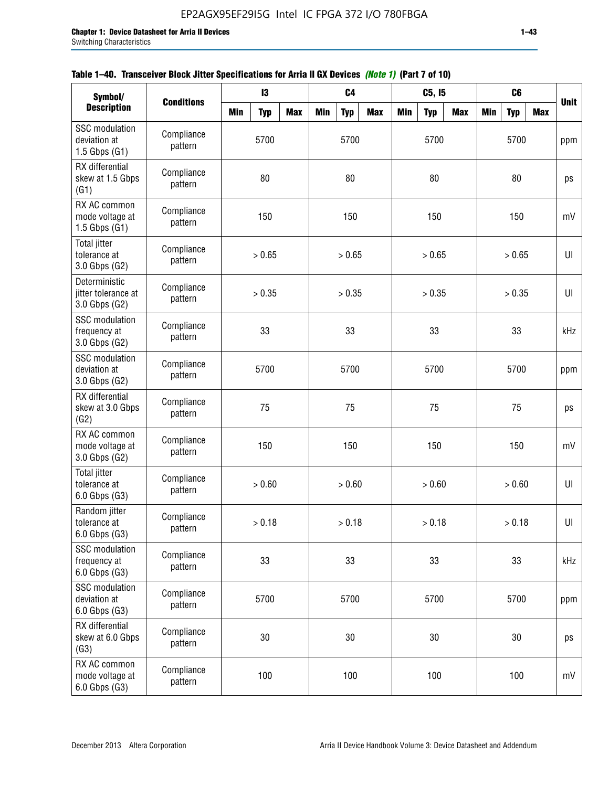| Symbol/                                                    |                       |            | 13         |            |            | C <sub>4</sub> |            |            | C5, 15     |            |            | C <sub>6</sub> |            |             |
|------------------------------------------------------------|-----------------------|------------|------------|------------|------------|----------------|------------|------------|------------|------------|------------|----------------|------------|-------------|
| <b>Description</b>                                         | <b>Conditions</b>     | <b>Min</b> | <b>Typ</b> | <b>Max</b> | <b>Min</b> | <b>Typ</b>     | <b>Max</b> | <b>Min</b> | <b>Typ</b> | <b>Max</b> | <b>Min</b> | <b>Typ</b>     | <b>Max</b> | <b>Unit</b> |
| <b>SSC</b> modulation<br>deviation at<br>$1.5$ Gbps $(G1)$ | Compliance<br>pattern |            | 5700       |            |            | 5700           |            |            | 5700       |            |            | 5700           |            | ppm         |
| RX differential<br>skew at 1.5 Gbps<br>(G1)                | Compliance<br>pattern |            | 80         |            |            | 80             |            |            | 80         |            |            | 80             |            | ps          |
| RX AC common<br>mode voltage at<br>1.5 Gbps $(G1)$         | Compliance<br>pattern |            | 150        |            |            | 150            |            |            | 150        |            |            | 150            |            | mV          |
| Total jitter<br>tolerance at<br>3.0 Gbps (G2)              | Compliance<br>pattern |            | > 0.65     |            |            | > 0.65         |            |            | > 0.65     |            |            | > 0.65         |            | UI          |
| Deterministic<br>jitter tolerance at<br>3.0 Gbps (G2)      | Compliance<br>pattern |            | > 0.35     |            |            | > 0.35         |            |            | > 0.35     |            |            | > 0.35         |            | UI          |
| <b>SSC</b> modulation<br>frequency at<br>3.0 Gbps (G2)     | Compliance<br>pattern |            | 33         |            |            | 33             |            |            | 33         |            |            | 33             |            | kHz         |
| <b>SSC</b> modulation<br>deviation at<br>3.0 Gbps (G2)     | Compliance<br>pattern |            | 5700       |            |            | 5700           |            |            | 5700       |            |            | 5700           |            | ppm         |
| RX differential<br>skew at 3.0 Gbps<br>(G2)                | Compliance<br>pattern |            | 75         |            |            | 75             |            |            | 75         |            |            | 75             |            | ps          |
| RX AC common<br>mode voltage at<br>3.0 Gbps (G2)           | Compliance<br>pattern |            | 150        |            |            | 150            |            |            | 150        |            |            | 150            |            | mV          |
| <b>Total jitter</b><br>tolerance at<br>6.0 Gbps (G3)       | Compliance<br>pattern |            | > 0.60     |            |            | > 0.60         |            |            | > 0.60     |            |            | > 0.60         |            | UI          |
| Random jitter<br>tolerance at<br>6.0 Gbps (G3)             | Compliance<br>pattern |            | > 0.18     |            |            | > 0.18         |            |            | > 0.18     |            |            | > 0.18         |            | UI          |
| <b>SSC</b> modulation<br>frequency at<br>6.0 Gbps (G3)     | Compliance<br>pattern |            | 33         |            |            | 33             |            |            | 33         |            |            | 33             |            | kHz         |
| <b>SSC</b> modulation<br>deviation at<br>6.0 Gbps (G3)     | Compliance<br>pattern | 5700       |            |            |            | 5700           |            |            | 5700       |            |            | 5700           |            | ppm         |
| RX differential<br>skew at 6.0 Gbps<br>(G3)                | Compliance<br>pattern | 30         |            |            |            | 30             |            |            | $30\,$     |            |            | 30             |            | ps          |
| RX AC common<br>mode voltage at<br>6.0 Gbps (G3)           | Compliance<br>pattern |            | 100        |            |            | 100            |            |            | 100        |            |            | 100            |            | mV          |

| Table 1–40. Transceiver Block Jitter Specifications for Arria II GX Devices (Note 1) (Part 7 of 10) |
|-----------------------------------------------------------------------------------------------------|
|-----------------------------------------------------------------------------------------------------|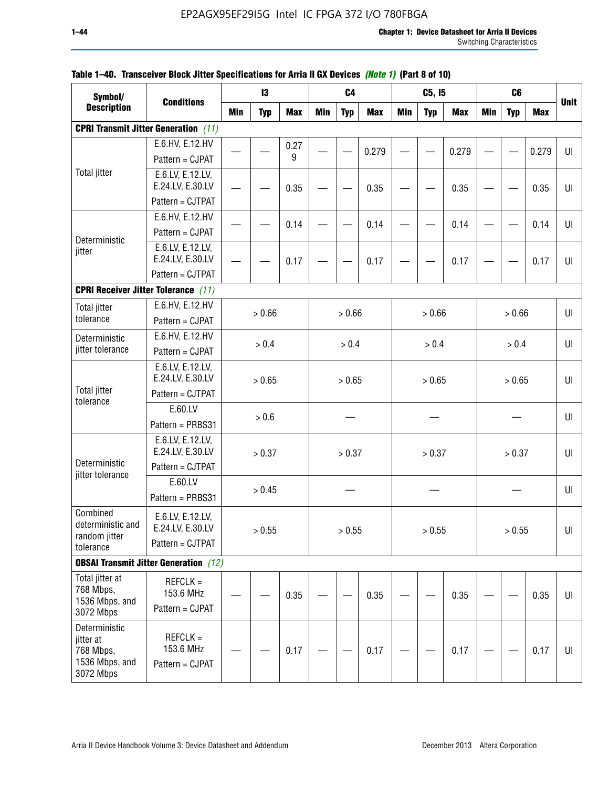| Symbol/                                                                |                                                          |            | 13         |            |     | C <sub>4</sub> |            |            | C5, I5     |            |            | C <sub>6</sub> |            |             |
|------------------------------------------------------------------------|----------------------------------------------------------|------------|------------|------------|-----|----------------|------------|------------|------------|------------|------------|----------------|------------|-------------|
| <b>Description</b>                                                     | <b>Conditions</b>                                        | <b>Min</b> | <b>Typ</b> | <b>Max</b> | Min | <b>Typ</b>     | <b>Max</b> | <b>Min</b> | <b>Typ</b> | <b>Max</b> | <b>Min</b> | <b>Typ</b>     | <b>Max</b> | <b>Unit</b> |
|                                                                        | <b>CPRI Transmit Jitter Generation</b> (11)              |            |            |            |     |                |            |            |            |            |            |                |            |             |
|                                                                        | E.6.HV, E.12.HV                                          |            |            | 0.27       |     |                |            |            |            |            |            |                |            |             |
|                                                                        | Pattern = CJPAT                                          |            |            | 9          |     |                | 0.279      |            |            | 0.279      |            |                | 0.279      | $U\vert$    |
| <b>Total jitter</b>                                                    | E.6.LV, E.12.LV,                                         |            |            |            |     |                |            |            |            |            |            |                |            |             |
|                                                                        | E.24.LV, E.30.LV                                         |            |            | 0.35       |     |                | 0.35       |            |            | 0.35       |            |                | 0.35       | UI          |
|                                                                        | Pattern = CJTPAT                                         |            |            |            |     |                |            |            |            |            |            |                |            |             |
|                                                                        | E.6.HV, E.12.HV                                          |            |            | 0.14       |     |                | 0.14       |            |            | 0.14       |            |                | 0.14       | UI          |
| Deterministic                                                          | Pattern = CJPAT                                          |            |            |            |     |                |            |            |            |            |            |                |            |             |
| jitter                                                                 | E.6.LV, E.12.LV,<br>E.24.LV, E.30.LV                     |            |            | 0.17       |     |                | 0.17       |            |            | 0.17       |            |                | 0.17       | UI          |
|                                                                        | Pattern = CJTPAT                                         |            |            |            |     |                |            |            |            |            |            |                |            |             |
|                                                                        | <b>CPRI Receiver Jitter Tolerance</b> (11)               |            |            |            |     |                |            |            |            |            |            |                |            |             |
| <b>Total jitter</b>                                                    | E.6.HV, E.12.HV                                          |            |            |            |     |                |            |            |            |            |            |                |            | UI          |
| tolerance                                                              | Pattern = CJPAT                                          |            | > 0.66     |            |     | > 0.66         |            |            | > 0.66     |            |            | > 0.66         |            |             |
| Deterministic                                                          | E.6.HV, E.12.HV                                          |            |            |            |     | > 0.4          |            |            | > 0.4      |            |            | > 0.4          |            | U           |
| jitter tolerance                                                       | Pattern = CJPAT                                          | > 0.4      |            |            |     |                |            |            |            |            |            |                |            |             |
|                                                                        | E.6.LV, E.12.LV,<br>E.24.LV, E.30.LV                     |            | > 0.65     |            |     | > 0.65         |            |            | > 0.65     |            |            | > 0.65         |            | UI          |
| <b>Total jitter</b>                                                    | Pattern = CJTPAT                                         |            |            |            |     |                |            |            |            |            |            |                |            |             |
| tolerance                                                              | E.60.LV                                                  |            |            |            |     |                |            |            |            |            |            |                |            |             |
|                                                                        | Pattern = PRBS31                                         |            | > 0.6      |            |     |                |            |            |            |            |            |                |            | UI          |
|                                                                        | E.6.LV, E.12.LV,<br>E.24.LV, E.30.LV                     |            | > 0.37     |            |     | > 0.37         |            |            | > 0.37     |            |            | > 0.37         |            | UI          |
| Deterministic<br>jitter tolerance                                      | Pattern = CJTPAT                                         |            |            |            |     |                |            |            |            |            |            |                |            |             |
|                                                                        | E.60.LV<br>Pattern = PRBS31                              |            | > 0.45     |            |     |                |            |            |            |            |            |                |            | UI          |
| Combined<br>deterministic and<br>random jitter<br>tolerance            | E.6.LV, E.12.LV,<br>E.24.LV, E.30.LV<br>Pattern = CJTPAT |            | > 0.55     |            |     | > 0.55         |            |            | > 0.55     |            |            | > 0.55         |            | UI          |
|                                                                        | <b>OBSAI Transmit Jitter Generation</b> (12)             |            |            |            |     |                |            |            |            |            |            |                |            |             |
| Total jitter at<br>768 Mbps,<br>1536 Mbps, and<br>3072 Mbps            | $REFCLK =$<br>153.6 MHz<br>Pattern = CJPAT               |            |            | 0.35       |     |                | 0.35       |            |            | 0.35       |            |                | 0.35       | UI          |
| Deterministic<br>jitter at<br>768 Mbps,<br>1536 Mbps, and<br>3072 Mbps | $REFCLK =$<br>153.6 MHz<br>Pattern = CJPAT               |            |            | 0.17       |     |                | 0.17       |            |            | 0.17       |            |                | 0.17       | UI          |

## **Table 1–40. Transceiver Block Jitter Specifications for Arria II GX Devices** *(Note 1)* **(Part 8 of 10)**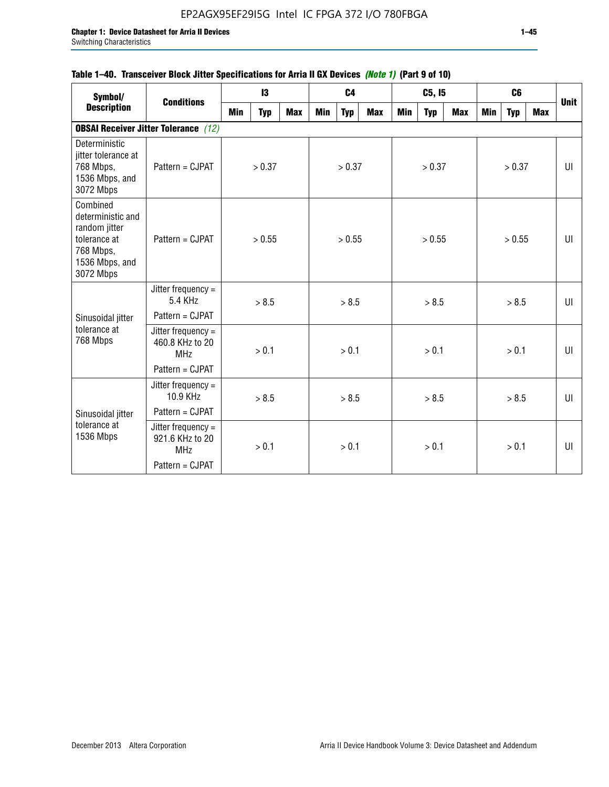## **Table 1–40. Transceiver Block Jitter Specifications for Arria II GX Devices** *(Note 1)* **(Part 9 of 10)**

| Symbol/                                                                                                    | <b>Conditions</b>                                   |     | $\mathbf{13}$ |            |     | C <sub>4</sub> |     |     | C5, I5     |     |     | C <sub>6</sub> |     | <b>Unit</b> |
|------------------------------------------------------------------------------------------------------------|-----------------------------------------------------|-----|---------------|------------|-----|----------------|-----|-----|------------|-----|-----|----------------|-----|-------------|
| <b>Description</b>                                                                                         |                                                     | Min | <b>Typ</b>    | <b>Max</b> | Min | <b>Typ</b>     | Max | Min | <b>Typ</b> | Max | Min | <b>Typ</b>     | Max |             |
|                                                                                                            | <b>OBSAI Receiver Jitter Tolerance</b> (12)         |     |               |            |     |                |     |     |            |     |     |                |     |             |
| Deterministic<br>jitter tolerance at<br>768 Mbps,<br>1536 Mbps, and<br>3072 Mbps                           | Pattern = CJPAT                                     |     | > 0.37        |            |     | > 0.37         |     |     | > 0.37     |     |     | > 0.37         |     | UI          |
| Combined<br>deterministic and<br>random jitter<br>tolerance at<br>768 Mbps,<br>1536 Mbps, and<br>3072 Mbps | Pattern = CJPAT                                     |     | > 0.55        |            |     | > 0.55         |     |     | > 0.55     |     |     | > 0.55         |     | UI          |
|                                                                                                            | Jitter frequency $=$<br>5.4 KHz                     |     | > 8.5         |            |     | > 8.5          |     |     | > 8.5      |     |     | > 8.5          |     | UI          |
| Sinusoidal jitter                                                                                          | Pattern = CJPAT                                     |     |               |            |     |                |     |     |            |     |     |                |     |             |
| tolerance at<br>768 Mbps                                                                                   | Jitter frequency =<br>460.8 KHz to 20<br><b>MHz</b> |     | > 0.1         |            |     | > 0.1          |     |     | > 0.1      |     |     | > 0.1          |     | UI          |
|                                                                                                            | Pattern = CJPAT                                     |     |               |            |     |                |     |     |            |     |     |                |     |             |
|                                                                                                            | Jitter frequency =<br>10.9 KHz                      |     | > 8.5         |            |     | > 8.5          |     |     | > 8.5      |     |     | > 8.5          |     | UI          |
| Sinusoidal jitter                                                                                          | Pattern = CJPAT                                     |     |               |            |     |                |     |     |            |     |     |                |     |             |
| tolerance at<br>1536 Mbps                                                                                  | Jitter frequency =<br>921.6 KHz to 20<br><b>MHz</b> |     | > 0.1         |            |     | > 0.1          |     |     | > 0.1      |     |     | > 0.1          |     | UI          |
|                                                                                                            | Pattern = CJPAT                                     |     |               |            |     |                |     |     |            |     |     |                |     |             |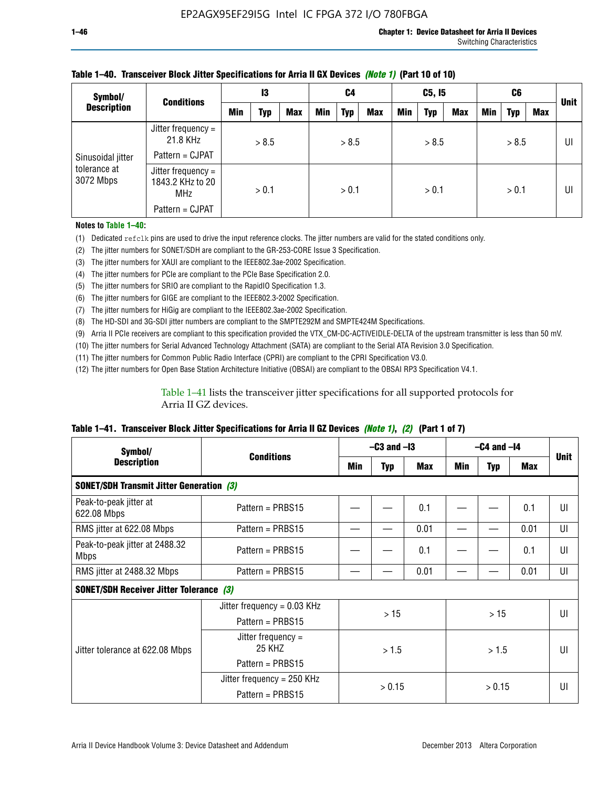| Symbol/                                        | <b>Conditions</b>                                      | 13  |       | C4         |            | C5, I5     |            |     | C6         |            |     | <b>Unit</b> |     |    |
|------------------------------------------------|--------------------------------------------------------|-----|-------|------------|------------|------------|------------|-----|------------|------------|-----|-------------|-----|----|
| <b>Description</b>                             |                                                        | Min | Typ   | <b>Max</b> | <b>Min</b> | <b>Typ</b> | <b>Max</b> | Min | <b>Typ</b> | <b>Max</b> | Min | <b>Typ</b>  | Max |    |
| Sinusoidal jitter<br>tolerance at<br>3072 Mbps | Jitter frequency =<br>21.8 KHz                         |     | > 8.5 |            |            | > 8.5      |            |     | > 8.5      |            |     | > 8.5       |     | UI |
|                                                | Pattern = CJPAT                                        |     |       |            |            |            |            |     |            |            |     |             |     |    |
|                                                | Jitter frequency $=$<br>1843.2 KHz to 20<br><b>MHz</b> |     | > 0.1 |            |            | > 0.1      |            |     | > 0.1      |            |     | > 0.1       |     | UI |
|                                                | Pattern = CJPAT                                        |     |       |            |            |            |            |     |            |            |     |             |     |    |

### **Table 1–40. Transceiver Block Jitter Specifications for Arria II GX Devices** *(Note 1)* **(Part 10 of 10)**

**Notes to Table 1–40:**

(1) Dedicated refclk pins are used to drive the input reference clocks. The jitter numbers are valid for the stated conditions only.

(2) The jitter numbers for SONET/SDH are compliant to the GR-253-CORE Issue 3 Specification.

(3) The jitter numbers for XAUI are compliant to the IEEE802.3ae-2002 Specification.

(4) The jitter numbers for PCIe are compliant to the PCIe Base Specification 2.0.

(5) The jitter numbers for SRIO are compliant to the RapidIO Specification 1.3.

(6) The jitter numbers for GIGE are compliant to the IEEE802.3-2002 Specification.

(7) The jitter numbers for HiGig are compliant to the IEEE802.3ae-2002 Specification.

(8) The HD-SDI and 3G-SDI jitter numbers are compliant to the SMPTE292M and SMPTE424M Specifications.

(9) Arria II PCIe receivers are compliant to this specification provided the VTX\_CM-DC-ACTIVEIDLE-DELTA of the upstream transmitter is less than 50 mV.

(10) The jitter numbers for Serial Advanced Technology Attachment (SATA) are compliant to the Serial ATA Revision 3.0 Specification.

(11) The jitter numbers for Common Public Radio Interface (CPRI) are compliant to the CPRI Specification V3.0.

(12) The jitter numbers for Open Base Station Architecture Initiative (OBSAI) are compliant to the OBSAI RP3 Specification V4.1.

Table 1–41 lists the transceiver jitter specifications for all supported protocols for Arria II GZ devices.

#### **Table 1–41. Transceiver Block Jitter Specifications for Arria II GZ Devices** *(Note 1)***,** *(2)* **(Part 1 of 7)**

| Symbol/                                         |                                |     | $-C3$ and $-I3$ |            |       | $-C4$ and $-I4$ |      |             |  |
|-------------------------------------------------|--------------------------------|-----|-----------------|------------|-------|-----------------|------|-------------|--|
| <b>Description</b>                              | <b>Conditions</b>              | Min | <b>Typ</b>      | <b>Max</b> | Min   | <b>Typ</b>      | Max  | <b>Unit</b> |  |
| <b>SONET/SDH Transmit Jitter Generation (3)</b> |                                |     |                 |            |       |                 |      |             |  |
| Peak-to-peak jitter at<br>622.08 Mbps           | Pattern = $PRBS15$             |     |                 | 0.1        |       |                 | 0.1  | UI          |  |
| RMS jitter at 622.08 Mbps                       | Pattern = PRBS15               |     |                 | 0.01       |       |                 | 0.01 | UI          |  |
| Peak-to-peak jitter at 2488.32<br><b>Mbps</b>   | Pattern = $PRBS15$             |     |                 | 0.1        |       |                 | 0.1  | UI          |  |
| RMS jitter at 2488.32 Mbps                      | Pattern = PRBS15               |     |                 | 0.01       |       |                 | 0.01 | UI          |  |
| <b>SONET/SDH Receiver Jitter Tolerance (3)</b>  |                                |     |                 |            |       |                 |      |             |  |
|                                                 | Jitter frequency = $0.03$ KHz  |     | >15             |            |       | >15             |      | UI          |  |
|                                                 | Pattern = $PRBS15$             |     |                 |            |       |                 |      |             |  |
| Jitter tolerance at 622.08 Mbps                 | Jitter frequency $=$<br>25 KHZ |     | > 1.5           |            | > 1.5 |                 |      | UI          |  |
|                                                 | Pattern = PRBS15               |     |                 |            |       |                 |      |             |  |
|                                                 | Jitter frequency = 250 KHz     |     | > 0.15          |            |       |                 |      | UI          |  |
|                                                 | Pattern = PRBS15               |     |                 |            |       | > 0.15          |      |             |  |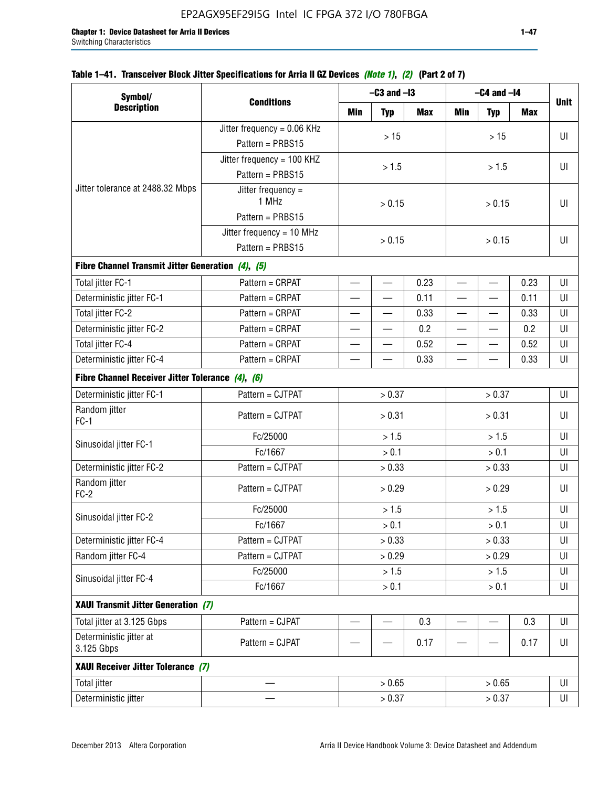| Symbol/                                           |                               |                          | $-C3$ and $-I3$          |            |                          | $-C4$ and $-I4$          |            |             |
|---------------------------------------------------|-------------------------------|--------------------------|--------------------------|------------|--------------------------|--------------------------|------------|-------------|
| <b>Description</b>                                | <b>Conditions</b>             | Min                      | <b>Typ</b>               | <b>Max</b> | <b>Min</b>               | <b>Typ</b>               | <b>Max</b> | <b>Unit</b> |
|                                                   | Jitter frequency = $0.06$ KHz |                          |                          |            |                          |                          |            |             |
|                                                   | Pattern = PRBS15              |                          | $>15$                    |            |                          | $>15$                    |            | UI          |
|                                                   | Jitter frequency = 100 KHZ    |                          |                          |            |                          |                          |            |             |
|                                                   | Pattern = PRBS15              |                          | > 1.5                    |            |                          | > 1.5                    |            | UI          |
| Jitter tolerance at 2488.32 Mbps                  | Jitter frequency =<br>1 MHz   |                          | > 0.15                   |            | > 0.15                   |                          |            | UI          |
|                                                   | Pattern = PRBS15              |                          |                          |            |                          |                          |            |             |
|                                                   | Jitter frequency = 10 MHz     |                          | > 0.15                   |            |                          | > 0.15                   |            | UI          |
|                                                   | Pattern = PRBS15              |                          |                          |            |                          |                          |            |             |
| Fibre Channel Transmit Jitter Generation (4), (5) |                               |                          |                          |            |                          |                          |            |             |
| Total jitter FC-1                                 | Pattern = CRPAT               | $\overline{\phantom{0}}$ | $\overline{\phantom{0}}$ | 0.23       | $\overline{\phantom{0}}$ |                          | 0.23       | UI          |
| Deterministic jitter FC-1                         | Pattern = CRPAT               |                          |                          | 0.11       |                          |                          | 0.11       | UI          |
| Total jitter FC-2                                 | Pattern = CRPAT               |                          |                          | 0.33       | $\overline{\phantom{0}}$ |                          | 0.33       | UI          |
| Deterministic jitter FC-2                         | Pattern = CRPAT               | $\overline{\phantom{0}}$ | $\overline{\phantom{0}}$ | 0.2        | $\overline{\phantom{0}}$ | $\overline{\phantom{0}}$ | 0.2        | UI          |
| Total jitter FC-4                                 | Pattern = CRPAT               | $\overline{\phantom{0}}$ | $\overline{\phantom{0}}$ | 0.52       | $\overline{\phantom{0}}$ | $\overline{\phantom{0}}$ | 0.52       | UI          |
| Deterministic jitter FC-4                         | Pattern = CRPAT               | 0.33                     |                          |            |                          | 0.33                     | UI         |             |
| Fibre Channel Receiver Jitter Tolerance (4), (6)  |                               |                          |                          |            |                          |                          |            |             |
| Deterministic jitter FC-1                         | Pattern = CJTPAT              | > 0.37                   |                          |            | > 0.37                   |                          | UI         |             |
| Random jitter<br>$FC-1$                           | Pattern = CJTPAT              |                          | > 0.31                   |            | > 0.31                   |                          |            | UI          |
| Sinusoidal jitter FC-1                            | Fc/25000                      | > 1.5                    |                          | > 1.5      |                          |                          | UI         |             |
|                                                   | Fc/1667                       |                          | > 0.1                    |            |                          | > 0.1                    |            | UI          |
| Deterministic jitter FC-2                         | Pattern = CJTPAT              |                          | > 0.33                   |            |                          | > 0.33                   |            | UI          |
| Random jitter<br>$FC-2$                           | Pattern = CJTPAT              |                          | > 0.29                   |            |                          | > 0.29                   |            | UI          |
|                                                   | Fc/25000                      |                          | > 1.5                    |            |                          | > 1.5                    |            | UI          |
| Sinusoidal jitter FC-2                            | Fc/1667                       |                          | > 0.1                    |            |                          | $> 0.1$                  |            | UI          |
| Deterministic jitter FC-4                         | Pattern = CJTPAT              |                          | > 0.33                   |            |                          | > 0.33                   |            | UI          |
| Random jitter FC-4                                | Pattern = CJTPAT              |                          | > 0.29                   |            |                          | > 0.29                   |            | UI          |
| Sinusoidal jitter FC-4                            | Fc/25000                      |                          | > 1.5                    |            |                          | >1.5                     |            | UI          |
|                                                   | Fc/1667                       |                          | > 0.1                    |            |                          | > 0.1                    |            | UI          |
| XAUI Transmit Jitter Generation (7)               |                               |                          |                          |            |                          |                          |            |             |
| Total jitter at 3.125 Gbps                        | Pattern = CJPAT               |                          |                          | 0.3        |                          |                          | 0.3        | UI          |
| Deterministic jitter at<br>3.125 Gbps             | Pattern = CJPAT               |                          |                          | 0.17       |                          |                          | 0.17       | UI          |
| XAUI Receiver Jitter Tolerance (7)                |                               |                          |                          |            |                          |                          |            |             |
| <b>Total jitter</b>                               |                               |                          | > 0.65                   |            |                          | > 0.65                   |            | U           |
| Deterministic jitter                              |                               |                          | > 0.37                   |            |                          | > 0.37                   |            | UI          |

## **Table 1–41. Transceiver Block Jitter Specifications for Arria II GZ Devices** *(Note 1)***,** *(2)* **(Part 2 of 7)**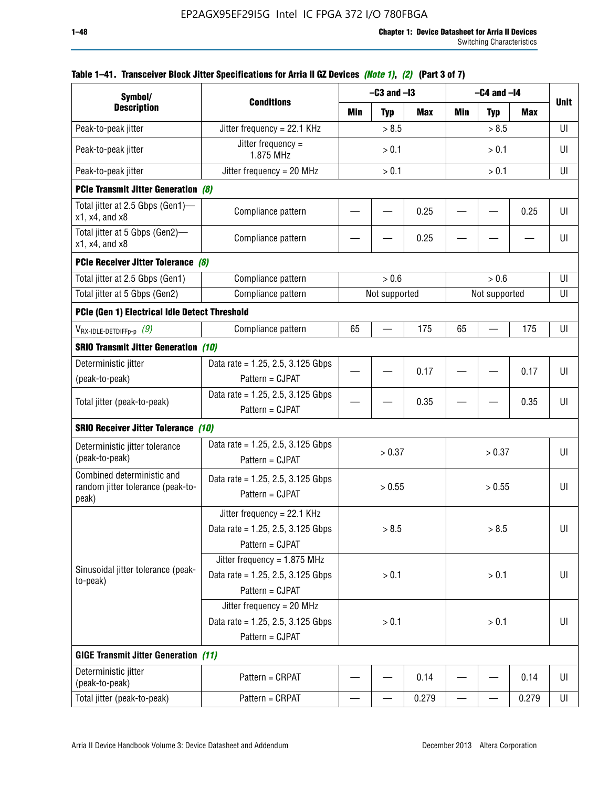| Symbol/                                                                       |                                                                                           |                                | $-C3$ and $-I3$ |            |     | $-C4$ and $-I4$ |            |             |
|-------------------------------------------------------------------------------|-------------------------------------------------------------------------------------------|--------------------------------|-----------------|------------|-----|-----------------|------------|-------------|
| <b>Description</b>                                                            | <b>Conditions</b>                                                                         | Min                            | <b>Typ</b>      | <b>Max</b> | Min | <b>Typ</b>      | <b>Max</b> | <b>Unit</b> |
| Peak-to-peak jitter                                                           | Jitter frequency = 22.1 KHz                                                               |                                | > 8.5           |            |     | > 8.5           |            | UI          |
| Peak-to-peak jitter                                                           | Jitter frequency =<br>1.875 MHz                                                           |                                | > 0.1           |            |     | > 0.1           |            | UI          |
| Peak-to-peak jitter                                                           | Jitter frequency = $20$ MHz                                                               |                                | > 0.1           |            |     | > 0.1           |            | UI          |
| <b>PCIe Transmit Jitter Generation (8)</b>                                    |                                                                                           |                                |                 |            |     |                 |            |             |
| Total jitter at 2.5 Gbps (Gen1)—<br>$x1$ , $x4$ , and $x8$                    | Compliance pattern                                                                        |                                |                 | 0.25       |     |                 | 0.25       | UI          |
| Total jitter at 5 Gbps (Gen2)-<br>x1, x4, and x8                              | Compliance pattern                                                                        |                                |                 | 0.25       |     |                 |            | UI          |
| PCIe Receiver Jitter Tolerance (8)                                            |                                                                                           |                                |                 |            |     |                 |            |             |
| Total jitter at 2.5 Gbps (Gen1)                                               | Compliance pattern                                                                        |                                | > 0.6           |            |     | > 0.6           |            | UI          |
| Total jitter at 5 Gbps (Gen2)                                                 | Compliance pattern                                                                        | Not supported<br>Not supported |                 |            |     |                 | UI         |             |
| PCIe (Gen 1) Electrical Idle Detect Threshold                                 |                                                                                           |                                |                 |            |     |                 |            |             |
| $V_{\mathsf{RX}\text{-}\mathsf{IDLE}\text{-}\mathsf{DETDIFFp\text{-}p}$ $(9)$ | Compliance pattern                                                                        | 65                             |                 | 175        | 65  |                 | 175        | UI          |
| <b>SRIO Transmit Jitter Generation (10)</b>                                   |                                                                                           |                                |                 |            |     |                 |            |             |
| Deterministic jitter                                                          | Data rate = 1.25, 2.5, 3.125 Gbps                                                         |                                |                 | 0.17       |     |                 | 0.17       | UI          |
| (peak-to-peak)                                                                | Pattern = CJPAT                                                                           |                                |                 |            |     |                 |            |             |
| Total jitter (peak-to-peak)                                                   | Data rate = $1.25$ , 2.5, 3.125 Gbps<br>Pattern = CJPAT                                   |                                |                 | 0.35       |     |                 | 0.35       | U           |
| <b>SRIO Receiver Jitter Tolerance (10)</b>                                    |                                                                                           |                                |                 |            |     |                 |            |             |
| Deterministic jitter tolerance<br>(peak-to-peak)                              | Data rate = $1.25$ , 2.5, 3.125 Gbps<br>Pattern = CJPAT                                   |                                | > 0.37          |            |     | > 0.37          |            | UI          |
| Combined deterministic and<br>random jitter tolerance (peak-to-<br>peak)      | Data rate = $1.25$ , 2.5, 3.125 Gbps<br>Pattern = CJPAT                                   |                                | > 0.55          |            |     | > 0.55          |            | UI          |
|                                                                               | Jitter frequency = 22.1 KHz<br>Data rate = $1.25$ , 2.5, 3.125 Gbps<br>Pattern = CJPAT    |                                | > 8.5           |            |     | > 8.5           |            | UI          |
| Sinusoidal jitter tolerance (peak-<br>to-peak)                                | Jitter frequency = $1.875$ MHz<br>Data rate = $1.25$ , 2.5, 3.125 Gbps<br>Pattern = CJPAT |                                | > 0.1           |            |     | > 0.1           |            | UI          |
|                                                                               | Jitter frequency = $20$ MHz<br>Data rate = 1.25, 2.5, 3.125 Gbps<br>Pattern = CJPAT       | > 0.1<br>> 0.1                 |                 |            |     | UI              |            |             |
| <b>GIGE Transmit Jitter Generation (11)</b>                                   |                                                                                           |                                |                 |            |     |                 |            |             |
| Deterministic jitter<br>(peak-to-peak)                                        | Pattern = CRPAT                                                                           |                                |                 | 0.14       |     |                 | 0.14       | UI          |
| Total jitter (peak-to-peak)                                                   | Pattern = CRPAT                                                                           |                                |                 | 0.279      |     |                 | 0.279      | UI          |

## **Table 1–41. Transceiver Block Jitter Specifications for Arria II GZ Devices** *(Note 1)***,** *(2)* **(Part 3 of 7)**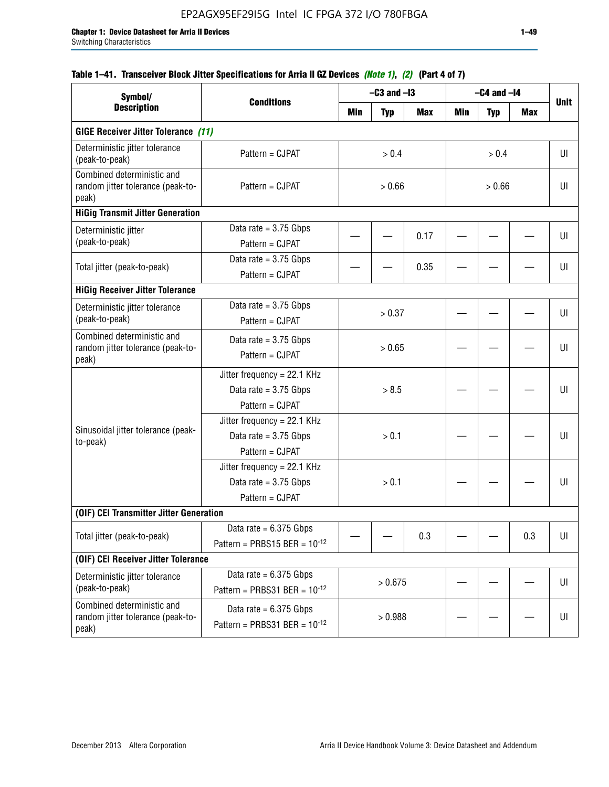## **Table 1–41. Transceiver Block Jitter Specifications for Arria II GZ Devices** *(Note 1)***,** *(2)* **(Part 4 of 7)**

| Symbol/                                                                  |                                                                             |        | $-C3$ and $-I3$ |            |        | $-C4$ and $-I4$ |     |             |
|--------------------------------------------------------------------------|-----------------------------------------------------------------------------|--------|-----------------|------------|--------|-----------------|-----|-------------|
| <b>Description</b>                                                       | <b>Conditions</b>                                                           | Min    | <b>Typ</b>      | <b>Max</b> | Min    | <b>Typ</b>      | Max | <b>Unit</b> |
| <b>GIGE Receiver Jitter Tolerance (11)</b>                               |                                                                             |        |                 |            |        |                 |     |             |
| Deterministic jitter tolerance<br>(peak-to-peak)                         | Pattern = CJPAT                                                             |        | > 0.4           |            |        | > 0.4           |     | UI          |
| Combined deterministic and<br>random jitter tolerance (peak-to-<br>peak) | Pattern = CJPAT                                                             | > 0.66 |                 |            | > 0.66 |                 |     | UI          |
| <b>HiGig Transmit Jitter Generation</b>                                  |                                                                             |        |                 |            |        |                 |     |             |
| Deterministic jitter<br>(peak-to-peak)                                   | Data rate = $3.75$ Gbps<br>Pattern = CJPAT                                  |        |                 | 0.17       |        |                 |     | UI          |
| Total jitter (peak-to-peak)                                              | Data rate = $3.75$ Gbps<br>Pattern = CJPAT                                  |        |                 | 0.35       |        |                 |     | UI          |
| <b>HiGig Receiver Jitter Tolerance</b>                                   |                                                                             |        |                 |            |        |                 |     |             |
| Deterministic jitter tolerance<br>(peak-to-peak)                         | Data rate = $3.75$ Gbps<br>Pattern = CJPAT                                  |        | > 0.37          |            |        |                 |     | UI          |
| Combined deterministic and<br>random jitter tolerance (peak-to-<br>peak) | Data rate = $3.75$ Gbps<br>Pattern = CJPAT                                  | > 0.65 |                 |            |        |                 |     | UI          |
|                                                                          | Jitter frequency = 22.1 KHz<br>Data rate = $3.75$ Gbps<br>Pattern = CJPAT   | > 8.5  |                 |            |        |                 | UI  |             |
| Sinusoidal jitter tolerance (peak-<br>to-peak)                           | Jitter frequency = $22.1$ KHz<br>Data rate = $3.75$ Gbps<br>Pattern = CJPAT | > 0.1  |                 |            |        |                 | UI  |             |
|                                                                          | Jitter frequency = 22.1 KHz<br>Data rate = $3.75$ Gbps<br>Pattern = CJPAT   |        | > 0.1           |            |        |                 |     | UI          |
| (OIF) CEI Transmitter Jitter Generation                                  |                                                                             |        |                 |            |        |                 |     |             |
| Total jitter (peak-to-peak)                                              | Data rate $= 6.375$ Gbps<br>Pattern = PRBS15 BER = $10^{-12}$               |        |                 | 0.3        |        |                 | 0.3 | UI          |
| (OIF) CEI Receiver Jitter Tolerance                                      |                                                                             |        |                 |            |        |                 |     |             |
| Deterministic jitter tolerance<br>(peak-to-peak)                         | Data rate = $6.375$ Gbps<br>Pattern = PRBS31 BER = $10^{-12}$               |        | > 0.675         |            |        |                 |     | U           |
| Combined deterministic and<br>random jitter tolerance (peak-to-<br>peak) | Data rate = $6.375$ Gbps<br>Pattern = PRBS31 BER = $10^{-12}$               |        | > 0.988         |            |        |                 |     | U           |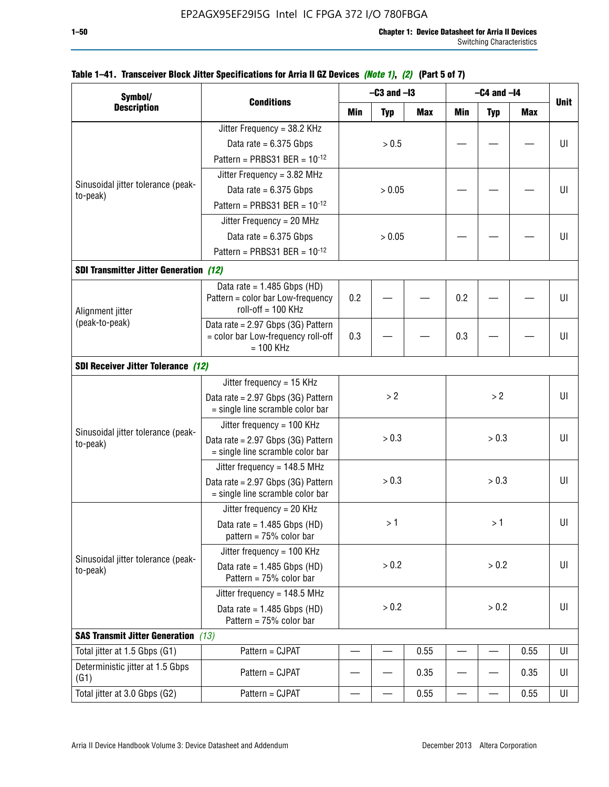| Symbol/                                        |                                                                        |       | $-C3$ and $-I3$ |            |            | $-C4$ and $-I4$ |            |             |
|------------------------------------------------|------------------------------------------------------------------------|-------|-----------------|------------|------------|-----------------|------------|-------------|
| <b>Description</b>                             | <b>Conditions</b>                                                      | Min   | <b>Typ</b>      | <b>Max</b> | <b>Min</b> | <b>Typ</b>      | <b>Max</b> | <b>Unit</b> |
|                                                | Jitter Frequency = 38.2 KHz                                            |       |                 |            |            |                 |            |             |
|                                                | Data rate = $6.375$ Gbps                                               |       | > 0.5           |            |            |                 |            | UI          |
|                                                | Pattern = PRBS31 BER = $10^{-12}$                                      |       |                 |            |            |                 |            |             |
|                                                | Jitter Frequency = $3.82$ MHz                                          |       |                 |            |            |                 |            |             |
| Sinusoidal jitter tolerance (peak-<br>to-peak) | Data rate = $6.375$ Gbps                                               |       | > 0.05          |            |            |                 |            | UI          |
|                                                | Pattern = PRBS31 BER = $10^{-12}$                                      |       |                 |            |            |                 |            |             |
|                                                | Jitter Frequency = 20 MHz                                              |       |                 |            |            |                 |            |             |
|                                                | Data rate = $6.375$ Gbps                                               |       | > 0.05          |            |            |                 |            | UI          |
|                                                | Pattern = PRBS31 BER = $10^{-12}$                                      |       |                 |            |            |                 |            |             |
| <b>SDI Transmitter Jitter Generation (12)</b>  |                                                                        |       |                 |            |            |                 |            |             |
|                                                | Data rate = $1.485$ Gbps (HD)                                          |       |                 |            |            |                 |            |             |
| Alignment jitter                               | Pattern = color bar Low-frequency<br>$roll-off = 100 KHz$              | 0.2   |                 |            | 0.2        |                 |            | UI          |
| (peak-to-peak)                                 | Data rate = 2.97 Gbps (3G) Pattern                                     |       |                 |            |            |                 |            |             |
|                                                | = color bar Low-frequency roll-off<br>$= 100$ KHz                      | 0.3   |                 | 0.3        |            |                 | UI         |             |
| <b>SDI Receiver Jitter Tolerance (12)</b>      |                                                                        |       |                 |            |            |                 |            |             |
|                                                | Jitter frequency = 15 KHz                                              |       |                 |            |            |                 |            |             |
|                                                | Data rate = 2.97 Gbps (3G) Pattern<br>= single line scramble color bar | > 2   |                 |            |            | >2              |            | UI          |
|                                                | Jitter frequency = $100$ KHz                                           |       |                 |            |            |                 |            |             |
| Sinusoidal jitter tolerance (peak-<br>to-peak) | Data rate = 2.97 Gbps (3G) Pattern<br>= single line scramble color bar | > 0.3 |                 |            | > 0.3      |                 |            | UI          |
|                                                | Jitter frequency = $148.5$ MHz                                         |       |                 |            |            |                 |            |             |
|                                                | Data rate = 2.97 Gbps (3G) Pattern<br>= single line scramble color bar |       | > 0.3           |            |            | > 0.3           |            | UI          |
|                                                | Jitter frequency = $20$ KHz                                            |       |                 |            |            |                 |            |             |
|                                                | Data rate = $1.485$ Gbps (HD)<br>pattern = $75%$ color bar             |       | >1              |            |            | >1              |            | UI          |
|                                                | Jitter frequency = 100 KHz                                             |       |                 |            |            |                 |            |             |
| Sinusoidal jitter tolerance (peak-<br>to-peak) | Data rate = $1.485$ Gbps (HD)<br>Pattern = 75% color bar               |       | > 0.2           |            |            | > 0.2           |            | UI          |
|                                                | Jitter frequency = 148.5 MHz                                           |       |                 |            |            |                 |            |             |
|                                                | Data rate = $1.485$ Gbps (HD)<br>Pattern = 75% color bar               | > 0.2 |                 | > 0.2      |            |                 | UI         |             |
| <b>SAS Transmit Jitter Generation</b> (13)     |                                                                        |       |                 |            |            |                 |            |             |
| Total jitter at 1.5 Gbps (G1)                  | Pattern = CJPAT                                                        |       |                 | 0.55       |            |                 | 0.55       | UI          |
| Deterministic jitter at 1.5 Gbps<br>(G1)       | Pattern = CJPAT                                                        |       |                 | 0.35       |            |                 | 0.35       | UI          |
| Total jitter at 3.0 Gbps (G2)                  | Pattern = CJPAT                                                        |       |                 | 0.55       |            |                 | 0.55       | UI          |

### **Table 1–41. Transceiver Block Jitter Specifications for Arria II GZ Devices** *(Note 1)***,** *(2)* **(Part 5 of 7)**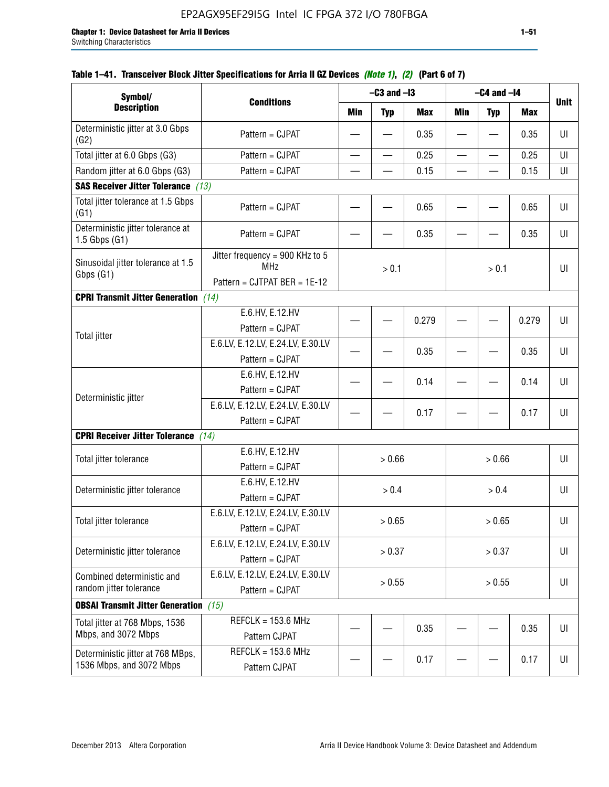| Symbol/                                                       |                                                                                          |                                 | $-C3$ and $-I3$ |       | $-C4$ and $-I4$ |            |             |    |
|---------------------------------------------------------------|------------------------------------------------------------------------------------------|---------------------------------|-----------------|-------|-----------------|------------|-------------|----|
| <b>Description</b>                                            | <b>Conditions</b>                                                                        | Min<br><b>Max</b><br><b>Typ</b> |                 | Min   | <b>Typ</b>      | <b>Max</b> | <b>Unit</b> |    |
| Deterministic jitter at 3.0 Gbps<br>(G2)                      | Pattern = CJPAT                                                                          |                                 |                 | 0.35  |                 |            | 0.35        | UI |
| Total jitter at 6.0 Gbps (G3)                                 | Pattern = CJPAT                                                                          |                                 |                 | 0.25  |                 |            | 0.25        | UI |
| Random jitter at 6.0 Gbps (G3)                                | Pattern = CJPAT                                                                          |                                 |                 | 0.15  |                 |            | 0.15        | UI |
| <b>SAS Receiver Jitter Tolerance (13)</b>                     |                                                                                          |                                 |                 |       |                 |            |             |    |
| Total jitter tolerance at 1.5 Gbps<br>(G1)                    | Pattern = CJPAT                                                                          |                                 |                 | 0.65  |                 |            | 0.65        | UI |
| Deterministic jitter tolerance at<br>$1.5$ Gbps $(G1)$        | Pattern = CJPAT                                                                          |                                 |                 | 0.35  |                 |            | 0.35        | UI |
| Sinusoidal jitter tolerance at 1.5<br>Gbps (G1)               | Jitter frequency = $900$ KHz to 5<br><b>MHz</b><br>> 0.1<br>Pattern = CJTPAT BER = 1E-12 |                                 |                 | > 0.1 |                 | UI         |             |    |
| <b>CPRI Transmit Jitter Generation</b> (14)                   |                                                                                          |                                 |                 |       |                 |            |             |    |
|                                                               | E.6.HV, E.12.HV<br>Pattern = CJPAT                                                       |                                 |                 | 0.279 |                 |            | 0.279       | UI |
| <b>Total jitter</b>                                           | E.6.LV, E.12.LV, E.24.LV, E.30.LV<br>Pattern = CJPAT                                     |                                 |                 | 0.35  |                 |            | 0.35        | UI |
|                                                               | E.6.HV, E.12.HV<br>Pattern = CJPAT                                                       |                                 |                 | 0.14  |                 |            | 0.14        | UI |
| Deterministic jitter                                          | E.6.LV, E.12.LV, E.24.LV, E.30.LV<br>Pattern = CJPAT                                     |                                 |                 | 0.17  |                 |            | 0.17        | UI |
| <b>CPRI Receiver Jitter Tolerance</b>                         | (14)                                                                                     |                                 |                 |       |                 |            |             |    |
| Total jitter tolerance                                        | E.6.HV, E.12.HV<br>Pattern = CJPAT                                                       |                                 | > 0.66          |       |                 | > 0.66     |             | UI |
| Deterministic jitter tolerance                                | E.6.HV, E.12.HV<br>Pattern = CJPAT                                                       |                                 | > 0.4           |       |                 | > 0.4      |             | UI |
| Total jitter tolerance                                        | E.6.LV, E.12.LV, E.24.LV, E.30.LV<br>Pattern = CJPAT                                     |                                 | > 0.65          |       |                 | > 0.65     |             | UI |
| Deterministic jitter tolerance                                | E.6.LV, E.12.LV, E.24.LV, E.30.LV<br>Pattern = CJPAT                                     |                                 | > 0.37          |       |                 | > 0.37     |             | UI |
| Combined deterministic and<br>random jitter tolerance         | E.6.LV, E.12.LV, E.24.LV, E.30.LV<br>Pattern = CJPAT                                     | > 0.55<br>> 0.55                |                 |       | UI              |            |             |    |
| <b>OBSAI Transmit Jitter Generation</b> (15)                  |                                                                                          |                                 |                 |       |                 |            |             |    |
| Total jitter at 768 Mbps, 1536<br>Mbps, and 3072 Mbps         | $REFCLK = 153.6 MHz$<br>Pattern CJPAT                                                    |                                 |                 | 0.35  |                 |            | 0.35        | U  |
| Deterministic jitter at 768 MBps,<br>1536 Mbps, and 3072 Mbps | $REFCLK = 153.6 MHz$<br>Pattern CJPAT                                                    |                                 |                 | 0.17  |                 |            | 0.17        | UI |

## **Table 1–41. Transceiver Block Jitter Specifications for Arria II GZ Devices** *(Note 1)***,** *(2)* **(Part 6 of 7)**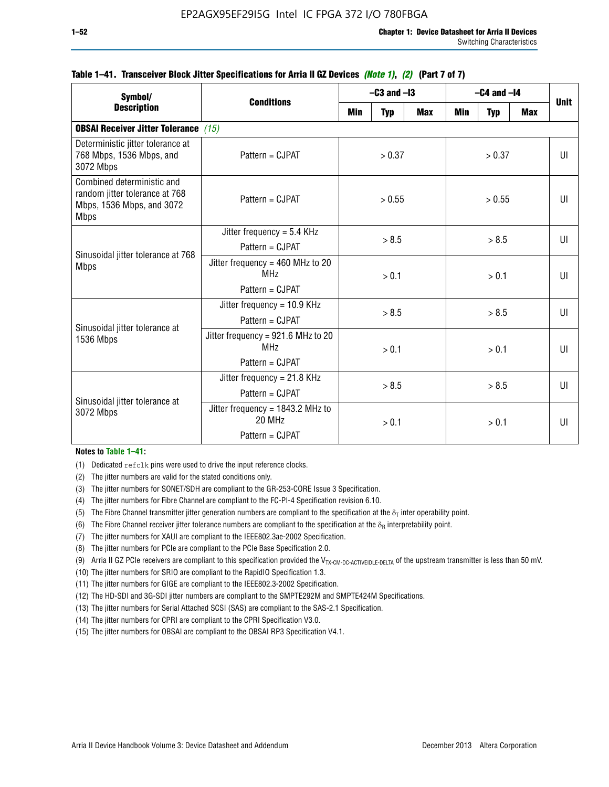| Symbol/                                                                                                  |                                                                          |                  | $-C3$ and $-I3$ |        | $-C4$ and $-I4$ | Unit       |    |   |
|----------------------------------------------------------------------------------------------------------|--------------------------------------------------------------------------|------------------|-----------------|--------|-----------------|------------|----|---|
| <b>Description</b>                                                                                       | <b>Conditions</b><br>Min<br><b>Typ</b>                                   |                  | <b>Max</b>      | Min    | <b>Typ</b>      | <b>Max</b> |    |   |
| <b>OBSAI Receiver Jitter Tolerance</b> (15)                                                              |                                                                          |                  |                 |        |                 |            |    |   |
| Deterministic jitter tolerance at<br>768 Mbps, 1536 Mbps, and<br>3072 Mbps                               | Pattern = CJPAT                                                          | > 0.37<br>> 0.37 |                 |        | UI              |            |    |   |
| Combined deterministic and<br>random jitter tolerance at 768<br>Mbps, 1536 Mbps, and 3072<br><b>Mbps</b> | Pattern = CJPAT                                                          | > 0.55           |                 | > 0.55 |                 |            | UI |   |
|                                                                                                          | Jitter frequency = $5.4$ KHz<br>$Pattern = CJPATH$                       | > 8.5            |                 | > 8.5  |                 |            | UI |   |
| Sinusoidal jitter tolerance at 768<br><b>Mbps</b>                                                        | Jitter frequency = $460$ MHz to 20<br><b>MHz</b><br>Pattern = CJPAT      |                  | > 0.1           |        |                 | > 0.1      |    | Ш |
| Sinusoidal jitter tolerance at                                                                           | Jitter frequency = $10.9$ KHz<br>Pattern = CJPAT                         | > 8.5            |                 |        | > 8.5           |            | Ш  |   |
| 1536 Mbps                                                                                                | Jitter frequency = 921.6 MHz to 20<br>MH <sub>7</sub><br>Pattern = CJPAT |                  | > 0.1<br>> 0.1  |        |                 | UI         |    |   |
| Sinusoidal jitter tolerance at                                                                           | Jitter frequency = $21.8$ KHz<br>Pattern = CJPAT                         | > 8.5            |                 | > 8.5  |                 |            | Ш  |   |
| 3072 Mbps                                                                                                | Jitter frequency = $1843.2$ MHz to<br>20 MHz<br>Pattern = CJPAT          |                  | > 0.1<br>> 0.1  |        |                 | UI         |    |   |

### **Table 1–41. Transceiver Block Jitter Specifications for Arria II GZ Devices** *(Note 1)***,** *(2)* **(Part 7 of 7)**

#### **Notes to Table 1–41:**

(1) Dedicated refclk pins were used to drive the input reference clocks.

- (2) The jitter numbers are valid for the stated conditions only.
- (3) The jitter numbers for SONET/SDH are compliant to the GR-253-CORE Issue 3 Specification.
- (4) The jitter numbers for Fibre Channel are compliant to the FC-PI-4 Specification revision 6.10.
- (5) The Fibre Channel transmitter jitter generation numbers are compliant to the specification at the  $\delta_T$  inter operability point.
- (6) The Fibre Channel receiver jitter tolerance numbers are compliant to the specification at the  $\delta_R$  interpretability point.
- (7) The jitter numbers for XAUI are compliant to the IEEE802.3ae-2002 Specification.
- (8) The jitter numbers for PCIe are compliant to the PCIe Base Specification 2.0.
- (9) Arria II GZ PCIe receivers are compliant to this specification provided the V<sub>TX-CM-DC-ACTIVEIDLE-DELTA</sub> of the upstream transmitter is less than 50 mV.
- (10) The jitter numbers for SRIO are compliant to the RapidIO Specification 1.3.
- (11) The jitter numbers for GIGE are compliant to the IEEE802.3-2002 Specification.
- (12) The HD-SDI and 3G-SDI jitter numbers are compliant to the SMPTE292M and SMPTE424M Specifications.
- (13) The jitter numbers for Serial Attached SCSI (SAS) are compliant to the SAS-2.1 Specification.
- (14) The jitter numbers for CPRI are compliant to the CPRI Specification V3.0.
- (15) The jitter numbers for OBSAI are compliant to the OBSAI RP3 Specification V4.1.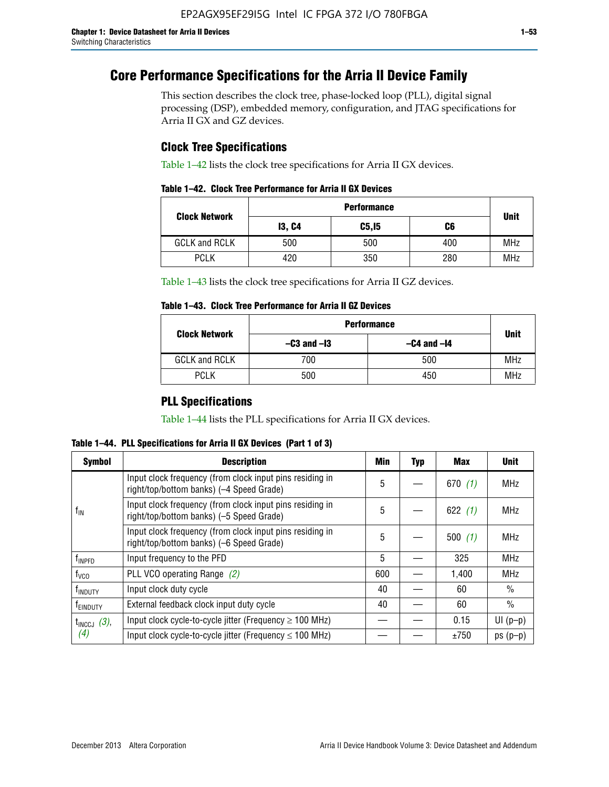# **Core Performance Specifications for the Arria II Device Family**

This section describes the clock tree, phase-locked loop (PLL), digital signal processing (DSP), embedded memory, configuration, and JTAG specifications for Arria II GX and GZ devices.

## **Clock Tree Specifications**

Table 1–42 lists the clock tree specifications for Arria II GX devices.

|  |  |  |  | Table 1–42. Clock Tree Performance for Arria II GX Devices |
|--|--|--|--|------------------------------------------------------------|
|--|--|--|--|------------------------------------------------------------|

|                      | <b>Performance</b> |        |     |             |  |  |  |
|----------------------|--------------------|--------|-----|-------------|--|--|--|
| <b>Clock Network</b> | <b>13, C4</b>      | C5, I5 | C6  | <b>Unit</b> |  |  |  |
| <b>GCLK and RCLK</b> | 500                | 500    | 400 | <b>MHz</b>  |  |  |  |
| <b>PCLK</b>          | 420                | 350    | 280 | <b>MHz</b>  |  |  |  |

Table 1–43 lists the clock tree specifications for Arria II GZ devices.

### **Table 1–43. Clock Tree Performance for Arria II GZ Devices**

| <b>Clock Network</b> | <b>Performance</b> |                 |             |  |  |  |  |
|----------------------|--------------------|-----------------|-------------|--|--|--|--|
|                      | $-C3$ and $-I3$    | $-C4$ and $-I4$ | <b>Unit</b> |  |  |  |  |
| <b>GCLK and RCLK</b> | 700                | 500             | <b>MHz</b>  |  |  |  |  |
| <b>PCLK</b>          | 500                | 450             | <b>MHz</b>  |  |  |  |  |

## **PLL Specifications**

Table 1–44 lists the PLL specifications for Arria II GX devices.

**Table 1–44. PLL Specifications for Arria II GX Devices (Part 1 of 3)**

| <b>Symbol</b>      | <b>Description</b>                                                                                   | Min | <b>Typ</b> | Max       | <b>Unit</b>   |
|--------------------|------------------------------------------------------------------------------------------------------|-----|------------|-----------|---------------|
|                    | Input clock frequency (from clock input pins residing in<br>right/top/bottom banks) (-4 Speed Grade) | 5   |            | 670 $(1)$ | <b>MHz</b>    |
| $f_{\text{IN}}$    | Input clock frequency (from clock input pins residing in<br>right/top/bottom banks) (-5 Speed Grade) | 5   |            | 622 $(1)$ | <b>MHz</b>    |
|                    | Input clock frequency (from clock input pins residing in<br>right/top/bottom banks) (-6 Speed Grade) | 5   |            | 500(1)    | <b>MHz</b>    |
| f <sub>INPFD</sub> | Input frequency to the PFD                                                                           | 5   |            | 325       | <b>MHz</b>    |
| $f_{\rm VCO}$      | PLL VCO operating Range (2)                                                                          | 600 |            | 1.400     | <b>MHz</b>    |
| <b>TINDUTY</b>     | Input clock duty cycle                                                                               | 40  |            | 60        | $\frac{0}{0}$ |
| <b>TEINDUTY</b>    | External feedback clock input duty cycle                                                             | 40  |            | 60        | $\frac{0}{0}$ |
| $t_{INCCJ}$ (3),   | Input clock cycle-to-cycle jitter (Frequency $\geq 100$ MHz)                                         |     |            | 0.15      | $UI(p-p)$     |
| (4)                | Input clock cycle-to-cycle jitter (Frequency $\leq 100$ MHz)                                         |     |            | ±750      | $ps(p-p)$     |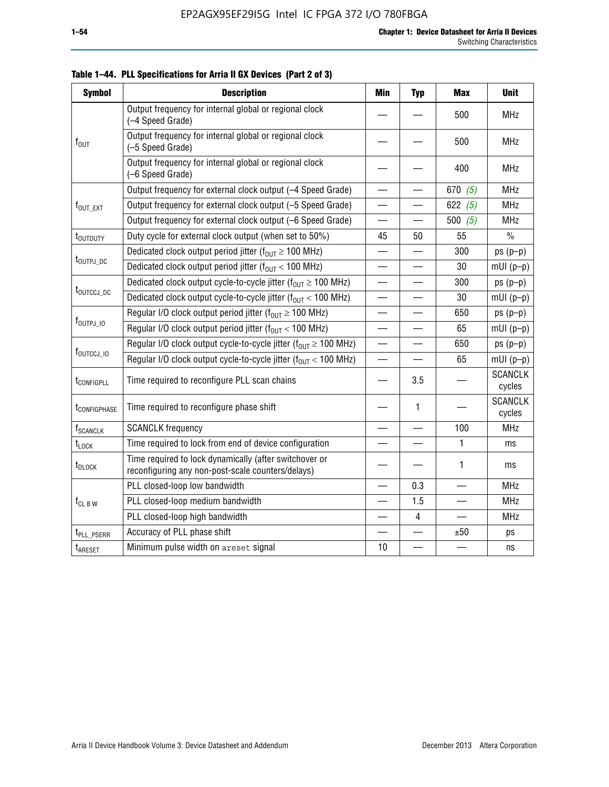| <b>Symbol</b>               | <b>Description</b>                                                                                          | Min                      | <b>Typ</b>               | <b>Max</b>               | <b>Unit</b>              |
|-----------------------------|-------------------------------------------------------------------------------------------------------------|--------------------------|--------------------------|--------------------------|--------------------------|
|                             | Output frequency for internal global or regional clock<br>(-4 Speed Grade)                                  |                          |                          | 500                      | <b>MHz</b>               |
| $f_{\text{OUT}}$            | Output frequency for internal global or regional clock<br>(-5 Speed Grade)                                  |                          |                          | 500                      | <b>MHz</b>               |
|                             | Output frequency for internal global or regional clock<br>(-6 Speed Grade)                                  |                          |                          | 400                      | <b>MHz</b>               |
|                             | Output frequency for external clock output (-4 Speed Grade)                                                 | $\overline{\phantom{0}}$ |                          | 670 $(5)$                | <b>MHz</b>               |
| f <sub>out_ext</sub>        | Output frequency for external clock output (-5 Speed Grade)                                                 |                          |                          | 622 $(5)$                | <b>MHz</b>               |
|                             | Output frequency for external clock output (-6 Speed Grade)                                                 |                          |                          | 500 $(5)$                | <b>MHz</b>               |
| t <sub>outputy</sub>        | Duty cycle for external clock output (when set to 50%)                                                      | 45                       | 50                       | 55                       | $\frac{0}{0}$            |
|                             | Dedicated clock output period jitter ( $f_{OIII} \ge 100$ MHz)                                              |                          |                          | 300                      | $ps(p-p)$                |
| t <sub>outpj_dc</sub>       | Dedicated clock output period jitter ( $f_{OUT}$ < 100 MHz)                                                 |                          |                          | 30                       | $mUI(p-p)$               |
|                             | Dedicated clock output cycle-to-cycle jitter ( $f_{OUT} \ge 100$ MHz)                                       |                          |                          | 300                      | $ps(p-p)$                |
| t <sub>outccj_pc</sub>      | Dedicated clock output cycle-to-cycle jitter ( $f_{OUT}$ < 100 MHz)                                         |                          | $\overline{\phantom{0}}$ | 30                       | $mUI(p-p)$               |
|                             | Regular I/O clock output period jitter ( $f_{OUT} \ge 100$ MHz)                                             |                          |                          | 650                      | $ps(p-p)$                |
| f <sub>outpj_io</sub>       | Regular I/O clock output period jitter ( $f_{OUT}$ < 100 MHz)                                               |                          |                          | 65                       | $mUI(p-p)$               |
|                             | Regular I/O clock output cycle-to-cycle jitter ( $f_{OUT} \ge 100$ MHz)                                     |                          |                          | 650                      | $ps(p-p)$                |
| f <sub>outccj_io</sub>      | Regular I/O clock output cycle-to-cycle jitter $(f_{OIII} < 100 \text{ MHz})$                               |                          |                          | 65                       | $mUI(p-p)$               |
| t <sub>configpll</sub>      | Time required to reconfigure PLL scan chains                                                                |                          | 3.5                      |                          | <b>SCANCLK</b><br>cycles |
| t <sub>configphase</sub>    | Time required to reconfigure phase shift                                                                    |                          | 1                        |                          | <b>SCANCLK</b><br>cycles |
| <b>f</b> <sub>SCANCLK</sub> | <b>SCANCLK</b> frequency                                                                                    |                          |                          | 100                      | <b>MHz</b>               |
| $t_{\text{LOCK}}$           | Time required to lock from end of device configuration                                                      |                          |                          | 1                        | ms                       |
| t <sub>DLOCK</sub>          | Time required to lock dynamically (after switchover or<br>reconfiguring any non-post-scale counters/delays) |                          |                          | 1                        | ms                       |
|                             | PLL closed-loop low bandwidth                                                                               |                          | 0.3                      |                          | <b>MHz</b>               |
| $f_{CL~B~W}$                | PLL closed-loop medium bandwidth                                                                            | $\overline{\phantom{0}}$ | 1.5                      | $\overline{\phantom{0}}$ | <b>MHz</b>               |
|                             | PLL closed-loop high bandwidth                                                                              |                          | $\overline{4}$           |                          | <b>MHz</b>               |
| t <sub>PLL_PSERR</sub>      | Accuracy of PLL phase shift                                                                                 |                          |                          | ±50                      | ps                       |
| t <sub>ARESET</sub>         | Minimum pulse width on areset signal                                                                        | 10                       |                          |                          | ns                       |

**Table 1–44. PLL Specifications for Arria II GX Devices (Part 2 of 3)**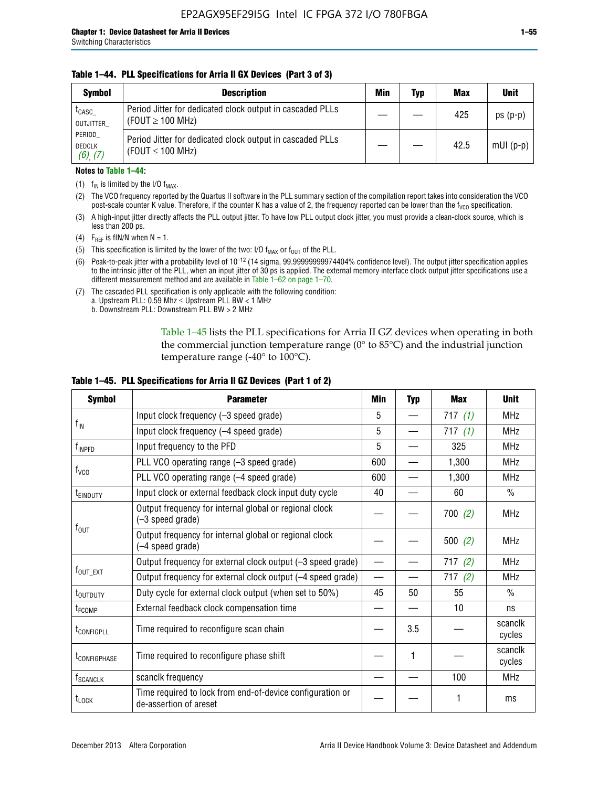#### **Table 1–44. PLL Specifications for Arria II GX Devices (Part 3 of 3)**

| <b>Symbol</b>                            | <b>Description</b>                                                                 | Min | Typ | <b>Max</b> | <b>Unit</b> |
|------------------------------------------|------------------------------------------------------------------------------------|-----|-----|------------|-------------|
| t <sub>CASC</sub><br>OUTJITTER           | Period Jitter for dedicated clock output in cascaded PLLs<br>(FOUT $\geq$ 100 MHz) |     |     | 425        | $ps(p-p)$   |
| PERIOD<br><b>DEDCLK</b><br>$(6)$ , $(7)$ | Period Jitter for dedicated clock output in cascaded PLLs<br>(FOUT $\leq$ 100 MHz) |     |     | 42.5       | $mUI(p-p)$  |

#### **Notes to Table 1–44:**

- (1)  $f_{IN}$  is limited by the I/O  $f_{MAX}$ .
- (2) The VCO frequency reported by the Quartus II software in the PLL summary section of the compilation report takes into consideration the VCO post-scale counter K value. Therefore, if the counter K has a value of 2, the frequency reported can be lower than the f<sub>VCO</sub> specification.
- (3) A high-input jitter directly affects the PLL output jitter. To have low PLL output clock jitter, you must provide a clean-clock source, which is less than 200 ps.
- (4) F<sub>REF</sub> is fIN/N when N = 1.
- (5) This specification is limited by the lower of the two: I/O  $f_{MAX}$  or  $f_{OUT}$  of the PLL.
- (6) Peak-to-peak jitter with a probability level of 10–12 (14 sigma, 99.99999999974404% confidence level). The output jitter specification applies to the intrinsic jitter of the PLL, when an input jitter of 30 ps is applied. The external memory interface clock output jitter specifications use a different measurement method and are available in Table 1–62 on page 1–70.
- (7) The cascaded PLL specification is only applicable with the following condition: a. Upstream PLL:  $0.59$  Mhz  $\leq$  Upstream PLL BW  $<$  1 MHz
	- b. Downstream PLL: Downstream PLL BW > 2 MHz

Table 1–45 lists the PLL specifications for Arria II GZ devices when operating in both the commercial junction temperature range (0° to 85°C) and the industrial junction temperature range (-40 $\degree$  to 100 $\degree$ C).

| <b>Symbol</b>              | <b>Parameter</b>                                                                    | Min                      | <b>Typ</b> | <b>Max</b> | <b>Unit</b>       |
|----------------------------|-------------------------------------------------------------------------------------|--------------------------|------------|------------|-------------------|
|                            | Input clock frequency (-3 speed grade)                                              | 5                        |            | 717 $(1)$  | <b>MHz</b>        |
| $f_{IN}$                   | Input clock frequency (-4 speed grade)                                              | 5                        |            | 717(1)     | <b>MHz</b>        |
| $f_{\mathsf{INPPD}}$       | Input frequency to the PFD                                                          | 5                        |            | 325        | <b>MHz</b>        |
|                            | PLL VCO operating range (-3 speed grade)                                            | 600                      |            | 1,300      | <b>MHz</b>        |
| $f_{\rm VCO}$              | PLL VCO operating range (-4 speed grade)                                            | 600                      |            | 1,300      | <b>MHz</b>        |
| <b>TEINDUTY</b>            | Input clock or external feedback clock input duty cycle                             | 40                       |            | 60         | $\frac{0}{0}$     |
|                            | Output frequency for internal global or regional clock<br>(-3 speed grade)          |                          |            | 700(2)     | <b>MHz</b>        |
| $f_{\text{OUT}}$           | Output frequency for internal global or regional clock<br>(-4 speed grade)          |                          |            | 500(2)     | <b>MHz</b>        |
|                            | Output frequency for external clock output (-3 speed grade)                         | $\overline{\phantom{0}}$ |            | 717(2)     | <b>MHz</b>        |
| $f_{\text{OUT\_EXT}}$      | Output frequency for external clock output (-4 speed grade)                         | $\overline{\phantom{0}}$ |            | 717(2)     | <b>MHz</b>        |
| t <sub>outduty</sub>       | Duty cycle for external clock output (when set to 50%)                              | 45                       | 50         | 55         | $\frac{0}{0}$     |
| t <sub>FCOMP</sub>         | External feedback clock compensation time                                           |                          |            | 10         | ns                |
| t <sub>configpll</sub>     | Time required to reconfigure scan chain                                             |                          | 3.5        |            | scanclk<br>cycles |
| <b><i>LCONFIGPHASE</i></b> | Time required to reconfigure phase shift                                            |                          | 1          |            | scanclk<br>cycles |
| f <sub>SCANCLK</sub>       | scanclk frequency                                                                   |                          |            | 100        | <b>MHz</b>        |
| t <sub>LOCK</sub>          | Time required to lock from end-of-device configuration or<br>de-assertion of areset |                          |            |            | ms                |

#### **Table 1–45. PLL Specifications for Arria II GZ Devices (Part 1 of 2)**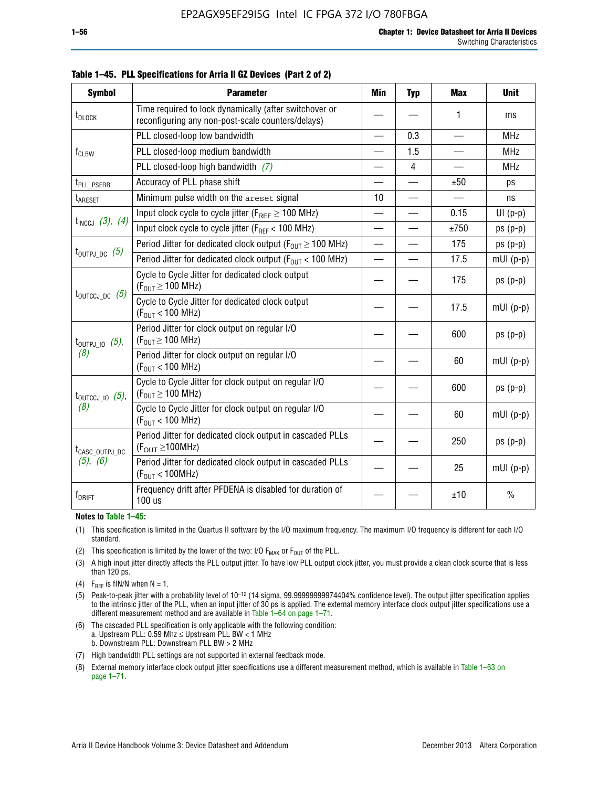| <b>Symbol</b>                  | <b>Parameter</b>                                                                                            | Min                      | <b>Typ</b>     | <b>Max</b>               | <b>Unit</b>   |
|--------------------------------|-------------------------------------------------------------------------------------------------------------|--------------------------|----------------|--------------------------|---------------|
| t <sub>DLOCK</sub>             | Time required to lock dynamically (after switchover or<br>reconfiguring any non-post-scale counters/delays) |                          |                | 1                        | ms            |
|                                | PLL closed-loop low bandwidth                                                                               | $\overline{\phantom{0}}$ | 0.3            | $\overline{\phantom{0}}$ | <b>MHz</b>    |
| $f_{CLBW}$                     | PLL closed-loop medium bandwidth                                                                            |                          | 1.5            |                          | <b>MHz</b>    |
|                                | PLL closed-loop high bandwidth (7)                                                                          |                          | $\overline{4}$ |                          | <b>MHz</b>    |
| t <sub>PLL</sub> PSERR         | Accuracy of PLL phase shift                                                                                 | $\overline{\phantom{0}}$ |                | ±50                      | ps            |
| t <sub>ARESET</sub>            | Minimum pulse width on the areset signal                                                                    | 10                       |                |                          | ns            |
|                                | Input clock cycle to cycle jitter ( $F_{REF} \ge 100$ MHz)                                                  |                          |                | 0.15                     | $UI(p-p)$     |
| $t_{INCCJ}$ (3), (4)           | Input clock cycle to cycle jitter (F <sub>RFF</sub> < 100 MHz)                                              | $\overline{\phantom{0}}$ |                | ±750                     | $ps(p-p)$     |
|                                | Period Jitter for dedicated clock output ( $F_{OIII} \ge 100$ MHz)                                          | $\overline{\phantom{0}}$ |                | 175                      | $ps(p-p)$     |
| $t_{\text{OUTPJ\_DC}}$ (5)     | Period Jitter for dedicated clock output ( $F_{OUT}$ < 100 MHz)                                             |                          |                | 17.5                     | $mUI(p-p)$    |
|                                | Cycle to Cycle Jitter for dedicated clock output<br>$(F_{OUT} \ge 100$ MHz)                                 |                          |                | 175                      | $ps(p-p)$     |
| $t_{\text{OUTCCJ\_DC}}$ (5)    | Cycle to Cycle Jitter for dedicated clock output<br>$(F_{OUT} < 100$ MHz)                                   |                          |                | 17.5                     | $mUI(p-p)$    |
| $t_{\text{OUTPJ\_IO}}$ (5),    | Period Jitter for clock output on regular I/O<br>$(F_{OUT} \ge 100$ MHz)                                    |                          |                | 600                      | $ps(p-p)$     |
| (8)                            | Period Jitter for clock output on regular I/O<br>$(F_{OUT}$ < 100 MHz)                                      |                          |                | 60                       | $mUI(p-p)$    |
| $t_{\text{OUTCCJ 10}}$ $(5)$ , | Cycle to Cycle Jitter for clock output on regular I/O<br>$(F_{OUT} \ge 100$ MHz)                            |                          |                | 600                      | $ps(p-p)$     |
| (8)                            | Cycle to Cycle Jitter for clock output on regular I/O<br>$(F_{OUT}$ < 100 MHz)                              |                          |                | 60                       | $mUI(p-p)$    |
| t <sub>CASC_OUTPJ_DC</sub>     | Period Jitter for dedicated clock output in cascaded PLLs<br>$(F_{\text{OUT}} \ge 100 \text{MHz})$          |                          |                | 250                      | $ps(p-p)$     |
| $(5)$ , $(6)$                  | Period Jitter for dedicated clock output in cascaded PLLs<br>(F <sub>OUT</sub> < 100MHz)                    |                          |                | 25                       | $mUI(p-p)$    |
| $f_{DRIFT}$                    | Frequency drift after PFDENA is disabled for duration of<br>100 us                                          |                          |                | ±10                      | $\frac{0}{0}$ |

#### **Notes to Table 1–45:**

- (1) This specification is limited in the Quartus II software by the I/O maximum frequency. The maximum I/O frequency is different for each I/O standard.
- (2) This specification is limited by the lower of the two: I/O  $F_{MAX}$  or  $F_{OUT}$  of the PLL.
- (3) A high input jitter directly affects the PLL output jitter. To have low PLL output clock jitter, you must provide a clean clock source that is less than 120 ps.
- (4) F<sub>REF</sub> is fIN/N when  $N = 1$ .
- (5) Peak-to-peak jitter with a probability level of 10–12 (14 sigma, 99.99999999974404% confidence level). The output jitter specification applies to the intrinsic jitter of the PLL, when an input jitter of 30 ps is applied. The external memory interface clock output jitter specifications use a different measurement method and are available in Table 1–64 on page 1–71.
- (6) The cascaded PLL specification is only applicable with the following condition: a. Upstream PLL: 0.59 Mhz  $\leq$  Upstream PLL BW  $<$  1 MHz b. Downstream PLL: Downstream PLL BW > 2 MHz
- (7) High bandwidth PLL settings are not supported in external feedback mode.
- (8) External memory interface clock output jitter specifications use a different measurement method, which is available in Table 1–63 on page 1–71.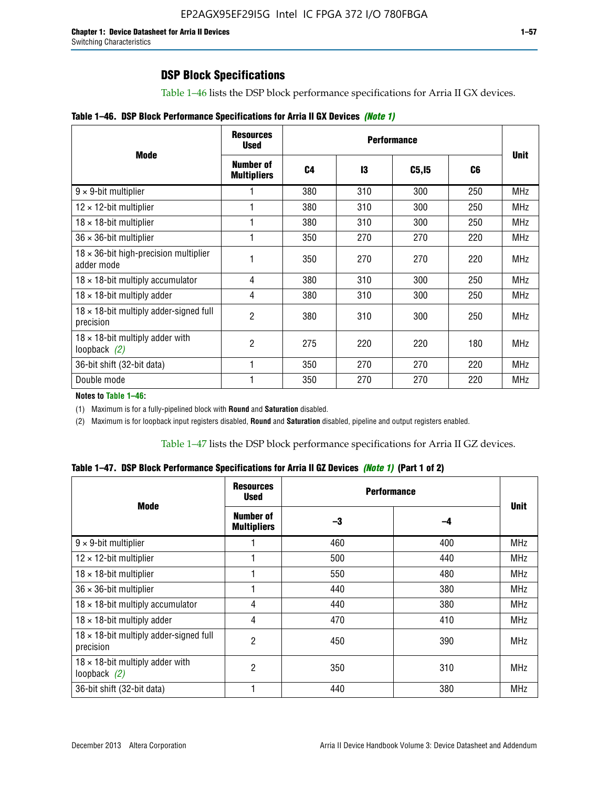Table 1–46 lists the DSP block performance specifications for Arria II GX devices.

|  |  | Table 1–46. DSP Block Performance Specifications for Arria II GX Devices (Note 1) |  |  |  |  |  |
|--|--|-----------------------------------------------------------------------------------|--|--|--|--|--|
|--|--|-----------------------------------------------------------------------------------|--|--|--|--|--|

|                                                             | <b>Resources</b><br><b>Used</b> |                |     |              |     |             |
|-------------------------------------------------------------|---------------------------------|----------------|-----|--------------|-----|-------------|
| <b>Mode</b>                                                 | Number of<br><b>Multipliers</b> | C <sub>4</sub> | 13  | <b>C5,15</b> | C6  | <b>Unit</b> |
| $9 \times 9$ -bit multiplier                                |                                 | 380            | 310 | 300          | 250 | <b>MHz</b>  |
| $12 \times 12$ -bit multiplier                              |                                 | 380            | 310 | 300          | 250 | <b>MHz</b>  |
| $18 \times 18$ -bit multiplier                              |                                 | 380            | 310 | 300          | 250 | <b>MHz</b>  |
| $36 \times 36$ -bit multiplier                              |                                 | 350            | 270 | 270          | 220 | <b>MHz</b>  |
| $18 \times 36$ -bit high-precision multiplier<br>adder mode |                                 | 350            | 270 | 270          | 220 | <b>MHz</b>  |
| $18 \times 18$ -bit multiply accumulator                    | 4                               | 380            | 310 | 300          | 250 | <b>MHz</b>  |
| $18 \times 18$ -bit multiply adder                          | 4                               | 380            | 310 | 300          | 250 | <b>MHz</b>  |
| $18 \times 18$ -bit multiply adder-signed full<br>precision | 2                               | 380            | 310 | 300          | 250 | <b>MHz</b>  |
| $18 \times 18$ -bit multiply adder with<br>loopback $(2)$   | 2                               | 275            | 220 | 220          | 180 | <b>MHz</b>  |
| 36-bit shift (32-bit data)                                  |                                 | 350            | 270 | 270          | 220 | <b>MHz</b>  |
| Double mode                                                 |                                 | 350            | 270 | 270          | 220 | <b>MHz</b>  |

**Notes to Table 1–46:**

(1) Maximum is for a fully-pipelined block with **Round** and **Saturation** disabled.

(2) Maximum is for loopback input registers disabled, **Round** and **Saturation** disabled, pipeline and output registers enabled.

Table 1–47 lists the DSP block performance specifications for Arria II GZ devices.

**Table 1–47. DSP Block Performance Specifications for Arria II GZ Devices** *(Note 1)* **(Part 1 of 2)**

| <b>Mode</b>                                                 | <b>Resources</b><br><b>Used</b>        | <b>Performance</b> |     | <b>Unit</b> |
|-------------------------------------------------------------|----------------------------------------|--------------------|-----|-------------|
|                                                             | <b>Number of</b><br><b>Multipliers</b> | -3                 | -4  |             |
| $9 \times 9$ -bit multiplier                                |                                        | 460                | 400 | <b>MHz</b>  |
| $12 \times 12$ -bit multiplier                              |                                        | 500                | 440 | <b>MHz</b>  |
| $18 \times 18$ -bit multiplier                              |                                        | 550                | 480 | <b>MHz</b>  |
| $36 \times 36$ -bit multiplier                              |                                        | 440                | 380 | <b>MHz</b>  |
| $18 \times 18$ -bit multiply accumulator                    | 4                                      | 440                | 380 | <b>MHz</b>  |
| $18 \times 18$ -bit multiply adder                          | 4                                      | 470                | 410 | <b>MHz</b>  |
| $18 \times 18$ -bit multiply adder-signed full<br>precision | $\overline{2}$                         | 450                | 390 | <b>MHz</b>  |
| $18 \times 18$ -bit multiply adder with<br>loopback $(2)$   | $\overline{2}$                         | 350                | 310 | <b>MHz</b>  |
| 36-bit shift (32-bit data)                                  |                                        | 440                | 380 | <b>MHz</b>  |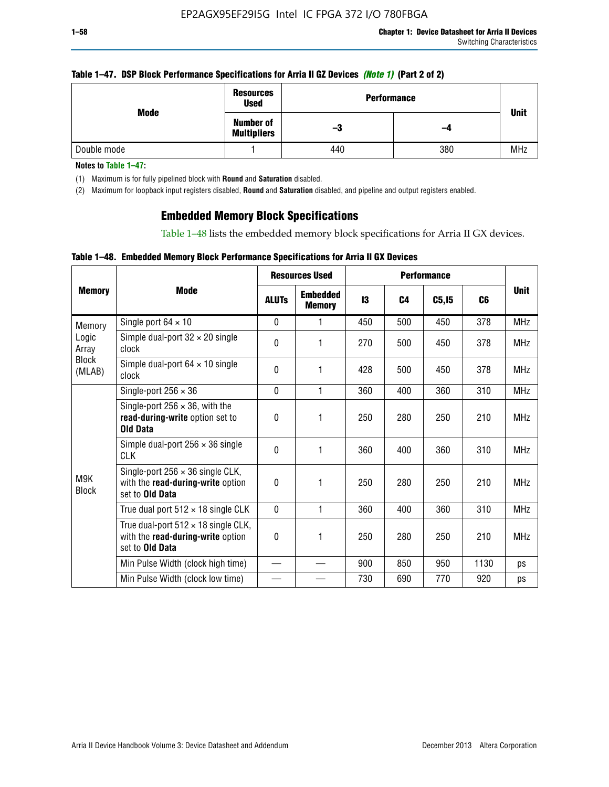#### **Table 1–47. DSP Block Performance Specifications for Arria II GZ Devices** *(Note 1)* **(Part 2 of 2)**

| Mode        | <b>Resources</b><br><b>Used</b>        | <b>Performance</b> |     | <b>Unit</b> |
|-------------|----------------------------------------|--------------------|-----|-------------|
|             | <b>Number of</b><br><b>Multipliers</b> | -3                 | -4  |             |
| Double mode |                                        | 440                | 380 | <b>MHz</b>  |

**Notes to Table 1–47:**

(1) Maximum is for fully pipelined block with **Round** and **Saturation** disabled.

(2) Maximum for loopback input registers disabled, **Round** and **Saturation** disabled, and pipeline and output registers enabled.

## **Embedded Memory Block Specifications**

Table 1–48 lists the embedded memory block specifications for Arria II GX devices.

### **Table 1–48. Embedded Memory Block Performance Specifications for Arria II GX Devices**

|                        | <b>Resources Used</b>                                                                                     |              |                                  | <b>Performance</b> |                |        |      |             |
|------------------------|-----------------------------------------------------------------------------------------------------------|--------------|----------------------------------|--------------------|----------------|--------|------|-------------|
| <b>Memory</b>          | <b>Mode</b>                                                                                               | <b>ALUTS</b> | <b>Embedded</b><br><b>Memory</b> | 13                 | C <sub>4</sub> | C5, I5 | C6   | <b>Unit</b> |
| Memory                 | Single port $64 \times 10$                                                                                | $\Omega$     | 1                                | 450                | 500            | 450    | 378  | <b>MHz</b>  |
| Logic<br>Array         | Simple dual-port $32 \times 20$ single<br>clock                                                           | 0            | 1                                | 270                | 500            | 450    | 378  | <b>MHz</b>  |
| <b>Block</b><br>(MLAB) | Simple dual-port $64 \times 10$ single<br>clock                                                           | $\theta$     | 1                                | 428                | 500            | 450    | 378  | <b>MHz</b>  |
|                        | Single-port $256 \times 36$                                                                               | $\mathbf{0}$ | 1                                | 360                | 400            | 360    | 310  | <b>MHz</b>  |
|                        | Single-port $256 \times 36$ , with the<br>read-during-write option set to<br><b>Old Data</b>              | $\theta$     | 1                                | 250                | 280            | 250    | 210  | <b>MHz</b>  |
|                        | Simple dual-port $256 \times 36$ single<br><b>CLK</b>                                                     | $\theta$     | 1                                | 360                | 400            | 360    | 310  | <b>MHz</b>  |
| M9K<br><b>Block</b>    | Single-port $256 \times 36$ single CLK,<br>with the read-during-write option<br>set to Old Data           | $\theta$     | 1                                | 250                | 280            | 250    | 210  | <b>MHz</b>  |
|                        | True dual port $512 \times 18$ single CLK                                                                 | $\mathbf{0}$ | 1                                | 360                | 400            | 360    | 310  | <b>MHz</b>  |
|                        | True dual-port $512 \times 18$ single CLK,<br>with the read-during-write option<br>set to <b>Old Data</b> | 0            | 1                                | 250                | 280            | 250    | 210  | <b>MHz</b>  |
|                        | Min Pulse Width (clock high time)                                                                         |              |                                  | 900                | 850            | 950    | 1130 | ps          |
|                        | Min Pulse Width (clock low time)                                                                          |              |                                  | 730                | 690            | 770    | 920  | ps          |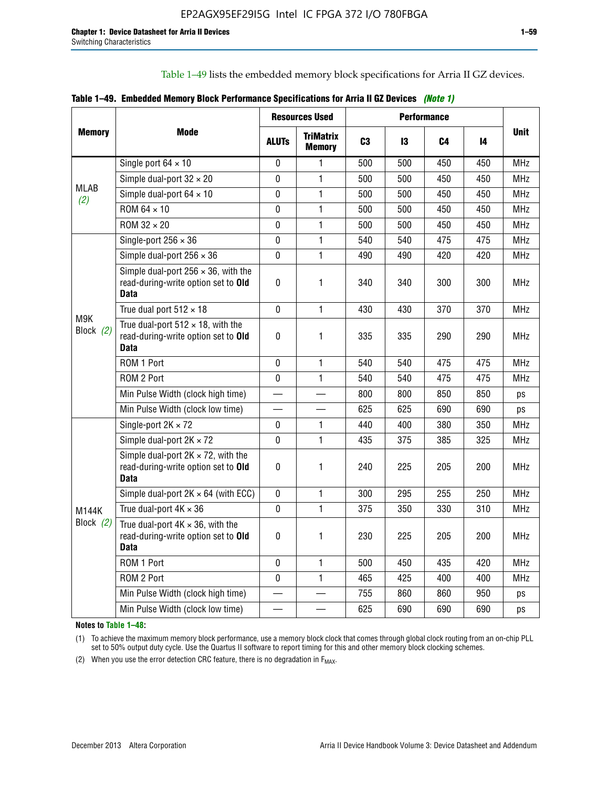Table 1–49 lists the embedded memory block specifications for Arria II GZ devices.

|  |  | Table 1–49. Embedded Memory Block Performance Specifications for Arria II GZ Devices (Note 1) |  |  |
|--|--|-----------------------------------------------------------------------------------------------|--|--|
|--|--|-----------------------------------------------------------------------------------------------|--|--|

|                    |                                                                                                   | <b>Resources Used</b> |                                   | <b>Performance</b> |     |     |     |             |
|--------------------|---------------------------------------------------------------------------------------------------|-----------------------|-----------------------------------|--------------------|-----|-----|-----|-------------|
| <b>Memory</b>      | Mode                                                                                              | <b>ALUTS</b>          | <b>TriMatrix</b><br><b>Memory</b> | C <sub>3</sub>     | 13  | C4  | 14  | <b>Unit</b> |
|                    | Single port $64 \times 10$                                                                        | 0                     | 1                                 | 500                | 500 | 450 | 450 | MHz         |
|                    | Simple dual-port $32 \times 20$                                                                   | $\Omega$              | $\mathbf{1}$                      | 500                | 500 | 450 | 450 | <b>MHz</b>  |
| <b>MLAB</b><br>(2) | Simple dual-port $64 \times 10$                                                                   | 0                     | 1                                 | 500                | 500 | 450 | 450 | <b>MHz</b>  |
|                    | ROM 64 × 10                                                                                       | $\mathbf 0$           | $\mathbf{1}$                      | 500                | 500 | 450 | 450 | <b>MHz</b>  |
|                    | $ROM 32 \times 20$                                                                                | 0                     | 1                                 | 500                | 500 | 450 | 450 | <b>MHz</b>  |
|                    | Single-port $256 \times 36$                                                                       | $\mathbf 0$           | $\mathbf{1}$                      | 540                | 540 | 475 | 475 | <b>MHz</b>  |
|                    | Simple dual-port $256 \times 36$                                                                  | $\Omega$              | 1                                 | 490                | 490 | 420 | 420 | <b>MHz</b>  |
|                    | Simple dual-port $256 \times 36$ , with the<br>read-during-write option set to Old<br><b>Data</b> | $\pmb{0}$             | 1                                 | 340                | 340 | 300 | 300 | <b>MHz</b>  |
|                    | True dual port $512 \times 18$                                                                    | $\mathbf{0}$          | 1                                 | 430                | 430 | 370 | 370 | <b>MHz</b>  |
| M9K<br>Block (2)   | True dual-port $512 \times 18$ , with the<br>read-during-write option set to Old<br><b>Data</b>   | $\mathbf 0$           | 1                                 | 335                | 335 | 290 | 290 | <b>MHz</b>  |
|                    | ROM 1 Port                                                                                        | $\mathbf 0$           | 1                                 | 540                | 540 | 475 | 475 | <b>MHz</b>  |
|                    | ROM 2 Port                                                                                        | $\mathbf 0$           | 1                                 | 540                | 540 | 475 | 475 | <b>MHz</b>  |
|                    | Min Pulse Width (clock high time)                                                                 |                       |                                   | 800                | 800 | 850 | 850 | ps          |
|                    | Min Pulse Width (clock low time)                                                                  |                       |                                   | 625                | 625 | 690 | 690 | ps          |
|                    | Single-port $2K \times 72$                                                                        | 0                     | 1.                                | 440                | 400 | 380 | 350 | <b>MHz</b>  |
|                    | Simple dual-port $2K \times 72$                                                                   | $\mathbf{0}$          | 1                                 | 435                | 375 | 385 | 325 | <b>MHz</b>  |
|                    | Simple dual-port $2K \times 72$ , with the<br>read-during-write option set to Old<br><b>Data</b>  | 0                     | 1                                 | 240                | 225 | 205 | 200 | <b>MHz</b>  |
|                    | Simple dual-port $2K \times 64$ (with ECC)                                                        | $\mathbf 0$           | 1                                 | 300                | 295 | 255 | 250 | <b>MHz</b>  |
| <b>M144K</b>       | True dual-port $4K \times 36$                                                                     | $\mathbf 0$           | $\mathbf{1}$                      | 375                | 350 | 330 | 310 | <b>MHz</b>  |
| Block (2)          | True dual-port $4K \times 36$ , with the<br>read-during-write option set to Old<br><b>Data</b>    | 0                     | 1                                 | 230                | 225 | 205 | 200 | <b>MHz</b>  |
|                    | ROM 1 Port                                                                                        | $\mathbf 0$           | 1                                 | 500                | 450 | 435 | 420 | <b>MHz</b>  |
|                    | ROM 2 Port                                                                                        | 0                     | $\mathbf{1}$                      | 465                | 425 | 400 | 400 | MHz         |
|                    | Min Pulse Width (clock high time)                                                                 |                       |                                   | 755                | 860 | 860 | 950 | ps          |
|                    | Min Pulse Width (clock low time)                                                                  |                       |                                   | 625                | 690 | 690 | 690 | ps          |

**Notes to Table 1–48:**

(1) To achieve the maximum memory block performance, use a memory block clock that comes through global clock routing from an on-chip PLL set to 50% output duty cycle. Use the Quartus II software to report timing for this and other memory block clocking schemes.

(2) When you use the error detection CRC feature, there is no degradation in  $F_{MAX}$ .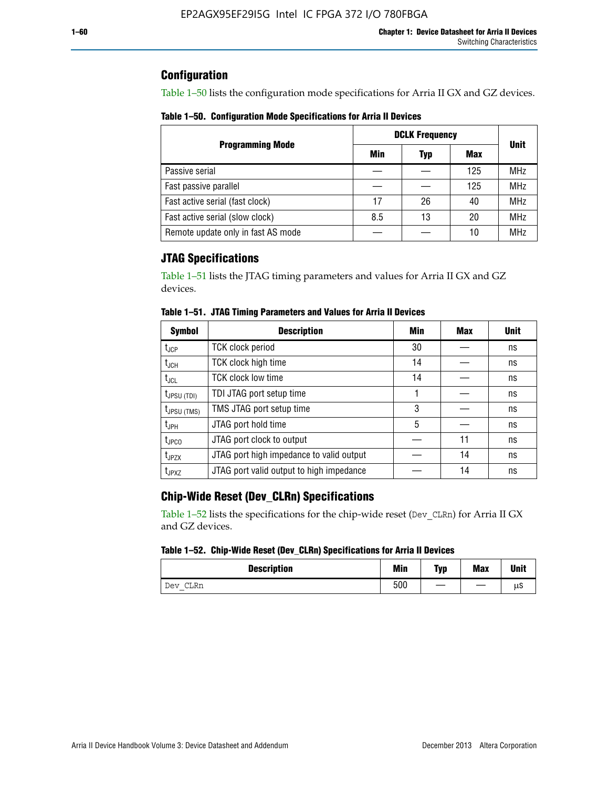## **Configuration**

Table 1–50 lists the configuration mode specifications for Arria II GX and GZ devices.

**Table 1–50. Configuration Mode Specifications for Arria II Devices**

|                                    | <b>DCLK Frequency</b> | <b>Unit</b> |     |            |
|------------------------------------|-----------------------|-------------|-----|------------|
| <b>Programming Mode</b>            | Min                   | Typ         | Max |            |
| Passive serial                     |                       |             | 125 | <b>MHz</b> |
| Fast passive parallel              |                       |             | 125 | <b>MHz</b> |
| Fast active serial (fast clock)    | 17                    | 26          | 40  | <b>MHz</b> |
| Fast active serial (slow clock)    | 8.5                   | 13          | 20  | <b>MHz</b> |
| Remote update only in fast AS mode |                       |             | 10  | <b>MHz</b> |

## **JTAG Specifications**

Table 1–51 lists the JTAG timing parameters and values for Arria II GX and GZ devices.

| <b>Symbol</b>     | <b>Description</b>                       | Min | Max | <b>Unit</b> |
|-------------------|------------------------------------------|-----|-----|-------------|
| $t_{JCP}$         | <b>TCK clock period</b>                  | 30  |     | ns          |
| $t_{JCH}$         | TCK clock high time                      | 14  |     | ns          |
| $t_{\text{JCL}}$  | <b>TCK clock low time</b>                | 14  |     | ns          |
| $t_{JPSU(TDI)}$   | TDI JTAG port setup time                 |     |     | ns          |
| $t_{JPSU\,(TMS)}$ | TMS JTAG port setup time                 | 3   |     | ns          |
| $t_{\sf JPH}$     | JTAG port hold time                      | 5   |     | ns          |
| $t_{\text{JPCO}}$ | JTAG port clock to output                |     | 11  | ns          |
| t <sub>JPZX</sub> | JTAG port high impedance to valid output |     | 14  | ns          |
| t <sub>JPXZ</sub> | JTAG port valid output to high impedance |     | 14  | ns          |

**Table 1–51. JTAG Timing Parameters and Values for Arria II Devices**

## **Chip-Wide Reset (Dev\_CLRn) Specifications**

Table 1–52 lists the specifications for the chip-wide reset (Dev\_CLRn) for Arria II GX and GZ devices.

#### **Table 1–52. Chip-Wide Reset (Dev\_CLRn) Specifications for Arria II Devices**

| <b>Description</b> | <b>Min</b> | Typ | <b>Max</b> | <b>Unit</b> |
|--------------------|------------|-----|------------|-------------|
| CLRn<br>Dev<br>–   | 500        | __  |            | μS          |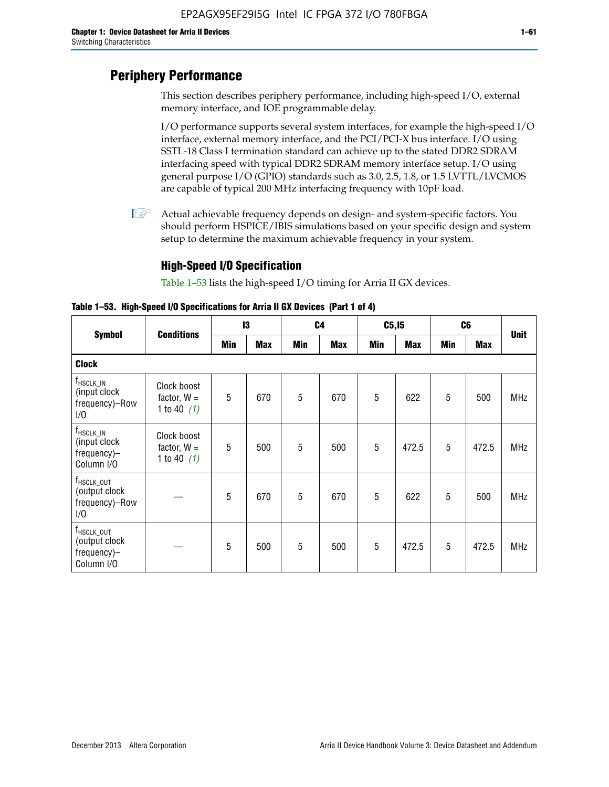# **Periphery Performance**

This section describes periphery performance, including high-speed I/O, external memory interface, and IOE programmable delay.

I/O performance supports several system interfaces, for example the high-speed I/O interface, external memory interface, and the PCI/PCI-X bus interface. I/O using SSTL-18 Class I termination standard can achieve up to the stated DDR2 SDRAM interfacing speed with typical DDR2 SDRAM memory interface setup. I/O using general purpose I/O (GPIO) standards such as 3.0, 2.5, 1.8, or 1.5 LVTTL/LVCMOS are capable of typical 200 MHz interfacing frequency with 10pF load.

 $\mathbb{I}$  Actual achievable frequency depends on design- and system-specific factors. You should perform HSPICE/IBIS simulations based on your specific design and system setup to determine the maximum achievable frequency in your system.

## **High-Speed I/O Specification**

Table 1–53 lists the high-speed I/O timing for Arria II GX devices.

**Table 1–53. High-Speed I/O Specifications for Arria II GX Devices (Part 1 of 4)**

| <b>Symbol</b>                                                                |                                               | 13  |            |     | C <sub>4</sub> |            | C5, I5     |            | C <sub>6</sub> |             |
|------------------------------------------------------------------------------|-----------------------------------------------|-----|------------|-----|----------------|------------|------------|------------|----------------|-------------|
|                                                                              | <b>Conditions</b>                             | Min | <b>Max</b> | Min | <b>Max</b>     | <b>Min</b> | <b>Max</b> | <b>Min</b> | <b>Max</b>     | <b>Unit</b> |
| <b>Clock</b>                                                                 |                                               |     |            |     |                |            |            |            |                |             |
| $f_{HSCLK\_IN}$<br>(input clock<br>frequency)-Row<br>1/0                     | Clock boost<br>factor, $W =$<br>1 to 40 $(1)$ | 5   | 670        | 5   | 670            | 5          | 622        | 5          | 500            | <b>MHz</b>  |
| $f_{HSCLK\_IN}$<br>(input clock<br>frequency)-<br>Column I/O                 | Clock boost<br>factor, $W =$<br>1 to 40 $(1)$ | 5   | 500        | 5   | 500            | 5          | 472.5      | 5          | 472.5          | <b>MHz</b>  |
| T <sub>HSCLK_OUT</sub><br>(output clock<br>frequency)-Row<br>1/0             |                                               | 5   | 670        | 5   | 670            | 5          | 622        | 5          | 500            | <b>MHz</b>  |
| $f_{\text{HSCLK}\_\text{OUT}}$<br>(output clock<br>frequency)-<br>Column I/O |                                               | 5   | 500        | 5   | 500            | 5          | 472.5      | 5          | 472.5          | <b>MHz</b>  |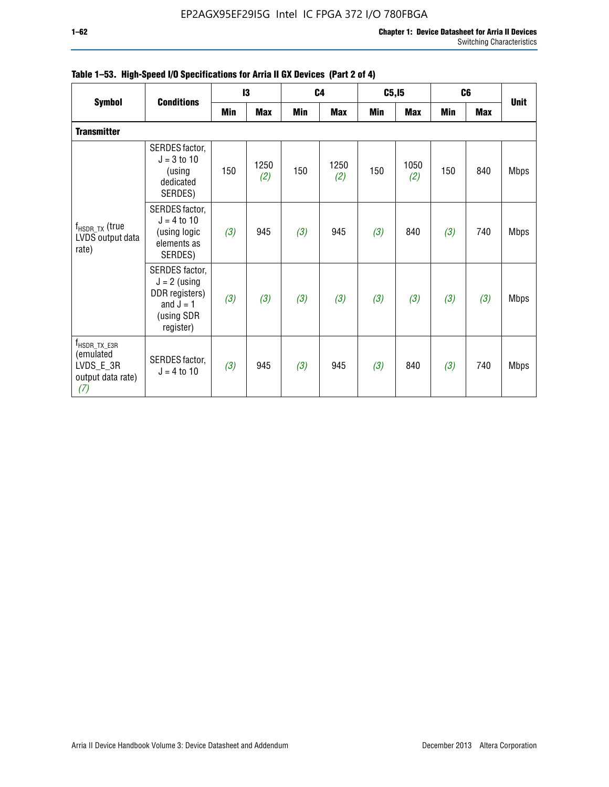|                                                                                  |                                                                                              |     | 13          |            | C <sub>4</sub> | C5, I5 |             | C <sub>6</sub> |            |             |
|----------------------------------------------------------------------------------|----------------------------------------------------------------------------------------------|-----|-------------|------------|----------------|--------|-------------|----------------|------------|-------------|
| <b>Symbol</b>                                                                    | <b>Conditions</b>                                                                            | Min | <b>Max</b>  | <b>Min</b> | <b>Max</b>     | Min    | <b>Max</b>  | <b>Min</b>     | <b>Max</b> | <b>Unit</b> |
| <b>Transmitter</b>                                                               |                                                                                              |     |             |            |                |        |             |                |            |             |
| $f_{HSDR_TX}$ (true<br>LVDS output data<br>rate)                                 | SERDES factor,<br>$J = 3$ to 10<br>(using<br>dedicated<br>SERDES)                            | 150 | 1250<br>(2) | 150        | 1250<br>(2)    | 150    | 1050<br>(2) | 150            | 840        | <b>Mbps</b> |
|                                                                                  | SERDES factor,<br>$J = 4$ to 10<br>(using logic<br>elements as<br>SERDES)                    | (3) | 945         | (3)        | 945            | (3)    | 840         | (3)            | 740        | <b>Mbps</b> |
|                                                                                  | SERDES factor,<br>$J = 2$ (using<br>DDR registers)<br>and $J = 1$<br>(using SDR<br>register) | (3) | (3)         | (3)        | (3)            | (3)    | (3)         | (3)            | (3)        | <b>Mbps</b> |
| $f_{\text{HSDR\_TX\_E3R}}$<br>(emulated<br>LVDS_E_3R<br>output data rate)<br>(7) | SERDES factor,<br>$J = 4$ to 10                                                              | (3) | 945         | (3)        | 945            | (3)    | 840         | (3)            | 740        | <b>Mbps</b> |

|  |  | Table 1–53. High-Speed I/O Specifications for Arria II GX Devices (Part 2 of 4) |  |
|--|--|---------------------------------------------------------------------------------|--|
|--|--|---------------------------------------------------------------------------------|--|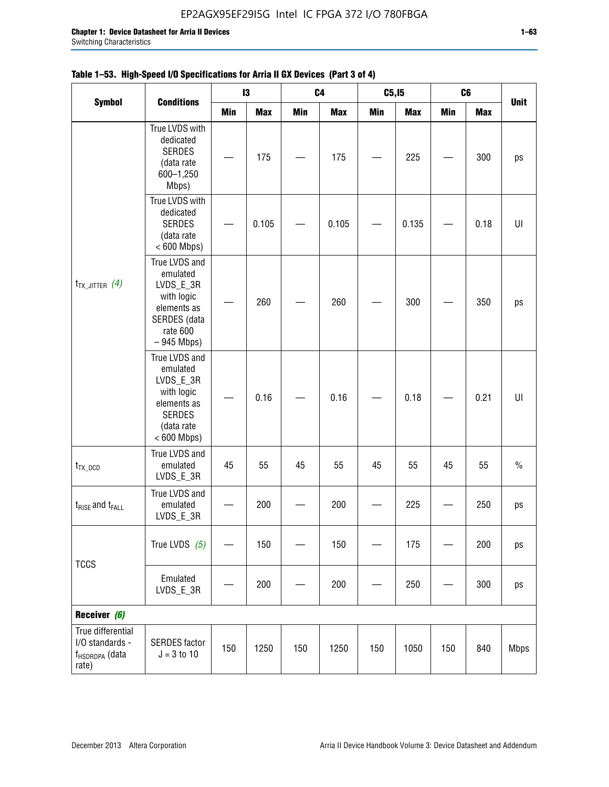|                                                                             |                                                                                                                     |     | 13         |     | C <sub>4</sub> | C5, I5     |            |            | C6         |               |
|-----------------------------------------------------------------------------|---------------------------------------------------------------------------------------------------------------------|-----|------------|-----|----------------|------------|------------|------------|------------|---------------|
| <b>Symbol</b><br>$t_{TX\_JITTER}$ (4)                                       | <b>Conditions</b>                                                                                                   | Min | <b>Max</b> | Min | <b>Max</b>     | <b>Min</b> | <b>Max</b> | <b>Min</b> | <b>Max</b> | <b>Unit</b>   |
|                                                                             | True LVDS with<br>dedicated<br><b>SERDES</b><br>(data rate<br>600-1,250<br>Mbps)                                    |     | 175        |     | 175            |            | 225        |            | 300        | ps            |
|                                                                             | True LVDS with<br>dedicated<br><b>SERDES</b><br>(data rate<br>$< 600$ Mbps)                                         |     | 0.105      |     | 0.105          |            | 0.135      |            | 0.18       | $\sf{UI}$     |
|                                                                             | True LVDS and<br>emulated<br>LVDS_E_3R<br>with logic<br>elements as<br>SERDES (data<br>rate 600<br>$-945$ Mbps)     |     | 260        |     | 260            |            | 300        |            | 350        | ps            |
|                                                                             | True LVDS and<br>emulated<br>LVDS_E_3R<br>with logic<br>elements as<br><b>SERDES</b><br>(data rate<br>$< 600$ Mbps) |     | 0.16       |     | 0.16           |            | 0.18       |            | 0.21       | U             |
| $t_{TX\_DCD}$                                                               | True LVDS and<br>emulated<br>LVDS_E_3R                                                                              | 45  | 55         | 45  | 55             | 45         | 55         | 45         | 55         | $\frac{0}{0}$ |
| $t_{RISE}$ and $t_{FALL}$                                                   | True LVDS and<br>emulated<br>LVDS_E_3R                                                                              |     | 200        |     | 200            |            | 225        |            | 250        | ps            |
| <b>TCCS</b>                                                                 | True LVDS $(5)$                                                                                                     |     | 150        |     | 150            |            | 175        |            | 200        | ps            |
|                                                                             | Emulated<br>LVDS_E_3R                                                                                               |     | 200        |     | 200            |            | 250        |            | 300        | ps            |
| Receiver (6)                                                                |                                                                                                                     |     |            |     |                |            |            |            |            |               |
| True differential<br>I/O standards -<br>f <sub>HSDRDPA</sub> (data<br>rate) | <b>SERDES</b> factor<br>$J = 3 to 10$                                                                               | 150 | 1250       | 150 | 1250           | 150        | 1050       | 150        | 840        | <b>Mbps</b>   |

## **Table 1–53. High-Speed I/O Specifications for Arria II GX Devices (Part 3 of 4)**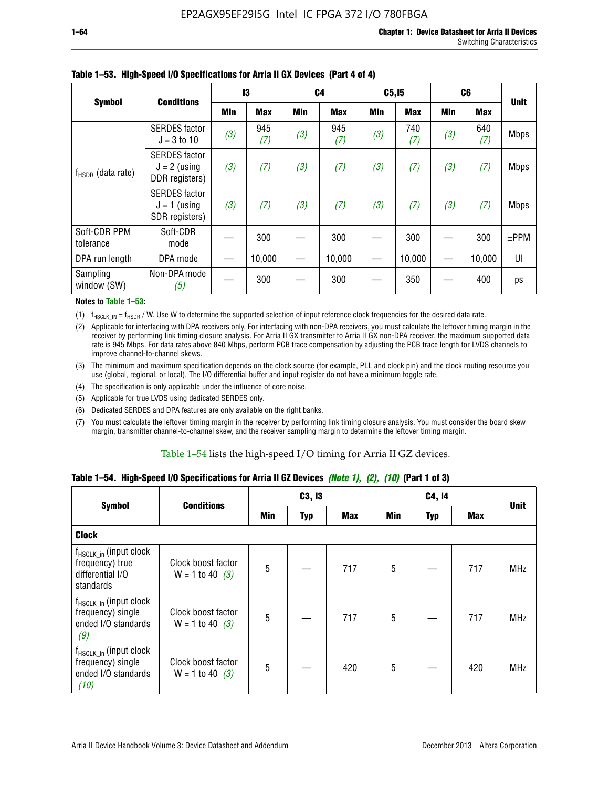|                           | <b>Conditions</b>                                        | 13  |            | C <sub>4</sub> |            | C5, I5     |            | C <sub>6</sub> |            | <b>Unit</b> |
|---------------------------|----------------------------------------------------------|-----|------------|----------------|------------|------------|------------|----------------|------------|-------------|
| <b>Symbol</b>             |                                                          | Min | <b>Max</b> | Min            | <b>Max</b> | <b>Min</b> | <b>Max</b> | <b>Min</b>     | <b>Max</b> |             |
| $f_{HSDR}$ (data rate)    | <b>SERDES</b> factor<br>$J = 3$ to 10                    | (3) | 945<br>(7) | (3)            | 945<br>(7) | (3)        | 740<br>(7) | (3)            | 640<br>(7) | <b>Mbps</b> |
|                           | <b>SERDES</b> factor<br>$J = 2$ (using<br>DDR registers) | (3) | (7)        | (3)            | (7)        | (3)        | (7)        | (3)            | (7)        | <b>Mbps</b> |
|                           | <b>SERDES</b> factor<br>$J = 1$ (using<br>SDR registers) | (3) | (7)        | (3)            | (7)        | (3)        | (7)        | (3)            | (7)        | <b>Mbps</b> |
| Soft-CDR PPM<br>tolerance | Soft-CDR<br>mode                                         |     | 300        |                | 300        |            | 300        |                | 300        | $\pm$ PPM   |
| DPA run length            | DPA mode                                                 |     | 10,000     |                | 10,000     |            | 10,000     |                | 10,000     | UI          |
| Sampling<br>window (SW)   | Non-DPA mode<br>(5)                                      |     | 300        |                | 300        |            | 350        |                | 400        | ps          |

### **Table 1–53. High-Speed I/O Specifications for Arria II GX Devices (Part 4 of 4)**

#### **Notes to Table 1–53:**

(1)  $f_{HSCLK\_IN} = f_{HSDR}$  / W. Use W to determine the supported selection of input reference clock frequencies for the desired data rate.

(2) Applicable for interfacing with DPA receivers only. For interfacing with non-DPA receivers, you must calculate the leftover timing margin in the receiver by performing link timing closure analysis. For Arria II GX transmitter to Arria II GX non-DPA receiver, the maximum supported data rate is 945 Mbps. For data rates above 840 Mbps, perform PCB trace compensation by adjusting the PCB trace length for LVDS channels to improve channel-to-channel skews.

- (3) The minimum and maximum specification depends on the clock source (for example, PLL and clock pin) and the clock routing resource you use (global, regional, or local). The I/O differential buffer and input register do not have a minimum toggle rate.
- (4) The specification is only applicable under the influence of core noise.
- (5) Applicable for true LVDS using dedicated SERDES only.
- (6) Dedicated SERDES and DPA features are only available on the right banks.
- (7) You must calculate the leftover timing margin in the receiver by performing link timing closure analysis. You must consider the board skew margin, transmitter channel-to-channel skew, and the receiver sampling margin to determine the leftover timing margin.

#### Table 1–54 lists the high-speed I/O timing for Arria II GZ devices.

### **Table 1–54. High-Speed I/O Specifications for Arria II GZ Devices** *(Note 1), (2), (10)* **(Part 1 of 3)**

|                                                                                        | <b>Conditions</b>                       |     | C3, I3     |            |     | C4, 14 |     |             |
|----------------------------------------------------------------------------------------|-----------------------------------------|-----|------------|------------|-----|--------|-----|-------------|
| <b>Symbol</b>                                                                          |                                         | Min | <b>Typ</b> | <b>Max</b> | Min | Typ    | Max | <b>Unit</b> |
| <b>Clock</b>                                                                           |                                         |     |            |            |     |        |     |             |
| f <sub>HSCLK_in</sub> (input clock<br>frequency) true<br>differential I/O<br>standards | Clock boost factor<br>$W = 1$ to 40 (3) | 5   |            | 717        | 5   |        | 717 | <b>MHz</b>  |
| $f_{HSCLK_in}$ (input clock<br>frequency) single<br>ended I/O standards<br>(9)         | Clock boost factor<br>$W = 1$ to 40 (3) | 5   |            | 717        | 5   |        | 717 | <b>MHz</b>  |
| $f_{HSCLK_in}$ (input clock<br>frequency) single<br>ended I/O standards<br>(10)        | Clock boost factor<br>$W = 1$ to 40 (3) | 5   |            | 420        | 5   |        | 420 | <b>MHz</b>  |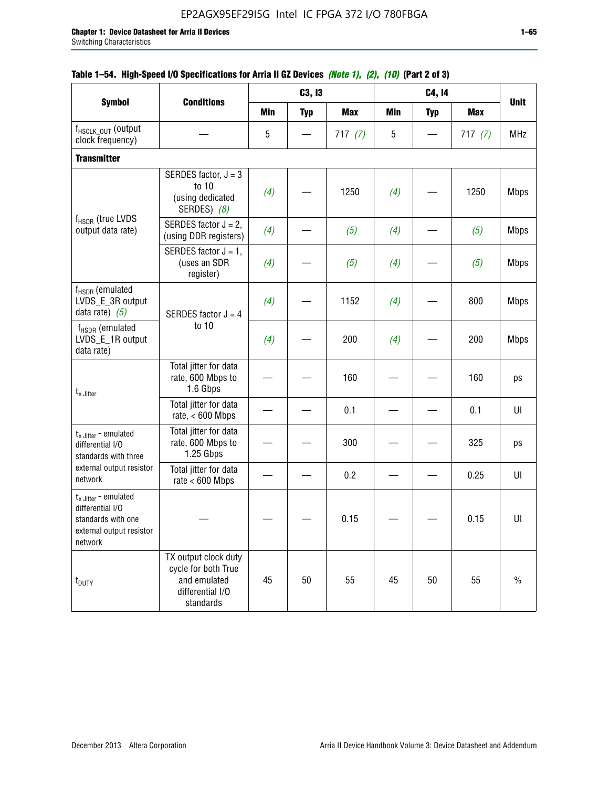|                                                                                                          |                                                                                              |            | C3, I3     |            |            | C4, 14     |            |             |
|----------------------------------------------------------------------------------------------------------|----------------------------------------------------------------------------------------------|------------|------------|------------|------------|------------|------------|-------------|
| <b>Symbol</b>                                                                                            | <b>Conditions</b>                                                                            | <b>Min</b> | <b>Typ</b> | <b>Max</b> | <b>Min</b> | <b>Typ</b> | <b>Max</b> | <b>Unit</b> |
| f <sub>HSCLK_OUT</sub> (output<br>clock frequency)                                                       |                                                                                              | 5          |            | 717 $(7)$  | 5          |            | 717(7)     | <b>MHz</b>  |
| <b>Transmitter</b>                                                                                       |                                                                                              |            |            |            |            |            |            |             |
|                                                                                                          | SERDES factor, $J = 3$<br>to 10<br>(using dedicated<br>SERDES) (8)                           | (4)        |            | 1250       | (4)        |            | 1250       | <b>Mbps</b> |
| $f_{HSDR}$ (true LVDS<br>output data rate)                                                               | SERDES factor $J = 2$ ,<br>(using DDR registers)                                             | (4)        |            | (5)        | (4)        |            | (5)        | <b>Mbps</b> |
|                                                                                                          | SERDES factor $J = 1$ ,<br>(uses an SDR<br>register)                                         | (4)        |            | (5)        | (4)        |            | (5)        | <b>Mbps</b> |
| f <sub>HSDR</sub> (emulated<br>LVDS_E_3R output<br>data rate) $(5)$                                      | SERDES factor $J = 4$                                                                        | (4)        |            | 1152       | (4)        |            | 800        | <b>Mbps</b> |
| $f_{\rm HSDR}$ (emulated<br>LVDS_E_1R output<br>data rate)                                               | to 10                                                                                        | (4)        |            | 200        | (4)        |            | 200        | <b>Mbps</b> |
| $t_x$ Jitter                                                                                             | Total jitter for data<br>rate, 600 Mbps to<br>1.6 Gbps                                       |            |            | 160        |            |            | 160        | ps          |
|                                                                                                          | Total jitter for data<br>rate, $< 600$ Mbps                                                  |            |            | 0.1        |            |            | 0.1        | UI          |
| $t_x$ Jitter - emulated<br>differential I/O<br>standards with three                                      | Total jitter for data<br>rate, 600 Mbps to<br>1.25 Gbps                                      |            |            | 300        |            |            | 325        | ps          |
| external output resistor<br>network                                                                      | Total jitter for data<br>rate $< 600$ Mbps                                                   |            |            | 0.2        |            |            | 0.25       | UI          |
| $t_x$ Jitter - emulated<br>differential I/O<br>standards with one<br>external output resistor<br>network |                                                                                              |            |            | 0.15       |            |            | 0.15       | UI          |
| t <sub>DUTY</sub>                                                                                        | TX output clock duty<br>cycle for both True<br>and emulated<br>differential I/O<br>standards | 45         | 50         | 55         | 45         | 50         | 55         | $\%$        |

### **Table 1–54. High-Speed I/O Specifications for Arria II GZ Devices** *(Note 1), (2), (10)* **(Part 2 of 3)**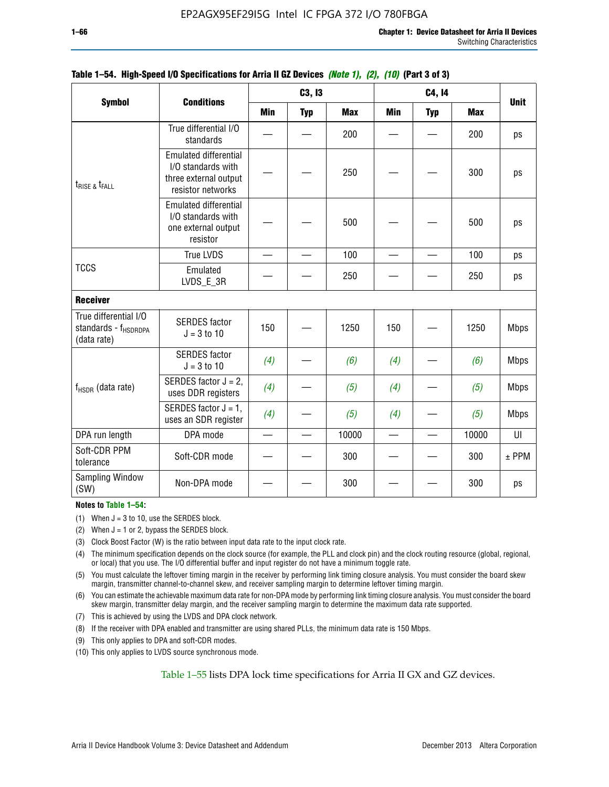|                                                                          |                                                                                                  |                          | C3, I3     |            |     | C4, 14     |            |             |
|--------------------------------------------------------------------------|--------------------------------------------------------------------------------------------------|--------------------------|------------|------------|-----|------------|------------|-------------|
| <b>Symbol</b>                                                            | <b>Conditions</b>                                                                                | <b>Min</b>               | <b>Typ</b> | <b>Max</b> | Min | <b>Typ</b> | <b>Max</b> | <b>Unit</b> |
|                                                                          | True differential I/O<br>standards                                                               |                          |            | 200        |     |            | 200        | ps          |
| $t_{RISE}$ & $t_{FALL}$                                                  | <b>Emulated differential</b><br>I/O standards with<br>three external output<br>resistor networks |                          |            | 250        |     |            | 300        | ps          |
| <b>TCCS</b>                                                              | <b>Emulated differential</b><br>I/O standards with<br>one external output<br>resistor            |                          |            | 500        |     |            | 500        | ps          |
|                                                                          | <b>True LVDS</b>                                                                                 | $\overline{\phantom{0}}$ |            | 100        |     |            | 100        | ps          |
|                                                                          | Emulated<br>LVDS_E_3R                                                                            |                          |            | 250        |     |            | 250        | ps          |
| <b>Receiver</b>                                                          |                                                                                                  |                          |            |            |     |            |            |             |
| True differential I/O<br>standards - f <sub>HSDRDPA</sub><br>(data rate) | <b>SERDES</b> factor<br>$J = 3$ to 10                                                            | 150                      |            | 1250       | 150 |            | 1250       | <b>Mbps</b> |
|                                                                          | <b>SERDES</b> factor<br>$J = 3$ to 10                                                            | (4)                      |            | (6)        | (4) |            | (6)        | <b>Mbps</b> |
| $f_{HSDR}$ (data rate)                                                   | SERDES factor $J = 2$ ,<br>uses DDR registers                                                    | (4)                      |            | (5)        | (4) |            | (5)        | <b>Mbps</b> |
|                                                                          | SERDES factor $J = 1$ ,<br>uses an SDR register                                                  | (4)                      |            | (5)        | (4) |            | (5)        | <b>Mbps</b> |
| DPA run length                                                           | DPA mode                                                                                         |                          |            | 10000      |     |            | 10000      | UI          |
| Soft-CDR PPM<br>tolerance                                                | Soft-CDR mode                                                                                    |                          |            | 300        |     |            | 300        | $±$ PPM     |
| Sampling Window<br>(SW)                                                  | Non-DPA mode                                                                                     |                          |            | 300        |     |            | 300        | ps          |

### **Table 1–54. High-Speed I/O Specifications for Arria II GZ Devices** *(Note 1), (2), (10)* **(Part 3 of 3)**

#### **Notes to Table 1–54:**

(1) When  $J = 3$  to 10, use the SERDES block.

- (2) When  $J = 1$  or 2, bypass the SERDES block.
- (3) Clock Boost Factor (W) is the ratio between input data rate to the input clock rate.
- (4) The minimum specification depends on the clock source (for example, the PLL and clock pin) and the clock routing resource (global, regional, or local) that you use. The I/O differential buffer and input register do not have a minimum toggle rate.
- (5) You must calculate the leftover timing margin in the receiver by performing link timing closure analysis. You must consider the board skew margin, transmitter channel-to-channel skew, and receiver sampling margin to determine leftover timing margin.
- (6) You can estimate the achievable maximum data rate for non-DPA mode by performing link timing closure analysis. You must consider the board skew margin, transmitter delay margin, and the receiver sampling margin to determine the maximum data rate supported.
- (7) This is achieved by using the LVDS and DPA clock network.
- (8) If the receiver with DPA enabled and transmitter are using shared PLLs, the minimum data rate is 150 Mbps.
- (9) This only applies to DPA and soft-CDR modes.
- (10) This only applies to LVDS source synchronous mode.

Table 1–55 lists DPA lock time specifications for Arria II GX and GZ devices.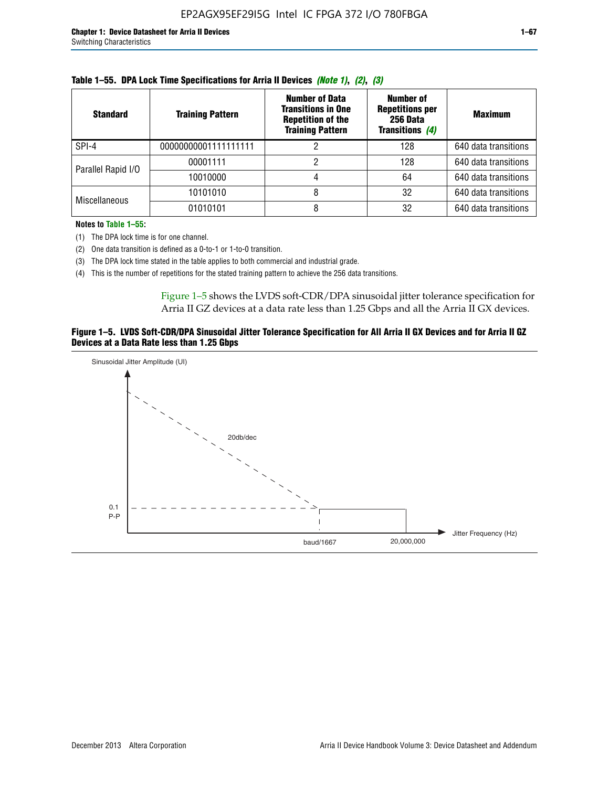| <b>Standard</b>      | <b>Training Pattern</b> | <b>Number of Data</b><br><b>Transitions in One</b><br><b>Repetition of the</b><br><b>Training Pattern</b> | Number of<br><b>Repetitions per</b><br>256 Data<br><b>Transitions (4)</b> | <b>Maximum</b>       |
|----------------------|-------------------------|-----------------------------------------------------------------------------------------------------------|---------------------------------------------------------------------------|----------------------|
| SPI-4                | 00000000001111111111    |                                                                                                           | 128                                                                       | 640 data transitions |
| Parallel Rapid I/O   | 00001111                |                                                                                                           | 128                                                                       | 640 data transitions |
|                      | 10010000                |                                                                                                           | 64                                                                        | 640 data transitions |
| <b>Miscellaneous</b> | 10101010                |                                                                                                           | 32                                                                        | 640 data transitions |
|                      | 01010101                |                                                                                                           | 32                                                                        | 640 data transitions |

|  |  | Table 1–55. DPA Lock Time Specifications for Arria II Devices (Note 1), (2), (3) |  |  |  |
|--|--|----------------------------------------------------------------------------------|--|--|--|
|--|--|----------------------------------------------------------------------------------|--|--|--|

**Notes to Table 1–55:**

- (1) The DPA lock time is for one channel.
- (2) One data transition is defined as a 0-to-1 or 1-to-0 transition.
- (3) The DPA lock time stated in the table applies to both commercial and industrial grade.
- (4) This is the number of repetitions for the stated training pattern to achieve the 256 data transitions.

Figure 1–5 shows the LVDS soft-CDR/DPA sinusoidal jitter tolerance specification for Arria II GZ devices at a data rate less than 1.25 Gbps and all the Arria II GX devices.

#### **Figure 1–5. LVDS Soft-CDR/DPA Sinusoidal Jitter Tolerance Specification for All Arria II GX Devices and for Arria II GZ Devices at a Data Rate less than 1.25 Gbps**

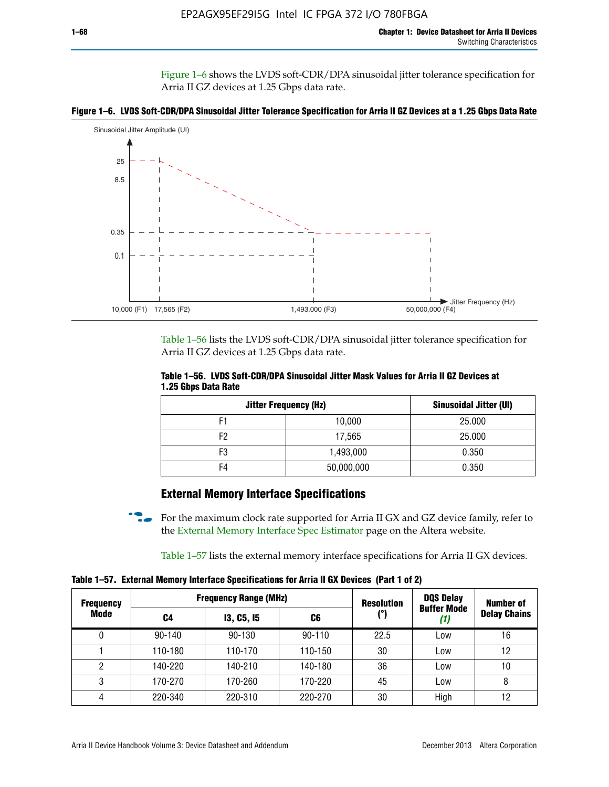Figure 1–6 shows the LVDS soft-CDR/DPA sinusoidal jitter tolerance specification for Arria II GZ devices at 1.25 Gbps data rate.





Table 1–56 lists the LVDS soft-CDR/DPA sinusoidal jitter tolerance specification for Arria II GZ devices at 1.25 Gbps data rate.

|                     | Table 1–56. LVDS Soft-CDR/DPA Sinusoidal Jitter Mask Values for Arria II GZ Devices at |  |  |
|---------------------|----------------------------------------------------------------------------------------|--|--|
| 1.25 Gbps Data Rate |                                                                                        |  |  |

| <b>Jitter Frequency (Hz)</b> | Sinusoidal Jitter (UI) |        |
|------------------------------|------------------------|--------|
| F1                           | 10,000                 | 25.000 |
| F2                           | 17,565                 | 25.000 |
| F3                           | 1,493,000              | 0.350  |
| F4                           | 50,000,000             | 0.350  |

## **External Memory Interface Specifications**

For the maximum clock rate supported for Arria II GX and GZ device family, refer to the [External Memory Interface Spec Estimator](http://www.altera.com/technology/memory/estimator/mem-emif-index.html) page on the Altera website.

Table 1–57 lists the external memory interface specifications for Arria II GX devices.

**Table 1–57. External Memory Interface Specifications for Arria II GX Devices (Part 1 of 2)**

| <b>Frequency</b> |            | <b>Frequency Range (MHz)</b> |            | <b>Resolution</b> | <b>DQS Delay</b><br>Number of |                     |  |
|------------------|------------|------------------------------|------------|-------------------|-------------------------------|---------------------|--|
| Mode             | C4         | <b>13, C5, 15</b>            | C6         | (°)               | <b>Buffer Mode</b><br>(1)     | <b>Delay Chains</b> |  |
| 0                | $90 - 140$ | 90-130                       | $90 - 110$ | 22.5              | Low                           | 16                  |  |
|                  | 110-180    | 110-170                      | 110-150    | 30                | Low                           | 12                  |  |
| 2                | 140-220    | 140-210                      | 140-180    | 36                | Low                           | 10                  |  |
| 3                | 170-270    | 170-260                      | 170-220    | 45                | Low                           | 8                   |  |
| 4                | 220-340    | 220-310                      | 220-270    | 30                | High                          | 12                  |  |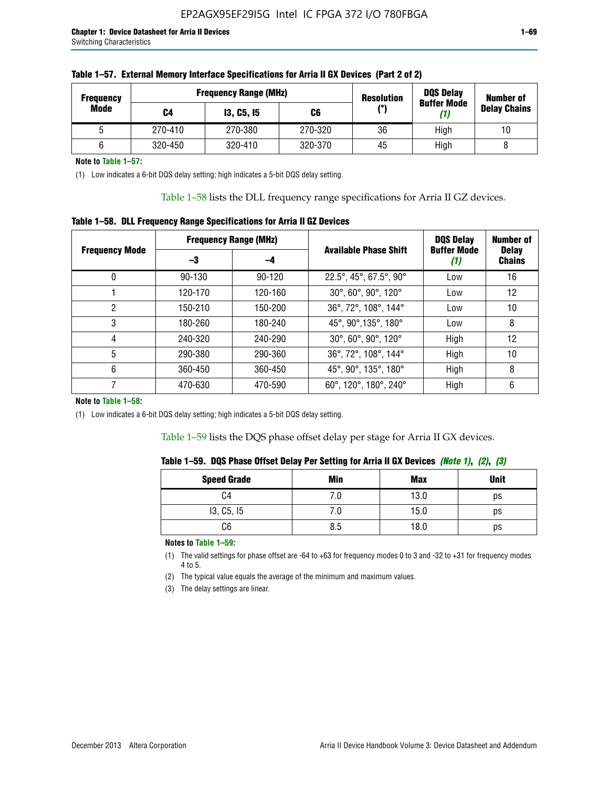| <b>Frequency</b> |         | <b>Frequency Range (MHz)</b> |         | <b>Resolution</b> | <b>DQS Delay</b><br><b>Buffer Mode</b> | <b>Number of</b>    |  |
|------------------|---------|------------------------------|---------|-------------------|----------------------------------------|---------------------|--|
| Mode             | C4      | <b>13, C5, 15</b>            | C6      | (°)               | (1)                                    | <b>Delay Chains</b> |  |
|                  | 270-410 | 270-380                      | 270-320 | 36                | High                                   | 10                  |  |
|                  | 320-450 | 320-410                      | 320-370 | 45                | High                                   |                     |  |

| Table 1–57. External Memory Interface Specifications for Arria II GX Devices (Part 2 of 2) |
|--------------------------------------------------------------------------------------------|
|--------------------------------------------------------------------------------------------|

**Note to Table 1–57:**

(1) Low indicates a 6-bit DQS delay setting; high indicates a 5-bit DQS delay setting.

Table 1–58 lists the DLL frequency range specifications for Arria II GZ devices.

### **Table 1–58. DLL Frequency Range Specifications for Arria II GZ Devices**

|                       |            | <b>Frequency Range (MHz)</b> |                              | <b>DOS Delay</b>          | <b>Number of</b>              |  |
|-----------------------|------------|------------------------------|------------------------------|---------------------------|-------------------------------|--|
| <b>Frequency Mode</b> | -3         | -4                           | <b>Available Phase Shift</b> | <b>Buffer Mode</b><br>(1) | <b>Delay</b><br><b>Chains</b> |  |
| 0                     | $90 - 130$ | $90 - 120$                   | 22.5°, 45°, 67.5°, 90°       | Low                       | 16                            |  |
|                       | 120-170    | 120-160                      | 30°, 60°, 90°, 120°          | Low                       | 12                            |  |
| 2                     | 150-210    | 150-200                      | 36°, 72°, 108°, 144°         | Low                       | 10                            |  |
| 3                     | 180-260    | 180-240                      | 45°, 90°, 135°, 180°         | Low                       | 8                             |  |
| 4                     | 240-320    | 240-290                      | 30°, 60°, 90°, 120°          | High                      | 12                            |  |
| 5                     | 290-380    | 290-360                      | 36°, 72°, 108°, 144°         | High                      | 10                            |  |
| 6                     | 360-450    | 360-450                      | 45°, 90°, 135°, 180°         | High                      | 8                             |  |
|                       | 470-630    | 470-590                      | 60°, 120°, 180°, 240°        | High                      | 6                             |  |

#### **Note to Table 1–58:**

(1) Low indicates a 6-bit DQS delay setting; high indicates a 5-bit DQS delay setting.

Table 1–59 lists the DQS phase offset delay per stage for Arria II GX devices.

|  | Table 1–59.  DQS Phase Offset Delay Per Setting for Arria II GX Devices <i>(Note 1), (2), (3)</i> |  |  |
|--|---------------------------------------------------------------------------------------------------|--|--|
|  |                                                                                                   |  |  |

| <b>Speed Grade</b> | Min  | <b>Max</b> | <b>Unit</b> |
|--------------------|------|------------|-------------|
| C4                 | ن. ا | 13.0       | ps          |
| 13, C5, I5         | 7.U  | 15.0       | ps          |
| C6                 | 8.5  | 18.0       | ps          |

**Notes to Table 1–59:**

(1) The valid settings for phase offset are -64 to +63 for frequency modes 0 to 3 and -32 to +31 for frequency modes 4 to 5.

(2) The typical value equals the average of the minimum and maximum values.

(3) The delay settings are linear.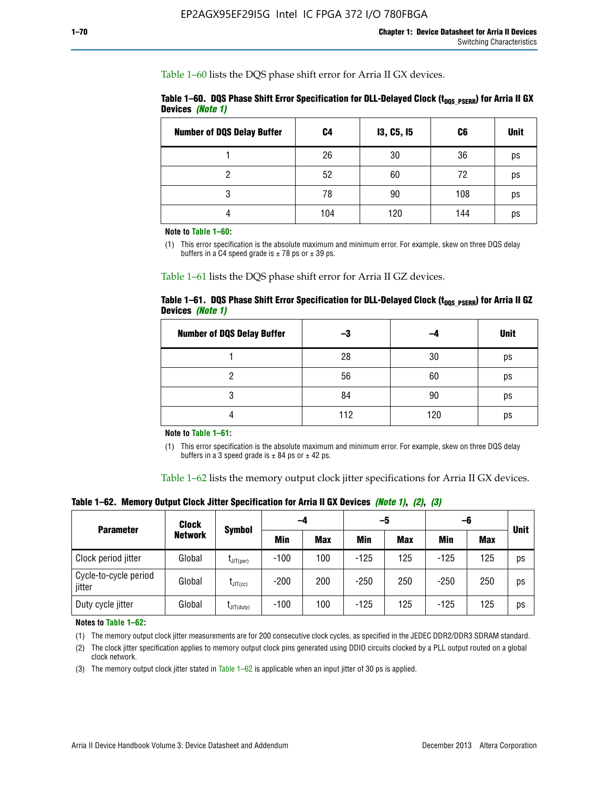Table 1–60 lists the DQS phase shift error for Arria II GX devices.

|                  | Table 1–60. DQS Phase Shift Error Specification for DLL-Delayed Clock ( $t_{\text{DOS PSERR}}$ ) for Arria II GX |  |
|------------------|------------------------------------------------------------------------------------------------------------------|--|
| Devices (Note 1) |                                                                                                                  |  |

| <b>Number of DQS Delay Buffer</b> | C4  | <b>13, C5, 15</b> | C6  | <b>Unit</b> |
|-----------------------------------|-----|-------------------|-----|-------------|
|                                   | 26  | 30                | 36  | ps          |
| າ                                 | 52  | 60                | 72  | ps          |
| 3                                 | 78  | 90                | 108 | ps          |
|                                   | 104 | 120               | 144 | ps          |

**Note to Table 1–60:**

(1) This error specification is the absolute maximum and minimum error. For example, skew on three DQS delay buffers in a C4 speed grade is  $\pm$  78 ps or  $\pm$  39 ps.

Table 1–61 lists the DQS phase shift error for Arria II GZ devices.

|                         |  | Table 1–61.DQS Phase Shift Error Specification for DLL-Delayed Clock (t <sub>oos PSERR</sub> ) for Arria II GZ |  |
|-------------------------|--|----------------------------------------------------------------------------------------------------------------|--|
| Devices <i>(Note 1)</i> |  |                                                                                                                |  |

| <b>Number of DQS Delay Buffer</b> | -3  |     | <b>Unit</b> |
|-----------------------------------|-----|-----|-------------|
|                                   | 28  | 30  | ps          |
|                                   | 56  | 60  | ps          |
| O                                 | 84  | 90  | ps          |
|                                   | 112 | 120 | ps          |

**Note to Table 1–61:**

(1) This error specification is the absolute maximum and minimum error. For example, skew on three DQS delay buffers in a 3 speed grade is  $\pm$  84 ps or  $\pm$  42 ps.

Table 1–62 lists the memory output clock jitter specifications for Arria II GX devices.

**Table 1–62. Memory Output Clock Jitter Specification for Arria II GX Devices** *(Note 1)***,** *(2)***,** *(3)*

| <b>Parameter</b>                | Clock<br><b>Network</b> | <b>Symbol</b>        | -4     |            | -5     |            | -6         |            |             |
|---------------------------------|-------------------------|----------------------|--------|------------|--------|------------|------------|------------|-------------|
|                                 |                         |                      | Min    | <b>Max</b> | Min    | <b>Max</b> | <b>Min</b> | <b>Max</b> | <b>Unit</b> |
| Clock period jitter             | Global                  | $L$ JIT(per)         | $-100$ | 100        | $-125$ | 125        | $-125$     | 125        | ps          |
| Cycle-to-cycle period<br>jitter | Global                  | $L$ JIT $(cc)$       | $-200$ | 200        | $-250$ | 250        | $-250$     | 250        | ps          |
| Duty cycle jitter               | Global                  | $L$ JIT $(du$ ty $)$ | $-100$ | 100        | $-125$ | 125        | $-125$     | 125        | ps          |

**Notes to Table 1–62:**

(1) The memory output clock jitter measurements are for 200 consecutive clock cycles, as specified in the JEDEC DDR2/DDR3 SDRAM standard.

(2) The clock jitter specification applies to memory output clock pins generated using DDIO circuits clocked by a PLL output routed on a global clock network.

(3) The memory output clock jitter stated in Table  $1-62$  is applicable when an input jitter of 30 ps is applied.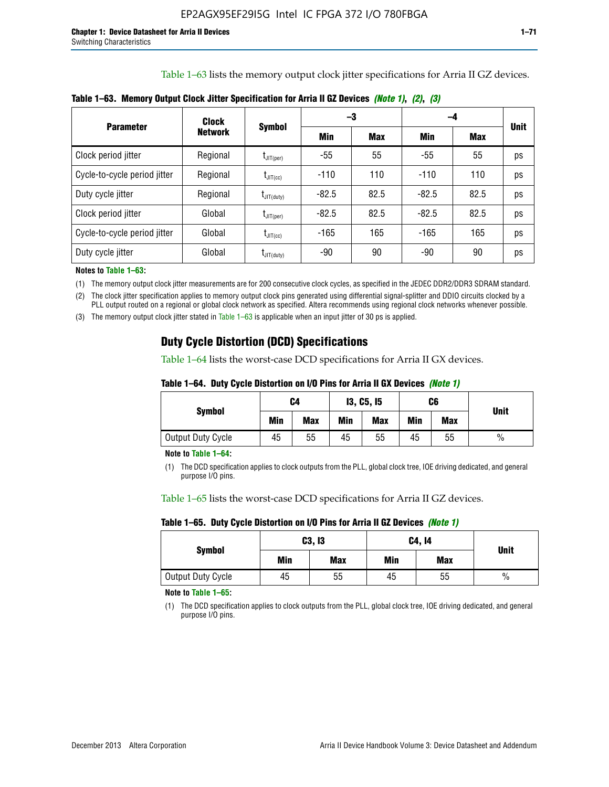Table 1–63 lists the memory output clock jitter specifications for Arria II GZ devices.

|                              | <b>Clock</b>   | <b>Symbol</b>          |         | -3         | -4      |            |             |
|------------------------------|----------------|------------------------|---------|------------|---------|------------|-------------|
| <b>Parameter</b>             | <b>Network</b> |                        | Min     | <b>Max</b> | Min     | <b>Max</b> | <b>Unit</b> |
| Clock period jitter          | Regional       | $I_{\text{JIT(per)}}$  | $-55$   | 55         | $-55$   | 55         | ps          |
| Cycle-to-cycle period jitter | Regional       | $t_{\text{JIT(cc)}}$   | $-110$  | 110        | $-110$  | 110        | ps          |
| Duty cycle jitter            | Regional       | $t_{\text{JIT(duty)}}$ | $-82.5$ | 82.5       | $-82.5$ | 82.5       | ps          |
| Clock period jitter          | Global         | $I_{\text{JIT(per)}}$  | $-82.5$ | 82.5       | $-82.5$ | 82.5       | ps          |
| Cycle-to-cycle period jitter | Global         | $t_{\text{JIT(cc)}}$   | $-165$  | 165        | -165    | 165        | ps          |
| Duty cycle jitter            | Global         | $t_{\text{JIT(duty)}}$ | -90     | 90         | -90     | 90         | ps          |

**Table 1–63. Memory Output Clock Jitter Specification for Arria II GZ Devices** *(Note 1)***,** *(2)***,** *(3)*

**Notes to Table 1–63:**

(1) The memory output clock jitter measurements are for 200 consecutive clock cycles, as specified in the JEDEC DDR2/DDR3 SDRAM standard.

(2) The clock jitter specification applies to memory output clock pins generated using differential signal-splitter and DDIO circuits clocked by a PLL output routed on a regional or global clock network as specified. Altera recommends using regional clock networks whenever possible.

(3) The memory output clock jitter stated in Table 1–63 is applicable when an input jitter of 30 ps is applied.

## **Duty Cycle Distortion (DCD) Specifications**

Table 1–64 lists the worst-case DCD specifications for Arria II GX devices.

| Table 1–64.  Duty Cycle Distortion on I/O Pins for Arria II GX Devices <i>(Note 1)</i> |  |  |
|----------------------------------------------------------------------------------------|--|--|
|----------------------------------------------------------------------------------------|--|--|

| <b>Symbol</b>     | C4  |            | <b>13, C5, 15</b> |            | C6  |            | <b>Unit</b>   |  |
|-------------------|-----|------------|-------------------|------------|-----|------------|---------------|--|
|                   | Min | <b>Max</b> | Min               | <b>Max</b> | Min | <b>Max</b> |               |  |
| Output Duty Cycle | 45  | 55         | 45                | 55         | 45  | 55         | $\frac{0}{0}$ |  |

**Note to Table 1–64:**

(1) The DCD specification applies to clock outputs from the PLL, global clock tree, IOE driving dedicated, and general purpose I/O pins.

Table 1–65 lists the worst-case DCD specifications for Arria II GZ devices.

**Table 1–65. Duty Cycle Distortion on I/O Pins for Arria II GZ Devices** *(Note 1)*

| <b>Symbol</b>     |     | C3, I3     | C4, 14 | <b>Unit</b> |      |
|-------------------|-----|------------|--------|-------------|------|
|                   | Min | <b>Max</b> | Min    | <b>Max</b>  |      |
| Output Duty Cycle | 45  | 55         | 45     | 55          | $\%$ |

**Note to Table 1–65:**

(1) The DCD specification applies to clock outputs from the PLL, global clock tree, IOE driving dedicated, and general purpose I/O pins.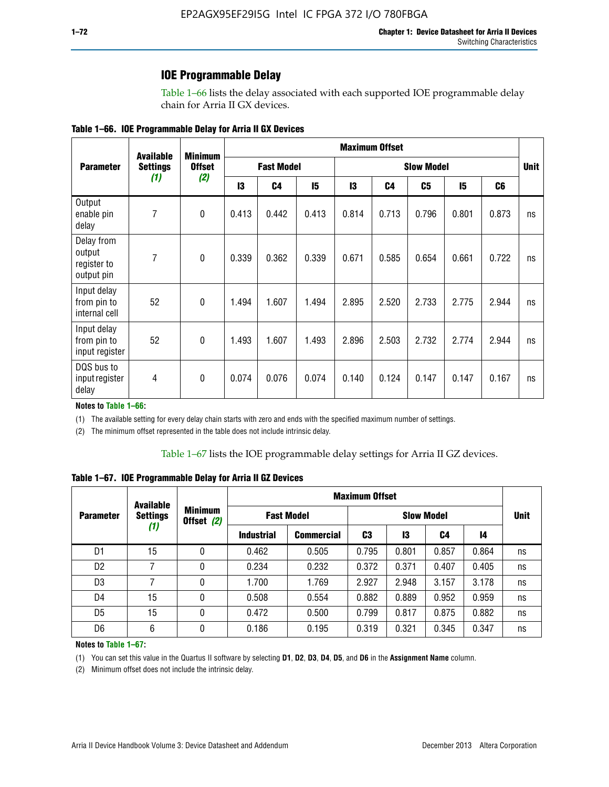### **IOE Programmable Delay**

Table 1–66 lists the delay associated with each supported IOE programmable delay chain for Arria II GX devices.

| Table 1–66. IOE Programmable Delay for Arria II GX Devices |
|------------------------------------------------------------|
|------------------------------------------------------------|

|                                                   | <b>Available</b> | <b>Minimum</b><br><b>Offset</b> | <b>Maximum Offset</b> |                |                   |       |       |       |       |                |    |
|---------------------------------------------------|------------------|---------------------------------|-----------------------|----------------|-------------------|-------|-------|-------|-------|----------------|----|
| <b>Parameter</b>                                  | <b>Settings</b>  |                                 | <b>Fast Model</b>     |                | <b>Slow Model</b> |       |       |       |       | <b>Unit</b>    |    |
|                                                   | (1)              | (2)                             | 13                    | C <sub>4</sub> | 15                | 13    | C4    | C5    | 15    | C <sub>6</sub> |    |
| Output<br>enable pin<br>delay                     | 7                | $\pmb{0}$                       | 0.413                 | 0.442          | 0.413             | 0.814 | 0.713 | 0.796 | 0.801 | 0.873          | ns |
| Delay from<br>output<br>register to<br>output pin | 7                | $\mathbf 0$                     | 0.339                 | 0.362          | 0.339             | 0.671 | 0.585 | 0.654 | 0.661 | 0.722          | ns |
| Input delay<br>from pin to<br>internal cell       | 52               | $\mathbf{0}$                    | 1.494                 | 1.607          | 1.494             | 2.895 | 2.520 | 2.733 | 2.775 | 2.944          | ns |
| Input delay<br>from pin to<br>input register      | 52               | $\mathbf{0}$                    | 1.493                 | 1.607          | 1.493             | 2.896 | 2.503 | 2.732 | 2.774 | 2.944          | ns |
| DQS bus to<br>input register<br>delay             | 4                | $\mathbf 0$                     | 0.074                 | 0.076          | 0.074             | 0.140 | 0.124 | 0.147 | 0.147 | 0.167          | ns |

**Notes to Table 1–66:**

(1) The available setting for every delay chain starts with zero and ends with the specified maximum number of settings.

(2) The minimum offset represented in the table does not include intrinsic delay.

**Table 1–67. IOE Programmable Delay for Arria II GZ Devices**

|                  | <b>Available</b><br><b>Settings</b><br>(1) |   | <b>Maximum Offset</b>        |                   |                   |       |       |       |             |
|------------------|--------------------------------------------|---|------------------------------|-------------------|-------------------|-------|-------|-------|-------------|
| <b>Parameter</b> |                                            |   | <b>Minimum</b><br>Offset (2) | <b>Fast Model</b> | <b>Slow Model</b> |       |       |       | <b>Unit</b> |
|                  |                                            |   | <b>Industrial</b>            | <b>Commercial</b> | C3                | 13    | C4    | 14    |             |
| D1               | 15                                         | 0 | 0.462                        | 0.505             | 0.795             | 0.801 | 0.857 | 0.864 | ns          |
| D <sub>2</sub>   | 7                                          | 0 | 0.234                        | 0.232             | 0.372             | 0.371 | 0.407 | 0.405 | ns          |
| D <sub>3</sub>   | 7                                          | 0 | 1.700                        | 1.769             | 2.927             | 2.948 | 3.157 | 3.178 | ns          |
| D4               | 15                                         | 0 | 0.508                        | 0.554             | 0.882             | 0.889 | 0.952 | 0.959 | ns          |
| D <sub>5</sub>   | 15                                         | 0 | 0.472                        | 0.500             | 0.799             | 0.817 | 0.875 | 0.882 | ns          |
| D <sub>6</sub>   | 6                                          | 0 | 0.186                        | 0.195             | 0.319             | 0.321 | 0.345 | 0.347 | ns          |

#### **Notes to Table 1–67:**

(1) You can set this value in the Quartus II software by selecting **D1**, **D2**, **D3**, **D4**, **D5**, and **D6** in the **Assignment Name** column.

(2) Minimum offset does not include the intrinsic delay.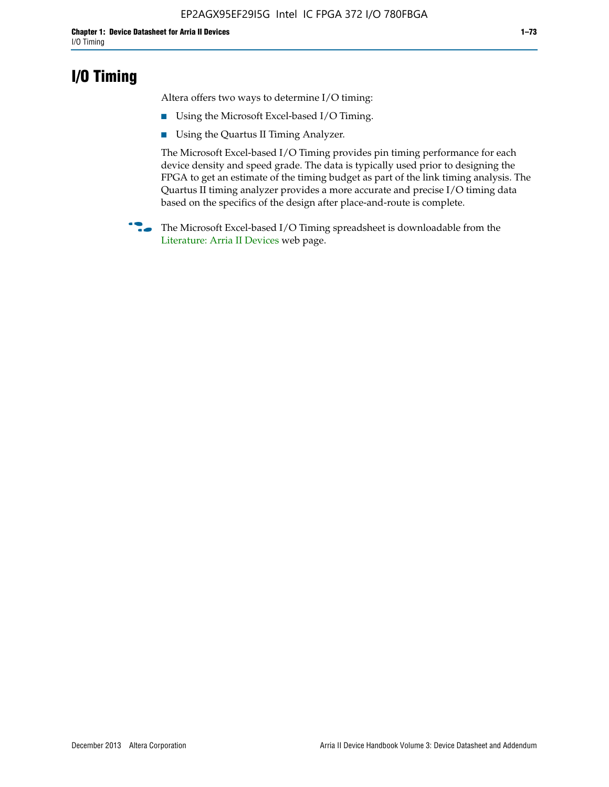## **I/O Timing**

Altera offers two ways to determine I/O timing:

- Using the Microsoft Excel-based I/O Timing.
- Using the Quartus II Timing Analyzer.

The Microsoft Excel-based I/O Timing provides pin timing performance for each device density and speed grade. The data is typically used prior to designing the FPGA to get an estimate of the timing budget as part of the link timing analysis. The Quartus II timing analyzer provides a more accurate and precise I/O timing data based on the specifics of the design after place-and-route is complete.

**f The Microsoft Excel-based I/O Timing spreadsheet is downloadable from the** [Literature: Arria II Devices](http://www.altera.com/literature/lit-arria-ii-gx.jsp) web page.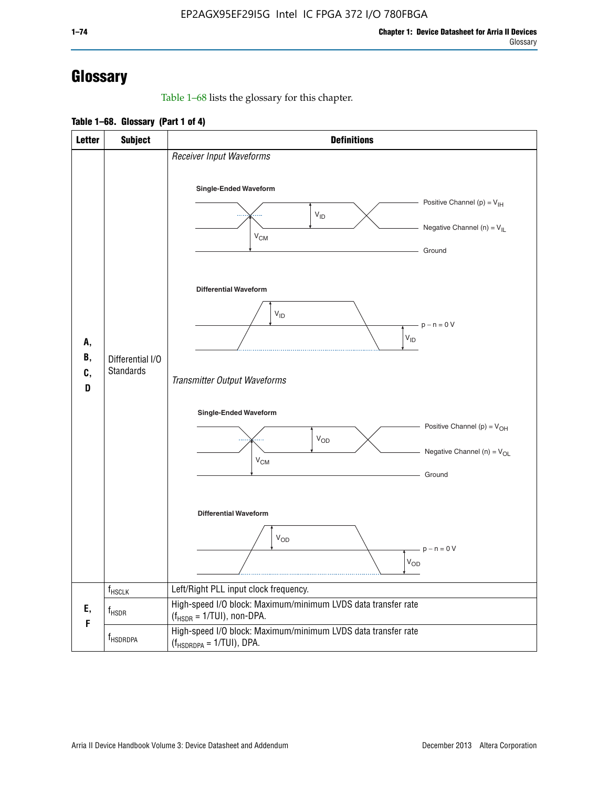# **Glossary**

Table 1–68 lists the glossary for this chapter.

**Table 1–68. Glossary (Part 1 of 4)**

| <b>Letter</b>       | <b>Subject</b>                       | <b>Definitions</b>                                                                                                                         |
|---------------------|--------------------------------------|--------------------------------------------------------------------------------------------------------------------------------------------|
|                     |                                      | Receiver Input Waveforms<br>Single-Ended Waveform<br>Positive Channel (p) = $V_{\text{IH}}$<br>$V_{ID}$<br>Negative Channel (n) = $V_{IL}$ |
| А,<br>В,<br>C,<br>D |                                      | $V_{CM}$<br>Ground<br><b>Differential Waveform</b><br>$V_{ID}$<br>$-p - n = 0 V$                                                           |
|                     | Differential I/O<br><b>Standards</b> | $\rm V_{ID}$<br>Transmitter Output Waveforms                                                                                               |
|                     |                                      | Single-Ended Waveform<br>Positive Channel (p) = $V_{OH}$<br>$V_{OD}$<br>Negative Channel (n) = $V_{OL}$<br>$V_{CM}$<br>Ground              |
|                     |                                      | <b>Differential Waveform</b><br><b>V<sub>OD</sub></b><br>$p - n = 0 V$<br>$\rm V_{OD}$                                                     |
|                     | f <sub>HSCLK</sub>                   | Left/Right PLL input clock frequency.                                                                                                      |
| Ε,<br>F             | $f_{HSDR}$                           | High-speed I/O block: Maximum/minimum LVDS data transfer rate<br>$(f_{\text{HSDR}} = 1/\text{TUI})$ , non-DPA.                             |
|                     | f <sub>HSDRDPA</sub>                 | High-speed I/O block: Maximum/minimum LVDS data transfer rate<br>$(f_{HSDRDPA} = 1/TUI)$ , DPA.                                            |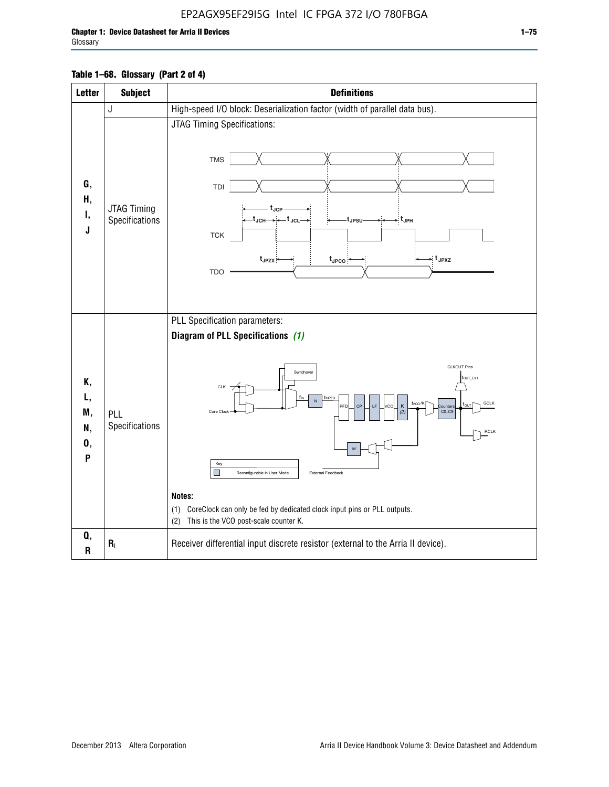#### **Table 1–68. Glossary (Part 2 of 4)**

| <b>Letter</b>                   | <b>Subject</b>                       | <b>Definitions</b>                                                                                                                                                                                                                                                                                                                                                                                                                                                                           |
|---------------------------------|--------------------------------------|----------------------------------------------------------------------------------------------------------------------------------------------------------------------------------------------------------------------------------------------------------------------------------------------------------------------------------------------------------------------------------------------------------------------------------------------------------------------------------------------|
|                                 | J                                    | High-speed I/O block: Deserialization factor (width of parallel data bus).                                                                                                                                                                                                                                                                                                                                                                                                                   |
| G,<br>Н,<br>Ι,<br>J             | <b>JTAG Timing</b><br>Specifications | JTAG Timing Specifications:<br><b>TMS</b><br>TDI<br>$t_{\rm JCP}$<br>t <sub>JPSU</sub><br>-∶t јрн<br><b>TCK</b><br>$t_{JPZX}$<br>$\cdot$ t <sub>JPXZ</sub><br>$t_{\text{JPCO}}$<br>TDO                                                                                                                                                                                                                                                                                                       |
| Κ,<br>L,<br>M,<br>N,<br>0,<br>P | PLL<br>Specifications                | PLL Specification parameters:<br>Diagram of PLL Specifications (1)<br><b>CLKOUT Pins</b><br>Switchover<br>fout_ext<br><b>CLK</b><br>f <sub>INPFD</sub><br>$\overline{N}$<br>f <sub>vco</sub> /K<br>GCLK<br>CP<br>K<br><b>PEL</b><br><b>Qunter</b><br>CO.C9<br>Core Clock<br>RCLK<br>Key<br>П<br>Reconfigurable in User Mode<br>External Feedback<br>Notes:<br>CoreClock can only be fed by dedicated clock input pins or PLL outputs.<br>(1)<br>This is the VCO post-scale counter K.<br>(2) |
| Q,<br>$\mathbf R$               | $R_L$                                | Receiver differential input discrete resistor (external to the Arria II device).                                                                                                                                                                                                                                                                                                                                                                                                             |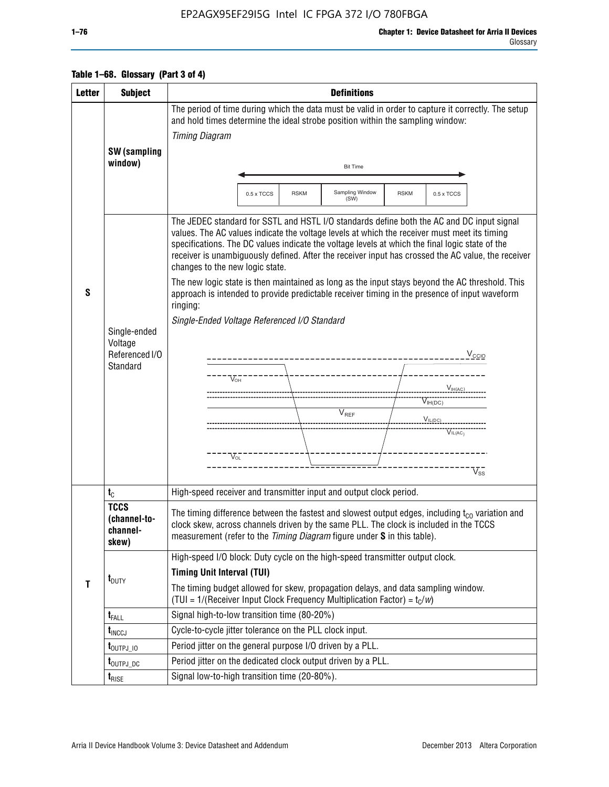### EP2AGX95EF29I5G Intel IC FPGA 372 I/O 780FBGA

### **Table 1–68. Glossary (Part 3 of 4)**

| <b>Letter</b> | <b>Subject</b>                                        | <b>Definitions</b>                                                                                                                                                                                                                                                                                                                                                                                                                                                                                                                                                                                                                                                                                                                                                                                                                                                                |  |  |  |  |
|---------------|-------------------------------------------------------|-----------------------------------------------------------------------------------------------------------------------------------------------------------------------------------------------------------------------------------------------------------------------------------------------------------------------------------------------------------------------------------------------------------------------------------------------------------------------------------------------------------------------------------------------------------------------------------------------------------------------------------------------------------------------------------------------------------------------------------------------------------------------------------------------------------------------------------------------------------------------------------|--|--|--|--|
|               |                                                       | The period of time during which the data must be valid in order to capture it correctly. The setup<br>and hold times determine the ideal strobe position within the sampling window:                                                                                                                                                                                                                                                                                                                                                                                                                                                                                                                                                                                                                                                                                              |  |  |  |  |
|               |                                                       | <b>Timing Diagram</b>                                                                                                                                                                                                                                                                                                                                                                                                                                                                                                                                                                                                                                                                                                                                                                                                                                                             |  |  |  |  |
|               | SW (sampling                                          |                                                                                                                                                                                                                                                                                                                                                                                                                                                                                                                                                                                                                                                                                                                                                                                                                                                                                   |  |  |  |  |
|               | window)                                               | <b>Bit Time</b>                                                                                                                                                                                                                                                                                                                                                                                                                                                                                                                                                                                                                                                                                                                                                                                                                                                                   |  |  |  |  |
|               |                                                       |                                                                                                                                                                                                                                                                                                                                                                                                                                                                                                                                                                                                                                                                                                                                                                                                                                                                                   |  |  |  |  |
|               |                                                       | Sampling Window<br>0.5 x TCCS<br><b>RSKM</b><br><b>RSKM</b><br>0.5 x TCCS<br>(SW)                                                                                                                                                                                                                                                                                                                                                                                                                                                                                                                                                                                                                                                                                                                                                                                                 |  |  |  |  |
| S             | Single-ended<br>Voltage<br>Referenced I/O<br>Standard | The JEDEC standard for SSTL and HSTL I/O standards define both the AC and DC input signal<br>values. The AC values indicate the voltage levels at which the receiver must meet its timing<br>specifications. The DC values indicate the voltage levels at which the final logic state of the<br>receiver is unambiguously defined. After the receiver input has crossed the AC value, the receiver<br>changes to the new logic state.<br>The new logic state is then maintained as long as the input stays beyond the AC threshold. This<br>approach is intended to provide predictable receiver timing in the presence of input waveform<br>ringing:<br>Single-Ended Voltage Referenced I/O Standard<br>$V_{\text{CCIO}}$<br>$V_{OH}$<br>$V_{IH(AC)}$<br>$V_{IH(DC)}$<br>$\mathsf{V}_{\mathsf{REF}}$<br>$V_{I L (D C)_{\sim} \sim \sim}$<br>$V_{IL(AC)}$<br>$V_{OI}$<br>$V_{ss}$ |  |  |  |  |
|               | $t_{C}$                                               | High-speed receiver and transmitter input and output clock period.                                                                                                                                                                                                                                                                                                                                                                                                                                                                                                                                                                                                                                                                                                                                                                                                                |  |  |  |  |
|               | <b>TCCS</b><br>(channel-to-<br>channel-<br>skew)      | The timing difference between the fastest and slowest output edges, including $t_{c0}$ variation and<br>clock skew, across channels driven by the same PLL. The clock is included in the TCCS<br>measurement (refer to the Timing Diagram figure under S in this table).                                                                                                                                                                                                                                                                                                                                                                                                                                                                                                                                                                                                          |  |  |  |  |
|               |                                                       | High-speed I/O block: Duty cycle on the high-speed transmitter output clock.                                                                                                                                                                                                                                                                                                                                                                                                                                                                                                                                                                                                                                                                                                                                                                                                      |  |  |  |  |
| T             | $t_{\text{DUTY}}$                                     | <b>Timing Unit Interval (TUI)</b>                                                                                                                                                                                                                                                                                                                                                                                                                                                                                                                                                                                                                                                                                                                                                                                                                                                 |  |  |  |  |
|               |                                                       | The timing budget allowed for skew, propagation delays, and data sampling window.<br>(TUI = $1/($ Receiver Input Clock Frequency Multiplication Factor) = $t_c/w$ )                                                                                                                                                                                                                                                                                                                                                                                                                                                                                                                                                                                                                                                                                                               |  |  |  |  |
|               | $t_{FALL}$                                            | Signal high-to-low transition time (80-20%)                                                                                                                                                                                                                                                                                                                                                                                                                                                                                                                                                                                                                                                                                                                                                                                                                                       |  |  |  |  |
|               | $t_{\text{INCCJ}}$                                    | Cycle-to-cycle jitter tolerance on the PLL clock input.                                                                                                                                                                                                                                                                                                                                                                                                                                                                                                                                                                                                                                                                                                                                                                                                                           |  |  |  |  |
|               | $t_{\text{OUTPJ}}$ 10                                 | Period jitter on the general purpose I/O driven by a PLL.                                                                                                                                                                                                                                                                                                                                                                                                                                                                                                                                                                                                                                                                                                                                                                                                                         |  |  |  |  |
|               | t <sub>outpj_dc</sub>                                 | Period jitter on the dedicated clock output driven by a PLL.                                                                                                                                                                                                                                                                                                                                                                                                                                                                                                                                                                                                                                                                                                                                                                                                                      |  |  |  |  |
|               | $t_{\tiny\textsf{RISE}}$                              | Signal low-to-high transition time (20-80%).                                                                                                                                                                                                                                                                                                                                                                                                                                                                                                                                                                                                                                                                                                                                                                                                                                      |  |  |  |  |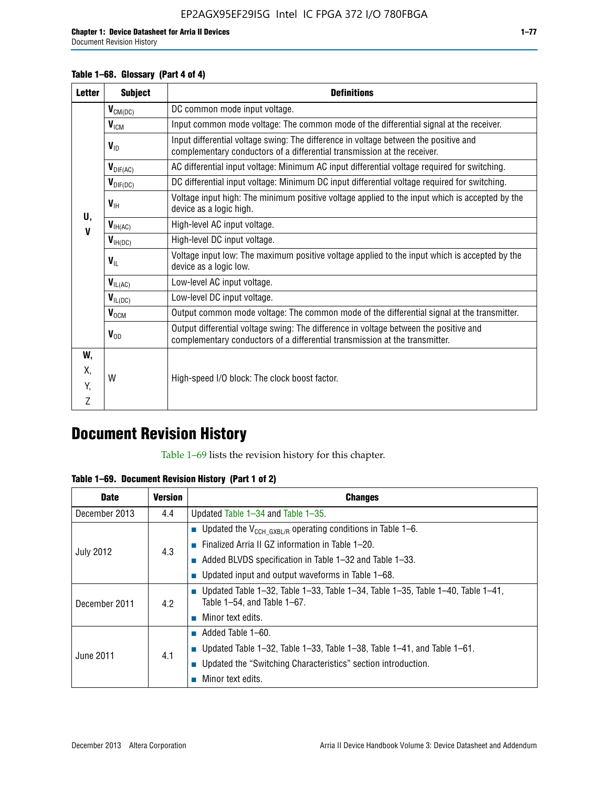#### **Table 1–68. Glossary (Part 4 of 4)**

| <b>Letter</b> | <b>Subject</b>       | <b>Definitions</b>                                                                                                                                                   |
|---------------|----------------------|----------------------------------------------------------------------------------------------------------------------------------------------------------------------|
|               | $V_{CM(DC)}$         | DC common mode input voltage.                                                                                                                                        |
|               | V <sub>ICM</sub>     | Input common mode voltage: The common mode of the differential signal at the receiver.                                                                               |
|               | $V_{ID}$             | Input differential voltage swing: The difference in voltage between the positive and<br>complementary conductors of a differential transmission at the receiver.     |
|               | $V_{\text{DIF(AC)}}$ | AC differential input voltage: Minimum AC input differential voltage required for switching.                                                                         |
|               | $V_{\text{DIF(DC)}}$ | DC differential input voltage: Minimum DC input differential voltage required for switching.                                                                         |
| U,            | $V_{\text{IH}}$      | Voltage input high: The minimum positive voltage applied to the input which is accepted by the<br>device as a logic high.                                            |
| $\mathbf V$   | $V_{H(AC)}$          | High-level AC input voltage.                                                                                                                                         |
|               | $V_{H(DC)}$          | High-level DC input voltage.                                                                                                                                         |
|               | $V_{\text{IL}}$      | Voltage input low: The maximum positive voltage applied to the input which is accepted by the<br>device as a logic low.                                              |
|               | $V_{I L(AC)}$        | Low-level AC input voltage.                                                                                                                                          |
|               | $V_{IL(DC)}$         | Low-level DC input voltage.                                                                                                                                          |
|               | $V_{OCM}$            | Output common mode voltage: The common mode of the differential signal at the transmitter.                                                                           |
|               | $V_{OD}$             | Output differential voltage swing: The difference in voltage between the positive and<br>complementary conductors of a differential transmission at the transmitter. |
| W,            |                      |                                                                                                                                                                      |
| Х,            | W                    | High-speed I/O block: The clock boost factor.                                                                                                                        |
| Y,            |                      |                                                                                                                                                                      |
| 7             |                      |                                                                                                                                                                      |

# **Document Revision History**

Table 1–69 lists the revision history for this chapter.

**Table 1–69. Document Revision History (Part 1 of 2)**

| <b>Date</b>      | <b>Version</b> | <b>Changes</b>                                                                                                                      |
|------------------|----------------|-------------------------------------------------------------------------------------------------------------------------------------|
| December 2013    | 4.4            | Updated Table $1-34$ and Table $1-35$ .                                                                                             |
|                  |                | ■ Updated the $V_{CCH GXBL/R}$ operating conditions in Table 1–6.                                                                   |
| <b>July 2012</b> |                | <b>Example 1-20.</b> Finalized Arria II GZ information in Table 1-20.                                                               |
|                  | 4.3            | $\blacksquare$ Added BLVDS specification in Table 1-32 and Table 1-33.                                                              |
|                  |                | <b>Updated input and output waveforms in Table 1–68.</b>                                                                            |
| December 2011    | 4.2            | $\blacksquare$ Updated Table 1-32, Table 1-33, Table 1-34, Table 1-35, Table 1-40, Table 1-41,<br>Table $1-54$ , and Table $1-67$ . |
|                  |                | $\blacksquare$ Minor text edits.                                                                                                    |
|                  |                | $\blacksquare$ Added Table 1–60.                                                                                                    |
| June 2011        |                | <b>Updated Table 1–32, Table 1–33, Table 1–38, Table 1–41, and Table 1–61.</b>                                                      |
|                  | 4.1            | ■ Updated the "Switching Characteristics" section introduction.                                                                     |
|                  |                | Minor text edits.                                                                                                                   |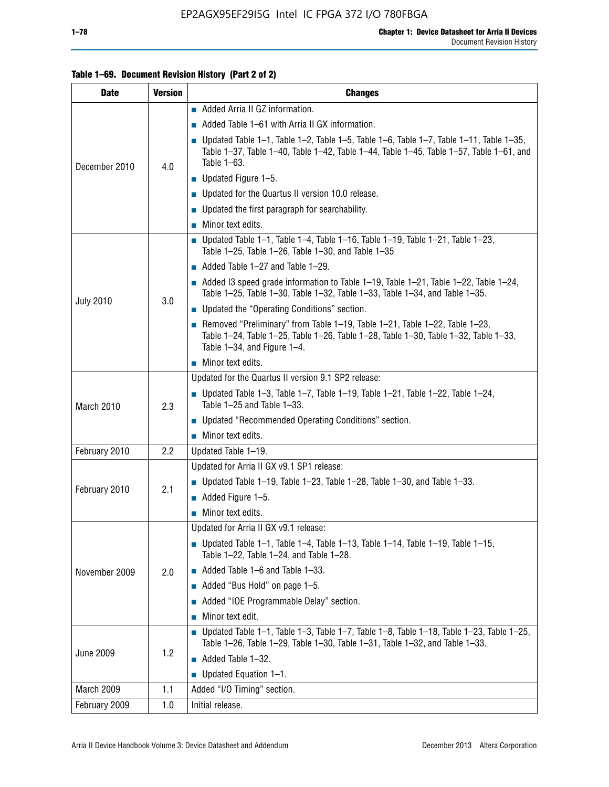#### **Table 1–69. Document Revision History (Part 2 of 2)**

| <b>Date</b>      | <b>Version</b> | <b>Changes</b>                                                                                                                                                                                                  |
|------------------|----------------|-----------------------------------------------------------------------------------------------------------------------------------------------------------------------------------------------------------------|
|                  |                | Added Arria II GZ information.                                                                                                                                                                                  |
|                  |                | Added Table 1–61 with Arria II GX information.                                                                                                                                                                  |
| December 2010    | 4.0            | $\blacksquare$ Updated Table 1-1, Table 1-2, Table 1-5, Table 1-6, Table 1-7, Table 1-11, Table 1-35,<br>Table 1-37, Table 1-40, Table 1-42, Table 1-44, Table 1-45, Table 1-57, Table 1-61, and<br>Table 1-63. |
|                  |                | $\blacksquare$ Updated Figure 1-5.                                                                                                                                                                              |
|                  |                | Updated for the Quartus II version 10.0 release.                                                                                                                                                                |
|                  |                | $\blacksquare$ Updated the first paragraph for searchability.                                                                                                                                                   |
|                  |                | $\blacksquare$ Minor text edits.                                                                                                                                                                                |
|                  |                | Updated Table 1-1, Table 1-4, Table 1-16, Table 1-19, Table 1-21, Table 1-23,<br>Table 1-25, Table 1-26, Table 1-30, and Table 1-35                                                                             |
|                  |                | $\blacksquare$ Added Table 1-27 and Table 1-29.                                                                                                                                                                 |
|                  | 3.0            | Added 13 speed grade information to Table 1-19, Table 1-21, Table 1-22, Table 1-24,<br>Table 1-25, Table 1-30, Table 1-32, Table 1-33, Table 1-34, and Table 1-35.                                              |
| <b>July 2010</b> |                | Updated the "Operating Conditions" section.                                                                                                                                                                     |
|                  |                | Removed "Preliminary" from Table 1-19, Table 1-21, Table 1-22, Table 1-23,<br>Table 1-24, Table 1-25, Table 1-26, Table 1-28, Table 1-30, Table 1-32, Table 1-33,<br>Table 1-34, and Figure 1-4.                |
|                  |                | $\blacksquare$ Minor text edits.                                                                                                                                                                                |
|                  | 2.3            | Updated for the Quartus II version 9.1 SP2 release:                                                                                                                                                             |
| March 2010       |                | $\blacksquare$ Updated Table 1-3, Table 1-7, Table 1-19, Table 1-21, Table 1-22, Table 1-24,<br>Table 1-25 and Table 1-33.                                                                                      |
|                  |                | • Updated "Recommended Operating Conditions" section.                                                                                                                                                           |
|                  |                | $\blacksquare$ Minor text edits.                                                                                                                                                                                |
| February 2010    | 2.2            | Updated Table 1-19.                                                                                                                                                                                             |
|                  |                | Updated for Arria II GX v9.1 SP1 release:                                                                                                                                                                       |
| February 2010    | 2.1            | Updated Table 1-19, Table 1-23, Table 1-28, Table 1-30, and Table 1-33.                                                                                                                                         |
|                  |                | $\blacksquare$ Added Figure 1-5.                                                                                                                                                                                |
|                  |                | Minor text edits.                                                                                                                                                                                               |
|                  |                | Updated for Arria II GX v9.1 release:                                                                                                                                                                           |
|                  |                | Updated Table 1–1, Table 1–4, Table 1–13, Table 1–14, Table 1–19, Table 1–15,<br>Table 1-22, Table 1-24, and Table 1-28.                                                                                        |
| November 2009    | 2.0            | $\blacksquare$ Added Table 1-6 and Table 1-33.                                                                                                                                                                  |
|                  |                | Added "Bus Hold" on page 1-5.                                                                                                                                                                                   |
|                  |                | Added "IOE Programmable Delay" section.                                                                                                                                                                         |
|                  |                | Minor text edit.                                                                                                                                                                                                |
|                  |                | <b>Updated Table 1–1, Table 1–3, Table 1–7, Table 1–8, Table 1–18, Table 1–23, Table 1–25,</b><br>Table 1-26, Table 1-29, Table 1-30, Table 1-31, Table 1-32, and Table 1-33.                                   |
| <b>June 2009</b> | 1.2            | $\blacksquare$ Added Table 1-32.                                                                                                                                                                                |
|                  |                | $\blacksquare$ Updated Equation 1-1.                                                                                                                                                                            |
| March 2009       | 1.1            | Added "I/O Timing" section.                                                                                                                                                                                     |
| February 2009    | 1.0            | Initial release.                                                                                                                                                                                                |